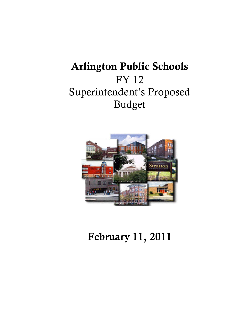# Arlington Public Schools FY 12 Superintendent's Proposed Budget



# February 11, 2011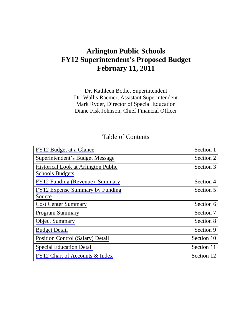# **Arlington Public Schools FY12 Superintendent's Proposed Budget February 11, 2011**

Dr. Kathleen Bodie, Superintendent Dr. Wallis Raemer, Assistant Superintendent Mark Ryder, Director of Special Education Diane Fisk Johnson, Chief Financial Officer

# Table of Contents

| FY12 Budget at a Glance                    | Section 1  |
|--------------------------------------------|------------|
| Superintendent's Budget Message            | Section 2  |
| <b>Historical Look at Arlington Public</b> | Section 3  |
| <b>Schools Budgets</b>                     |            |
| FY12 Funding (Revenue) Summary             | Section 4  |
| FY12 Expense Summary by Funding            | Section 5  |
| Source                                     |            |
| <b>Cost Center Summary</b>                 | Section 6  |
| <b>Program Summary</b>                     | Section 7  |
| <b>Object Summary</b>                      | Section 8  |
| <b>Budget Detail</b>                       | Section 9  |
| <b>Position Control (Salary) Detail</b>    | Section 10 |
| <b>Special Education Detail</b>            | Section 11 |
| FY12 Chart of Accounts & Index             | Section 12 |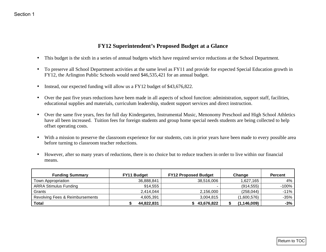### **FY12 Superintendent's Proposed Budget at a Glance**

- •This budget is the sixth in a series of annual budgets which have required service reductions at the School Department.
- • To preserve all School Department activities at the same level as FY11 and provide for expected Special Education growth in FY12, the Arlington Public Schools would need \$46,535,421 for an annual budget.
- •Instead, our expected funding will allow us a FY12 budget of \$43,676,822.
- Over the past five years reductions have been made in all aspects of school function: administration, support staff, facilities, educational supplies and materials, curriculum leadership, student support services and direct instruction.
- $\bullet$  Over the same five years, fees for full day Kindergarten, Instrumental Music, Menonomy Preschool and High School Athletics have all been increased. Tuition fees for foreign students and group home special needs students are being collected to help offset operating costs.
- With a mission to preserve the classroom experience for our students, cuts in prior years have been made to every possible area before turning to classroom teacher reductions.
- • However, after so many years of reductions, there is no choice but to reduce teachers in order to live within our financial means.

<span id="page-2-0"></span>

|                                                                                                                                                                                                                                                                                                                                                                                                                                                                                                                                                                                                                         |                           | <b>FY12 Superintendent's Proposed Budget at a Glance</b> |                     |                      |
|-------------------------------------------------------------------------------------------------------------------------------------------------------------------------------------------------------------------------------------------------------------------------------------------------------------------------------------------------------------------------------------------------------------------------------------------------------------------------------------------------------------------------------------------------------------------------------------------------------------------------|---------------------------|----------------------------------------------------------|---------------------|----------------------|
| This budget is the sixth in a series of annual budgets which have required service reductions at the School Department.                                                                                                                                                                                                                                                                                                                                                                                                                                                                                                 |                           |                                                          |                     |                      |
| To preserve all School Department activities at the same level as FY11 and provide for expected Special Education growth in<br>FY12, the Arlington Public Schools would need \$46,535,421 for an annual budget.                                                                                                                                                                                                                                                                                                                                                                                                         |                           |                                                          |                     |                      |
| Instead, our expected funding will allow us a FY12 budget of \$43,676,822.                                                                                                                                                                                                                                                                                                                                                                                                                                                                                                                                              |                           |                                                          |                     |                      |
| educational supplies and materials, curriculum leadership, student support services and direct instruction.                                                                                                                                                                                                                                                                                                                                                                                                                                                                                                             |                           |                                                          |                     |                      |
| Over the same five years, fees for full day Kindergarten, Instrumental Music, Menonomy Preschool and High School Athletics<br>$\bullet$<br>have all been increased. Tuition fees for foreign students and group home special needs students are being collected to help<br>offset operating costs.<br>With a mission to preserve the classroom experience for our students, cuts in prior years have been made to every possible area<br>before turning to classroom teacher reductions.<br>However, after so many years of reductions, there is no choice but to reduce teachers in order to live within our financial |                           |                                                          |                     |                      |
| means.                                                                                                                                                                                                                                                                                                                                                                                                                                                                                                                                                                                                                  |                           |                                                          |                     |                      |
| <b>Funding Summary</b>                                                                                                                                                                                                                                                                                                                                                                                                                                                                                                                                                                                                  | FY11 Budget<br>36,888,841 | <b>FY12 Proposed Budget</b><br>38,516,006                | Change<br>1,627,165 | <b>Percent</b><br>4% |
| Town Appropriation<br><b>ARRA Stimulus Funding</b>                                                                                                                                                                                                                                                                                                                                                                                                                                                                                                                                                                      | 914,555                   |                                                          | (914, 555)          | $-100%$              |
| Grants                                                                                                                                                                                                                                                                                                                                                                                                                                                                                                                                                                                                                  | 2,414,044                 | 2,156,000                                                | (258, 044)          | $-11%$               |
| <b>Revolving Fees &amp; Reimbursements</b>                                                                                                                                                                                                                                                                                                                                                                                                                                                                                                                                                                              | 4,605,391                 | 3,004,815                                                | (1,600,576)         | $-35%$               |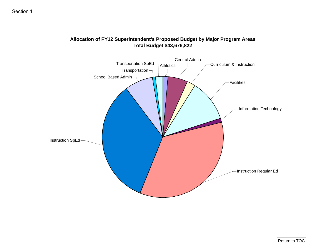

### **Allocation of FY12 Superintendent's Proposed Budget by Major Program Areas Total Budget \$43,676,822**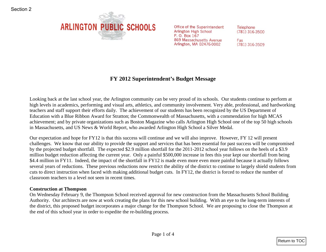

# **FY 2012 Superintendent's Budget Message**

Looking back at the last school year, the Arlington community can be very proud of its schools. Our students continue to perform at high levels in academics, performing and visual arts, athletics, and community involvement. Very able, professional, and hardworking teachers and staff support their efforts daily. The achievement of our students has been recognized by the US Department of Education with a Blue Ribbon Award for Stratton; the Commonwealth of Massachusetts, with a commendation for high MCAS achievement; and by private organizations such as Boston Magazine who calls Arlington High School one of the top 50 high schools in Massachusetts, and US News & World Report, who awarded Arlington High School a Silver Medal.

<span id="page-4-0"></span>Our expectation and hope for FY12 is that this success will continue and we will also improve. However, FY 12 will present challenges. We know that our ability to provide the support and services that has been essential for past success will be compromised by the projected budget shortfall. The expected \$2.9 million shortfall for the 2011-2012 school year follows on the heels of a \$3.9 million budget reduction affecting the current year. Only a painful \$500,000 increase in fees this year kept our shortfall from being \$4.4 million in FY11. Indeed, the impact of the shortfall in FY12 is made even more even more painful because it actually follows several years of reductions. These previous reductions now restrict the ability of the district to continue to largely shield students from cuts to direct instruction when faced with making additional budget cuts. In FY12, the district is forced to reduce the number of classroom teachers to a level not seen in recent times. **ARLINGTON PUBLIC SCHOOLS** on the suggestion details and the Suggestion of the Suggestion of the Suggestion of the Suggestion 2002 is a section 2002 of the Suggestion 2002 is a section 2002 of the Suggestion AR AR AR AR A

### **Construction at Thompson**

On Wednesday February 9, the Thompson School received approval for new construction from the Massachusetts School Building Authority. Our architects are now at work creating the plans for this new school building. With an eye to the long-term interests of the district, this proposed budget incorporates a major change for the Thompson School. We are proposing to close the Thompson at the end of this school year in order to expedite the re-building process.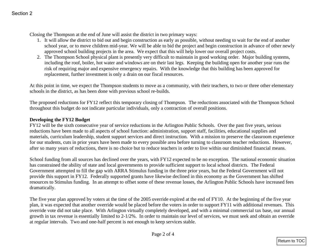Closing the Thompson at the end of June will assist the district in two primary ways:

- 1. It will allow the district to bid out and begin construction as early as possible, without needing to wait for the end of another school year, or to move children mid-year. We will be able to bid the project and begin construction in advance of other newly approved school building projects in the area. We expect that this will help lower our overall project costs.
- 2. The Thompson School physical plant is presently very difficult to maintain in good working order. Major building systems, including the roof, boiler, hot water and windows are on their last legs. Keeping the building open for another year runs the risk of requiring major and expensive emergency repairs. With the knowledge that this building has been approved for replacement, further investment is only a drain on our fiscal resources.

At this point in time, we expect the Thompson students to move as a community, with their teachers, to two or three other elementary schools in the district, as has been done with previous school re-builds.

The proposed reductions for FY12 reflect this temporary closing of Thompson. The reductions associated with the Thompson School throughout this budget do not indicate particular individuals, only a contraction of overall positions.

### **Developing the FY12 Budget**

FY12 will be the sixth consecutive year of service reductions in the Arlington Public Schools. Over the past five years, serious reductions have been made to all aspects of school function: administration, support staff, facilities, educational supplies and materials, curriculum leadership, student support services and direct instruction. With a mission to preserve the classroom experience for our students, cuts in prior years have been made to every possible area before turning to classroom teacher reductions. However, after so many years of reductions, there is no choice but to reduce teachers in order to live within our diminished financial means.

School funding from all sources has declined over the years, with FY12 expected to be no exception. The national economic situation has constrained the ability of state and local governments to provide sufficient support to local school districts. The Federal Government attempted to fill the gap with ARRA Stimulus funding in the three prior years, but the Federal Government will not provide this support in FY12. Federally supported grants have likewise declined in this economy as the Government has shifted resources to Stimulus funding. In an attempt to offset some of these revenue losses, the Arlington Public Schools have increased fees dramatically. Section 2<br>
1. It will also the district to Note of the district in two primary ways:<br>
1. It will also the district which contained the matrix in the position of the section of the section of the section of the section of

The five year plan approved by voters at the time of the 2005 override expired at the end of FY10. At the beginning of the five year plan, it was expected that another override would be placed before the voters in order to support FY11 with additional revenues. This override vote did not take place. With Arlington virtually completely developed, and with a minimal commercial tax base, our annual growth in tax revenue is essentially limited to 2-1/2%. In order to maintain our level of services, we must seek and obtain an override at regular intervals. Two and one-half percent is not enough to keep services stable.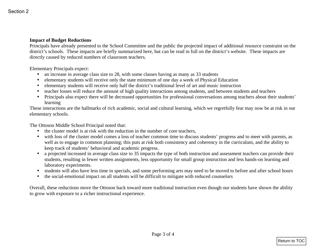### **Impact of Budget Reductions**

Principals have already presented to the School Committee and the public the projected impact of additional resource constraint on the district's schools. These impacts are briefly summarized here, but can be read in full on the district's website. These impacts are directly caused by reduced numbers of classroom teachers. **Example 16 Budget Reductions**<br>
Impact of Budget Reductions<br>
Direction For School Correlation and probabilities and the politic the projected traped of solidinard resource constraint on the<br>
direct is strongly presented t

Elementary Principals expect:

- •an increase in average class size to 28, with some classes having as many as 33 students
- •elementary students will receive only the state minimum of one day a week of Physical Education
- •elementary students will receive only half the district's traditional level of art and music instruction
- •teacher losses will reduce the amount of high quality interactions among students, and between students and teachers
- Principals also expect there will be decreased opportunities for professional conversations among teachers about their students' learning

These interactions are the hallmarks of rich academic, social and cultural learning, which we regretfully fear may now be at risk in our elementary schools.

The Ottoson Middle School Principal noted that:

- the cluster model is at risk with the reduction in the number of core teachers,
- with loss of the cluster model comes a loss of teacher common time to discuss students' progress and to meet with parents, as well as to engage in common planning; this puts at risk both consistency and coherency in the curriculum, and the ability to keep track of students' behavioral and academic progress.
- a projected increased in average class size to 35 impacts the type of both instruction and assessment teachers can provide their students, resulting in fewer written assignments, less opportunity for small group instruction and less hands-on learning and laboratory experiments.
- students will also have less time in specials, and some performing arts may need to be moved to before and after school hours
- •the social-emotional impact on all students will be difficult to mitigate with reduced counselors

Overall, these reductions move the Ottoson back toward more traditional instruction even though our students have shown the ability to grow with exposure to a richer instructional experience.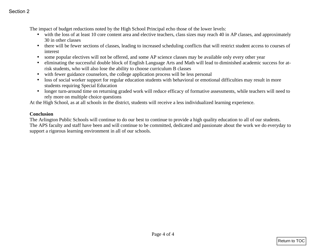The impact of budget reductions noted by the High School Principal echo those of the lower levels:

- with the loss of at least 10 core content area and elective teachers, class sizes may reach 40 in AP classes, and approximately 30 in other classes
- there will be fewer sections of classes, leading to increased scheduling conflicts that will restrict student access to courses of interest
- some popular electives will not be offered, and some AP science classes may be available only every other year
- $\bullet$  eliminating the successful double block of English Language Arts and Math will lead to diminished academic success for atrisk students, who will also lose the ability to choose curriculum B classes
- with fewer guidance counselors, the college application process will be less personal
- $\bullet$  loss of social worker support for regular education students with behavioral or emotional difficulties may result in more students requiring Special Education
- longer turn-around time on returning graded work will reduce efficacy of formative assessments, while teachers will need to rely more on multiple choice questions

At the High School, as at all schools in the district, students will receive a less individualized learning experience.

### **Conclusion**

The Arlington Public Schools will continue to do our best to continue to provide a high quality education to all of our students. The APS faculty and staff have been and will continue to be committed, dedicated and passionate about the work we do everyday to support a rigorous learning environment in all of our schools. Section 2<br>
The impact of budget reductions and d by the High School Principal cylis those of the lower levels.<br>  $\bullet$  solid the loss of at loss 1.0 cme commutation and at distribution between states and any mask 4.0 in oth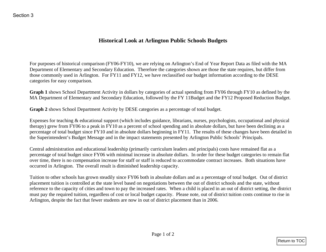# **Historical Look at Arlington Public Schools Budgets**

For purposes of historical comparison (FY06-FY10), we are relying on Arlington's End of Year Report Data as filed with the MA Department of Elementary and Secondary Education. Therefore the categories shown are those the state requires, but differ from those commonly used in Arlington. For FY11 and FY12, we have reclassified our budget information according to the DESE categories for easy comparison.

**Graph 1** shows School Department Activity in dollars by categories of actual spending from FY06 through FY10 as defined by the MA Department of Elementary and Secondary Education, followed by the FY 11Budget and the FY12 Proposed Reduction Budget.

**Graph 2** shows School Department Activity by DESE categories as a percentage of total budget.

Expenses for teaching & educational support (which includes guidance, librarians, nurses, psychologists, occupational and physical therapy) grew from FY06 to a peak in FY10 as a percent of school spending and in absolute dollars, but have been declining as a percentage of total budget since FY10 and in absolute dollars beginning in FY11. The results of these changes have been detailed in the Superintendent's Budget Message and in the impact statements presented by Arlington Public Schools' Principals.

Central administration and educational leadership (primarily curriculum leaders and principals) costs have remained flat as a percentage of total budget since FY06 with minimal increase in absolute dollars. In order for these budget categories to remain flat over time, there is no compensation increase for staff or staff is reduced to accommodate contract increases. Both situations have occurred in Arlington. The overall result is diminished leadership capacity.

<span id="page-8-0"></span>Tuition to other schools has grown steadily since FY06 both in absolute dollars and as a percentage of total budget. Out of district placement tuition is controlled at the state level based on negotiations between the out of district schools and the state, without reference to the capacity of cities and town to pay the increased rates. When a child is placed in an out of district setting, the district must pay the required tuition, regardless of cost or local budget capacity. Please note, out of district tuition costs continue to rise in Arlington, despite the fact that fewer students are now in out of district placement than in 2006. Historical Look at Artington Public Schools Budgets<br>
Returned Schools Budgets<br>
For purposes of historical comparison (FY66-FY10), we are relying on Adiagon's Ead of Year Report Data as flied with the MA<br>
Depenment of betwe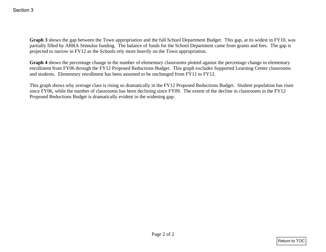**Graph 3** shows the gap between the Town appropriation and the full School Department Budget. This gap, at its widest in FY10, was partially filled by ARRA Stimulus funding. The balance of funds for the School Department came from grants and fees. The gap is projected to narrow in FY12 as the Schools rely more heavily on the Town appropriation. **Section 3**<br> **Coraph 3 shows the gap between the Trown appropriation and the full Schmid Department Budget. This gap, at its wided in 1/Y11, was<br>
partially filled by ARRA Stimulus finding. The buliance of finds if the Sch** 

**Graph 4** shows the percentage change in the number of elementary classrooms plotted against the percentage change in elementary enrollment from FY06 through the FY12 Proposed Reductions Budget. This graph excludes Supported Learning Center classrooms and students. Elementary enrollment has been assumed to be unchanged from FY11 to FY12.

This graph shows why average class is rising so dramatically in the FY12 Proposed Reductions Budget. Student population has risen since FY06, while the number of classrooms has been declining since FY09. The extent of the decline in classrooms in the FY12 Proposed Reductions Budget is dramatically evident in the widening gap.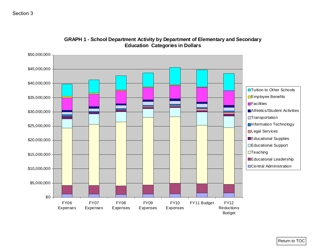### Section 3



### **GRAPH 1 - School Department Activity by Department of Elementary and Secondary Education Categories in Dollars**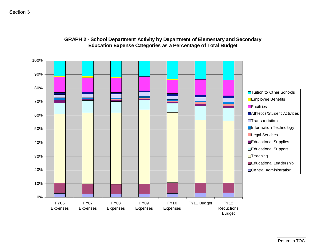### Section 3



### **GRAPH 2 - School Department Activity by Department of Elementary and Secondary Education Expense Categories as a Percentage of Total Budget**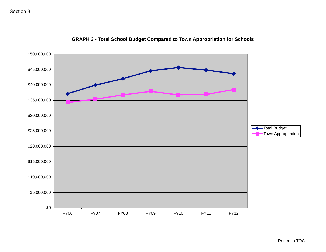

### **GRAPH 3 - Total School Budget Compared to Town Appropriation for Schools**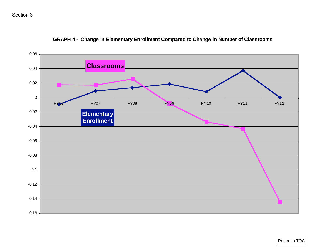# Section 3



**GRAPH 4 - Change in Elementary Enrollment Compared to Change in Number of Classrooms**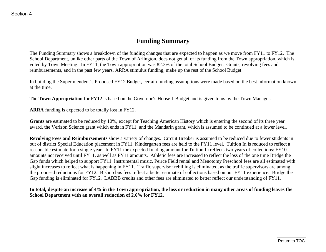# **Funding Summary**

The Funding Summary shows a breakdown of the funding changes that are expected to happen as we move from FY11 to FY12. The School Department, unlike other parts of the Town of Arlington, does not get all of its funding from the Town appropriation, which is voted by Town Meeting. In FY11, the Town appropriation was 82.3% of the total School Budget. Grants, revolving fees and reimbursements, and in the past few years, ARRA stimulus funding, make up the rest of the School Budget.

In building the Superintendent's Proposed FY12 Budget, certain funding assumptions were made based on the best information known at the time.

The **Town Appropriation** for FY12 is based on the Governor's House 1 Budget and is given to us by the Town Manager.

**ARRA** funding is expected to be totally lost in FY12.

**Grants** are estimated to be reduced by 10%, except for Teaching American History which is entering the second of its three year award, the Verizon Science grant which ends in FY11, and the Mandarin grant, which is assumed to be continued at a lower level.

<span id="page-14-0"></span>**Revolving Fees and Reimbursements** show a variety of changes. Circuit Breaker is assumed to be reduced due to fewer students in out of district Special Education placement in FY11. Kindergarten fees are held to the FY11 level. Tuition In is reduced to reflect a reasonable estimate for a single year. In FY11 the expected funding amount for Tuition In reflects two years of collections: FY10 amounts not received until FY11, as well as FY11 amounts. Athletic fees are increased to reflect the loss of the one time Bridge the Gap funds which helped to support FY11. Instrumental music, Peirce Field rental and Menotomy Preschool fees are all estimated with slight increases to reflect what is happening in FY11. Traffic supervisor rebilling is eliminated, as the traffic supervisors are among the proposed reductions for FY12. Bishop bus fees reflect a better estimate of collections based on our FY11 experience. Bridge the Gap funding is eliminated for FY12. LABBB credits and other fees are eliminated to better reflect our understanding of FY11. **Funding Summary**<br> **Funding Summary**<br>
The Uniting Summary shows a breakdown of the funding changes due are expected to happen as we move from FV11 at PV2. The<br>
Sould Dynamiake addition (Figure 1 the 1996 of the funding sa

### **In total, despite an increase of 4% in the Town appropriation, the loss or reduction in many other areas of funding leaves the School Department with an overall reduction of 2.6% for FY12.**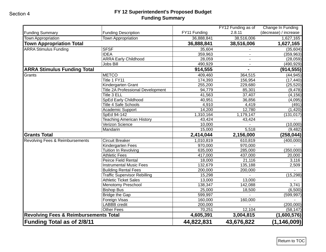### **FY 12 Superintendent's Proposed Budget Funding Summary**

| <b>Funding Summary</b>                           | <b>Funding Description</b>               | FY11 Funding | FY12 Funding as of<br>2.8.11 | Change In Funding<br>(decrease) / increase |
|--------------------------------------------------|------------------------------------------|--------------|------------------------------|--------------------------------------------|
| <b>Town Appropriation</b>                        | <b>Town Appropriation</b>                | 36,888,841   | 38,516,006                   | 1,627,165                                  |
| <b>Town Appropriation Total</b>                  |                                          | 36,888,841   | 38,516,006                   | 1,627,165                                  |
| <b>ARRA Stimulus Funding</b>                     | <b>SFSF</b>                              | 35,604       |                              | (35,604)                                   |
|                                                  | <b>IDEA</b>                              | 359,963      | $\sim$                       | (359, 963)                                 |
|                                                  | <b>ARRA Early Childhood</b>              | 28,059       |                              | (28,059)                                   |
|                                                  | Jobs Bill                                | 490,929      |                              | (490, 929)                                 |
| <b>ARRA Stimulus Funding Total</b>               |                                          | 914,555      |                              | (914, 555)                                 |
| Grants                                           | <b>METCO</b>                             | 409,460      | 364,515                      | (44, 945)                                  |
|                                                  | Title 1 FY11                             | 174,393      | 156,954                      | (17, 440)                                  |
|                                                  | Kindergarten Grant                       | 255,200      | 229,680                      | (25, 520)                                  |
|                                                  | <b>Title 2A Professional Development</b> | 94,779       | 85,301                       | (9, 478)                                   |
|                                                  | Title 3 ELL                              | 41,563       | 37,407                       | (4, 156)                                   |
|                                                  | SpEd Early Childhood                     | 40,951       | 36,856                       | (4,095)                                    |
|                                                  | <b>Title 4 Safe Schools</b>              | 4,910        | 4,419                        | (491)                                      |
|                                                  | Academic Support                         | 14,200       | 12,780                       | (1, 420)                                   |
|                                                  | SpEd 94-142                              | 1,310,164    | 1,179,147                    | (131, 017)                                 |
|                                                  | <b>Teaching American History</b>         | 43,424       | 43,424                       |                                            |
|                                                  | Verizon Science                          | 10,000       |                              | (10,000)                                   |
|                                                  | Mandarin                                 | 15,000       | 5,518                        | (9, 482)                                   |
| <b>Grants Total</b>                              |                                          | 2,414,044    | 2,156,000                    | (258, 044)                                 |
| Revolving Fees & Reimbursements                  | <b>Circuit Breaker</b>                   | 1,010,819    | 610,819                      | (400,000)                                  |
|                                                  | Kindergarten Fees                        | 970,000      | 970,000                      |                                            |
|                                                  | Tuition In Revolving                     | 635,000      | 285,000                      | (350,000)                                  |
|                                                  | <b>Athletic Fees</b>                     | 417,000      | 437,000                      | 20,000                                     |
|                                                  | Peirce Field Rental                      | 18,000       | 21,116                       | 3,116                                      |
|                                                  | <b>Instrumental Music Fees</b>           | 132,679      | 135,188                      | 2,509                                      |
|                                                  | <b>Building Rental Fees</b>              | 200,000      | 200,000                      |                                            |
|                                                  | <b>Traffic Supervisor Rebilling</b>      | 15,298       |                              | (15, 298)                                  |
|                                                  | <b>Athletic Ticket Sales</b>             | 13,000       | 13,000                       |                                            |
|                                                  | Menotomy Preschool                       | 138,347      | 142,088                      | 3,741                                      |
|                                                  | <b>Bishop Bus</b>                        | 25,000       | 18,500                       | (6,500)                                    |
|                                                  | <b>Bridge the Gap</b>                    | 599,997      |                              | (599, 997)                                 |
|                                                  | Foreign Visas                            | 160,000      | 160,000                      |                                            |
|                                                  | LABBB credit                             | 200,000      |                              | (200,000)                                  |
|                                                  | <b>Other Fees</b>                        | 70,251       | 12,104                       | (58, 147)                                  |
| <b>Revolving Fees &amp; Reimbursements Total</b> |                                          | 4,605,391    | 3,004,815                    | (1,600,576)                                |
| <b>Funding Total as of 2/8/11</b>                |                                          | 44,822,831   | 43,676,822                   | (1, 146, 009)                              |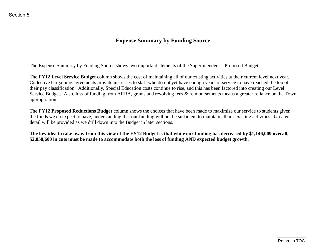## **Expense Summary by Funding Source**

The Expense Summary by Funding Source shows two important elements of the Superintendent's Proposed Budget.

<span id="page-16-0"></span>The **FY12 Level Service Budget** column shows the cost of maintaining all of our existing activities at their current level next year. Collective bargaining agreements provide increases to staff who do not yet have enough years of service to have reached the top of their pay classification. Additionally, Special Education costs continue to rise, and this has been factored into creating our Level Service Budget. Also, loss of funding from ARRA, grants and revolving fees & reimbursements means a greater reliance on the Town appropriation. **Expense Summary by Funding Source**<br> **Expense Summary by Funding Source**<br>
The Expense Summary by Funding Sources<br>
The FV12 Level Service Badget column shows the cast of maintaining all of our existing activities at their

The **FY12 Proposed Reductions Budget** column shows the choices that have been made to maximize our service to students given the funds we do expect to have, understanding that our funding will not be sufficient to maintain all our existing activities. Greater detail will be provided as we drill down into the Budget in later sections.

**The key idea to take away from this view of the FY12 Budget is that while our funding has decreased by \$1,146,009 overall, \$2,858,600 in cuts must be made to accommodate both the loss of funding AND expected budget growth.**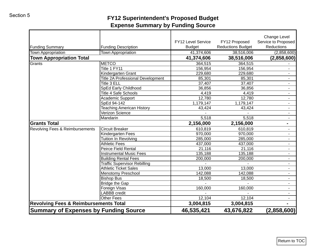# **FY12 Superintendent's Proposed Budget Expense Summary by Funding Source**

| <b>Funding Summary</b>                           | <b>Funding Description</b>               | <b>FY12 Level Service</b><br><b>Budget</b> | FY12 Proposed<br><b>Reductions Budget</b> | Change Level<br>Service to Proposed<br>Reductions |
|--------------------------------------------------|------------------------------------------|--------------------------------------------|-------------------------------------------|---------------------------------------------------|
| <b>Town Appropriation</b>                        | <b>Town Appropriation</b>                | 41,374,606                                 | 38,516,006                                | (2,858,600)                                       |
| <b>Town Appropriation Total</b>                  |                                          | 41,374,606                                 | 38,516,006                                | (2,858,600)                                       |
| Grants                                           | <b>METCO</b>                             | 364,515                                    | 364,515                                   |                                                   |
|                                                  | Title 1 FY11                             | 156,954                                    | 156,954                                   |                                                   |
|                                                  | Kindergarten Grant                       | 229,680                                    | 229,680                                   |                                                   |
|                                                  | <b>Title 2A Professional Development</b> | 85,301                                     | 85,301                                    |                                                   |
|                                                  | Title 3 ELL                              | 37,407                                     | 37,407                                    |                                                   |
|                                                  | SpEd Early Childhood                     | 36,856                                     | 36,856                                    |                                                   |
|                                                  | Title 4 Safe Schools                     | 4,419                                      | 4,419                                     |                                                   |
|                                                  | Academic Support                         | 12,780                                     | 12,780                                    |                                                   |
|                                                  | SpEd 94-142                              | 1,179,147                                  | 1,179,147                                 |                                                   |
|                                                  | <b>Teaching American History</b>         | 43,424                                     | 43,424                                    |                                                   |
|                                                  | Verizon Science                          |                                            |                                           |                                                   |
|                                                  | Mandarin                                 | 5,518                                      | 5,518                                     |                                                   |
| <b>Grants Total</b>                              |                                          | 2,156,000                                  | 2,156,000                                 | $\blacksquare$                                    |
| Revolving Fees & Reimbursements                  | Circuit Breaker                          | 610,819                                    | 610,819                                   |                                                   |
|                                                  | Kindergarten Fees                        | 970,000                                    | 970,000                                   |                                                   |
|                                                  | Tuition In Revolving                     | 285,000                                    | 285,000                                   |                                                   |
|                                                  | <b>Athletic Fees</b>                     | 437,000                                    | 437,000                                   |                                                   |
|                                                  | Peirce Field Rental                      | 21,116                                     | 21,116                                    |                                                   |
|                                                  | <b>Instrumental Music Fees</b>           | 135,188                                    | 135,188                                   |                                                   |
|                                                  | <b>Building Rental Fees</b>              | 200,000                                    | 200,000                                   |                                                   |
|                                                  | <b>Traffic Supervisor Rebilling</b>      |                                            |                                           |                                                   |
|                                                  | <b>Athletic Ticket Sales</b>             | 13,000                                     | 13,000                                    |                                                   |
|                                                  | <b>Menotomy Preschool</b>                | 142,088                                    | 142,088                                   |                                                   |
|                                                  | <b>Bishop Bus</b>                        | 18,500                                     | 18,500                                    |                                                   |
|                                                  | <b>Bridge the Gap</b>                    |                                            |                                           |                                                   |
|                                                  | Foreign Visas                            | 160,000                                    | 160,000                                   |                                                   |
|                                                  | <b>LABBB</b> credit                      |                                            |                                           |                                                   |
|                                                  | <b>Other Fees</b>                        | 12,104                                     | 12,104                                    |                                                   |
|                                                  |                                          |                                            |                                           |                                                   |
| <b>Revolving Fees &amp; Reimbursements Total</b> |                                          | 3,004,815                                  | 3,004,815                                 |                                                   |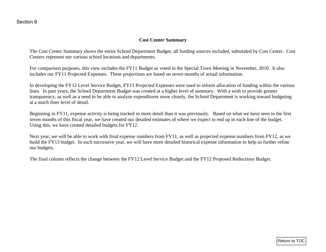### **Cost Center Summary**

The Cost Center Summary shows the entire School Department Budget, all funding sources included, subtotaled by Cost Center. Cost Centers represent our various school locations and departments.

For comparison purposes, this view includes the FY11 Budget as voted in the Special Town Meeting in November, 2010. It also includes our FY11 Projected Expenses. These projections are based on seven months of actual information.

<span id="page-18-0"></span>In developing the FY12 Level Service Budget, FY11 Projected Expenses were used to inform allocation of funding within the various lines. In past years, the School Department Budget was created at a higher level of summary. With a wish to provide greater transparency, as well as a need to be able to analyze expenditures more closely, the School Department is working toward budgeting at a much finer level of detail. Cost Center Summary<br>
The Cost Center Summary shows the entire Schol Department Budget, all funding sources included, subtonaled by Cost Center. Cost<br>
Center represent tor varios section distributions are bused on several m

Beginning in FY11, expense activity is being tracked in more detail than it was previously. Based on what we have seen in the first seven months of this fiscal year, we have created our detailed estimates of where we expect to end up in each line of the budget. Using this, we have created detailed budgets for FY12.

Next year, we will be able to work with final expense numbers from FY11, as well as projected expense numbers from FY12, as we build the FY13 budget. In each successive year, we will have more detailed historical expense information to help us further refine our budgets.

The final column reflects the change between the FY12 Level Service Budget and the FY12 Proposed Reductions Budget.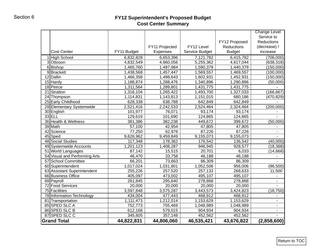### **FY12 Superintendent's Proposed Budget Cost Center Summary**

|                               |             | FY11 Projected | FY12 Level     | FY12 Proposed<br>Reductions | <b>Change Level</b><br>Service to<br><b>Reductions</b><br>(decrease) / |
|-------------------------------|-------------|----------------|----------------|-----------------------------|------------------------------------------------------------------------|
| <b>Cost Center</b>            | FY11 Budget | Expenses       | Service Budget | <b>Budget</b>               | increase                                                               |
| 1 High School                 | 6,832,828   | 6,653,396      | 7,121,782      | 6,415,782                   | (706,000)                                                              |
| 3Ottoson                      | 4,832,549   | 4,960,056      | 5,255,362      | 4,617,044                   | (638, 318)                                                             |
| 6Bishop                       | 1,465,760   | 1,497,984      | 1,590,379      | 1,440,379                   | (150,000)                                                              |
| 9Brackett                     | 1,438,568   | 1,457,447      | 1,569,557      | 1,469,557                   | (100,000)                                                              |
| 12 Dallin                     | 1,466,358   | 1,498,643      | 1,602,931      | 1,452,931                   | (150,000)                                                              |
| 15 Hardy                      | 1,188,874   | 1,288,476      | 1,340,896      | 1,290,896                   | (50,000)                                                               |
| 18 Peirce                     | 1,311,564   | 1,289,801      | 1,431,775      | 1,431,775                   |                                                                        |
| 21 Stratton                   | 1,316,104   | 1,265,422      | 1,493,700      | 1,327,033                   | (166, 667)                                                             |
| 24 Thompson                   | 1,114,831   | 1,143,813      | 1,151,015      | 680,186                     | (470, 829)                                                             |
| 25 Early Childhood            | 628,338     | 638,788        | 642,849        | 642,849                     |                                                                        |
| 29 Elementary Systemwide      | 2,521,416   | 2,242,533      | 2,524,464      | 2,324,464                   | (200,000)                                                              |
| 30 English                    | 101,977     | 76,071         | 93,174         | 93,174                      |                                                                        |
| $33$ ELL                      | 129,619     | 101,690        | 124,865        | 124,865                     |                                                                        |
| 36 Health & Wellness          | 381,386     | 382,238        | 449,672        | 399,672                     | (50,000)                                                               |
| 39 Math                       | 57,100      | 42,954         | 47,805         | 47,805                      |                                                                        |
| 42 Science                    | 77,250      | 62,976         | 87,226         | 87,226                      |                                                                        |
| $45$ Sped                     | 9,626,962   | 9,459,849      | 9,155,073      | 9,155,073                   |                                                                        |
| 48 Social Studies             | 117,348     | 178,362        | 176,542        | 136,542                     | (40,000)                                                               |
| 49 Systemwide Accounts        | 1,201,123   | 1,408,287      | 946,945        | 928,577                     | (18, 368)                                                              |
| 51 World Languages            | 87,142      | 15,515         | 20,701         | 6,033                       | (14, 668)                                                              |
| 54 Visual and Performing Arts | 46,470      | 33,758         | 46,188         | 46,188                      |                                                                        |
| 57 School Committee           | 66,201      | 73,663         | 86,309         | 86,309                      |                                                                        |
| 60 Superintendent             | 1,017,024   | 1,031,801      | 1,052,506      | 956,006                     | (96, 500)                                                              |
| 63 Assistant Superintendent   | 255,226     | 257,520        | 257,133        | 268,633                     | 11,500                                                                 |
| 66 Business Office            | 405,097     | 473,002        | 495,107        | 495,107                     |                                                                        |
| 69 Payroll                    | 261,845     | 295,640        | 278,868        | 278,868                     |                                                                        |
| 72 Food Services              | 20,000      | 20,000         | 20,000         | 20,000                      |                                                                        |
| 75 Facilities                 | 3,597,848   | 3,575,287      | 3,443,573      | 3,424,823                   | (18, 750)                                                              |
| 78 Information Technology     | 434,004     | 477,443        | 468,912        | 468,912                     |                                                                        |
| 81 Transportation             | 1,111,473   | 1,212,014      | 1,153,629      | 1,153,629                   | $\sim$                                                                 |
| 85 SPED SLC A                 | 752,773     | 755,469        | 1,048,989      | 1,048,989                   | $\blacksquare$                                                         |
| 86 SPED SLC B                 | 612,168     | 579,015        | 904,934        | 904,934                     |                                                                        |
| 87 SPED SLC C                 | 345,605     | 357,148        | 452,562        | 452,562                     |                                                                        |
| <b>Grand Total</b>            | 44,822,831  | 44,806,060     | 46,535,421     | 43,676,822                  | (2,858,600)                                                            |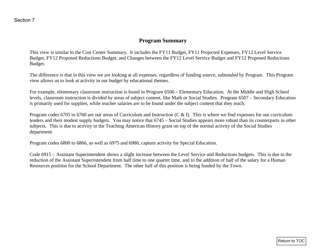### **Program Summary**

This view is similar to the Cost Center Summary. It includes the FY11 Budget, FY11 Projected Expenses, FY12 Level Service Budget, FY12 Proposed Reductions Budget, and Changes between the FY12 Level Service Budget and FY12 Proposed Reductions Budget.

The difference is that in this view we are looking at all expenses, regardless of funding source, subtotaled by Program. This Program view allows us to look at activity in our budget by educational themes.

For example, elementary classroom instruction is found in Program 6506 – Elementary Education. At the Middle and High School levels, classroom instruction is divided by areas of subject content, like Math or Social Studies. Program 6507 – Secondary Education is primarily used for supplies, while teacher salaries are to be found under the subject content that they teach.

<span id="page-20-0"></span>Program codes 6705 to 6760 are our areas of Curriculum and Instruction (C & I). This is where we find expenses for our curriculum leaders and their modest supply budgets. You may notice that 6745 – Social Studies appears more robust than its counterparts in other subjects. This is due to activity in the Teaching American History grant on top of the normal activity of the Social Studies department. **Example, 1998 Example, 1998 Example 2011 Example 2011 Example 2011 Example 2011 Example 2011 Example 2011 Example 2011 Example 2011 Example 2011 Example 2011 Example 2011 Example 2011 Example** 

Program codes 6800 to 6866, as well as 6975 and 6980, capture activity for Special Education.

Code 6915 – Assistant Superintendent shows a slight increase between the Level Service and Reductions budgets. This is due to the reduction of the Assistant Superintendent from half time to one quarter time, and to the addition of half of the salary for a Human Resources position for the School Department. The other half of this position is being funded by the Town.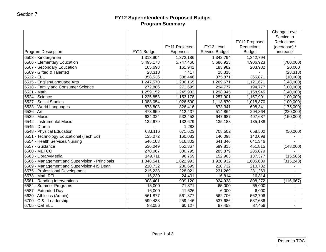### **FY12 Superintendent's Proposed Budget Program Summary**

|                                                |                      | FY11 Projected     | FY12 Level           | FY12 Proposed<br>Reductions | <b>Change Level</b><br>Service to<br><b>Reductions</b><br>(decrease) / |
|------------------------------------------------|----------------------|--------------------|----------------------|-----------------------------|------------------------------------------------------------------------|
| <b>Program Description</b>                     | FY11 Budget          | <b>Expenses</b>    | Service Budget       | <b>Budget</b>               | increase                                                               |
| 6503 - Kindergarten                            | 1,313,904            | 1,372,186          | 1,342,794            | 1,342,794                   |                                                                        |
| 6506 - Elementary Education                    | 5,495,173            | 5,747,460          | 5,686,923            | 4,906,923                   | (780,000)                                                              |
| 6507 - Secondary Education                     | 165,698              | 161,941            | 183,982              | 203,982                     | 20,000                                                                 |
| 6509 - Gifted & Talented                       | 28,318               | 7,417              | 28,318               |                             | (28, 318)                                                              |
| 6512 - ELL                                     | 358,536              | 388,446            | 375,871              | 365,871                     | (10,000)                                                               |
| 6515 - English/Language Arts                   | 1,247,570            | 1,236,165          | 1,269,671            | 1,121,671                   | (148,000)                                                              |
| 6518 - Family and Consumer Science             | 272,886              | 271,699            | 294,777              | 194,777                     | (100,000)                                                              |
| 6521 - Math                                    | 1,259,152            | 1,245,932          | 1,298,945            | 1,158,945                   | (140,000)                                                              |
| 6524 - Science                                 | 1,225,853            | 1,153,178          | 1,257,901            | 1,157,901                   | (100,000)                                                              |
| 6527 - Social Studies                          | 1,088,054<br>878,803 | 1,026,590          | 1,118,870<br>873,341 | 1,018,870                   | (100,000)                                                              |
| 6533 - World Languages<br>6536 - Art           | 473,659              | 826,416<br>412,437 |                      | 698,341                     | (175,000)<br>(220,000)                                                 |
| 6539 - Music                                   | 634,324              | 532,452            | 514,864<br>647,687   | 294,864<br>497,687          | (150,000)                                                              |
| 6542 - Instrumental Music                      | 132,679              | 132,679            | 135,188              | 135,188                     |                                                                        |
| 6545 - Drama                                   |                      | 1,283              |                      |                             |                                                                        |
| 6548 - Physical Education                      | 683,116              | 671,623            | 708,502              | 658,502                     | (50,000)                                                               |
| 6551 - Technology Educational (Tech Ed)        | 135,072              | 160,083            | 140,098              | 140,098                     |                                                                        |
| 6554 - Health Services/Nursing                 | 546,103              | 516,802            | 641,346              | 641,346                     |                                                                        |
| 6557 - Guidance                                | 536,049              | 552,367            | 599,815              | 451,815                     | (148,000)                                                              |
| 6560 - METCO                                   | 270,067              | 300,795            | 285,879              | 285,879                     |                                                                        |
| 6563 - Library/Media                           | 149,711              | 96,759             | 152,963              | 137,377                     | (15,586)                                                               |
| 6566 - Management and Supervision - Principals | 1,848,541            | 1,822,993          | 1,920,932            | 1,605,689                   | (315, 243)                                                             |
| 6569 - Management and Supervision-HS Dean      | 210,732              | 230,699            | 210,732              | 210,732                     |                                                                        |
| 6575 - Professional Development                | 215,238              | 228,021            | 231,269              | 231,269                     |                                                                        |
| 6578 - Math RTI                                | 16,230               | 24,401             | 16,814               | 16,814                      |                                                                        |
| 6581 - Reading Interventions                   | 908,401              | 909,120            | 924,938              | 808,272                     | (116, 667)                                                             |
| 6584 - Summer Programs                         | 15,000               | 71,871             | 65,000               | 65,000                      |                                                                        |
| 6587 - Extended Day                            | 16,000               | 11,626             | 6,000                | 6,000                       | $\blacksquare$                                                         |
| 6620 - Athletics (Admin)                       | 561,877              | 561,877            | 562,706              | 562,706                     |                                                                        |
| 6700 - C & I Leadership                        | 599,438              | 259,446            | 537,686              | 537,686                     | $\overline{a}$                                                         |
| 6705 - C&I ELL                                 | 88,056               | 60,127             | 87,458               | 87,458                      |                                                                        |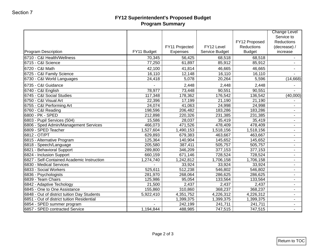### **FY12 Superintendent's Proposed Budget Program Summary**

|                                             |             | FY11 Projected  | FY12 Level     | FY12 Proposed<br>Reductions | <b>Change Level</b><br>Service to<br><b>Reductions</b><br>(decrease) / |
|---------------------------------------------|-------------|-----------------|----------------|-----------------------------|------------------------------------------------------------------------|
| <b>Program Description</b>                  | FY11 Budget | <b>Expenses</b> | Service Budget | <b>Budget</b>               | increase                                                               |
| 6710 - C&I Health/Wellness                  | 70,345      | 56,425          | 68,518         | 68,518                      | ۰.                                                                     |
| 6715 - C&I Science                          | 77,250      | 61,897          | 85,912         | 85,912                      |                                                                        |
| 6720 - C&I Math                             | 42,100      | 41,814          | 46,665         | 46,665                      | ٠                                                                      |
| 6725 - C&I Family Science                   | 16,110      | 12,148          | 16,110         | 16,110                      |                                                                        |
| 6730 - C&I World Languages                  | 24,418      | 5,078           | 20,264         | 5,596                       | (14,668)                                                               |
| 6735 - C&I Guidance                         |             | 2,448           | 2,448          | 2,448                       |                                                                        |
| 6740 - C&I English                          | 78,977      | 73,448          | 90,551         | 90,551                      |                                                                        |
| 6745 - C&I Social Studies                   | 117,348     | 178,362         | 176,542        | 136,542                     | (40,000)                                                               |
| 6750 - C&I Visual Art                       | 22,396      | 17,199          | 21,190         | 21,190                      |                                                                        |
| 6755 - C&I Performing Art                   | 24,074      | 41,063          | 24,998         | 24,998                      |                                                                        |
| 6760 - C&I Reading                          | 198,596     | 206,482         | 183,286        | 183,286                     | ٠                                                                      |
| 6800 - PK - SPED                            | 212,898     | 220,326         | 231,385        | 231,385                     | $\blacksquare$                                                         |
| 6803 - Pupil Services (504)                 | 15,586      | 28,037          | 35,419         | 35,419                      | $\blacksquare$                                                         |
| 6806 - Sped Admin/Management Services       | 466,073     | 471,526         | 478,409        | 478,409                     | ٠                                                                      |
| 6809 - SPED Teacher                         | 1,527,604   | 1,490,153       | 1,518,156      | 1,518,156                   | ٠                                                                      |
| 6812 - OT/PT                                | 629,893     | 679,383         | 463,667        | 463,667                     | $\blacksquare$                                                         |
| 6815 - Alternative Program                  | 125,364     | 140,904         | 145,652        | 145,652                     | $\blacksquare$                                                         |
| 6818 - Speech/Language                      | 205,580     | 387,411         | 505,757        | 505,757                     | ٠                                                                      |
| 6821 - Behavioral Support                   | 289,800     | 346,209         | 377,153        | 377,153                     | $\sim$                                                                 |
| 6824 - Inclusion Support                    | 660,159     | 671,146         | 728,524        | 728,524                     | ٠                                                                      |
| 6827 - Self-Contained Academic Instruction  | 1,274,740   | 1,242,812       | 1,706,158      | 1,706,158                   | $\blacksquare$                                                         |
| 6830 - Medical Services                     |             | 33,924          | 33,924         | 33,924                      | ٠                                                                      |
| 6833 - Social Workers                       | 525,611     | 512,238         | 546,802        | 546,802                     | ٠                                                                      |
| 6836 - Psychologists                        | 281,970     | 268,064         | 286,625        | 286,625                     | $\overline{\phantom{a}}$                                               |
| 6839 - Team Chairs                          | 125,986     | 95,054          | 133,564        | 133,564                     | ٠                                                                      |
| 6842 - Adaptive Techology                   | 21,500      | 2,437           | 2,437          | 2,437                       | ٠                                                                      |
| 6845 - One to One Assistance                | 155,860     | 310,860         | 368,237        | 368,237                     | $\blacksquare$                                                         |
| 6848 - Out of district tuition Day Students | 5,922,410   | 4,351,752       | 4,226,312      | 4,226,312                   |                                                                        |
| 6851 - Out of district tuition Residential  |             | 1,399,375       | 1,399,375      | 1,399,375                   | ٠                                                                      |
| 6854 - SPED summer program                  |             | 242,199         | 241,711        | 241,711                     | ۰.                                                                     |
| 6857 - SPED contracted Service              | 1,194,844   | 488,985         | 747,515        | 747,515                     | $\blacksquare$                                                         |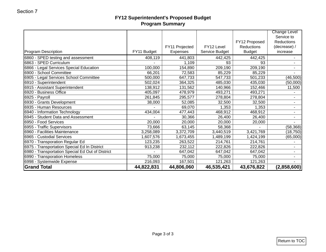### **FY12 Superintendent's Proposed Budget Program Summary**

| Reductions<br>(decrease) /<br>increase<br>$\blacksquare$<br>$\blacksquare$ | FY12 Proposed<br>Reductions<br><b>Budget</b><br>442,425 | FY12 Level<br>Service Budget | FY11 Projected    |                   |                                                                                                                                      |
|----------------------------------------------------------------------------|---------------------------------------------------------|------------------------------|-------------------|-------------------|--------------------------------------------------------------------------------------------------------------------------------------|
|                                                                            |                                                         |                              |                   |                   |                                                                                                                                      |
|                                                                            |                                                         |                              | Expenses          | FY11 Budget       | <b>Program Description</b>                                                                                                           |
|                                                                            |                                                         | 442,425                      | 441,803           | 408,119           | 6860 - SPED testing and assessment                                                                                                   |
|                                                                            | 93                                                      | 93                           | 1,109             |                   | 6863 - SPED Curriculum                                                                                                               |
|                                                                            | 209,190                                                 | 209,190                      | 154,890           | 100,000           | 6866 - Legal Services Special Education                                                                                              |
|                                                                            | 85,229                                                  | 85,229                       | 72,583            | 66,201            | 6900 - School Committee                                                                                                              |
| (46, 500)                                                                  | 501,233                                                 | 547,733                      | 647,733           | 500,000           | 6905 - Legal Services School Committee                                                                                               |
| (50,000)                                                                   | 435,030                                                 | 485,030                      | 364,325           | 502,024           | 6910 - Superintendent                                                                                                                |
| 11,500                                                                     | 152,466                                                 | 140,966                      | 131,562           | 138,912           | 6915 - Assistant Superintendent                                                                                                      |
| $\blacksquare$                                                             | 493,271                                                 | 493,271                      | 478,979           | 405,097           | 6920 - Business Office                                                                                                               |
| $\blacksquare$                                                             | 278,804                                                 | 278,804                      | 295,577           | 261,845           | 6925 - Payroll                                                                                                                       |
| $\blacksquare$                                                             | 32,500                                                  | 32,500                       | 52,085            | 38,000            | 6930 - Grants Development                                                                                                            |
| $\blacksquare$                                                             | 1,353                                                   | 1,353                        | 69,070            |                   | 6935 - Human Resources                                                                                                               |
| $\blacksquare$                                                             | 468,912                                                 | 468,912                      | 477,443           | 434,004           | 6940 - Information Technology                                                                                                        |
| $\blacksquare$                                                             | 26,400                                                  | 26,400                       | 30,366            |                   | 6945 - Student Data and Assessment                                                                                                   |
|                                                                            | 20,000                                                  | 20,000                       | 20,000            | 20,000            | 6950 - Food Services                                                                                                                 |
| (58, 368)                                                                  |                                                         | 58,368                       | 63,145            | 73,666            | 6955 - Traffic Supervisors                                                                                                           |
| (18, 750)                                                                  | 3,421,769                                               | 3,440,519                    | 3,372,709         | 3,258,089         | 6960 - Facilities Maintenance                                                                                                        |
| (65,000)                                                                   | 1,424,199                                               | 1,489,199                    | 1,673,455         | 1,607,576         | 6965 - Custodial Services                                                                                                            |
| $\blacksquare$                                                             | 214,761                                                 | 214,761                      | 263,522           | 123,235           | 6970 - Transporation Regular Ed                                                                                                      |
| $\blacksquare$                                                             | 222,826                                                 | 222,826                      | 232,112           | 913,238           | 6975 - Transportation Special Ed In District                                                                                         |
| $\sim$                                                                     | 647,042                                                 | 647,042                      | 647,042           |                   |                                                                                                                                      |
| $\sim$                                                                     |                                                         |                              |                   |                   |                                                                                                                                      |
|                                                                            |                                                         |                              |                   |                   |                                                                                                                                      |
| (2,858,600)                                                                | 43,676,822                                              | 46,535,421                   | 44,806,060        | 44,822,831        |                                                                                                                                      |
|                                                                            | 75,000<br>121,263                                       | 75,000<br>121,263            | 75,000<br>167,501 | 75,000<br>216,093 | 6980 - Transportation Special Ed Out of District<br>6990 - Transporation Homeless<br>6998 - Systemwide Expense<br><b>Grand Total</b> |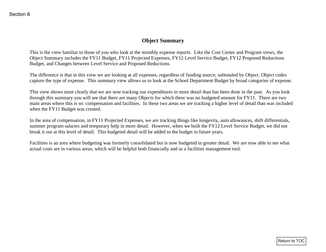# **Object Summary**

This is the view familiar to those of you who look at the monthly expense reports. Like the Cost Center and Program views, the Object Summary includes the FY11 Budget, FY11 Projected Expenses, FY12 Level Service Budget, FY12 Proposed Reductions Budget, and Changes between Level Service and Proposed Reductions.

The difference is that in this view we are looking at all expenses, regardless of funding source, subtotaled by Object. Object codes capture the type of expense. This summary view allows us to look at the School Department Budget by broad categories of expense.

<span id="page-24-0"></span>This view shows most clearly that we are now tracking our expenditures in more detail than has been done in the past. As you look through this summary you will see that there are many Objects for which there was no budgeted amount for FY11. There are two main areas where this is so: compensation and facilities. In these two areas we are tracking a higher level of detail than was included when the FY11 Budget was created. **CONSECT SUPPER CONSECT SUPPER CONSECT SUPPER CONSECT AND AN ALGO THE CONSECT AND AN ALGO SECTION CONSECT AND A SUPPER CONSECT AND A SUPPER CONSECT AND A SUPPER CONSECT AND A SUPPER CONSECT AND A SUPPER CONSECT AND MANUFAT** 

In the area of compensation, in FY11 Projected Expenses, we are tracking things like longevity, auto allowances, shift differentials, summer program salaries and temporary help in more detail. However, when we built the FY12 Level Service Budget, we did not break it out at this level of detail. This budgeted detail will be added to the budget in future years.

Facilities is an area where budgeting was formerly consolidated but is now budgeted in greater detail. We are now able to see what actual costs are in various areas, which will be helpful both financially and as a facilities management tool.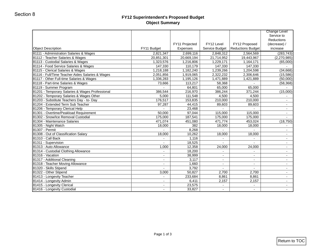### **FY12 Superintendent's Proposed Budget Object Summary**

| <b>Object Description</b>                        | FY11 Budget              | FY11 Projected<br>Expenses | FY12 Level<br>Service Budget | FY12 Proposed<br><b>Reductions Budget</b> | <b>Change Level</b><br>Service to<br><b>Reductions</b><br>(decrease) /<br>increase |
|--------------------------------------------------|--------------------------|----------------------------|------------------------------|-------------------------------------------|------------------------------------------------------------------------------------|
| 81111 - Administration Salaries & Wages          | 2,821,347                | 2,699,116                  | 2,848,312                    | 2,564,569                                 | (283, 743)                                                                         |
| 81112 - Teacher Salaries & Wages                 | 20,851,301               | 20,669,194                 | 21,714,952                   | 19,443,967                                | (2,270,985)                                                                        |
| 81113 - Custodial Salaries & Wages               | 1,323,576                | 1,216,806                  | 1,229,171                    | 1,164,171                                 | (65,000)                                                                           |
| 81114 - Food Service Salaries & Wages            | 147,330                  | 110,179                    | 147,330                      | 147,330                                   |                                                                                    |
| 81115 - Clerical Salaries & Wages                | 1,218,188                | 1,182,240                  | 1,239,266                    | 1,204,598                                 | (34, 668)                                                                          |
| 81116 - Full/Time Teacher Aides Salaries & Wages | 2,051,856                | 1,919,065                  | 2,322,232                    | 2,306,646                                 | (15, 586)                                                                          |
| 81117 - Other Full-time Salaries & Wages         | 1,336,283                | 1,195,126                  | 1,471,889                    | 1,421,889                                 | (50,000)                                                                           |
| 81118 - Part-time Salaries & Wages               | 73,666                   | 113,217                    | 58,368                       | $\overline{\phantom{a}}$                  | (58, 368)                                                                          |
| 81119 - Summer Program                           |                          | 64,801                     | 65,000                       | 65,000                                    |                                                                                    |
| 81201 - Temporary Salaries & Wages Professional  | 386,544                  | 216,970                    | 386,244                      | 371,244                                   | (15,000)                                                                           |
| 81202 - Temporary Salaries & Wages Other         | 5,000                    | 111,548                    | 4,500                        | 4,500                                     |                                                                                    |
| 81203 - Substitute Teachers Day - to- Day        | 176,517                  | 153,835                    | 210,000                      | 210,000                                   | $\sim$                                                                             |
| 81204 - Extended Term Sub Teacher                | 97,287                   | 44,415                     | 89,603                       | 89,603                                    | $\sim$                                                                             |
| 81206 - Temporary Clerical Help                  |                          | 23,468                     |                              |                                           | $\sim$                                                                             |
| 81301 - Overtime/Peakload Requirement            | 50,000                   | 97,044                     | 115,000                      | 115,000                                   | $\sim$                                                                             |
| 81302 - Snow/Ice Removal Custodial               | 175,000                  | 187,541                    | 175,000                      | 175,000                                   |                                                                                    |
| 81304 - Maintenance Salaries                     | 471,074                  | 451,080                    | 471,774                      | 453,024                                   | (18, 750)                                                                          |
| 81305 - Night Watch                              | 18,000                   | 382                        | 18,000                       | 18,000                                    |                                                                                    |
| 81307 - Permit                                   | $\overline{\phantom{0}}$ | 8,268                      |                              |                                           | $\sim$                                                                             |
| 81308 - Out of Classification Salary             | 18,000                   | 10,262                     | 18,000                       | 18,000                                    | $\blacksquare$                                                                     |
| 81310 - Call Back                                | $\blacksquare$           | 1,116                      |                              | $\blacksquare$                            | $\sim$                                                                             |
| 81311 - Supervision                              | $\blacksquare$           | 18,525                     | $\sim$                       | $\sim$                                    | $\sim$                                                                             |
| 81313 - Auto Allowance                           | 1,000                    | 12,358                     | 24,000                       | 24,000                                    | $\sim$                                                                             |
| 81314 - Custodial Clothing Allowance             | $\sim$                   | 18,200                     | $\overline{\phantom{0}}$     | $\blacksquare$                            | $\sim$                                                                             |
| 81316 - Vacation                                 |                          | 38,999                     |                              |                                           | $\sim$                                                                             |
| 81317 - Additional Cleaning                      | $\sim$                   | 3,117                      | $\overline{\phantom{a}}$     | $\sim$                                    | $\sim$                                                                             |
| 81318 - Teacher Moving Allowance                 | $\overline{\phantom{a}}$ | 1,660                      | $\overline{\phantom{0}}$     | $\blacksquare$                            | $\sim$                                                                             |
| 81320 - Skills Stipend                           |                          | 3,792                      |                              |                                           | $\sim$                                                                             |
| 81322 - Other Stipend                            | 3,000                    | 50,827                     | 2,700                        | 2,700                                     | $\sim$                                                                             |
| 81413 - Longevity Teacher                        | $\blacksquare$           | 233,684                    | 8,861                        | 8,861                                     | $\sim$                                                                             |
| 81414 - Longevity Admin                          | $\sim$                   | 6,411                      | 2,157                        | 2,157                                     | $\sim$                                                                             |
| 81415 - Longevity Clerical                       | $\blacksquare$           | 23,575                     |                              |                                           | $\sim$                                                                             |
| 81416 - Longevity Custodial                      | $\blacksquare$           | 33,827                     | $\blacksquare$               | $\blacksquare$                            | $\sim$                                                                             |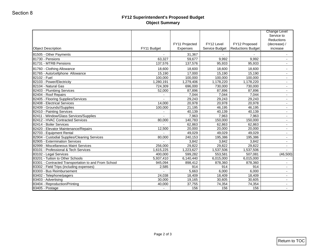### **FY12 Superintendent's Proposed Budget Object Summary**

| Object Description                                   | FY11 Budget              | FY11 Projected<br>Expenses | FY12 Level<br>Service Budget | FY12 Proposed<br><b>Reductions Budget</b> | <b>Change Level</b><br>Service to<br><b>Reductions</b><br>(decrease) /<br>increase |
|------------------------------------------------------|--------------------------|----------------------------|------------------------------|-------------------------------------------|------------------------------------------------------------------------------------|
| 81505 - Other Payments                               | $\blacksquare$           | 31,367                     |                              |                                           | $\blacksquare$                                                                     |
| 81730 - Pensions                                     | 63,327                   | 59,677                     | 9,992                        | 9,992                                     | Ξ.                                                                                 |
| 81731 - MTRB Pensions                                | 137,576                  | 137,576                    | 95,933                       | 95,933                                    | $\blacksquare$                                                                     |
| 81760 - Clothing Allowance                           | 18,600                   | 18,600                     | 18,600                       | 18,600                                    | $\overline{\phantom{a}}$                                                           |
| 81765 - Auto/cellphone Allowance                     |                          | 17,000                     |                              |                                           | $\blacksquare$                                                                     |
| 82102 - Fuel                                         | 15,190<br>100,000        | 100,000                    | 15,190<br>100,000            | 15,190<br>100,000                         |                                                                                    |
| 82103 - Power/Electricity                            |                          | 1,279,406                  | 1,178,220                    |                                           | $\sim$                                                                             |
|                                                      | 1,280,191                |                            |                              | 1,178,220                                 | $\sim$                                                                             |
| 82104 - Natural Gas                                  | 724,309                  | 696,000                    | 730,000                      | 730,000                                   | Ξ.                                                                                 |
| 82403 - Plumbing Services                            | 52,000                   | 87,896                     | 87,896                       | 87,896                                    | $\sim$                                                                             |
| 82404 - Roof Repairs                                 |                          | 7,044                      | 7,044                        | 7,044                                     | $\overline{\phantom{a}}$                                                           |
| 82405 - Flooring Supplies/Services                   | $\overline{\phantom{a}}$ | 29,243                     | 29,243                       | 29,243                                    | $\sim$                                                                             |
| 82408 - Electrical Services                          | 14,000                   | 20,978                     | 20,978                       | 20,978                                    | $\blacksquare$                                                                     |
| 82409 - Grounds//Supplies                            | 100,000                  | 21,195                     | 46,195                       | 46,195                                    | $\blacksquare$                                                                     |
| 82410 - Painting Services                            | $\blacksquare$           | 40,139                     | 40,139                       | 40,139                                    | $\blacksquare$                                                                     |
| 82411 - Window/Glass Services/Supplies               |                          | 7,963                      | 7,963                        | 7,963                                     | $\blacksquare$                                                                     |
| 82412 - HVAC Contracted Services                     | 80,000                   | 140,783                    | 150,000                      | 150,000                                   | $\sim$                                                                             |
| 82414 - Boiler Services                              |                          | 62,863                     | 62,863                       | 62,863                                    |                                                                                    |
| 82420 - Elevator Maintenance/Repairs                 | 12,500                   | 20,000                     | 20,000                       | 20,000                                    | $\sim$                                                                             |
| 82703 - Equipment Rental                             |                          | 49,029                     | 49,029                       | 49,029                                    | $\sim$                                                                             |
| 82904 - Custodial Supplies/Cleaning Services         | 80,000                   | 240,153                    | 195,386                      | 195,386                                   | $\sim$                                                                             |
| 82905 - Extermination Services                       |                          | 3,842                      | 3,842                        | 3,842                                     | $\blacksquare$                                                                     |
| 82999 - Miscellaneous Maint Services                 | 256,000                  | 29,822                     | 29,822                       | 29,822                                    | $\sim$                                                                             |
| 83101 - Professional & Tech Services                 | 1,615,225                | 1,223,627                  | 1,537,506                    | 1,537,506                                 | $\blacksquare$                                                                     |
| 83102 - Legal Services                               | 400,000                  | 599,282                    | 553,581                      | 507,081                                   | (46, 500)                                                                          |
| 83201 - Tuition to Other Schools                     | 5,937,410                | 6,140,440                  | 6,015,000                    | 6,015,000                                 | $\sim$                                                                             |
| 83301 - Contracted Transportation to and From School | 945,094                  | 898,412                    | 878,360                      | 878,360                                   | $\sim$                                                                             |
| 83302 - Field Trips (including expenses)             | 2,585                    | 914                        | 914                          | 914                                       | Ξ.                                                                                 |
| 83303 - Bus Reimbursement                            |                          | 5,663                      | 6,000                        | 6,000                                     | $\overline{\phantom{0}}$                                                           |
| 83402 - Telephone/pagers                             | 24,038                   | 18,409                     | 18,409                       | 18.409                                    | $\sim$                                                                             |
| 83403 - Advertising                                  | 30,000                   | 19,165                     | 30,605                       | 30,605                                    | $\sim$                                                                             |
| 83404 - Reproduction/Printing                        | 40,000                   | 37,755                     | 74,354                       | 74,354                                    | $\sim$                                                                             |
| 83405 - Postage                                      | $\blacksquare$           | 156                        | 156                          | 156                                       | $\sim$                                                                             |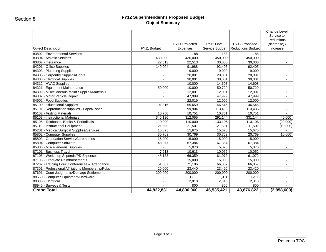### **FY12 Superintendent's Proposed Budget Object Summary**

|                                                   |                          | FY11 Projected  | FY12 Level     | FY12 Proposed            | <b>Change Level</b><br>Service to<br>Reductions<br>(decrease) / |
|---------------------------------------------------|--------------------------|-----------------|----------------|--------------------------|-----------------------------------------------------------------|
| <b>Object Description</b>                         | FY11 Budget              | <b>Expenses</b> | Service Budget | <b>Reductions Budget</b> | increase                                                        |
| 83802 - Environmental Services                    | $\sim$                   | 188             | 188            | 188                      | $\overline{\phantom{a}}$                                        |
| 83804 - Athletic Services                         | 430,000                  | 430,000         | 450,000        | 450,000                  | $\sim$                                                          |
| 83807 - Insurance                                 | 22,513                   | 22,513          | 30,000         | 30,000                   | $\overline{\phantom{0}}$                                        |
| 84201 - Office Supplies                           | 149,904                  | 91,988          | 92,405         | 92,405                   | $\overline{\phantom{a}}$                                        |
| 84303 - Plumbing Supplies                         | $\sim$                   | 9,000           | 9,000          | 9,000                    | $\overline{\phantom{a}}$                                        |
| 84306 - Carpentry Supplies/Doors                  | $\blacksquare$           | 20,001          | 20,001         | 20,001                   | $\overline{\phantom{a}}$                                        |
| 84308 - Electrical Supplies                       | $\blacksquare$           | 30,001          | 30,001         | 30,001                   | $\overline{\phantom{a}}$                                        |
| 84312 - HVAC Supplies                             |                          | 10,000          | 14,608         | 14,608                   | $\blacksquare$                                                  |
| 84321 - Equipment Maintenance                     | 50,000                   | 10,000          | 50,729         | 50,729                   | $\sim$                                                          |
| 84399 - Miscellaneous Maint Supplies/Materials    |                          | 12,001          | 12,001         | 12,001                   | $\sim$                                                          |
| 84802 - Motor Vehicle Repair                      |                          | 47,999          | 47,999         | 47,999                   | $\sim$                                                          |
| 84902 - Food Supplies                             | $\blacksquare$           | 22,019          | 12,000         | 12,000                   | $\overline{\phantom{0}}$                                        |
| 85100 - Educational Supplies                      | 101,316                  | 55,659          | 46,546         | 46,546                   | $\overline{\phantom{a}}$                                        |
| 85101 - Reproduction supplies - Paper/Toner       | $\sim$                   | 99,904          | 113,436        | 113,436                  | $\sim$                                                          |
| 85102 - Testing Materials                         | 10,750                   | 10,751          | 10,751         | 10,751                   |                                                                 |
| 85103 - Instructional Materials                   | 340,180                  | 312,055         | 291,144        | 331,144                  | 40,000                                                          |
| 85106 - Textbooks, Books & Periodicals            | 110,000                  | 110,000         | 133,106        | 113,106                  | (20.000)                                                        |
| 85110 - Instructional Equipment                   | 21,500                   | 21,501          | 21,501         | 11,501                   | (10,000)                                                        |
| 85201 - Medical/Surgical Supplies/Services        | 15,675                   | 15,675          | 15,675         | 15,675                   |                                                                 |
| 85802 - Computer Supplies                         | 30,769                   | 30,769          | 30,769         | 20,769                   | (10,000)                                                        |
| 85803 - Graduation Service/Ceremonies             | 15,000                   | 15,000          | 15,000         | 15,000                   | $\sim$                                                          |
| 85804 - Computer Software                         | 48,077                   | 67,384          | 67,384         | 67,384                   | $\blacksquare$                                                  |
| 85806 - Miscellaneous Supplies                    |                          | 5,070           | 5,070          | 5,070                    | $\sim$                                                          |
| 87101 - Business Travel                           | 7,613                    | 10,613          | 10,052         | 10,052                   | $\blacksquare$                                                  |
| 87105 - Workshop Stipends/PD Expenses             | 45,133                   | 66,359          | 61,072         | 61,072                   | $\sim$                                                          |
| 87106 - Graduate Reimbursements                   | $\sim$                   | 15,000          | 15,000         | 15,000                   | $\sim$                                                          |
| 87202 - Training Educ Conferences & Attendance    | 51,387                   | 71,196          | 66,057         | 66,057                   | $\sim$                                                          |
| 87301 - Professional Affiliations Membership/Pubs | 20,000                   | 23,440          | 23,420         | 23,420                   | $\overline{\phantom{a}}$                                        |
| 87601 - Court Judgments/Damage Settlements        | 200,000                  | 200,000         | 200,000        | 200,000                  | $\overline{\phantom{0}}$                                        |
| 88550 - Computer Equipment/Hardware               | $\sim$                   | 1,311           | 1,311          | 1,311                    | $\overline{\phantom{0}}$                                        |
| 88808 - Electrical                                | $\blacksquare$           | 2,818           | 2,818          | 2,818                    | $\overline{\phantom{0}}$                                        |
| 88945 - Surveys & Tests                           | $\overline{\phantom{a}}$ | 800             | 800            | 800                      | $\blacksquare$                                                  |
| <b>Grand Total</b>                                | 44,822,831               | 44,806,060      | 46,535,421     | 43,676,822               | (2,858,600)                                                     |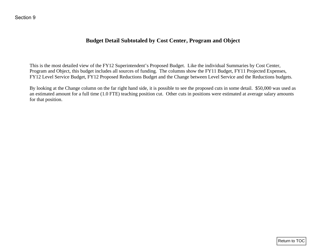## **Budget Detail Subtotaled by Cost Center, Program and Object**

This is the most detailed view of the FY12 Superintendent's Proposed Budget. Like the individual Summaries by Cost Center, Program and Object, this budget includes all sources of funding. The columns show the FY11 Budget, FY11 Projected Expenses, FY12 Level Service Budget, FY12 Proposed Reductions Budget and the Change between Level Service and the Reductions budgets.

<span id="page-28-0"></span>By looking at the Change column on the far right hand side, it is possible to see the proposed cuts in some detail. \$50,000 was used as an estimated amount for a full time (1.0 FTE) teaching position cut. Other cuts in positions were estimated at average salary amounts for that position. Return to TOC Section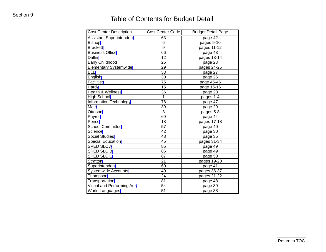# Table of Contents for Budget Detail

| <b>Cost Center Description</b>    | Cost Center Code | <b>Budget Detail Page</b> |
|-----------------------------------|------------------|---------------------------|
| <b>Assistant Superintendent</b>   | 63               | page 42                   |
| <b>Bishop</b>                     | 6                | pages 9-10                |
| <b>Brackett</b>                   | 9                | pages 11-12               |
| <b>Business Office</b>            | 66               | page 43                   |
| Dallin                            | $\overline{12}$  | pages 13-14               |
| Early Childhood                   | 25               | page 23                   |
| <b>Elementary Systemwide</b>      | 29               | pages 24-25               |
| <b>ELL</b>                        | $\overline{33}$  | page 27                   |
| English                           | 30               | page 26                   |
| <b>Facilities</b>                 | 75               | page 45-46                |
| Hardy                             | 15               | page 15-16                |
| Health & Wellness                 | 36               | page 28                   |
| <b>High School</b>                | $\mathbf{1}$     | pages 1-4                 |
| Information Technology            | 78               | page 47                   |
| Math                              | 39               | page 29                   |
| Ottoson                           | 3                | pages 5-8                 |
| Payroll                           | 69               | page 44                   |
| Peirce                            | 18               | pages 17-18               |
| <b>School Committee</b>           | $\overline{57}$  | page 40                   |
| Science                           | 42               | page 30                   |
| Social Studies                    | 48               | page 35                   |
| <b>Special Education</b>          | 45               | pages 31-34               |
| <b>SPED SLCA</b>                  | 85               | page 49                   |
| <b>SPED SLC B</b>                 | 86               | page 49                   |
| <b>SPED SLC C</b>                 | 87               | page 50                   |
| Stratton                          | $\overline{21}$  | pages 19-20               |
| Superintendent                    | 60               | page 41                   |
| <b>Systemwide Accounts</b>        | 49               | pages 36-37               |
| Thompson                          | $\overline{24}$  | pages 21-22               |
| <b>Transportation</b>             | 81               | page 48                   |
| <b>Visual and Performing Arts</b> | 54               | page 39                   |
| World Languages                   | 51               | page 38                   |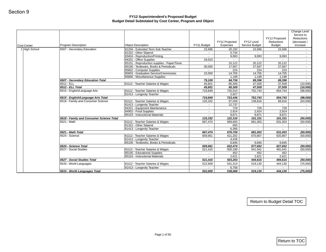<span id="page-30-0"></span>

| Cost Center   | Program Description                                                      | <b>Object Description</b>                                           | FY11 Budget       | FY11 Projected<br>Expenses | FY12 Level<br>Service Budget | FY12 Proposed<br>Reductions<br><b>Budget</b> | Change Level<br>Service to<br>Reductions<br>(decrease) /<br>increase |
|---------------|--------------------------------------------------------------------------|---------------------------------------------------------------------|-------------------|----------------------------|------------------------------|----------------------------------------------|----------------------------------------------------------------------|
| 1 High School | 6507 - Secondary Education                                               | 81204 - Extended Term Sub Teacher                                   | 15,586            | 20,192                     | 15,586                       | 15,586                                       | $\sim$                                                               |
|               |                                                                          | 81322 - Other Stipend                                               | $\sim$            | 5,734                      |                              |                                              | $\sim$                                                               |
|               |                                                                          | 83404 - Reproduction/Printing                                       | $\sim$            | 9,993                      | 9,993                        | 9,993                                        | $\sim$                                                               |
|               |                                                                          | 84201 - Office Supplies                                             | 18,523            | $\sim$ 100 $\pm$           | $\sim$                       | $\sim$                                       | $\sim$                                                               |
|               |                                                                          | 85101 - Reproduction supplies - Paper/Toner                         |                   | 15,122                     | 20,122                       | 20,122                                       | $\sim$                                                               |
|               |                                                                          | 85106 - Textbooks, Books & Periodicals<br>85802 - Computer Supplies | 30,000<br>$\sim$  | 17,567<br>224              | 27,567<br>224                | 27,567<br>224                                | $\sim$<br>$\sim$                                                     |
|               |                                                                          | 85803 - Graduation Service/Ceremonies                               | 15,000            | 14,705                     | 14,705                       | 14,705                                       | $\sim$                                                               |
|               |                                                                          | 85806 - Miscellaneous Supplies                                      | $\sim$            | 1,199                      | 1,199                        | 1,199                                        | $\sim$                                                               |
|               | 6507 - Secondary Education Total                                         |                                                                     | 79,109            | 84,736                     | 89,396                       | 89,396                                       | $\sim$                                                               |
|               | 6512 - ELL                                                               | 81112 - Teacher Salaries & Wages                                    | 45,601            | 80,309                     | 47,509                       | 37,509                                       | (10,000)                                                             |
|               | 6512 - ELL Total                                                         |                                                                     | 45,601            | 80,309                     | 47,509                       | 37,509                                       | (10,000)                                                             |
|               | 6515 - English/Language Arts                                             | 81112 - Teacher Salaries & Wages                                    | 719,849           | 720,510                    | 752,743                      | 654,743                                      | (98,000)                                                             |
|               |                                                                          | 81413 - Longevity Teacher                                           | $\sim$            | 2,927                      | $\sim$                       | $\sim$                                       | $\sim$                                                               |
|               | 6515 - English/Language Arts Total<br>6518 - Family and Consumer Science | 81112 - Teacher Salaries & Wages                                    | 719,849           | 723,436                    | 752,743                      | 654,743                                      | (98,000)                                                             |
|               |                                                                          | 81413 - Longevity Teacher                                           | 133,332<br>$\sim$ | 97,059<br>12,737           | 138,816<br>$\sim$            | 88,816<br>$\sim$                             | (50,000)<br>$\sim$                                                   |
|               |                                                                          | 84321 - Equipment Maintenance                                       | $\sim$            | 729                        | 729                          | 729                                          | $\sim$ $-$                                                           |
|               |                                                                          | 84902 - Food Supplies                                               | $\sim$            | 2,914                      | 2,914                        | 2,914                                        | $\sim$                                                               |
|               |                                                                          | 85103 - Instructional Materials                                     |                   | 8,871                      | 8,871                        | 8,871                                        | $\sim$                                                               |
|               | 6518 - Family and Consumer Science Total                                 |                                                                     | 133,332           | 122,310                    | 151,331                      | 101,331                                      | (50,000)                                                             |
|               | 6521 - Math                                                              | 81112 - Teacher Salaries & Wages                                    | 667,474           | 669,693                    | 681,003                      | 631,003                                      | (50,000)                                                             |
|               |                                                                          | 81322 - Other Stipend                                               | $\sim$            | 650                        | $\sim$                       | $\sim$                                       | $\sim$                                                               |
|               |                                                                          | 81413 - Longevity Teacher                                           | ٠                 | 6,366                      | $\sim$                       |                                              | $\sim$                                                               |
|               | 6521 - Math Total                                                        |                                                                     | 667,474           | 676,709                    | 681,003                      | 631,003                                      | (50,000)                                                             |
|               | 6524 - Science                                                           | 81112 - Teacher Salaries & Wages                                    | 659,661           | 611,202                    | 670,807                      | 620,807                                      | (50,000)                                                             |
|               |                                                                          | 81413 - Longevity Teacher<br>85106 - Textbooks, Books & Periodicals | $\sim$            | 4,426<br>6,845             |                              | 6,845                                        | $\sim$<br>$\sim$                                                     |
|               | 6524 - Science Total                                                     |                                                                     | 659,661           | 622,474                    | 6,845<br>677,652             | 627,652                                      | (50,000)                                                             |
|               | 6527 - Social Studies                                                    | 81112 - Teacher Salaries & Wages                                    | 521,415           | 500,189                    | 541,541                      | 491,541                                      | (50,000)                                                             |
|               |                                                                          | 85100 - Educational Supplies                                        | $\sim$            | 452                        | 452                          | 452                                          | $\sim$                                                               |
|               |                                                                          | 85103 - Instructional Materials                                     | $\sim$            | 2,621                      | 2,621                        | 2,621                                        | $\sim 10$                                                            |
|               | 6527 - Social Studies Total                                              |                                                                     | 521,415           | 503,263                    | 544,615                      | 494,615                                      | (50,000)                                                             |
|               | 6533 - World Languages                                                   | 81112 - Teacher Salaries & Wages                                    | 522,609           | 531,313                    | 519,130                      | 444,130                                      | (75,000)                                                             |
|               |                                                                          | 81413 - Longevity Teacher                                           |                   | 6,756                      |                              |                                              |                                                                      |
|               | 6533 - World Languages Total                                             |                                                                     | 522,609           | 538,068                    | 519,130                      | 444,130                                      | (75,000)                                                             |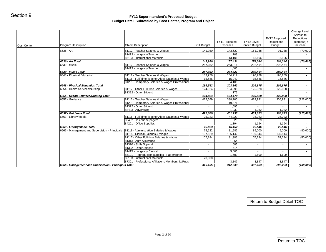| <b>Program Description</b>           | <b>Object Description</b>                                                                                                                                                                                                                                    | FY11 Budget                                                                                                                                                                                                                                                                                                                                                                                                                                                                                                                                                                                                                                                                                                                                                                                                                                | FY11 Projected<br>Expenses                                                                                                                                                                 | FY12 Level<br>Service Budget                                                                                                                                               | FY12 Proposed<br>Reductions<br><b>Budget</b>                                                                                                                                                                                                       | Change Level<br>Service to<br>Reductions<br>(decrease) /<br>increase                                                                                            |
|--------------------------------------|--------------------------------------------------------------------------------------------------------------------------------------------------------------------------------------------------------------------------------------------------------------|--------------------------------------------------------------------------------------------------------------------------------------------------------------------------------------------------------------------------------------------------------------------------------------------------------------------------------------------------------------------------------------------------------------------------------------------------------------------------------------------------------------------------------------------------------------------------------------------------------------------------------------------------------------------------------------------------------------------------------------------------------------------------------------------------------------------------------------------|--------------------------------------------------------------------------------------------------------------------------------------------------------------------------------------------|----------------------------------------------------------------------------------------------------------------------------------------------------------------------------|----------------------------------------------------------------------------------------------------------------------------------------------------------------------------------------------------------------------------------------------------|-----------------------------------------------------------------------------------------------------------------------------------------------------------------|
| 6536 - Art                           | 81112 - Teacher Salaries & Wages                                                                                                                                                                                                                             | 141,950                                                                                                                                                                                                                                                                                                                                                                                                                                                                                                                                                                                                                                                                                                                                                                                                                                    | 143,622                                                                                                                                                                                    | 161,238                                                                                                                                                                    | 91,238                                                                                                                                                                                                                                             | (70,000)                                                                                                                                                        |
|                                      | 81413 - Longevity Teacher                                                                                                                                                                                                                                    | $\sim$                                                                                                                                                                                                                                                                                                                                                                                                                                                                                                                                                                                                                                                                                                                                                                                                                                     | 703                                                                                                                                                                                        |                                                                                                                                                                            |                                                                                                                                                                                                                                                    | $\sim$                                                                                                                                                          |
|                                      | 85103 - Instructional Materials                                                                                                                                                                                                                              |                                                                                                                                                                                                                                                                                                                                                                                                                                                                                                                                                                                                                                                                                                                                                                                                                                            | 13,106                                                                                                                                                                                     | 13,106                                                                                                                                                                     | 13,106                                                                                                                                                                                                                                             |                                                                                                                                                                 |
|                                      |                                                                                                                                                                                                                                                              |                                                                                                                                                                                                                                                                                                                                                                                                                                                                                                                                                                                                                                                                                                                                                                                                                                            |                                                                                                                                                                                            |                                                                                                                                                                            |                                                                                                                                                                                                                                                    | (70,000)                                                                                                                                                        |
|                                      |                                                                                                                                                                                                                                                              |                                                                                                                                                                                                                                                                                                                                                                                                                                                                                                                                                                                                                                                                                                                                                                                                                                            |                                                                                                                                                                                            |                                                                                                                                                                            |                                                                                                                                                                                                                                                    | $\sim$<br>$\sim$                                                                                                                                                |
|                                      |                                                                                                                                                                                                                                                              |                                                                                                                                                                                                                                                                                                                                                                                                                                                                                                                                                                                                                                                                                                                                                                                                                                            |                                                                                                                                                                                            |                                                                                                                                                                            |                                                                                                                                                                                                                                                    | $\sim$                                                                                                                                                          |
| 6548 - Physical Education            | 81112 - Teacher Salaries & Wages                                                                                                                                                                                                                             | 183,956                                                                                                                                                                                                                                                                                                                                                                                                                                                                                                                                                                                                                                                                                                                                                                                                                                    | 184,717                                                                                                                                                                                    | 190,289                                                                                                                                                                    | 190,289                                                                                                                                                                                                                                            | $\sim$                                                                                                                                                          |
|                                      |                                                                                                                                                                                                                                                              | 15,586                                                                                                                                                                                                                                                                                                                                                                                                                                                                                                                                                                                                                                                                                                                                                                                                                                     | 15,040                                                                                                                                                                                     | 15,586                                                                                                                                                                     | 15,586                                                                                                                                                                                                                                             | $\blacksquare$                                                                                                                                                  |
|                                      |                                                                                                                                                                                                                                                              | $\sim$                                                                                                                                                                                                                                                                                                                                                                                                                                                                                                                                                                                                                                                                                                                                                                                                                                     |                                                                                                                                                                                            |                                                                                                                                                                            | $\sim$                                                                                                                                                                                                                                             | $\sim$                                                                                                                                                          |
|                                      |                                                                                                                                                                                                                                                              |                                                                                                                                                                                                                                                                                                                                                                                                                                                                                                                                                                                                                                                                                                                                                                                                                                            |                                                                                                                                                                                            |                                                                                                                                                                            |                                                                                                                                                                                                                                                    | $\sim$<br>$\sim$                                                                                                                                                |
|                                      |                                                                                                                                                                                                                                                              |                                                                                                                                                                                                                                                                                                                                                                                                                                                                                                                                                                                                                                                                                                                                                                                                                                            |                                                                                                                                                                                            |                                                                                                                                                                            |                                                                                                                                                                                                                                                    | $\sim$                                                                                                                                                          |
| 6554 - Health Services/Nursing Total |                                                                                                                                                                                                                                                              | 124,024                                                                                                                                                                                                                                                                                                                                                                                                                                                                                                                                                                                                                                                                                                                                                                                                                                    |                                                                                                                                                                                            | 125,928                                                                                                                                                                    | 125,928                                                                                                                                                                                                                                            | $\blacksquare$                                                                                                                                                  |
| 6557 - Guidance                      | 81112 - Teacher Salaries & Wages                                                                                                                                                                                                                             | 422,669                                                                                                                                                                                                                                                                                                                                                                                                                                                                                                                                                                                                                                                                                                                                                                                                                                    | 388,200                                                                                                                                                                                    | 429,991                                                                                                                                                                    | 306,991                                                                                                                                                                                                                                            | (123,000)                                                                                                                                                       |
|                                      |                                                                                                                                                                                                                                                              | $\sim$                                                                                                                                                                                                                                                                                                                                                                                                                                                                                                                                                                                                                                                                                                                                                                                                                                     | 10,871                                                                                                                                                                                     | $\sim$                                                                                                                                                                     | $\sim$                                                                                                                                                                                                                                             | $\sim$                                                                                                                                                          |
|                                      |                                                                                                                                                                                                                                                              |                                                                                                                                                                                                                                                                                                                                                                                                                                                                                                                                                                                                                                                                                                                                                                                                                                            |                                                                                                                                                                                            |                                                                                                                                                                            |                                                                                                                                                                                                                                                    | $\sim$                                                                                                                                                          |
|                                      |                                                                                                                                                                                                                                                              |                                                                                                                                                                                                                                                                                                                                                                                                                                                                                                                                                                                                                                                                                                                                                                                                                                            |                                                                                                                                                                                            |                                                                                                                                                                            |                                                                                                                                                                                                                                                    | (123,000)                                                                                                                                                       |
|                                      |                                                                                                                                                                                                                                                              |                                                                                                                                                                                                                                                                                                                                                                                                                                                                                                                                                                                                                                                                                                                                                                                                                                            |                                                                                                                                                                                            |                                                                                                                                                                            |                                                                                                                                                                                                                                                    | $\sim$                                                                                                                                                          |
|                                      |                                                                                                                                                                                                                                                              | $\sim$                                                                                                                                                                                                                                                                                                                                                                                                                                                                                                                                                                                                                                                                                                                                                                                                                                     |                                                                                                                                                                                            |                                                                                                                                                                            | 329                                                                                                                                                                                                                                                | $\sim$                                                                                                                                                          |
|                                      |                                                                                                                                                                                                                                                              | $\sim$                                                                                                                                                                                                                                                                                                                                                                                                                                                                                                                                                                                                                                                                                                                                                                                                                                     | 1,194                                                                                                                                                                                      | 1,194                                                                                                                                                                      | 1,194                                                                                                                                                                                                                                              | $\sim$                                                                                                                                                          |
|                                      |                                                                                                                                                                                                                                                              | 25,023                                                                                                                                                                                                                                                                                                                                                                                                                                                                                                                                                                                                                                                                                                                                                                                                                                     | 46,452                                                                                                                                                                                     |                                                                                                                                                                            | 26,546                                                                                                                                                                                                                                             |                                                                                                                                                                 |
|                                      |                                                                                                                                                                                                                                                              |                                                                                                                                                                                                                                                                                                                                                                                                                                                                                                                                                                                                                                                                                                                                                                                                                                            |                                                                                                                                                                                            |                                                                                                                                                                            |                                                                                                                                                                                                                                                    | (80,000)                                                                                                                                                        |
|                                      |                                                                                                                                                                                                                                                              |                                                                                                                                                                                                                                                                                                                                                                                                                                                                                                                                                                                                                                                                                                                                                                                                                                            |                                                                                                                                                                                            |                                                                                                                                                                            |                                                                                                                                                                                                                                                    | (50,000)                                                                                                                                                        |
|                                      |                                                                                                                                                                                                                                                              |                                                                                                                                                                                                                                                                                                                                                                                                                                                                                                                                                                                                                                                                                                                                                                                                                                            |                                                                                                                                                                                            | $\sim$                                                                                                                                                                     | $\sim$                                                                                                                                                                                                                                             | $\sim$                                                                                                                                                          |
|                                      | 81320 - Skills Stipend                                                                                                                                                                                                                                       | $\blacksquare$                                                                                                                                                                                                                                                                                                                                                                                                                                                                                                                                                                                                                                                                                                                                                                                                                             | 685                                                                                                                                                                                        | $\blacksquare$                                                                                                                                                             | $\sim$                                                                                                                                                                                                                                             | $\mathbf{r}$                                                                                                                                                    |
|                                      | 81322 - Other Stipend                                                                                                                                                                                                                                        | $\omega$                                                                                                                                                                                                                                                                                                                                                                                                                                                                                                                                                                                                                                                                                                                                                                                                                                   | 514                                                                                                                                                                                        | $\blacksquare$                                                                                                                                                             | $\sim$                                                                                                                                                                                                                                             | $\blacksquare$                                                                                                                                                  |
|                                      |                                                                                                                                                                                                                                                              | $\sim$                                                                                                                                                                                                                                                                                                                                                                                                                                                                                                                                                                                                                                                                                                                                                                                                                                     |                                                                                                                                                                                            | $\sim$                                                                                                                                                                     | $\sim$                                                                                                                                                                                                                                             | $\sim$                                                                                                                                                          |
|                                      |                                                                                                                                                                                                                                                              |                                                                                                                                                                                                                                                                                                                                                                                                                                                                                                                                                                                                                                                                                                                                                                                                                                            |                                                                                                                                                                                            |                                                                                                                                                                            |                                                                                                                                                                                                                                                    | $\sim$                                                                                                                                                          |
|                                      |                                                                                                                                                                                                                                                              |                                                                                                                                                                                                                                                                                                                                                                                                                                                                                                                                                                                                                                                                                                                                                                                                                                            |                                                                                                                                                                                            |                                                                                                                                                                            |                                                                                                                                                                                                                                                    | $\sim$                                                                                                                                                          |
|                                      |                                                                                                                                                                                                                                                              |                                                                                                                                                                                                                                                                                                                                                                                                                                                                                                                                                                                                                                                                                                                                                                                                                                            |                                                                                                                                                                                            |                                                                                                                                                                            | 207,283                                                                                                                                                                                                                                            | (130,000)                                                                                                                                                       |
|                                      | 6536 - Art Total<br>6539 - Music<br>6539 - Music Total<br>6548 - Physical Education Total<br>6554 - Health Services/Nursing<br>6557 - Guidance Total<br>6563 - Library/Media<br>6563 - Library/Media Total<br>6566 - Management and Supervision - Principals | 81112 - Teacher Salaries & Wages<br>81413 - Longevity Teacher<br>81116 - Full/Time Teacher Aides Salaries & Wages<br>81201 - Temporary Salaries & Wages Professional<br>81117 - Other Full-time Salaries & Wages<br>81322 - Other Stipend<br>81201 - Temporary Salaries & Wages Professional<br>81322 - Other Stipend<br>83403 - Advertising<br>81116 - Full/Time Teacher Aides Salaries & Wages<br>83402 - Telephone/pagers<br>84201 - Office Supplies<br>81111 - Administration Salaries & Wages<br>81115 - Clerical Salaries & Wages<br>81117 - Other Full-time Salaries & Wages<br>81313 - Auto Allowance<br>81415 - Longevity Clerical<br>85101 - Reproduction supplies - Paper/Toner<br>85103 - Instructional Materials<br>87301 - Professional Affiliations Membership/Pubs<br>6566 - Management and Supervision - Principals Total | 141,950<br>287,082<br>$\sim$<br>287,082<br>199,542<br>124,024<br>$\omega_{\rm{eff}}$<br>422,669<br>25,023<br>75,622<br>137,529<br>107,284<br>$\sim$<br>$\blacksquare$<br>20,000<br>340,435 | 263,216<br>1,405<br>264,621<br>4,105<br>203,862<br>104,295<br>1,695<br>1,032<br>44,929<br>329<br>81,982<br>136,142<br>81,386<br>1,064<br>5,405<br>1,609<br>$\sim$<br>3,847 | 157,431<br>174,344<br>292,464<br>$\sim$<br>292,464<br>205,875<br>125,928<br>175<br>104,470<br>$\sim$<br>1,032<br>401,798  <br>431,023<br>25,023<br>329<br>26,546<br>85,000<br>139,544<br>107,284<br>1,609<br>$\sim$<br>3,847<br>312,633<br>337,283 | 104,344<br>292,464<br>$\sim$<br>292,464<br>205,875<br>125,928<br>$\sim$<br>1,032<br>308,023<br>25,023<br>5,000<br>139,544<br>57,284<br>1,609<br>$\sim$<br>3,847 |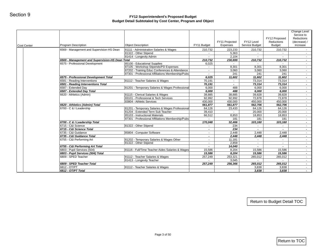| FY11 Budget<br>81111 - Administration Salaries & Wages<br>87105 - Workshop Stipends/PD Expenses<br>87202 - Training Educ Conferences & Attendance<br>87301 - Professional Affiliations Membership/Pubs<br>81201 - Temporary Salaries & Wages Professional<br>83101 - Professional & Tech Services<br>430,000<br>81201 - Temporary Salaries & Wages Professional | Expenses<br>210,732<br>$\sim$<br>$\sim$<br>210,732<br>6,025<br>$\sim$<br>$\sim$<br>$\sim$<br>6,025<br>70,191<br>70,191<br>6,000<br>6,000<br>38,885<br>92,992 | Service Budget<br>223,233<br>5,363<br>2,104<br>230,699<br>$\sim$<br>8,301<br>3,060<br>241<br>11,602<br>$\sim$<br>488<br>488 | 210,732<br>$\sim$<br>210.732<br>$\sim$<br>8,301<br>3,060<br>241<br>11,602<br>73,314<br>73,314 | <b>Budget</b><br>210,732<br>210,732<br>8,301<br>3,060<br>241<br>11,602<br>73,314 | increase<br>$\sim$<br>$\sim$<br>$\sim$<br>$\sim$<br>$\sim$<br>$\sim$<br>$\sim$<br>$\sim$ |
|-----------------------------------------------------------------------------------------------------------------------------------------------------------------------------------------------------------------------------------------------------------------------------------------------------------------------------------------------------------------|--------------------------------------------------------------------------------------------------------------------------------------------------------------|-----------------------------------------------------------------------------------------------------------------------------|-----------------------------------------------------------------------------------------------|----------------------------------------------------------------------------------|------------------------------------------------------------------------------------------|
|                                                                                                                                                                                                                                                                                                                                                                 |                                                                                                                                                              |                                                                                                                             |                                                                                               |                                                                                  |                                                                                          |
|                                                                                                                                                                                                                                                                                                                                                                 |                                                                                                                                                              |                                                                                                                             |                                                                                               |                                                                                  |                                                                                          |
|                                                                                                                                                                                                                                                                                                                                                                 |                                                                                                                                                              |                                                                                                                             |                                                                                               |                                                                                  |                                                                                          |
|                                                                                                                                                                                                                                                                                                                                                                 |                                                                                                                                                              |                                                                                                                             |                                                                                               |                                                                                  |                                                                                          |
|                                                                                                                                                                                                                                                                                                                                                                 |                                                                                                                                                              |                                                                                                                             |                                                                                               |                                                                                  |                                                                                          |
|                                                                                                                                                                                                                                                                                                                                                                 |                                                                                                                                                              |                                                                                                                             |                                                                                               |                                                                                  |                                                                                          |
|                                                                                                                                                                                                                                                                                                                                                                 |                                                                                                                                                              |                                                                                                                             |                                                                                               |                                                                                  |                                                                                          |
|                                                                                                                                                                                                                                                                                                                                                                 |                                                                                                                                                              |                                                                                                                             |                                                                                               |                                                                                  |                                                                                          |
|                                                                                                                                                                                                                                                                                                                                                                 |                                                                                                                                                              |                                                                                                                             |                                                                                               |                                                                                  | $\sim$<br>$\sim$ $-$                                                                     |
|                                                                                                                                                                                                                                                                                                                                                                 |                                                                                                                                                              |                                                                                                                             |                                                                                               | 73,314                                                                           |                                                                                          |
|                                                                                                                                                                                                                                                                                                                                                                 |                                                                                                                                                              |                                                                                                                             | 6,000                                                                                         | 6,000                                                                            | $\sim$<br>$\sim$                                                                         |
|                                                                                                                                                                                                                                                                                                                                                                 |                                                                                                                                                              |                                                                                                                             | 6,000                                                                                         | 6,000                                                                            | $\sim$                                                                                   |
|                                                                                                                                                                                                                                                                                                                                                                 |                                                                                                                                                              | 38,885                                                                                                                      | 39,828                                                                                        | 39,828                                                                           | $\sim$                                                                                   |
|                                                                                                                                                                                                                                                                                                                                                                 |                                                                                                                                                              | 92,992                                                                                                                      | 72,878                                                                                        | 72,878                                                                           | $\sim 100$                                                                               |
|                                                                                                                                                                                                                                                                                                                                                                 |                                                                                                                                                              | 430,000                                                                                                                     | 450,000                                                                                       | 450,000                                                                          | $\sim$                                                                                   |
|                                                                                                                                                                                                                                                                                                                                                                 | 561,877                                                                                                                                                      | 561,877                                                                                                                     | 562,706                                                                                       | 562,706                                                                          | $\sim$                                                                                   |
|                                                                                                                                                                                                                                                                                                                                                                 | 64,126                                                                                                                                                       | 23,433                                                                                                                      | 64,126                                                                                        | 64,126                                                                           | $\sim$                                                                                   |
|                                                                                                                                                                                                                                                                                                                                                                 | 39,410                                                                                                                                                       | $\sim$                                                                                                                      | 20,000                                                                                        | 20,000                                                                           | $\sim$                                                                                   |
|                                                                                                                                                                                                                                                                                                                                                                 | 66,512                                                                                                                                                       | 8,853                                                                                                                       | 18,853                                                                                        | 18,853                                                                           | $\sim$                                                                                   |
| 87301 - Professional Affiliations Membership/Pubs                                                                                                                                                                                                                                                                                                               |                                                                                                                                                              | 181                                                                                                                         | 181                                                                                           | 181                                                                              | $\sim$                                                                                   |
|                                                                                                                                                                                                                                                                                                                                                                 | 170,048                                                                                                                                                      | 32,466                                                                                                                      | 103,160                                                                                       | 103,160                                                                          | $\sim$                                                                                   |
|                                                                                                                                                                                                                                                                                                                                                                 | $\sim$                                                                                                                                                       | 234                                                                                                                         | $\sim$                                                                                        | $\sim$                                                                           | $\sim$ $-$                                                                               |
|                                                                                                                                                                                                                                                                                                                                                                 | $\overline{\phantom{a}}$                                                                                                                                     | 234                                                                                                                         | $\sim$                                                                                        | $\sim$                                                                           | $\sim$                                                                                   |
|                                                                                                                                                                                                                                                                                                                                                                 | $\sim$                                                                                                                                                       |                                                                                                                             | 2,448                                                                                         | 2,448                                                                            | $\sim$                                                                                   |
|                                                                                                                                                                                                                                                                                                                                                                 | $\sim$                                                                                                                                                       |                                                                                                                             | 2,448                                                                                         | 2,448                                                                            | $\sim$                                                                                   |
|                                                                                                                                                                                                                                                                                                                                                                 | $\sim$                                                                                                                                                       |                                                                                                                             | $\sim$                                                                                        | $\sim$                                                                           | $\sim$                                                                                   |
|                                                                                                                                                                                                                                                                                                                                                                 | $\sim$                                                                                                                                                       |                                                                                                                             | $\sim$                                                                                        | $\sim$                                                                           | $\sim$                                                                                   |
|                                                                                                                                                                                                                                                                                                                                                                 | $\overline{\phantom{a}}$                                                                                                                                     |                                                                                                                             | $\sim$                                                                                        | $\sim$                                                                           | $\sim$                                                                                   |
|                                                                                                                                                                                                                                                                                                                                                                 |                                                                                                                                                              |                                                                                                                             |                                                                                               |                                                                                  | $\sim$                                                                                   |
|                                                                                                                                                                                                                                                                                                                                                                 |                                                                                                                                                              |                                                                                                                             |                                                                                               |                                                                                  | $\sim$                                                                                   |
|                                                                                                                                                                                                                                                                                                                                                                 |                                                                                                                                                              |                                                                                                                             |                                                                                               |                                                                                  | $\sim$                                                                                   |
|                                                                                                                                                                                                                                                                                                                                                                 |                                                                                                                                                              |                                                                                                                             |                                                                                               |                                                                                  | $\sim$                                                                                   |
|                                                                                                                                                                                                                                                                                                                                                                 |                                                                                                                                                              |                                                                                                                             |                                                                                               |                                                                                  | $\sim$                                                                                   |
|                                                                                                                                                                                                                                                                                                                                                                 |                                                                                                                                                              |                                                                                                                             |                                                                                               |                                                                                  | $\sim$<br>$\sim$                                                                         |
|                                                                                                                                                                                                                                                                                                                                                                 |                                                                                                                                                              |                                                                                                                             |                                                                                               |                                                                                  |                                                                                          |
|                                                                                                                                                                                                                                                                                                                                                                 | 81202 - Temporary Salaries & Wages Other<br>81116 - Full/Time Teacher Aides Salaries & Wages                                                                 | 15,586<br>15,586<br>257,249<br>257,249                                                                                      | 2,448<br>2,448<br>11,181<br>2,859<br>14,040<br>8,204<br>8,204<br>253,321<br>3,045<br>256,366  | 15,586<br>15,586<br>265,012<br>$\sim$<br>265,012<br>3,838<br>3,838               | 15,586<br>15,586<br>265,012<br>$\sim$<br>265,012<br>3,838<br>3,838                       |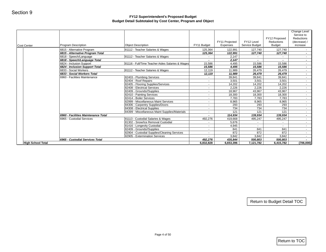| <b>Cost Center</b>       | Program Description                                        | <b>Object Description</b>                                       | FY11 Budget               | FY11 Projected<br>Expenses | FY12 Level<br>Service Budget | FY12 Proposed<br>Reductions<br><b>Budget</b> | Change Level<br>Service to<br>Reductions<br>(decrease) /<br>increase |
|--------------------------|------------------------------------------------------------|-----------------------------------------------------------------|---------------------------|----------------------------|------------------------------|----------------------------------------------|----------------------------------------------------------------------|
|                          | 6815 - Alternative Program                                 | 81112 - Teacher Salaries & Wages                                | 125,364                   | 122,991                    | 127,740                      | 127,740                                      | $\sim$                                                               |
|                          | 6815 - Alternative Program Total                           |                                                                 | 125,364                   | 122,991                    | 127,740                      | 127,740                                      | $\sim$                                                               |
|                          | 6818 - Speech/Language                                     | 81112 - Teacher Salaries & Wages                                | $\sim$                    | 2,147                      | $\sim$                       | $\sim$                                       | $\sim$                                                               |
|                          | 6818 - Speech/Language Total                               |                                                                 | $\blacksquare$            | 2,147                      |                              | $\blacksquare$                               | $\sim$                                                               |
|                          | 6824 - Inclusion Support<br>6824 - Inclusion Support Total | 81116 - Full/Time Teacher Aides Salaries & Wages                | 15,586<br>15,586          | 4,495<br>4,495             | 15,586<br>15,586             | 15,586<br>15,586                             | $\sim$<br>$\sim$                                                     |
|                          | 6833 - Social Workers                                      | 81112 - Teacher Salaries & Wages                                | 12,119                    | 11,989                     | 26,479                       | 26,479                                       | $\sim$                                                               |
|                          | 6833 - Social Workers Total                                |                                                                 | 12,119                    | 11,989                     | 26,479                       | 26,479                                       | $\sim$                                                               |
|                          | 6960 - Facilities Maintenance                              | 82403 - Plumbing Services                                       | $\sim$                    | 39,841                     | 39,841                       | 39,841                                       | $\sim$                                                               |
|                          |                                                            | 82404 - Roof Repairs                                            | $\mathbb{Z}^{\mathbb{Z}}$ | 3,501                      | 3,501                        | 3,501                                        | $\sim$                                                               |
|                          |                                                            | 82405 - Flooring Supplies/Services                              | $\sim$                    | 14,202                     | 14,202                       | 14,202                                       | $\sim$                                                               |
|                          |                                                            | 82408 - Electrical Services                                     | $\sim$                    | 2,226                      | 2,226                        | 2,226                                        | $\sim$                                                               |
|                          |                                                            | 82409 - Grounds//Supplies                                       | $\sim$                    | 18,967                     | 43,967                       | 43,967                                       | $\sim$                                                               |
|                          |                                                            | 82410 - Painting Services                                       | $\blacksquare$            | 18,300                     | 18,300                       | 18,300                                       | $\sim$                                                               |
|                          |                                                            | 82414 - Boiler Services<br>82999 - Miscellaneous Maint Services | $\blacksquare$<br>$\sim$  | 7,783                      | 7,783                        | 7,783                                        | $\sim$<br>$\sim$                                                     |
|                          |                                                            | 84306 - Carpentry Supplies/Doors                                | $\sim$                    | 8,965<br>293               | 8,965<br>293                 | 8,965<br>293                                 | $\sim$                                                               |
|                          |                                                            | 84308 - Electrical Supplies                                     | $\sim$                    | 734                        | 734                          | 734                                          | $\sim$                                                               |
|                          |                                                            | 84399 - Miscellaneous Maint Supplies/Materials                  | $\sim$                    | 121                        | 121                          | 121                                          | $\sim$                                                               |
|                          | 6960 - Facilities Maintenance Total                        |                                                                 | $\overline{\phantom{a}}$  | 114,934                    | 139,934                      | 139,934                                      | $\sim$                                                               |
|                          | 6965 - Custodial Services                                  | 81113 - Custodial Salaries & Wages                              | 492,276                   | 419,668                    | 495,247                      | 495,247                                      | $\sim$                                                               |
|                          |                                                            | 81302 - Snow/Ice Removal Custodial                              | $\sim$                    | 5,676                      | $\sim$                       | $\sim 10$                                    | $\sim$                                                               |
|                          |                                                            | 81416 - Longevity Custodial                                     | $\sim$                    | 4,945                      | $\sim$                       | $\sim 10$                                    | $\sim$                                                               |
|                          |                                                            | 82409 - Grounds//Supplies                                       | $\sim$                    | 841                        | 841                          | 841                                          | $\sim$                                                               |
|                          |                                                            | 82904 - Custodial Supplies/Cleaning Services                    | $\mathbb{Z}^{\mathbb{Z}}$ | 872                        | 872                          | 872                                          | $\sim$                                                               |
|                          | 6965 - Custodial Services Total                            | 82905 - Extermination Services                                  | $\sim$<br>492,276         | 3,842<br>435,844           | 3,842<br>500,803             | 3,842<br>500,803                             | $\sim$<br>$\sim$                                                     |
| <b>High School Total</b> |                                                            |                                                                 | 6,832,828                 | 6,653,396                  | 7,121,782                    | 6,415,782                                    | (706,000)                                                            |
|                          |                                                            |                                                                 |                           |                            |                              |                                              |                                                                      |
|                          |                                                            |                                                                 |                           |                            |                              | Return to Budget Detail TOC                  |                                                                      |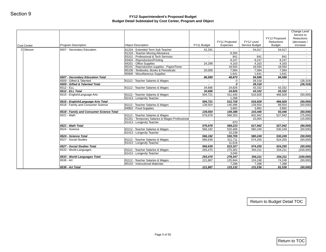<span id="page-34-0"></span>

| Cost Center | Program Description                      | <b>Object Description</b>                                                             | FY11 Budget | FY11 Projected<br>Expenses | FY12 Level<br>Service Budget | FY12 Proposed<br>Reductions<br><b>Budget</b> | Change Level<br>Service to<br>Reductions<br>(decrease) /<br>increase |
|-------------|------------------------------------------|---------------------------------------------------------------------------------------|-------------|----------------------------|------------------------------|----------------------------------------------|----------------------------------------------------------------------|
| 3 Ottoson   | 6507 - Secondary Education               | 81204 - Extended Term Sub Teacher                                                     | 42,291      |                            | 54,017                       | 54,017                                       | $\sim$                                                               |
|             |                                          | 81318 - Teacher Moving Allowance                                                      | $\sim$      | 8,300                      | $\sim$                       |                                              | $\sim$ $-$                                                           |
|             |                                          | 83101 - Professional & Tech Services                                                  | $\sim$      | 841                        | 841                          | 841                                          | $\sim$                                                               |
|             |                                          | 83404 - Reproduction/Printing                                                         | $\sim$      | 8,247                      | 8,247                        | 8,247                                        | $\sim$                                                               |
|             |                                          | 84201 - Office Supplies                                                               | 24,298      | 4,163                      | 4,163                        | 4,163                                        | $\sim$                                                               |
|             |                                          | 85101 - Reproduction supplies - Paper/Toner<br>85106 - Textbooks, Books & Periodicals | 20,000      | 18,594<br>7,084            | 18,594                       | 18,594<br>7,084                              | $\sim$                                                               |
|             |                                          | 85806 - Miscellaneous Supplies                                                        |             | 1,641                      | 7,084<br>1,641               | 1,641                                        | $\sim$<br>$\sim$                                                     |
|             | 6507 - Secondary Education Total         |                                                                                       | 86,589      | 48,870                     | 94,586                       | 94,586                                       | $\sim$                                                               |
|             | 6509 - Gifted & Talented                 | 81112 - Teacher Salaries & Wages                                                      |             | 0 <sup>1</sup>             | 28,318                       | $\sim$                                       | (28, 318)                                                            |
|             | 6509 - Gifted & Talented Total           |                                                                                       | $\sim$      | $\mathfrak{o}$             | 28,318                       | $\sim$                                       | (28, 318)                                                            |
|             | 6512 - ELL                               | 81112 - Teacher Salaries & Wages                                                      | 34,666      | 24,826                     | 43,332                       | 43,332                                       | $\sim$                                                               |
|             | 6512 - ELL Total                         |                                                                                       | 34,666      | 24,826                     | 43,332                       | 43,332                                       | $\sim$                                                               |
|             | 6515 - English/Language Arts             | 81112 - Teacher Salaries & Wages                                                      | 504,721     | 511,440                    | 516,928                      | 466,928                                      | (50,000)                                                             |
|             |                                          | 81413 - Longevity Teacher                                                             |             | 1,288                      |                              |                                              |                                                                      |
|             | 6515 - English/Language Arts Total       |                                                                                       | 504,721     | 512,728                    | 516,928                      | 466,928                                      | (50,000)                                                             |
|             | 6518 - Family and Consumer Science       | 81112 - Teacher Salaries & Wages                                                      | 139,554     | 145,496                    | 139,554                      | 89,554                                       | (50,000)                                                             |
|             |                                          | 84902 - Food Supplies                                                                 |             | 3,892                      | 3,892                        | 3,892                                        | $\sim$                                                               |
|             | 6518 - Family and Consumer Science Total |                                                                                       | 139,554     | 149,388                    | 143,446                      | 93,446                                       | (50,000)                                                             |
|             | 6521 - Math                              | 81112 - Teacher Salaries & Wages                                                      | 576,678     | 568,353                    | 602,942                      | 527,942                                      | (75,000)                                                             |
|             |                                          | 81201 - Temporary Salaries & Wages Professional                                       |             |                            | 15,000                       |                                              | (15,000)                                                             |
|             |                                          | 81413 - Longevity Teacher                                                             | $\sim$      | 870                        | $\sim$                       | $\sim$                                       | $\sim$                                                               |
|             | 6521 - Math Total                        |                                                                                       | 576,678     | 569,223                    | 617,942                      | 527,942                                      | (90,000)                                                             |
|             | 6524 - Science                           | 81112 - Teacher Salaries & Wages                                                      | 566,192     | 520,466                    | 580,249                      | 530,249                                      | (50,000)                                                             |
|             |                                          | 81413 - Longevity Teacher                                                             |             | 10,238                     |                              |                                              |                                                                      |
|             | 6524 - Science Total                     |                                                                                       | 566,192     | 530,705                    | 580,249                      | 530,249                                      | (50,000)                                                             |
|             | 6527 - Social Studies                    | 81112 - Teacher Salaries & Wages                                                      | 566,639     | 511,711                    | 574,255                      | 524,255                                      | (50,000)                                                             |
|             |                                          | 81413 - Longevity Teacher                                                             |             | 11,616                     |                              |                                              | $\sim$                                                               |
|             | 6527 - Social Studies Total              |                                                                                       | 566,639     | 523,327                    | 574,255                      | 524,255                                      | (50,000)                                                             |
|             | 6533 - World Languages                   | 81112 - Teacher Salaries & Wages<br>81413 - Longevity Teacher                         | 293,470     | 275,302                    | 354,211                      | 254,211                                      | (100,000)                                                            |
|             | 6533 - World Languages Total             |                                                                                       | 293,470     | 3,045<br>278,347           | 354,211                      | 254,211                                      | (100, 000)                                                           |
|             | 6536 - Art                               | 81112 - Teacher Salaries & Wages                                                      | 121,867     | 125,844                    | 124,248                      | 74,248                                       | (50,000)                                                             |
|             |                                          | 85103 - Instructional Materials                                                       |             | 7,288                      | 7,288                        | 7,288                                        |                                                                      |
|             | 6536 - Art Total                         |                                                                                       | 121,867     | 133,132                    | 131,536                      | 81,536                                       | (50,000)                                                             |
|             |                                          |                                                                                       |             |                            |                              |                                              |                                                                      |
|             |                                          |                                                                                       |             |                            |                              | Return to Budget Detail TOC                  |                                                                      |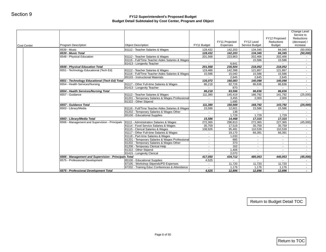| 6539 - Music Total<br>6548 - Physical Education<br>6548 - Physical Education Total<br>6551 - Technology Educational (Tech Ed)<br>6551 - Technology Educational (Tech Ed) Total<br>6554 - Health Services/Nursing<br>6554 - Health Services/Nursing Total<br>6557 - Guidance<br>6557 - Guidance Total | 81112 - Teacher Salaries & Wages<br>81112 - Teacher Salaries & Wages<br>81116 - Full/Time Teacher Aides Salaries & Wages<br>81413 - Longevity Teacher<br>81112 - Teacher Salaries & Wages<br>81116 - Full/Time Teacher Aides Salaries & Wages<br>85103 - Instructional Materials<br>81117 - Other Full-time Salaries & Wages<br>81413 - Longevity Teacher<br>81112 - Teacher Salaries & Wages<br>81201 - Temporary Salaries & Wages Professional | 128,432<br>128,432<br>201,568<br>$\sim$<br>201,568<br>119,486<br>15,586<br>$\sim$<br>135,072<br>86,218<br>86,218<br>111,380                                                                                                                                                                                                                                                                                                                                                                                              | 142,203<br>142,203<br>223,863<br>6,641<br>230,504<br>142,398<br>15,040<br>2,645<br>160,083<br>82,726<br>870<br>83,596 | 134,345<br>134,345<br>202,466<br>15,586<br>$\sim$<br>218,052<br>121,867<br>15,586<br>2,645<br>140,098<br>86,836 | <b>Budget</b><br>84,345<br>84,345<br>202,466<br>15,586<br>$\sim$<br>218,052<br>121,867<br>15,586<br>2,645<br>140,098 | (50,000)<br>$\sim$<br>$\sim$<br>$\sim$<br>$\sim$<br>$\sim$<br>$\blacksquare$            |
|------------------------------------------------------------------------------------------------------------------------------------------------------------------------------------------------------------------------------------------------------------------------------------------------------|--------------------------------------------------------------------------------------------------------------------------------------------------------------------------------------------------------------------------------------------------------------------------------------------------------------------------------------------------------------------------------------------------------------------------------------------------|--------------------------------------------------------------------------------------------------------------------------------------------------------------------------------------------------------------------------------------------------------------------------------------------------------------------------------------------------------------------------------------------------------------------------------------------------------------------------------------------------------------------------|-----------------------------------------------------------------------------------------------------------------------|-----------------------------------------------------------------------------------------------------------------|----------------------------------------------------------------------------------------------------------------------|-----------------------------------------------------------------------------------------|
|                                                                                                                                                                                                                                                                                                      |                                                                                                                                                                                                                                                                                                                                                                                                                                                  |                                                                                                                                                                                                                                                                                                                                                                                                                                                                                                                          |                                                                                                                       |                                                                                                                 |                                                                                                                      | (50,000)                                                                                |
|                                                                                                                                                                                                                                                                                                      |                                                                                                                                                                                                                                                                                                                                                                                                                                                  |                                                                                                                                                                                                                                                                                                                                                                                                                                                                                                                          |                                                                                                                       |                                                                                                                 |                                                                                                                      |                                                                                         |
|                                                                                                                                                                                                                                                                                                      |                                                                                                                                                                                                                                                                                                                                                                                                                                                  |                                                                                                                                                                                                                                                                                                                                                                                                                                                                                                                          |                                                                                                                       |                                                                                                                 |                                                                                                                      |                                                                                         |
|                                                                                                                                                                                                                                                                                                      |                                                                                                                                                                                                                                                                                                                                                                                                                                                  |                                                                                                                                                                                                                                                                                                                                                                                                                                                                                                                          |                                                                                                                       |                                                                                                                 |                                                                                                                      |                                                                                         |
|                                                                                                                                                                                                                                                                                                      |                                                                                                                                                                                                                                                                                                                                                                                                                                                  |                                                                                                                                                                                                                                                                                                                                                                                                                                                                                                                          |                                                                                                                       |                                                                                                                 |                                                                                                                      |                                                                                         |
|                                                                                                                                                                                                                                                                                                      |                                                                                                                                                                                                                                                                                                                                                                                                                                                  |                                                                                                                                                                                                                                                                                                                                                                                                                                                                                                                          |                                                                                                                       |                                                                                                                 |                                                                                                                      |                                                                                         |
|                                                                                                                                                                                                                                                                                                      |                                                                                                                                                                                                                                                                                                                                                                                                                                                  |                                                                                                                                                                                                                                                                                                                                                                                                                                                                                                                          |                                                                                                                       |                                                                                                                 |                                                                                                                      |                                                                                         |
|                                                                                                                                                                                                                                                                                                      |                                                                                                                                                                                                                                                                                                                                                                                                                                                  |                                                                                                                                                                                                                                                                                                                                                                                                                                                                                                                          |                                                                                                                       |                                                                                                                 |                                                                                                                      |                                                                                         |
|                                                                                                                                                                                                                                                                                                      |                                                                                                                                                                                                                                                                                                                                                                                                                                                  |                                                                                                                                                                                                                                                                                                                                                                                                                                                                                                                          |                                                                                                                       |                                                                                                                 |                                                                                                                      | $\sim$                                                                                  |
|                                                                                                                                                                                                                                                                                                      |                                                                                                                                                                                                                                                                                                                                                                                                                                                  |                                                                                                                                                                                                                                                                                                                                                                                                                                                                                                                          |                                                                                                                       |                                                                                                                 | 86,836                                                                                                               | $\sim$<br>$\sim$                                                                        |
|                                                                                                                                                                                                                                                                                                      |                                                                                                                                                                                                                                                                                                                                                                                                                                                  |                                                                                                                                                                                                                                                                                                                                                                                                                                                                                                                          |                                                                                                                       | 86,836                                                                                                          | 86,836                                                                                                               | $\blacksquare$                                                                          |
|                                                                                                                                                                                                                                                                                                      |                                                                                                                                                                                                                                                                                                                                                                                                                                                  |                                                                                                                                                                                                                                                                                                                                                                                                                                                                                                                          | 145,419                                                                                                               | 166,792                                                                                                         | 141,792                                                                                                              | (25,000)                                                                                |
|                                                                                                                                                                                                                                                                                                      |                                                                                                                                                                                                                                                                                                                                                                                                                                                  | $\sim$ $-$                                                                                                                                                                                                                                                                                                                                                                                                                                                                                                               | 3,455                                                                                                                 | 2,000                                                                                                           | 2,000                                                                                                                | $\sim$                                                                                  |
|                                                                                                                                                                                                                                                                                                      | 81322 - Other Stipend                                                                                                                                                                                                                                                                                                                                                                                                                            | $\sim$                                                                                                                                                                                                                                                                                                                                                                                                                                                                                                                   | 1,695                                                                                                                 | $\sim$                                                                                                          | $\sim$                                                                                                               |                                                                                         |
|                                                                                                                                                                                                                                                                                                      | 81116 - Full/Time Teacher Aides Salaries & Wages                                                                                                                                                                                                                                                                                                                                                                                                 | 111,380                                                                                                                                                                                                                                                                                                                                                                                                                                                                                                                  | 150,569                                                                                                               | 168,792                                                                                                         | 143,792                                                                                                              | (25,000)                                                                                |
| 6563 - Library/Media                                                                                                                                                                                                                                                                                 | 81202 - Temporary Salaries & Wages Other                                                                                                                                                                                                                                                                                                                                                                                                         | 15,586<br>$\sim$                                                                                                                                                                                                                                                                                                                                                                                                                                                                                                         | 12,601<br>138                                                                                                         | 15,586<br>$\sim$                                                                                                | 15,586<br>$\sim$                                                                                                     | $\sim$                                                                                  |
|                                                                                                                                                                                                                                                                                                      | 85100 - Educational Supplies                                                                                                                                                                                                                                                                                                                                                                                                                     | $\sim$                                                                                                                                                                                                                                                                                                                                                                                                                                                                                                                   | 1,729                                                                                                                 | 1,729                                                                                                           | 1,729                                                                                                                | $\sim$                                                                                  |
| 6563 - Library/Media Total                                                                                                                                                                                                                                                                           |                                                                                                                                                                                                                                                                                                                                                                                                                                                  | 15,586                                                                                                                                                                                                                                                                                                                                                                                                                                                                                                                   | 14,468                                                                                                                | 17,315                                                                                                          | 17,315                                                                                                               | $\overline{\phantom{a}}$                                                                |
|                                                                                                                                                                                                                                                                                                      | 81111 - Administration Salaries & Wages                                                                                                                                                                                                                                                                                                                                                                                                          | 272,365                                                                                                                                                                                                                                                                                                                                                                                                                                                                                                                  | 296,813                                                                                                               | 272,365                                                                                                         | 227,365                                                                                                              | (45,000)                                                                                |
|                                                                                                                                                                                                                                                                                                      | 81114 - Food Service Salaries & Wages                                                                                                                                                                                                                                                                                                                                                                                                            | 35,759                                                                                                                                                                                                                                                                                                                                                                                                                                                                                                                   | 17,519                                                                                                                | 35,759                                                                                                          | 35,759                                                                                                               | $\sim$                                                                                  |
|                                                                                                                                                                                                                                                                                                      |                                                                                                                                                                                                                                                                                                                                                                                                                                                  |                                                                                                                                                                                                                                                                                                                                                                                                                                                                                                                          |                                                                                                                       |                                                                                                                 |                                                                                                                      | $\sim$                                                                                  |
|                                                                                                                                                                                                                                                                                                      |                                                                                                                                                                                                                                                                                                                                                                                                                                                  |                                                                                                                                                                                                                                                                                                                                                                                                                                                                                                                          |                                                                                                                       |                                                                                                                 |                                                                                                                      | $\sim$                                                                                  |
|                                                                                                                                                                                                                                                                                                      |                                                                                                                                                                                                                                                                                                                                                                                                                                                  |                                                                                                                                                                                                                                                                                                                                                                                                                                                                                                                          |                                                                                                                       |                                                                                                                 |                                                                                                                      | $\sim$<br>$\sim$                                                                        |
|                                                                                                                                                                                                                                                                                                      |                                                                                                                                                                                                                                                                                                                                                                                                                                                  |                                                                                                                                                                                                                                                                                                                                                                                                                                                                                                                          |                                                                                                                       |                                                                                                                 |                                                                                                                      | $\sim$                                                                                  |
|                                                                                                                                                                                                                                                                                                      |                                                                                                                                                                                                                                                                                                                                                                                                                                                  | $\sim$                                                                                                                                                                                                                                                                                                                                                                                                                                                                                                                   |                                                                                                                       | $\sim$                                                                                                          | $\sim$                                                                                                               | $\sim$                                                                                  |
|                                                                                                                                                                                                                                                                                                      | 81322 - Other Stipend                                                                                                                                                                                                                                                                                                                                                                                                                            | $\sim$                                                                                                                                                                                                                                                                                                                                                                                                                                                                                                                   | 1,406                                                                                                                 | $\sim$                                                                                                          | $\sim$                                                                                                               | $\sim$                                                                                  |
|                                                                                                                                                                                                                                                                                                      |                                                                                                                                                                                                                                                                                                                                                                                                                                                  | $\sim$                                                                                                                                                                                                                                                                                                                                                                                                                                                                                                                   | 2,070                                                                                                                 | $\sim$                                                                                                          | $\sim$                                                                                                               | $\sim$                                                                                  |
|                                                                                                                                                                                                                                                                                                      |                                                                                                                                                                                                                                                                                                                                                                                                                                                  |                                                                                                                                                                                                                                                                                                                                                                                                                                                                                                                          |                                                                                                                       |                                                                                                                 |                                                                                                                      | (45,000)                                                                                |
|                                                                                                                                                                                                                                                                                                      |                                                                                                                                                                                                                                                                                                                                                                                                                                                  |                                                                                                                                                                                                                                                                                                                                                                                                                                                                                                                          |                                                                                                                       |                                                                                                                 |                                                                                                                      | $\blacksquare$<br>$\sim$                                                                |
|                                                                                                                                                                                                                                                                                                      |                                                                                                                                                                                                                                                                                                                                                                                                                                                  |                                                                                                                                                                                                                                                                                                                                                                                                                                                                                                                          |                                                                                                                       |                                                                                                                 |                                                                                                                      | $\sim$                                                                                  |
|                                                                                                                                                                                                                                                                                                      |                                                                                                                                                                                                                                                                                                                                                                                                                                                  |                                                                                                                                                                                                                                                                                                                                                                                                                                                                                                                          |                                                                                                                       |                                                                                                                 |                                                                                                                      | $\sim$                                                                                  |
|                                                                                                                                                                                                                                                                                                      | 6575 - Professional Development<br>6575 - Professional Development Total                                                                                                                                                                                                                                                                                                                                                                         | 6566 - Management and Supervision - Principals<br>81115 - Clerical Salaries & Wages<br>81117 - Other Full-time Salaries & Wages<br>81118 - Part-time Salaries & Wages<br>81201 - Temporary Salaries & Wages Professional<br>81202 - Temporary Salaries & Wages Other<br>81206 - Temporary Clerical Help<br>81415 - Longevity Clerical<br>6566 - Management and Supervision - Principals Total<br>85100 - Educational Supplies<br>87105 - Workshop Stipends/PD Expenses<br>87202 - Training Educ Conferences & Attendance | 108,926<br>$\sim$<br>$\sim$<br>$\sim$<br>$\sim$<br>417,050<br>4,525<br>$\sim$<br>$\sim$<br>4,525                      | 95,481<br>19,170<br>1,033<br>685<br>373<br>162<br>434,712<br>11,720<br>1,176<br>12,896                          | 110,539<br>66,391<br>$\sim$<br>$\sim$<br>$\sim$<br>485,053<br>11,720<br>1,176<br>12,896                              | 110,539<br>66,391<br>$\sim$<br>$\sim$<br>$\sim$<br>440,053<br>11,720<br>1,176<br>12,896 |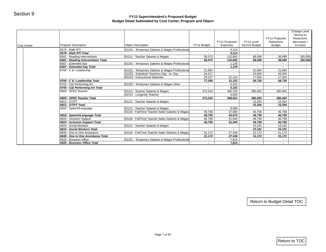| Cost Center | Program Description                                  | <b>Object Description</b>                                                                    | FY11 Budget      | FY11 Projected<br>Expenses | FY12 Level<br>Service Budget | FY12 Proposed<br>Reductions<br><b>Budget</b> | Change Level<br>Service to<br>Reductions<br>(decrease) /<br>increase |
|-------------|------------------------------------------------------|----------------------------------------------------------------------------------------------|------------------|----------------------------|------------------------------|----------------------------------------------|----------------------------------------------------------------------|
|             | 6578 - Math RTI                                      | 81201 - Temporary Salaries & Wages Professional                                              |                  | 9,214                      |                              | $\sim$                                       | $\sim$ $-$                                                           |
|             | 6578 - Math RTI Total                                |                                                                                              | $\sim$           | 9,214                      | $\sim$                       | $\sim$                                       | $\sim$                                                               |
|             | 6581 - Reading Interventions                         | 81112 - Teacher Salaries & Wages                                                             | 56,073           | 132,892                    | 88,099                       | 38,099                                       | (50,000)                                                             |
|             | 6581 - Reading Interventions Total                   |                                                                                              | 56,073           | 132,892                    | 88,099                       | 38,099                                       | (50,000)                                                             |
|             | 6587 - Extended Day                                  | 81201 - Temporary Salaries & Wages Professional                                              | $\sim$           | 1,139                      | $\sim$                       | $\sim$                                       |                                                                      |
|             | 6587 - Extended Day Total<br>6700 - C & I Leadership |                                                                                              | $\sim$           | 1,139<br>$\sim$            | $\sim$<br>21,684             | $\sim$<br>21,684                             | $\sim$<br>$\sim 10$                                                  |
|             |                                                      | 81201 - Temporary Salaries & Wages Professional<br>81203 - Substitute Teachers Day - to- Day | 21,684<br>26,517 | $\sim$                     | 20,000                       | 20,000                                       | $\sim$                                                               |
|             |                                                      | 85103 - Instructional Materials                                                              | 29,157           | 31,152                     | 17,054                       | 17,054                                       | $\sim$                                                               |
|             | 6700 - C & I Leadership Total                        |                                                                                              | 77,358           | 31,152                     | 58,738                       | 58,738                                       | $\sim$                                                               |
|             | 6755 - C&I Performing Art                            | 81202 - Temporary Salaries & Wages Other                                                     |                  | 5,332                      |                              |                                              | $\sim$                                                               |
|             | 6755 - C&I Performing Art Total                      |                                                                                              | $\sim$           | 5,332                      | $\sim$                       | $\sim$                                       | $\sim$                                                               |
|             | 6809 - SPED Teacher                                  | 81112 - Teacher Salaries & Wages                                                             | 373,315          | 360,765                    | 380,462                      | 380,462                                      | $\sim$                                                               |
|             |                                                      | 81413 - Longevity Teacher                                                                    |                  | 6,055                      |                              |                                              | $\sim$                                                               |
|             | 6809 - SPED Teacher Total                            |                                                                                              | 373,315          | 366,821                    | 380,462                      | 380,462                                      | $\sim$                                                               |
|             | 6812 - OT/PT                                         | 81112 - Teacher Salaries & Wages                                                             |                  |                            | 15,354                       | 15,354                                       | $\sim$                                                               |
|             | 6812 - OT/PT Total                                   |                                                                                              |                  |                            | 15,354                       | 15,354                                       | $\sim$                                                               |
|             | 6818 - Speech/Language                               | 81112 - Teacher Salaries & Wages                                                             | $\sim$           | 8,586                      | $\sim$                       | $\sim$ 10 $\pm$                              | $\sim$                                                               |
|             |                                                      | 81116 - Full/Time Teacher Aides Salaries & Wages                                             | 46,758           | 37,089                     | 46,758                       | 46,758                                       | $\sim$                                                               |
|             | 6818 - Speech/Language Total                         |                                                                                              | 46,758           | 45,675                     | 46,758                       | 46,758                                       | $\sim$                                                               |
|             | 6824 - Inclusion Support                             | 81116 - Full/Time Teacher Aides Salaries & Wages                                             | 46,758           | 51,940                     | 46,758                       | 46,758                                       | $\sim$                                                               |
|             | 6824 - Inclusion Support Total                       |                                                                                              | 46,758           | 51,940                     | 46,758                       | 46,758                                       | $\sim$                                                               |
|             | 6833 - Social Workers                                | 81112 - Teacher Salaries & Wages                                                             | $\sim$           | $\sim$                     | 23,191                       | 23,191                                       | $\sim$                                                               |
|             | 6833 - Social Workers Total                          |                                                                                              | $\blacksquare$   | $\blacksquare$             | 23,191                       | 23,191                                       | $\sim$                                                               |
|             | 6845 - One to One Assistance                         | 81116 - Full/Time Teacher Aides Salaries & Wages                                             | 31,172           | 27,346                     | 31,172                       | 31,172                                       | $\sim$                                                               |
|             | 6845 - One to One Assistance Total                   |                                                                                              | 31,172           | 27,346                     | 31,172                       | 31,172                                       | $\sim$                                                               |
|             | 6920 - Business Office                               | 81201 - Temporary Salaries & Wages Professional                                              | $\sim$           | 7,814                      | $\sim$                       | $\sim$                                       | $\sim$ $-$                                                           |
|             | 6920 - Business Office Total                         |                                                                                              | $\sim$           | 7,814                      | $\sim$                       | $\sim$                                       | $\sim$                                                               |
|             |                                                      |                                                                                              |                  |                            |                              | Return to Budget Detail TOC                  |                                                                      |
|             |                                                      |                                                                                              |                  |                            |                              |                                              |                                                                      |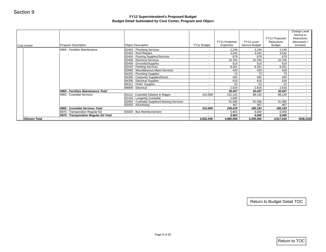|                      |                                       |                                                                   |                             | FY11 Projected | FY12 Level     | FY12 Proposed<br>Reductions | Change Level<br>Service to<br>Reductions<br>(decrease) / |
|----------------------|---------------------------------------|-------------------------------------------------------------------|-----------------------------|----------------|----------------|-----------------------------|----------------------------------------------------------|
| Cost Center          | Program Description                   | <b>Object Description</b>                                         | FY11 Budget                 | Expenses       | Service Budget | <b>Budget</b>               | increase                                                 |
|                      | 6960 - Facilities Maintenance         | 82403 - Plumbing Services                                         | $\sim$                      | 2,249          | 2,249          | 2,249                       | $\sim$                                                   |
|                      |                                       | 82404 - Roof Repairs                                              | $\omega$                    | 3,542          | 3,542          | 3,542                       | $\sim$                                                   |
|                      |                                       | 82405 - Flooring Supplies/Services                                | $\sim$                      | 679            | 679            | 679                         |                                                          |
|                      |                                       | 82408 - Electrical Services                                       | $\sim$                      | 10,765         | 10,765         | 10,765                      | $\sim$                                                   |
|                      |                                       | 82409 - Grounds//Supplies                                         | $\sim$                      | 514            | 514            | 514                         | $\sim$                                                   |
|                      |                                       | 82410 - Painting Services<br>82999 - Miscellaneous Maint Services | $\sim$<br>$\sim$            | 8,261<br>429   | 8,261<br>429   | 8,261<br>429                |                                                          |
|                      |                                       | 84303 - Plumbing Supplies                                         | $\sim$                      | 73             | 73             | 73                          | $\sim$<br>$\sim$                                         |
|                      |                                       | 84306 - Carpentry Supplies/Doors                                  | $\sim$                      | 455            | 455            | 455                         | $\sim$                                                   |
|                      |                                       | 84308 - Electrical Supplies                                       | $\sim$                      | 618            | 618            | 618                         |                                                          |
|                      |                                       | 84312 - HVAC Supplies                                             | $\sim$                      | 53             | 53             | 53                          |                                                          |
|                      |                                       | 88808 - Electrical                                                | $\sim$                      | 2,818          | 2,818          | 2,818                       |                                                          |
|                      | 6960 - Facilities Maintenance Total   |                                                                   | $\sim$                      | 30,457         | 30,457         | 30,457                      |                                                          |
|                      | 6965 - Custodial Services             | 81113 - Custodial Salaries & Wages                                | 210,908                     | 151,142        | 88,130         | 88,130                      | $\sim$                                                   |
|                      |                                       | 81416 - Longevity Custodial                                       | $\sim$                      | 1,840          | $\blacksquare$ | $\sim$                      | $\sim$<br>$\sim$                                         |
|                      |                                       | 82904 - Custodial Supplies/Cleaning Services                      | $\mathcal{L}_{\mathcal{A}}$ | 91,586         | 91,586         | 91,586                      |                                                          |
|                      | 6965 - Custodial Services Total       | 83403 - Advertising                                               | $\sim$<br>210,908           | 467<br>245,035 | 467<br>180,183 | 467<br>180,183              | $\sim$                                                   |
|                      | 6970 - Transporation Regular Ed       | 83303 - Bus Reimbursement                                         | $\sim$                      | 5,663          | 6,000          | 6,000                       | $\sim$                                                   |
|                      | 6970 - Transporation Regular Ed Total |                                                                   | $\blacksquare$              | 5,663          | 6,000          | 6,000                       |                                                          |
| <b>Ottoson Total</b> |                                       |                                                                   | 4,832,549                   | 4,960,056      | 5,255,362      | 4,617,044                   | (638, 318)                                               |
|                      |                                       |                                                                   |                             |                |                |                             |                                                          |
|                      |                                       |                                                                   |                             |                |                |                             |                                                          |
|                      |                                       |                                                                   |                             |                |                | Return to Budget Detail TOC |                                                          |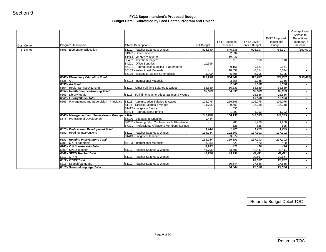| Cost Center | <b>Program Description</b>                           | <b>Object Description</b>                           | FY11 Budget       | FY11 Projected<br>Expenses | FY12 Level<br>Service Budget | FY12 Proposed<br>Reductions<br><b>Budget</b> | Change Level<br>Service to<br>Reductions<br>(decrease) /<br>increase |
|-------------|------------------------------------------------------|-----------------------------------------------------|-------------------|----------------------------|------------------------------|----------------------------------------------|----------------------------------------------------------------------|
| 6 Bishop    | 6506 - Elementary Education                          | 81112 - Teacher Salaries & Wages                    | 893,640           | 846,835                    | 906,197                      | 756,197                                      | (150,000)                                                            |
|             |                                                      | 81322 - Other Stipend                               |                   | 2,034                      | $\sim$                       |                                              | $\sim$                                                               |
|             |                                                      | 81413 - Longevity Teacher                           | $\sim$            | 30,439                     | $\sim$                       | $\sim$                                       | $\sim$                                                               |
|             |                                                      | 83402 - Telephone/pagers<br>84201 - Office Supplies | $\sim$<br>11,596  | 110<br>$\sim$              | 110<br>$\sim$                | 110<br>$\sim$                                | $\sim$<br>$\sim$                                                     |
|             |                                                      | 85101 - Reproduction supplies - Paper/Toner         | $\sim$            | 9,161                      | 9,161                        | 9,161                                        | $\sim$ $-$                                                           |
|             |                                                      | 85103 - Instructional Materials                     | $\sim$            | 10,057                     | 6,614                        | 6,614                                        | $\sim$                                                               |
|             |                                                      | 85106 - Textbooks, Books & Periodicals              | 5,000             | 5,705                      | 5,705                        | 5,705                                        | $\sim$                                                               |
|             | 6506 - Elementary Education Total                    |                                                     | 910,236           | 904,341                    | 927,787                      | 777,787                                      | (150,000)                                                            |
|             | 6536 - Art                                           | 85103 - Instructional Materials                     | $\sim$            | 2,368                      | 2,368                        | 2,368                                        | $\sim$                                                               |
|             | 6536 - Art Total                                     |                                                     | $\blacksquare$    | 2,368                      | 2,368                        | 2,368                                        | $\sim$                                                               |
|             | 6554 - Health Services/Nursing                       | 81117 - Other Full-time Salaries & Wages            | 68,889            | 56,833                     | 68,889                       | 68,889                                       | $\sim$                                                               |
|             | 6554 - Health Services/Nursing Total                 |                                                     | 68,889            | 56,833                     | 68,889                       | 68,889                                       | $\sim$                                                               |
|             | 6563 - Library/Media<br>6563 - Library/Media Total   | 81116 - Full/Time Teacher Aides Salaries & Wages    |                   |                            | 15,586<br>15,586             | 15,586<br>15,586                             | $\sim$<br>$\sim$                                                     |
|             | 6566 - Management and Supervision - Principals       | 81111 - Administration Salaries & Wages             | 106,075           | 126,896                    | 106,075                      | 106,075                                      | $\sim 100$                                                           |
|             |                                                      | 81115 - Clerical Salaries & Wages                   | 34,705            | 29,509                     | 35,218                       | 35,218                                       | $\sim$                                                               |
|             |                                                      | 81415 - Longevity Clerical                          | $\sim$            | 633                        |                              |                                              | $\sim$                                                               |
|             |                                                      | 83404 - Reproduction/Printing                       | $\sim$            | 1,092                      | 1,092                        | 1,092                                        | $\sim$                                                               |
|             | 6566 - Management and Supervision - Principals Total |                                                     | 140,780           | 158,130                    | 142,385                      | 142,385                                      | $\sim$                                                               |
|             | 6575 - Professional Development                      | 85100 - Educational Supplies                        | 1,444             | $\sim$                     | $\sim$                       | $\mathcal{L}^{\text{max}}$                   | $\sim$                                                               |
|             |                                                      | 87202 - Training Educ Conferences & Attendance      |                   | 1,200                      | 1,200                        | 1,200                                        | $\sim$                                                               |
|             |                                                      | 87301 - Professional Affiliations Membership/Pubs   | $\sim$            | 525                        | 525                          | 525                                          | $\sim$                                                               |
|             | 6575 - Professional Development Total                | 81112 - Teacher Salaries & Wages                    | 1,444             | 1,725                      | 1,725                        | 1,725                                        | $\sim$                                                               |
|             | 6581 - Reading Interventions                         | 81413 - Longevity Teacher                           | 134,284<br>$\sim$ | 122,509<br>3,872           | 137,102<br>$\sim$            | 137,102<br>$\sim 10$                         | $\sim$<br>$\sim$ $-$                                                 |
|             | 6581 - Reading Interventions Total                   |                                                     | 134,284           | 126,381                    | 137,102                      | 137,102                                      | $\sim$                                                               |
|             | 6700 - C & I Leadership                              | 85103 - Instructional Materials                     | 8,283             | 420                        | 420                          | 420                                          | $\sim$                                                               |
|             | 6700 - C & I Leadership Total                        |                                                     | 8,283             | 420                        | 420                          | 420                                          | $\sim$                                                               |
|             | 6809 - SPED Teacher                                  | 81112 - Teacher Salaries & Wages                    | 46,796            | 43,791                     | 49,411                       | 49,411                                       | $\sim$                                                               |
|             | 6809 - SPED Teacher Total                            |                                                     | 46,796            | 43,791                     | 49,411                       | 49,411                                       | $\sim$                                                               |
|             | 6812 - OT/PT                                         | 81112 - Teacher Salaries & Wages                    |                   |                            | 20,667                       | 20,667                                       | $\sim$                                                               |
|             | 6812 - OT/PT Total                                   |                                                     |                   |                            | 20,667                       | 20,667                                       | $\sim$                                                               |
|             | 6818 - Speech/Language                               | 81112 - Teacher Salaries & Wages                    | $\sim$            | 30,544                     | 27,556                       | 27,556                                       | $\sim$                                                               |
|             | 6818 - Speech/Language Total                         |                                                     | $\blacksquare$    | 30,544                     | 27,556                       | 27,556                                       | $\sim 100$                                                           |
|             |                                                      |                                                     |                   |                            |                              | Return to Budget Detail TOC                  |                                                                      |
|             |                                                      |                                                     |                   |                            |                              |                                              |                                                                      |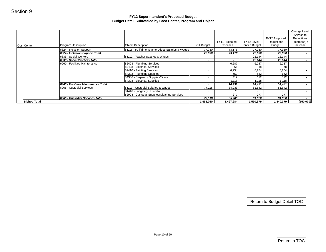|                     |                                                                  | Budget Detail Subtotaled by Cost Center, Program and Object | FY12 Superintendent's Proposed Budget |                          |                  |                             |                                                          |
|---------------------|------------------------------------------------------------------|-------------------------------------------------------------|---------------------------------------|--------------------------|------------------|-----------------------------|----------------------------------------------------------|
|                     |                                                                  |                                                             |                                       | FY11 Projected           | FY12 Level       | FY12 Proposed<br>Reductions | Change Level<br>Service to<br>Reductions<br>(decrease) / |
| Cost Center         | Program Description                                              | <b>Object Description</b>                                   | FY11 Budget                           | Expenses                 | Service Budget   | <b>Budget</b>               | increase                                                 |
|                     | 6824 - Inclusion Support                                         | 81116 - Full/Time Teacher Aides Salaries & Wages            | 77,930                                | 73,176                   | 77,930           | 77,930                      |                                                          |
|                     | 6824 - Inclusion Support Total                                   | 81112 - Teacher Salaries & Wages                            | 77,930                                | 73,176                   | 77,930           | 77,930                      |                                                          |
|                     | 6833 - Social Workers<br>6833 - Social Workers Total             |                                                             | $\sim$<br>$\bullet$                   | $\sim$<br>$\blacksquare$ | 22,144<br>22,144 | 22,144<br>22,144            |                                                          |
|                     | 6960 - Facilities Maintenance                                    | 82403 - Plumbing Services                                   | $\sim$                                | 6,287                    | 6,287            | 6,287                       |                                                          |
|                     |                                                                  | 82408 - Electrical Services                                 | $\sim$                                | 68                       | 68               | 68                          |                                                          |
|                     |                                                                  | 82410 - Painting Services                                   | $\sim$                                | 6,254                    | 6,254            | 6,254                       |                                                          |
|                     |                                                                  | 84303 - Plumbing Supplies                                   | $\sim$                                | 652                      | 652              | 652                         |                                                          |
|                     |                                                                  | 84306 - Carpentry Supplies/Doors                            | $\sim$                                | 112                      | 112              | 112                         |                                                          |
|                     |                                                                  | 84308 - Electrical Supplies                                 | $\sim$                                | 1,118<br>14,491          | 1,118<br>14,491  | 1,118<br>14,491             |                                                          |
|                     | 6960 - Facilities Maintenance Total<br>6965 - Custodial Services | 81113 - Custodial Salaries & Wages                          | $\sim$<br>77,118                      | 84,933                   | 81,642           | 81,642                      |                                                          |
|                     |                                                                  | 81416 - Longevity Custodial                                 | $\sim$                                | 575                      | $\sim$           | $\sim$                      |                                                          |
|                     |                                                                  | 82904 - Custodial Supplies/Cleaning Services                | $\blacksquare$                        | 277                      | 277              | 277                         |                                                          |
|                     | 6965 - Custodial Services Total                                  |                                                             | 77,118                                | 85,785                   | 81,920           | 81,920                      |                                                          |
| <b>Bishop Total</b> |                                                                  |                                                             | 1,465,760                             | 1,497,984                | 1,590,379        | 1,440,379                   | (150,000)                                                |
|                     |                                                                  |                                                             |                                       |                          |                  |                             |                                                          |
|                     |                                                                  |                                                             |                                       |                          |                  |                             |                                                          |
|                     |                                                                  |                                                             |                                       |                          |                  | Return to Budget Detail TOC |                                                          |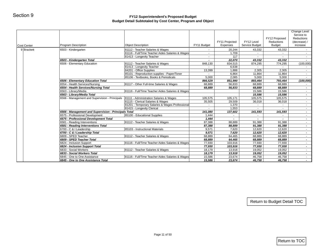| Program Description<br>6503 - Kindergarten |                                                                                                                                                                                                                                                                                                                                                                                                                                                                                                                      |                                                                                                                                                                                                                                                                                                                                                                                                                                                                                                                                                                    | FY11 Projected                                                                                                                          | FY12 Level                                                                                                                                                 | FY12 Proposed<br>Reductions                                                                                                                                  | Change Level<br>Service to<br>Reductions<br>(decrease) /                                                                                 |
|--------------------------------------------|----------------------------------------------------------------------------------------------------------------------------------------------------------------------------------------------------------------------------------------------------------------------------------------------------------------------------------------------------------------------------------------------------------------------------------------------------------------------------------------------------------------------|--------------------------------------------------------------------------------------------------------------------------------------------------------------------------------------------------------------------------------------------------------------------------------------------------------------------------------------------------------------------------------------------------------------------------------------------------------------------------------------------------------------------------------------------------------------------|-----------------------------------------------------------------------------------------------------------------------------------------|------------------------------------------------------------------------------------------------------------------------------------------------------------|--------------------------------------------------------------------------------------------------------------------------------------------------------------|------------------------------------------------------------------------------------------------------------------------------------------|
|                                            | <b>Object Description</b>                                                                                                                                                                                                                                                                                                                                                                                                                                                                                            | FY11 Budget                                                                                                                                                                                                                                                                                                                                                                                                                                                                                                                                                        | Expenses                                                                                                                                | Service Budget                                                                                                                                             | <b>Budget</b>                                                                                                                                                | increase                                                                                                                                 |
|                                            | 81112 - Teacher Salaries & Wages                                                                                                                                                                                                                                                                                                                                                                                                                                                                                     | $\sim$                                                                                                                                                                                                                                                                                                                                                                                                                                                                                                                                                             | 20,244                                                                                                                                  | 43,332                                                                                                                                                     | 43,332                                                                                                                                                       | $\sim$                                                                                                                                   |
|                                            | 81116 - Full/Time Teacher Aides Salaries & Wages                                                                                                                                                                                                                                                                                                                                                                                                                                                                     | $\sim$                                                                                                                                                                                                                                                                                                                                                                                                                                                                                                                                                             | 1,709                                                                                                                                   | $\sim$                                                                                                                                                     |                                                                                                                                                              | $\sim$                                                                                                                                   |
| 6503 - Kindergarten Total                  | 81413 - Longevity Teacher                                                                                                                                                                                                                                                                                                                                                                                                                                                                                            | $\blacksquare$<br>$\sim$                                                                                                                                                                                                                                                                                                                                                                                                                                                                                                                                           | 117<br>22,070                                                                                                                           | $\sim$<br>43,332                                                                                                                                           | 43,332                                                                                                                                                       | $\sim$                                                                                                                                   |
| 6506 - Elementary Education                | 81112 - Teacher Salaries & Wages                                                                                                                                                                                                                                                                                                                                                                                                                                                                                     | 848,130                                                                                                                                                                                                                                                                                                                                                                                                                                                                                                                                                            | 834,515                                                                                                                                 | 874,295                                                                                                                                                    | 774,295                                                                                                                                                      | (100,000)                                                                                                                                |
|                                            |                                                                                                                                                                                                                                                                                                                                                                                                                                                                                                                      | $\sim$                                                                                                                                                                                                                                                                                                                                                                                                                                                                                                                                                             |                                                                                                                                         | $\sim$                                                                                                                                                     | $\sim$                                                                                                                                                       | $\sim$ $-$                                                                                                                               |
|                                            |                                                                                                                                                                                                                                                                                                                                                                                                                                                                                                                      |                                                                                                                                                                                                                                                                                                                                                                                                                                                                                                                                                                    |                                                                                                                                         |                                                                                                                                                            |                                                                                                                                                              | $\sim$                                                                                                                                   |
|                                            | 85101 - Reproduction supplies - Paper/Toner                                                                                                                                                                                                                                                                                                                                                                                                                                                                          |                                                                                                                                                                                                                                                                                                                                                                                                                                                                                                                                                                    | 6,864                                                                                                                                   | 11,864                                                                                                                                                     | 11,864                                                                                                                                                       | $\sim$                                                                                                                                   |
|                                            | 85106 - Textbooks, Books & Periodicals                                                                                                                                                                                                                                                                                                                                                                                                                                                                               | 5,000                                                                                                                                                                                                                                                                                                                                                                                                                                                                                                                                                              | 2,085                                                                                                                                   | 5,000                                                                                                                                                      | 5,000                                                                                                                                                        |                                                                                                                                          |
|                                            |                                                                                                                                                                                                                                                                                                                                                                                                                                                                                                                      | 866,529                                                                                                                                                                                                                                                                                                                                                                                                                                                                                                                                                            | 851,990                                                                                                                                 | 893,464                                                                                                                                                    | 793,464                                                                                                                                                      | (100, 000)                                                                                                                               |
|                                            |                                                                                                                                                                                                                                                                                                                                                                                                                                                                                                                      |                                                                                                                                                                                                                                                                                                                                                                                                                                                                                                                                                                    |                                                                                                                                         |                                                                                                                                                            |                                                                                                                                                              | $\sim$                                                                                                                                   |
|                                            |                                                                                                                                                                                                                                                                                                                                                                                                                                                                                                                      |                                                                                                                                                                                                                                                                                                                                                                                                                                                                                                                                                                    |                                                                                                                                         |                                                                                                                                                            |                                                                                                                                                              | $\sim$                                                                                                                                   |
|                                            |                                                                                                                                                                                                                                                                                                                                                                                                                                                                                                                      |                                                                                                                                                                                                                                                                                                                                                                                                                                                                                                                                                                    |                                                                                                                                         |                                                                                                                                                            |                                                                                                                                                              | $\sim$                                                                                                                                   |
|                                            |                                                                                                                                                                                                                                                                                                                                                                                                                                                                                                                      |                                                                                                                                                                                                                                                                                                                                                                                                                                                                                                                                                                    |                                                                                                                                         |                                                                                                                                                            |                                                                                                                                                              | $\sim$<br>$\sim$                                                                                                                         |
|                                            |                                                                                                                                                                                                                                                                                                                                                                                                                                                                                                                      |                                                                                                                                                                                                                                                                                                                                                                                                                                                                                                                                                                    |                                                                                                                                         |                                                                                                                                                            |                                                                                                                                                              | $\sim$                                                                                                                                   |
|                                            |                                                                                                                                                                                                                                                                                                                                                                                                                                                                                                                      | $\sim$                                                                                                                                                                                                                                                                                                                                                                                                                                                                                                                                                             |                                                                                                                                         | $\sim$                                                                                                                                                     |                                                                                                                                                              | $\sim$                                                                                                                                   |
|                                            | 81415 - Longevity Clerical                                                                                                                                                                                                                                                                                                                                                                                                                                                                                           | $\sim$                                                                                                                                                                                                                                                                                                                                                                                                                                                                                                                                                             | 1,553                                                                                                                                   | $\sim$                                                                                                                                                     | $\mathcal{L}^{\pm}$                                                                                                                                          | $\sim$                                                                                                                                   |
|                                            |                                                                                                                                                                                                                                                                                                                                                                                                                                                                                                                      | 141,080                                                                                                                                                                                                                                                                                                                                                                                                                                                                                                                                                            | 137,602                                                                                                                                 | 141,593                                                                                                                                                    | 141,593                                                                                                                                                      | $\sim$                                                                                                                                   |
| 6575 - Professional Development            | 85100 - Educational Supplies                                                                                                                                                                                                                                                                                                                                                                                                                                                                                         | 1,444                                                                                                                                                                                                                                                                                                                                                                                                                                                                                                                                                              | $\sim$                                                                                                                                  | $\sim$                                                                                                                                                     | $\sim$                                                                                                                                                       | $\sim$                                                                                                                                   |
|                                            |                                                                                                                                                                                                                                                                                                                                                                                                                                                                                                                      | 1,444                                                                                                                                                                                                                                                                                                                                                                                                                                                                                                                                                              | $\sim$                                                                                                                                  | $\blacksquare$                                                                                                                                             | $\sim$                                                                                                                                                       | $\sim$                                                                                                                                   |
|                                            |                                                                                                                                                                                                                                                                                                                                                                                                                                                                                                                      |                                                                                                                                                                                                                                                                                                                                                                                                                                                                                                                                                                    |                                                                                                                                         |                                                                                                                                                            |                                                                                                                                                              | $\sim$                                                                                                                                   |
|                                            |                                                                                                                                                                                                                                                                                                                                                                                                                                                                                                                      |                                                                                                                                                                                                                                                                                                                                                                                                                                                                                                                                                                    |                                                                                                                                         |                                                                                                                                                            |                                                                                                                                                              | $\sim$                                                                                                                                   |
|                                            |                                                                                                                                                                                                                                                                                                                                                                                                                                                                                                                      |                                                                                                                                                                                                                                                                                                                                                                                                                                                                                                                                                                    |                                                                                                                                         |                                                                                                                                                            |                                                                                                                                                              | $\sim$ $-$                                                                                                                               |
|                                            |                                                                                                                                                                                                                                                                                                                                                                                                                                                                                                                      |                                                                                                                                                                                                                                                                                                                                                                                                                                                                                                                                                                    |                                                                                                                                         |                                                                                                                                                            |                                                                                                                                                              | $\sim$<br>$\sigma_{\rm{max}}$                                                                                                            |
|                                            |                                                                                                                                                                                                                                                                                                                                                                                                                                                                                                                      |                                                                                                                                                                                                                                                                                                                                                                                                                                                                                                                                                                    |                                                                                                                                         |                                                                                                                                                            |                                                                                                                                                              | $\sim$                                                                                                                                   |
|                                            |                                                                                                                                                                                                                                                                                                                                                                                                                                                                                                                      |                                                                                                                                                                                                                                                                                                                                                                                                                                                                                                                                                                    |                                                                                                                                         |                                                                                                                                                            |                                                                                                                                                              | $\sim$                                                                                                                                   |
| 6824 - Inclusion Support Total             |                                                                                                                                                                                                                                                                                                                                                                                                                                                                                                                      |                                                                                                                                                                                                                                                                                                                                                                                                                                                                                                                                                                    |                                                                                                                                         |                                                                                                                                                            | 77,930                                                                                                                                                       | $\sim$                                                                                                                                   |
| 6833 - Social Workers                      | 81112 - Teacher Salaries & Wages                                                                                                                                                                                                                                                                                                                                                                                                                                                                                     | 18,179                                                                                                                                                                                                                                                                                                                                                                                                                                                                                                                                                             | 13,918                                                                                                                                  | 19,052                                                                                                                                                     | 19,052                                                                                                                                                       | $\sim$ $-$                                                                                                                               |
| 6833 - Social Workers Total                |                                                                                                                                                                                                                                                                                                                                                                                                                                                                                                                      | 18,179                                                                                                                                                                                                                                                                                                                                                                                                                                                                                                                                                             | 13,918                                                                                                                                  | 19,052                                                                                                                                                     | 19,052                                                                                                                                                       | $\sim$                                                                                                                                   |
| 6845 - One to One Assistance               |                                                                                                                                                                                                                                                                                                                                                                                                                                                                                                                      | 15,586                                                                                                                                                                                                                                                                                                                                                                                                                                                                                                                                                             | 23,674                                                                                                                                  | 46,758                                                                                                                                                     | 46,758                                                                                                                                                       | $\sim$                                                                                                                                   |
|                                            |                                                                                                                                                                                                                                                                                                                                                                                                                                                                                                                      |                                                                                                                                                                                                                                                                                                                                                                                                                                                                                                                                                                    |                                                                                                                                         |                                                                                                                                                            | 46,758                                                                                                                                                       | $\sim$                                                                                                                                   |
|                                            | 6506 - Elementary Education Total<br>6554 - Health Services/Nursing<br>6554 - Health Services/Nursing Total<br>6563 - Library/Media<br>6563 - Library/Media Total<br>6566 - Management and Supervision - Principals<br>6575 - Professional Development Total<br>6581 - Reading Interventions<br>6581 - Reading Interventions Total<br>6700 - C & I Leadership<br>6700 - C & I Leadership Total<br>6809 - SPED Teacher<br>6809 - SPED Teacher Total<br>6824 - Inclusion Support<br>6845 - One to One Assistance Total | 81413 - Longevity Teacher<br>84201 - Office Supplies<br>81117 - Other Full-time Salaries & Wages<br>81116 - Full/Time Teacher Aides Salaries & Wages<br>81111 - Administration Salaries & Wages<br>81115 - Clerical Salaries & Wages<br>81201 - Temporary Salaries & Wages Professional<br>6566 - Management and Supervision - Principals Total<br>81112 - Teacher Salaries & Wages<br>85103 - Instructional Materials<br>81112 - Teacher Salaries & Wages<br>81116 - Full/Time Teacher Aides Salaries & Wages<br>81116 - Full/Time Teacher Aides Salaries & Wages | 13,399<br>68,889<br>68,889<br>105,575<br>35,505<br>87,388<br>87,388<br>9,571<br>9,571<br>68,889<br>68,889<br>77,930<br>77,930<br>15,586 | 6,638<br>1,888<br>56,833<br>56,833<br>105,171<br>29,509<br>1,370<br>88,889<br>88,889<br>7,620<br>7,620<br>64,465<br>64,465<br>103,916<br>103,916<br>23,674 | 2,305<br>68,889<br>68,889<br>15,586<br>15,586<br>105,575<br>36,018<br>91,388<br>91,388<br>12,620<br>12,620<br>68,889<br>68,889<br>77,930<br>77,930<br>46,758 | 2,305<br>68,889<br>68,889<br>15,586<br>15,586<br>105,575<br>36,018<br>91,388<br>91,388<br>12,620<br>12,620<br>68,889<br>68,889<br>77,930 |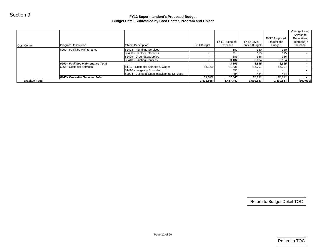|                       |                                     | Budget Detail Subtotaled by Cost Center, Program and Object |                          |                |                |                             |                            |
|-----------------------|-------------------------------------|-------------------------------------------------------------|--------------------------|----------------|----------------|-----------------------------|----------------------------|
|                       |                                     |                                                             |                          |                |                |                             | Change Level<br>Service to |
|                       |                                     |                                                             |                          |                |                | FY12 Proposed               | Reductions                 |
|                       |                                     |                                                             |                          | FY11 Projected | FY12 Level     | Reductions                  | (decrease) /               |
| <b>Cost Center</b>    | Program Description                 | <b>Object Description</b>                                   | FY11 Budget              | Expenses       | Service Budget | Budget                      | increase                   |
|                       | 6960 - Facilities Maintenance       | 82403 - Plumbing Services                                   | $\sim$                   | 180            | 180            | 180                         |                            |
|                       |                                     | 82408 - Electrical Services<br>82409 - Grounds//Supplies    | $\sim$<br>$\sim$         | $115$<br>386   | $115$<br>386   | $115$<br>386                |                            |
|                       |                                     | 82410 - Painting Services                                   | $\sim$                   | 3,184          | 3,184          | 3,184                       |                            |
|                       | 6960 - Facilities Maintenance Total |                                                             | $\overline{\phantom{a}}$ | 3,865          | 3,865          | 3,865                       |                            |
|                       | 6965 - Custodial Services           | 81113 - Custodial Salaries & Wages                          | 83,083                   | 81,431         | 85,707         | 85,707                      |                            |
|                       |                                     | 81416 - Longevity Custodial                                 | $\sim$                   | 690            | $\sim$         | $\sim$                      |                            |
|                       | 6965 - Custodial Services Total     | 82904 - Custodial Supplies/Cleaning Services                | $\sim$<br>83,083         | 484<br>82,605  | 484<br>86,191  | 484<br>86,191               |                            |
| <b>Brackett Total</b> |                                     |                                                             | 1,438,568                | 1,457,447      | 1,569,557      | 1,469,557                   | (100,000)                  |
|                       |                                     |                                                             |                          |                |                |                             |                            |
|                       |                                     |                                                             |                          |                |                |                             |                            |
|                       |                                     |                                                             |                          |                |                |                             |                            |
|                       |                                     |                                                             |                          |                |                | Return to Budget Detail TOC |                            |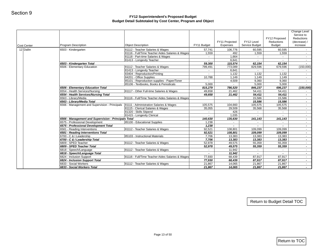| 6503 - Kindergarten<br>6503 - Kindergarten Total<br>6506 - Elementary Education | 81112 - Teacher Salaries & Wages<br>81116 - Full/Time Teacher Aides Salaries & Wages<br>81118 - Part-time Salaries & Wages<br>81413 - Longevity Teacher<br>81112 - Teacher Salaries & Wages<br>81413 - Longevity Teacher                                                                                                                                                                                                                                                            | 57,741<br>1,559<br>$\sim$<br>$\mathbf{a}^{\dagger}$<br>59,300<br>799,491                                                                                                                                                                                                                                                                                                                                                                                                                                                                                                 | 106,776<br>492<br>1,664<br>6,641<br>115,574                                                                                                                                           | 60,595<br>1,559<br>$\sim$<br>$\sim$                                                                                                                            | 60,595<br>1,559                                                                                                                                                         | $\sim$ $-$<br>$\sim$                                                                                                                                                |
|---------------------------------------------------------------------------------|-------------------------------------------------------------------------------------------------------------------------------------------------------------------------------------------------------------------------------------------------------------------------------------------------------------------------------------------------------------------------------------------------------------------------------------------------------------------------------------|--------------------------------------------------------------------------------------------------------------------------------------------------------------------------------------------------------------------------------------------------------------------------------------------------------------------------------------------------------------------------------------------------------------------------------------------------------------------------------------------------------------------------------------------------------------------------|---------------------------------------------------------------------------------------------------------------------------------------------------------------------------------------|----------------------------------------------------------------------------------------------------------------------------------------------------------------|-------------------------------------------------------------------------------------------------------------------------------------------------------------------------|---------------------------------------------------------------------------------------------------------------------------------------------------------------------|
|                                                                                 |                                                                                                                                                                                                                                                                                                                                                                                                                                                                                     |                                                                                                                                                                                                                                                                                                                                                                                                                                                                                                                                                                          |                                                                                                                                                                                       |                                                                                                                                                                |                                                                                                                                                                         |                                                                                                                                                                     |
|                                                                                 |                                                                                                                                                                                                                                                                                                                                                                                                                                                                                     |                                                                                                                                                                                                                                                                                                                                                                                                                                                                                                                                                                          |                                                                                                                                                                                       |                                                                                                                                                                |                                                                                                                                                                         |                                                                                                                                                                     |
|                                                                                 |                                                                                                                                                                                                                                                                                                                                                                                                                                                                                     |                                                                                                                                                                                                                                                                                                                                                                                                                                                                                                                                                                          |                                                                                                                                                                                       |                                                                                                                                                                |                                                                                                                                                                         | $\sim$                                                                                                                                                              |
|                                                                                 |                                                                                                                                                                                                                                                                                                                                                                                                                                                                                     |                                                                                                                                                                                                                                                                                                                                                                                                                                                                                                                                                                          |                                                                                                                                                                                       |                                                                                                                                                                | $\sim$                                                                                                                                                                  | $\sim$                                                                                                                                                              |
|                                                                                 |                                                                                                                                                                                                                                                                                                                                                                                                                                                                                     |                                                                                                                                                                                                                                                                                                                                                                                                                                                                                                                                                                          |                                                                                                                                                                                       | 62,154                                                                                                                                                         | 62,154                                                                                                                                                                  | $\sim$                                                                                                                                                              |
|                                                                                 |                                                                                                                                                                                                                                                                                                                                                                                                                                                                                     |                                                                                                                                                                                                                                                                                                                                                                                                                                                                                                                                                                          | 773,089                                                                                                                                                                               | 829,596                                                                                                                                                        | 679,596                                                                                                                                                                 | (150,000)                                                                                                                                                           |
|                                                                                 | 83404 - Reproduction/Printing                                                                                                                                                                                                                                                                                                                                                                                                                                                       | $\sim$<br>$\sim$                                                                                                                                                                                                                                                                                                                                                                                                                                                                                                                                                         | 6,641<br>1,132                                                                                                                                                                        | $\sim$<br>1,132                                                                                                                                                | 1,132                                                                                                                                                                   | $\sim$<br>$\sim$                                                                                                                                                    |
|                                                                                 | 84201 - Office Supplies                                                                                                                                                                                                                                                                                                                                                                                                                                                             | 10,788                                                                                                                                                                                                                                                                                                                                                                                                                                                                                                                                                                   | 1,149                                                                                                                                                                                 | 1,149                                                                                                                                                          | 1,149                                                                                                                                                                   | $\sim$                                                                                                                                                              |
|                                                                                 | 85101 - Reproduction supplies - Paper/Toner                                                                                                                                                                                                                                                                                                                                                                                                                                         | $\sim$                                                                                                                                                                                                                                                                                                                                                                                                                                                                                                                                                                   | 4,509                                                                                                                                                                                 | 9,360                                                                                                                                                          | 9,360                                                                                                                                                                   | $\sim$                                                                                                                                                              |
|                                                                                 |                                                                                                                                                                                                                                                                                                                                                                                                                                                                                     |                                                                                                                                                                                                                                                                                                                                                                                                                                                                                                                                                                          | $\sim$                                                                                                                                                                                |                                                                                                                                                                |                                                                                                                                                                         | $\sim$                                                                                                                                                              |
|                                                                                 |                                                                                                                                                                                                                                                                                                                                                                                                                                                                                     |                                                                                                                                                                                                                                                                                                                                                                                                                                                                                                                                                                          |                                                                                                                                                                                       |                                                                                                                                                                |                                                                                                                                                                         | (150,000)                                                                                                                                                           |
| 6554 - Health Services/Nursing                                                  |                                                                                                                                                                                                                                                                                                                                                                                                                                                                                     | 49,658                                                                                                                                                                                                                                                                                                                                                                                                                                                                                                                                                                   | 21,462                                                                                                                                                                                | 54,411                                                                                                                                                         | 54,411                                                                                                                                                                  | $\sim$                                                                                                                                                              |
| 6554 - Health Services/Nursing Total                                            |                                                                                                                                                                                                                                                                                                                                                                                                                                                                                     | 49,658                                                                                                                                                                                                                                                                                                                                                                                                                                                                                                                                                                   | 21,462                                                                                                                                                                                | 54,411                                                                                                                                                         | 54,411                                                                                                                                                                  | $\sim$                                                                                                                                                              |
| 6563 - Library/Media                                                            |                                                                                                                                                                                                                                                                                                                                                                                                                                                                                     |                                                                                                                                                                                                                                                                                                                                                                                                                                                                                                                                                                          |                                                                                                                                                                                       | 15,586                                                                                                                                                         | 15,586                                                                                                                                                                  | $\sim$ $-$                                                                                                                                                          |
| 6563 - Library/Media Total                                                      |                                                                                                                                                                                                                                                                                                                                                                                                                                                                                     |                                                                                                                                                                                                                                                                                                                                                                                                                                                                                                                                                                          |                                                                                                                                                                                       | 15,586                                                                                                                                                         | 15,586                                                                                                                                                                  | $\sim$                                                                                                                                                              |
| 6566 - Management and Supervision - Principals                                  |                                                                                                                                                                                                                                                                                                                                                                                                                                                                                     | 105,575                                                                                                                                                                                                                                                                                                                                                                                                                                                                                                                                                                  | 104,660                                                                                                                                                                               | 105,575                                                                                                                                                        | 105,575                                                                                                                                                                 | $\sim$                                                                                                                                                              |
|                                                                                 | 81115 - Clerical Salaries & Wages                                                                                                                                                                                                                                                                                                                                                                                                                                                   | 35,055                                                                                                                                                                                                                                                                                                                                                                                                                                                                                                                                                                   | 29,509                                                                                                                                                                                | 35,568                                                                                                                                                         | 35,568                                                                                                                                                                  | $\sim$                                                                                                                                                              |
|                                                                                 |                                                                                                                                                                                                                                                                                                                                                                                                                                                                                     | $\sim$                                                                                                                                                                                                                                                                                                                                                                                                                                                                                                                                                                   | 426                                                                                                                                                                                   | $\sim$                                                                                                                                                         | $\sim$                                                                                                                                                                  | $\sim$                                                                                                                                                              |
|                                                                                 |                                                                                                                                                                                                                                                                                                                                                                                                                                                                                     | $\sim$                                                                                                                                                                                                                                                                                                                                                                                                                                                                                                                                                                   | 1,035                                                                                                                                                                                 | $\sim$                                                                                                                                                         | $\sim$                                                                                                                                                                  | $\sim$                                                                                                                                                              |
|                                                                                 |                                                                                                                                                                                                                                                                                                                                                                                                                                                                                     |                                                                                                                                                                                                                                                                                                                                                                                                                                                                                                                                                                          |                                                                                                                                                                                       |                                                                                                                                                                |                                                                                                                                                                         | $\sim$                                                                                                                                                              |
|                                                                                 |                                                                                                                                                                                                                                                                                                                                                                                                                                                                                     |                                                                                                                                                                                                                                                                                                                                                                                                                                                                                                                                                                          | $\sim$                                                                                                                                                                                |                                                                                                                                                                |                                                                                                                                                                         | $\sim$                                                                                                                                                              |
|                                                                                 |                                                                                                                                                                                                                                                                                                                                                                                                                                                                                     |                                                                                                                                                                                                                                                                                                                                                                                                                                                                                                                                                                          |                                                                                                                                                                                       |                                                                                                                                                                |                                                                                                                                                                         | $\sim$                                                                                                                                                              |
|                                                                                 |                                                                                                                                                                                                                                                                                                                                                                                                                                                                                     |                                                                                                                                                                                                                                                                                                                                                                                                                                                                                                                                                                          |                                                                                                                                                                                       |                                                                                                                                                                |                                                                                                                                                                         | $\sim$                                                                                                                                                              |
|                                                                                 |                                                                                                                                                                                                                                                                                                                                                                                                                                                                                     |                                                                                                                                                                                                                                                                                                                                                                                                                                                                                                                                                                          |                                                                                                                                                                                       |                                                                                                                                                                |                                                                                                                                                                         | $\sim$                                                                                                                                                              |
|                                                                                 |                                                                                                                                                                                                                                                                                                                                                                                                                                                                                     |                                                                                                                                                                                                                                                                                                                                                                                                                                                                                                                                                                          |                                                                                                                                                                                       |                                                                                                                                                                |                                                                                                                                                                         | $\sim 100$                                                                                                                                                          |
|                                                                                 |                                                                                                                                                                                                                                                                                                                                                                                                                                                                                     |                                                                                                                                                                                                                                                                                                                                                                                                                                                                                                                                                                          |                                                                                                                                                                                       |                                                                                                                                                                |                                                                                                                                                                         | $\sim$                                                                                                                                                              |
|                                                                                 |                                                                                                                                                                                                                                                                                                                                                                                                                                                                                     |                                                                                                                                                                                                                                                                                                                                                                                                                                                                                                                                                                          |                                                                                                                                                                                       |                                                                                                                                                                |                                                                                                                                                                         | $\sim$<br>$\sim$                                                                                                                                                    |
|                                                                                 |                                                                                                                                                                                                                                                                                                                                                                                                                                                                                     |                                                                                                                                                                                                                                                                                                                                                                                                                                                                                                                                                                          |                                                                                                                                                                                       |                                                                                                                                                                |                                                                                                                                                                         | $\sim$                                                                                                                                                              |
|                                                                                 |                                                                                                                                                                                                                                                                                                                                                                                                                                                                                     |                                                                                                                                                                                                                                                                                                                                                                                                                                                                                                                                                                          |                                                                                                                                                                                       |                                                                                                                                                                |                                                                                                                                                                         | $\sim$                                                                                                                                                              |
|                                                                                 |                                                                                                                                                                                                                                                                                                                                                                                                                                                                                     |                                                                                                                                                                                                                                                                                                                                                                                                                                                                                                                                                                          |                                                                                                                                                                                       |                                                                                                                                                                |                                                                                                                                                                         | $\sim$                                                                                                                                                              |
|                                                                                 |                                                                                                                                                                                                                                                                                                                                                                                                                                                                                     |                                                                                                                                                                                                                                                                                                                                                                                                                                                                                                                                                                          |                                                                                                                                                                                       |                                                                                                                                                                |                                                                                                                                                                         | $\sim$                                                                                                                                                              |
|                                                                                 |                                                                                                                                                                                                                                                                                                                                                                                                                                                                                     |                                                                                                                                                                                                                                                                                                                                                                                                                                                                                                                                                                          |                                                                                                                                                                                       |                                                                                                                                                                |                                                                                                                                                                         | $\sim$                                                                                                                                                              |
|                                                                                 |                                                                                                                                                                                                                                                                                                                                                                                                                                                                                     |                                                                                                                                                                                                                                                                                                                                                                                                                                                                                                                                                                          |                                                                                                                                                                                       |                                                                                                                                                                |                                                                                                                                                                         | $\sim 100$                                                                                                                                                          |
|                                                                                 | 6506 - Elementary Education Total<br>6575 - Professional Development<br>6575 - Professional Development Total<br>6581 - Reading Interventions<br>6581 - Reading Interventions Total<br>6700 - C & I Leadership<br>6700 - C & I Leadership Total<br>6809 - SPED Teacher<br>6809 - SPED Teacher Total<br>6818 - Speech/Language<br>6818 - Speech/Language Total<br>6824 - Inclusion Support<br>6824 - Inclusion Support Total<br>6833 - Social Workers<br>6833 - Social Workers Total | 85106 - Textbooks, Books & Periodicals<br>81117 - Other Full-time Salaries & Wages<br>81116 - Full/Time Teacher Aides Salaries & Wages<br>81111 - Administration Salaries & Wages<br>81320 - Skills Stipend<br>81415 - Longevity Clerical<br>6566 - Management and Supervision - Principals Total<br>85100 - Educational Supplies<br>81112 - Teacher Salaries & Wages<br>85103 - Instructional Materials<br>81112 - Teacher Salaries & Wages<br>81112 - Teacher Salaries & Wages<br>81116 - Full/Time Teacher Aides Salaries & Wages<br>81112 - Teacher Salaries & Wages | 5,000<br>815,279<br>140,630<br>1,238<br>1,238<br>92,521<br>92,521<br>7,706<br>7,706<br>52,978<br>52,978<br>$\sim$<br>$\overline{\phantom{a}}$<br>77,930<br>77,930<br>21,867<br>21,867 | 786,520<br>135,630<br>$\blacksquare$<br>108,801<br>108,801<br>13,383<br>13,383<br>49,575<br>49,575<br>11,942<br>11,942<br>68,439<br>68,439<br>14,065<br>14,065 | 5,000<br>846,237<br>141,143<br>$\blacksquare$<br>109,099<br>109,099<br>13,383<br>13,383<br>55,359<br>55,359<br>$\sim$<br>$\sim$<br>87,917<br>87,917<br>21,867<br>21,867 | 5,000<br>696,237<br>141,143<br>$\sim$<br>109,099<br>109,099<br>13,383<br>13,383<br>55,359<br>55,359<br>$\sim 100$<br>$\sim$<br>87,917<br>87,917<br>21,867<br>21,867 |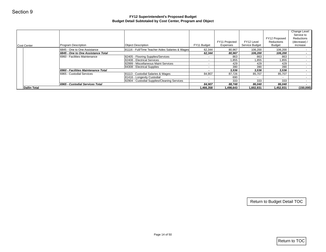| Section 9           |                                                                     | FY12 Superintendent's Proposed Budget<br>Budget Detail Subtotaled by Cost Center, Program and Object |                            |                     |                     |                             |                                                          |
|---------------------|---------------------------------------------------------------------|------------------------------------------------------------------------------------------------------|----------------------------|---------------------|---------------------|-----------------------------|----------------------------------------------------------|
|                     |                                                                     |                                                                                                      |                            | FY11 Projected      | FY12 Level          | FY12 Proposed<br>Reductions | Change Level<br>Service to<br>Reductions<br>(decrease) / |
| Cost Center         | Program Description                                                 | <b>Object Description</b>                                                                            | FY11 Budget                | Expenses            | Service Budget      | <b>Budget</b>               | increase                                                 |
|                     | 6845 - One to One Assistance                                        | 81116 - Full/Time Teacher Aides Salaries & Wages                                                     | 62,344                     | 80,967              | 106,200             | 106,200                     | $\sim$                                                   |
|                     | 6845 - One to One Assistance Total<br>6960 - Facilities Maintenance | 82405 - Flooring Supplies/Services                                                                   | 62,344<br>$\omega_{\rm c}$ | 80,967<br>863       | 106,200<br>863      | 106,200<br>863              | $\sim$<br>$\sim$                                         |
|                     |                                                                     | 82408 - Electrical Services                                                                          | $\sim$                     | 1,855               | 1,855               | 1,855                       | $\sim$                                                   |
|                     |                                                                     | 82999 - Miscellaneous Maint Services                                                                 | $\sim$                     | 429                 | 429                 | 429                         | $\sim$                                                   |
|                     |                                                                     | 84308 - Electrical Supplies                                                                          | $\sim$                     | 390                 | 390                 | 390                         | $\sim$                                                   |
|                     | 6960 - Facilities Maintenance Total                                 |                                                                                                      | $\overline{\phantom{a}}$   | 3,536               | 3,536               | 3,536                       | $\sim$                                                   |
|                     | 6965 - Custodial Services                                           | 81113 - Custodial Salaries & Wages                                                                   | 84,907                     | 87,726              | 85,707              | 85,707                      | $\sim$                                                   |
|                     |                                                                     | 81416 - Longevity Custodial                                                                          | $\sim$                     | 690                 | $\omega$            | $\sim$                      | $\sim$                                                   |
|                     |                                                                     | 82904 - Custodial Supplies/Cleaning Services                                                         | $\sim$                     | 333                 | 333                 | 333                         | $\sim$ $-$                                               |
| <b>Dallin Total</b> | 6965 - Custodial Services Total                                     |                                                                                                      | 84,907<br>1,466,358        | 88,748<br>1,498,643 | 86,040<br>1,602,931 | 86,040<br>1,452,931         | $\sim$<br>(150,000)                                      |
|                     |                                                                     |                                                                                                      |                            |                     |                     |                             |                                                          |
|                     |                                                                     |                                                                                                      |                            |                     |                     |                             |                                                          |
|                     |                                                                     |                                                                                                      |                            |                     |                     |                             |                                                          |
|                     |                                                                     |                                                                                                      |                            |                     |                     | Return to Budget Detail TOC |                                                          |
|                     |                                                                     | Page 14 of 50                                                                                        |                            |                     |                     |                             | $ $ Return to TOC                                        |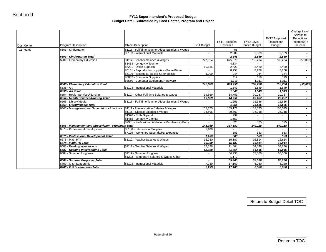| <b>Cost Center</b> | Program Description                                  | <b>Object Description</b>                                              | FY11 Budget                           | FY11 Projected<br>Expenses | FY12 Level<br>Service Budget | FY12 Proposed<br>Reductions<br><b>Budget</b> | Change Level<br>Service to<br>Reductions<br>(decrease) /<br>increase |
|--------------------|------------------------------------------------------|------------------------------------------------------------------------|---------------------------------------|----------------------------|------------------------------|----------------------------------------------|----------------------------------------------------------------------|
| 15 Hardy           | 6503 - Kindergarten                                  | 81116 - Full/Time Teacher Aides Salaries & Wages                       | $\sim$                                | 55                         | $\sim$                       | $\sim$                                       | $\sim$                                                               |
|                    |                                                      | 85103 - Instructional Materials                                        | $\sim$                                | 2,589                      | 2,589                        | 2,589                                        | $\sim$                                                               |
|                    | 6503 - Kindergarten Total                            |                                                                        | $\bullet$                             | 2,645                      | 2,589                        | 2,589                                        | $\sim$                                                               |
|                    | 6506 - Elementary Education                          | 81112 - Teacher Salaries & Wages                                       | 727,554                               | 675,870                    | 755,204                      | 705,204                                      | (50,000)                                                             |
|                    |                                                      | 81413 - Longevity Teacher                                              | $\sim$                                | 4,334                      | $\sim$                       | $\sim$                                       | $\sim$                                                               |
|                    |                                                      | 84201 - Office Supplies<br>85101 - Reproduction supplies - Paper/Toner | 10,135                                | 2,420                      | 2,420                        | 2,420                                        | $\sim$<br>$\sim$                                                     |
|                    |                                                      | 85106 - Textbooks, Books & Periodicals                                 | 5,000                                 | 8,758<br>944               | 8,758<br>944                 | 8,758<br>944                                 | $\sim$                                                               |
|                    |                                                      | 85802 - Computer Supplies                                              | $\sim$                                | 119                        | 119                          | 119                                          | $\sim$                                                               |
|                    |                                                      | 88550 - Computer Equipment/Hardware                                    | $\sim$                                | 1,311                      | 1,311                        | 1,311                                        | $\sim$                                                               |
|                    | 6506 - Elementary Education Total                    |                                                                        | 742,689                               | 693,756                    | 768,756                      | 718,756                                      | (50,000)                                                             |
|                    | 6536 - Art                                           | 85103 - Instructional Materials                                        |                                       | 1,549                      | 1,549                        | 1,549                                        |                                                                      |
|                    | 6536 - Art Total                                     |                                                                        | $\sim$                                | 1,549                      | 1,549                        | 1,549                                        | $\sim$                                                               |
|                    | 6554 - Health Services/Nursing                       | 81117 - Other Full-time Salaries & Wages                               | 19,669                                | 14,751                     | 20,287                       | 20,287                                       | $\sim$                                                               |
|                    | 6554 - Health Services/Nursing Total                 |                                                                        | 19,669                                | 14,751                     | 20,287                       | 20,287                                       | $\sim$                                                               |
|                    | 6563 - Library/Media                                 | 81116 - Full/Time Teacher Aides Salaries & Wages                       |                                       | 1,255                      | 15,586                       | 15,586                                       | $\sim$                                                               |
|                    | 6563 - Library/Media Total                           |                                                                        |                                       | 1,255                      | 15,586                       | 15,586                                       | $\sim$                                                               |
|                    | 6566 - Management and Supervision - Principals       | 81111 - Administration Salaries & Wages                                | 105,575                               | 105,171                    | 105,575                      | 105,575                                      | $\sim$                                                               |
|                    |                                                      | 81115 - Clerical Salaries & Wages                                      | 35,505                                | 29,703                     | 36,018                       | 36,018                                       | $\sim$                                                               |
|                    |                                                      | 81320 - Skills Stipend                                                 | $\sim$                                | 232                        | $\sim$                       | $\sim$                                       | $\sim$                                                               |
|                    |                                                      | 81415 - Longevity Clerical                                             | $\sim$                                | 1,553                      |                              |                                              | $\sim$                                                               |
|                    |                                                      | 87301 - Professional Affiliations Membership/Pubs                      | $\omega$                              | 525                        | 525                          | 525                                          | $\sim$                                                               |
|                    | 6566 - Management and Supervision - Principals Total |                                                                        | 141,080                               | 137,182                    | 142,118                      | 142,118                                      | $\sim$                                                               |
|                    | 6575 - Professional Development                      | 85100 - Educational Supplies                                           | 1,100                                 |                            | $\sim$                       | $\sim$                                       | $\sim$                                                               |
|                    |                                                      | 87105 - Workshop Stipends/PD Expenses                                  | $\sim$                                | 583                        | 583                          | 583                                          | $\sim$                                                               |
|                    | 6575 - Professional Development Total                |                                                                        | 1,100                                 | 583                        | 583                          | 583                                          | $\sim$                                                               |
|                    | 6578 - Math RTI                                      | 81112 - Teacher Salaries & Wages                                       | 16,230                                | 15,187                     | 16,814                       | 16,814                                       | $\sim$                                                               |
|                    | 6578 - Math RTI Total                                |                                                                        | 16,230                                | 15,187                     | 16,814                       | 16,814                                       | $\sim$                                                               |
|                    | 6581 - Reading Interventions                         | 81112 - Teacher Salaries & Wages                                       | 62,028                                | 71,864                     | 64,846                       | 64,846                                       | $\sim$                                                               |
|                    | 6581 - Reading Interventions Total                   |                                                                        | 62,028                                | 71,864                     | 64,846                       | 64,846                                       | $\sim$                                                               |
|                    | 6584 - Summer Programs                               | 81119 - Summer Program<br>81202 - Temporary Salaries & Wages Other     | $\sim$<br>$\mathcal{L}_{\mathcal{A}}$ | 64,238                     | 65,000                       | 65,000<br>$\sim 10$                          | $\sim$                                                               |
|                    | 6584 - Summer Programs Total                         |                                                                        | $\sim$                                | 1,170<br>65,408            | $\sim$<br>65,000             | 65,000                                       | $\sim$<br>$\sim$                                                     |
|                    | 6700 - C & I Leadership                              | 85103 - Instructional Materials                                        | 7,239                                 | 17,103                     | 6,080                        | 6,080                                        | $\sim$                                                               |
|                    | 6700 - C & I Leadership Total                        |                                                                        | 7,239                                 | 17,103                     | 6,080                        | 6,080                                        | $\sim$                                                               |
|                    |                                                      |                                                                        |                                       |                            |                              |                                              |                                                                      |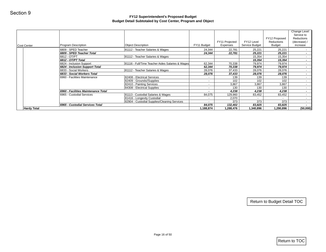|                    |                                                      | Budget Detail Subtotaled by Cost Center, Program and Object |                     |                            |                              |                                              |                                                                             |
|--------------------|------------------------------------------------------|-------------------------------------------------------------|---------------------|----------------------------|------------------------------|----------------------------------------------|-----------------------------------------------------------------------------|
| Cost Center        | <b>Program Description</b>                           | <b>Object Description</b>                                   | FY11 Budget         | FY11 Projected<br>Expenses | FY12 Level<br>Service Budget | FY12 Proposed<br>Reductions<br><b>Budget</b> | <b>Change Level</b><br>Service to<br>Reductions<br>(decrease) /<br>increase |
|                    | 6809 - SPED Teacher                                  | 81112 - Teacher Salaries & Wages                            | 24,344              | 22,781                     | 25,221                       | 25,221                                       | $\sim$                                                                      |
|                    | 6809 - SPED Teacher Total                            |                                                             | 24,344              | 22,781                     | 25,221                       | 25,221                                       | $\sim$                                                                      |
|                    | 6812 - OT/PT                                         | 81112 - Teacher Salaries & Wages                            |                     |                            | 15,354                       | 15,354                                       | $\sim$                                                                      |
|                    | 6812 - OT/PT Total                                   |                                                             |                     |                            | 15,354                       | 15,354                                       | $\sim$                                                                      |
|                    | 6824 - Inclusion Support                             | 81116 - Full/Time Teacher Aides Salaries & Wages            | 62,344              | 70,338                     | 79,974                       | 79,974                                       | $\sim$                                                                      |
|                    | 6824 - Inclusion Support Total                       | 81112 - Teacher Salaries & Wages                            | 62,344              | 70,338                     | 79,974                       | 79,974                                       | $\sim$                                                                      |
|                    | 6833 - Social Workers<br>6833 - Social Workers Total |                                                             | 28,076<br>28,076    | 37,433<br>37,433           | 28,076<br>28,076             | 28,076<br>28,076                             | $\sim$<br>$\sim$                                                            |
|                    | 6960 - Facilities Maintenance                        | 82408 - Electrical Services                                 | $\sim$              | 139                        | 139                          | 139                                          | $\sim 10$                                                                   |
|                    |                                                      | 82409 - Grounds//Supplies                                   | $\sim$              | 102                        | 102                          | 102                                          | $\sim$                                                                      |
|                    |                                                      | 82410 - Painting Services                                   | $\sim$              | 3,867                      | 3,867                        | 3,867                                        | $\sim$                                                                      |
|                    |                                                      | 84308 - Electrical Supplies                                 | $\sim$              | 130                        | 130                          | 130                                          | $\sim$                                                                      |
|                    | 6960 - Facilities Maintenance Total                  |                                                             | $\blacksquare$      | 4,238                      | 4,238                        | 4,238                                        | $\sim$                                                                      |
|                    | 6965 - Custodial Services                            | 81113 - Custodial Salaries & Wages                          | 84,075              | 129,960                    | 83,452                       | 83,452                                       | $\sim 10$                                                                   |
|                    |                                                      | 81416 - Longevity Custodial                                 | $\sim$              | 2,070                      | $\sim$                       | $\sim$                                       | $\sim$                                                                      |
|                    |                                                      | 82904 - Custodial Supplies/Cleaning Services                | $\sim$              | 373                        | 373                          | 373                                          | $\sim 100$                                                                  |
| <b>Hardy Total</b> | 6965 - Custodial Services Total                      |                                                             | 84,075<br>1,188,874 | 132,402<br>1,288,476       | 83,825<br>1,340,896          | 83,825<br>1,290,896                          | $\sim$<br>(50,000)                                                          |
|                    |                                                      |                                                             |                     |                            |                              |                                              |                                                                             |
|                    |                                                      |                                                             |                     |                            |                              |                                              |                                                                             |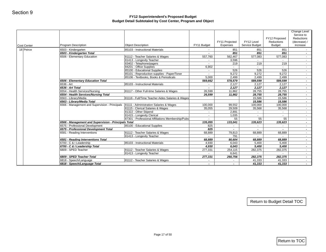|                                   | <b>Object Description</b>                                                                                                                                                                                                                                                                                                                                                                                                                                              | FY11 Budget                                                                                                                                                                                                                                                                                                                                                                                                                                                                                                                                                                      | FY11 Projected<br>Expenses                                                                                                                                        | FY12 Level<br>Service Budget                                                                                                                                | FY12 Proposed<br>Reductions<br>Budget                                                                                                                                                          | Service to<br>Reductions<br>(decrease) /<br>increase                                                                                                                                           |
|-----------------------------------|------------------------------------------------------------------------------------------------------------------------------------------------------------------------------------------------------------------------------------------------------------------------------------------------------------------------------------------------------------------------------------------------------------------------------------------------------------------------|----------------------------------------------------------------------------------------------------------------------------------------------------------------------------------------------------------------------------------------------------------------------------------------------------------------------------------------------------------------------------------------------------------------------------------------------------------------------------------------------------------------------------------------------------------------------------------|-------------------------------------------------------------------------------------------------------------------------------------------------------------------|-------------------------------------------------------------------------------------------------------------------------------------------------------------|------------------------------------------------------------------------------------------------------------------------------------------------------------------------------------------------|------------------------------------------------------------------------------------------------------------------------------------------------------------------------------------------------|
| 6503 - Kindergarten               | 85103 - Instructional Materials                                                                                                                                                                                                                                                                                                                                                                                                                                        | $\sim$                                                                                                                                                                                                                                                                                                                                                                                                                                                                                                                                                                           | 851                                                                                                                                                               | 851                                                                                                                                                         | 851                                                                                                                                                                                            | $\sim$                                                                                                                                                                                         |
| 6503 - Kindergarten Total         |                                                                                                                                                                                                                                                                                                                                                                                                                                                                        | $\sim$                                                                                                                                                                                                                                                                                                                                                                                                                                                                                                                                                                           | 851                                                                                                                                                               | 851                                                                                                                                                         | 851                                                                                                                                                                                            | $\sim$                                                                                                                                                                                         |
| 6506 - Elementary Education       | 81112 - Teacher Salaries & Wages                                                                                                                                                                                                                                                                                                                                                                                                                                       | 557,760                                                                                                                                                                                                                                                                                                                                                                                                                                                                                                                                                                          | 562,467                                                                                                                                                           | 577,083                                                                                                                                                     | 577,083                                                                                                                                                                                        | $\sim$                                                                                                                                                                                         |
|                                   | 81413 - Longevity Teacher                                                                                                                                                                                                                                                                                                                                                                                                                                              | $\sim$                                                                                                                                                                                                                                                                                                                                                                                                                                                                                                                                                                           | 3,596                                                                                                                                                             | $\sim$                                                                                                                                                      | $\sim$                                                                                                                                                                                         | $\sim$<br>$\sim$                                                                                                                                                                               |
|                                   |                                                                                                                                                                                                                                                                                                                                                                                                                                                                        |                                                                                                                                                                                                                                                                                                                                                                                                                                                                                                                                                                                  |                                                                                                                                                                   |                                                                                                                                                             |                                                                                                                                                                                                | $\sim$                                                                                                                                                                                         |
|                                   |                                                                                                                                                                                                                                                                                                                                                                                                                                                                        |                                                                                                                                                                                                                                                                                                                                                                                                                                                                                                                                                                                  |                                                                                                                                                                   |                                                                                                                                                             |                                                                                                                                                                                                | $\sim$                                                                                                                                                                                         |
|                                   |                                                                                                                                                                                                                                                                                                                                                                                                                                                                        | $\sim$                                                                                                                                                                                                                                                                                                                                                                                                                                                                                                                                                                           |                                                                                                                                                                   |                                                                                                                                                             |                                                                                                                                                                                                | $\sim$ 10 $\pm$                                                                                                                                                                                |
|                                   | 85106 - Textbooks, Books & Periodicals                                                                                                                                                                                                                                                                                                                                                                                                                                 | 5,000                                                                                                                                                                                                                                                                                                                                                                                                                                                                                                                                                                            | 2,499                                                                                                                                                             | 2,499                                                                                                                                                       | 2,499                                                                                                                                                                                          | $\sim$                                                                                                                                                                                         |
| 6506 - Elementary Education Total |                                                                                                                                                                                                                                                                                                                                                                                                                                                                        | 569,662                                                                                                                                                                                                                                                                                                                                                                                                                                                                                                                                                                          |                                                                                                                                                                   | 589,599                                                                                                                                                     | 589,599                                                                                                                                                                                        | $\sim$                                                                                                                                                                                         |
| 6536 - Art                        | 85103 - Instructional Materials                                                                                                                                                                                                                                                                                                                                                                                                                                        | $\sim$                                                                                                                                                                                                                                                                                                                                                                                                                                                                                                                                                                           | 2,127                                                                                                                                                             | 2,127                                                                                                                                                       | 2,127                                                                                                                                                                                          | $\sim$                                                                                                                                                                                         |
|                                   |                                                                                                                                                                                                                                                                                                                                                                                                                                                                        | $\sim$                                                                                                                                                                                                                                                                                                                                                                                                                                                                                                                                                                           |                                                                                                                                                                   |                                                                                                                                                             |                                                                                                                                                                                                | $\sim$                                                                                                                                                                                         |
|                                   |                                                                                                                                                                                                                                                                                                                                                                                                                                                                        |                                                                                                                                                                                                                                                                                                                                                                                                                                                                                                                                                                                  |                                                                                                                                                                   |                                                                                                                                                             |                                                                                                                                                                                                | $\sim$                                                                                                                                                                                         |
|                                   |                                                                                                                                                                                                                                                                                                                                                                                                                                                                        |                                                                                                                                                                                                                                                                                                                                                                                                                                                                                                                                                                                  |                                                                                                                                                                   |                                                                                                                                                             |                                                                                                                                                                                                | $\sim$                                                                                                                                                                                         |
|                                   |                                                                                                                                                                                                                                                                                                                                                                                                                                                                        |                                                                                                                                                                                                                                                                                                                                                                                                                                                                                                                                                                                  |                                                                                                                                                                   |                                                                                                                                                             |                                                                                                                                                                                                | $\sim$<br>$\sim$                                                                                                                                                                               |
|                                   |                                                                                                                                                                                                                                                                                                                                                                                                                                                                        |                                                                                                                                                                                                                                                                                                                                                                                                                                                                                                                                                                                  |                                                                                                                                                                   |                                                                                                                                                             |                                                                                                                                                                                                | $\sim$                                                                                                                                                                                         |
|                                   |                                                                                                                                                                                                                                                                                                                                                                                                                                                                        |                                                                                                                                                                                                                                                                                                                                                                                                                                                                                                                                                                                  |                                                                                                                                                                   |                                                                                                                                                             |                                                                                                                                                                                                | $\sim$                                                                                                                                                                                         |
|                                   | 81322 - Other Stipend                                                                                                                                                                                                                                                                                                                                                                                                                                                  | $\sim$                                                                                                                                                                                                                                                                                                                                                                                                                                                                                                                                                                           | 2,891                                                                                                                                                             | $\blacksquare$                                                                                                                                              | $\sim$                                                                                                                                                                                         | $\sim$                                                                                                                                                                                         |
|                                   |                                                                                                                                                                                                                                                                                                                                                                                                                                                                        | $\sim$                                                                                                                                                                                                                                                                                                                                                                                                                                                                                                                                                                           | 1,035                                                                                                                                                             | $\blacksquare$                                                                                                                                              | $\sim$                                                                                                                                                                                         | $\sim$                                                                                                                                                                                         |
|                                   | 87301 - Professional Affiliations Membership/Pubs                                                                                                                                                                                                                                                                                                                                                                                                                      | $\sim$                                                                                                                                                                                                                                                                                                                                                                                                                                                                                                                                                                           | 55                                                                                                                                                                | 55                                                                                                                                                          | 55                                                                                                                                                                                             | $\sim$                                                                                                                                                                                         |
|                                   |                                                                                                                                                                                                                                                                                                                                                                                                                                                                        |                                                                                                                                                                                                                                                                                                                                                                                                                                                                                                                                                                                  |                                                                                                                                                                   |                                                                                                                                                             |                                                                                                                                                                                                | $\sim$                                                                                                                                                                                         |
|                                   |                                                                                                                                                                                                                                                                                                                                                                                                                                                                        |                                                                                                                                                                                                                                                                                                                                                                                                                                                                                                                                                                                  |                                                                                                                                                                   |                                                                                                                                                             |                                                                                                                                                                                                | $\sim$                                                                                                                                                                                         |
|                                   |                                                                                                                                                                                                                                                                                                                                                                                                                                                                        |                                                                                                                                                                                                                                                                                                                                                                                                                                                                                                                                                                                  |                                                                                                                                                                   |                                                                                                                                                             |                                                                                                                                                                                                | $\sim$<br>$\sim$                                                                                                                                                                               |
|                                   |                                                                                                                                                                                                                                                                                                                                                                                                                                                                        |                                                                                                                                                                                                                                                                                                                                                                                                                                                                                                                                                                                  |                                                                                                                                                                   |                                                                                                                                                             |                                                                                                                                                                                                | $\sim$                                                                                                                                                                                         |
|                                   |                                                                                                                                                                                                                                                                                                                                                                                                                                                                        |                                                                                                                                                                                                                                                                                                                                                                                                                                                                                                                                                                                  |                                                                                                                                                                   |                                                                                                                                                             |                                                                                                                                                                                                | $\sim$                                                                                                                                                                                         |
|                                   |                                                                                                                                                                                                                                                                                                                                                                                                                                                                        |                                                                                                                                                                                                                                                                                                                                                                                                                                                                                                                                                                                  |                                                                                                                                                                   |                                                                                                                                                             |                                                                                                                                                                                                | $\sim$ $-$                                                                                                                                                                                     |
| 6700 - C & I Leadership Total     |                                                                                                                                                                                                                                                                                                                                                                                                                                                                        | 4,930                                                                                                                                                                                                                                                                                                                                                                                                                                                                                                                                                                            | 6,043                                                                                                                                                             | 5,400                                                                                                                                                       | 5,400                                                                                                                                                                                          | $\sim$                                                                                                                                                                                         |
| 6809 - SPED Teacher               | 81112 - Teacher Salaries & Wages                                                                                                                                                                                                                                                                                                                                                                                                                                       | 277,331                                                                                                                                                                                                                                                                                                                                                                                                                                                                                                                                                                          | 254,115                                                                                                                                                           | 282,375                                                                                                                                                     | 282,375                                                                                                                                                                                        | $\sim$                                                                                                                                                                                         |
|                                   | 81413 - Longevity Teacher                                                                                                                                                                                                                                                                                                                                                                                                                                              |                                                                                                                                                                                                                                                                                                                                                                                                                                                                                                                                                                                  | 6,641                                                                                                                                                             | $\sim$                                                                                                                                                      | $\sim$ 10 $\pm$                                                                                                                                                                                | $\sim$ $-$                                                                                                                                                                                     |
|                                   |                                                                                                                                                                                                                                                                                                                                                                                                                                                                        |                                                                                                                                                                                                                                                                                                                                                                                                                                                                                                                                                                                  | 260,756                                                                                                                                                           |                                                                                                                                                             | 282,375                                                                                                                                                                                        | $\sim$                                                                                                                                                                                         |
|                                   |                                                                                                                                                                                                                                                                                                                                                                                                                                                                        |                                                                                                                                                                                                                                                                                                                                                                                                                                                                                                                                                                                  |                                                                                                                                                                   |                                                                                                                                                             |                                                                                                                                                                                                | $\sim 100$                                                                                                                                                                                     |
|                                   |                                                                                                                                                                                                                                                                                                                                                                                                                                                                        |                                                                                                                                                                                                                                                                                                                                                                                                                                                                                                                                                                                  |                                                                                                                                                                   |                                                                                                                                                             |                                                                                                                                                                                                | $\sim$                                                                                                                                                                                         |
|                                   | 6536 - Art Total<br>6554 - Health Services/Nursing<br>6554 - Health Services/Nursing Total<br>6563 - Library/Media<br>6563 - Librarv/Media Total<br>6566 - Management and Supervision - Principals<br>6575 - Professional Development<br>6575 - Professional Development Total<br>6581 - Reading Interventions<br>6581 - Reading Interventions Total<br>6700 - C & I Leadership<br>6809 - SPED Teacher Total<br>6818 - Speech/Language<br>6818 - Speech/Language Total | 83402 - Telephone/pagers<br>84201 - Office Supplies<br>85100 - Educational Supplies<br>85101 - Reproduction supplies - Paper/Toner<br>81117 - Other Full-time Salaries & Wages<br>81116 - Full/Time Teacher Aides Salaries & Wages<br>81111 - Administration Salaries & Wages<br>81115 - Clerical Salaries & Wages<br>81415 - Longevity Clerical<br>6566 - Management and Supervision - Principals Total<br>85100 - Educational Supplies<br>81112 - Teacher Salaries & Wages<br>81413 - Longevity Teacher<br>85103 - Instructional Materials<br>81112 - Teacher Salaries & Wages | $\sim$<br>6,902<br>$\sim$<br>26,599<br>26,599<br>100,000<br>35,055<br>135,055<br>825<br>825<br>68,889<br>$\sim$<br>68,889<br>4,930<br>277,331<br>$\sim$<br>$\sim$ | 219<br>$\sim$<br>526<br>9,272<br>2,127<br>11,862<br>11,862<br>99,552<br>29,509<br>133,041<br>$\sim$<br>$\sim$<br>79,813<br>791<br>6,043<br>$\sim$<br>$\sim$ | 219<br>$\sim$<br>526<br>9,272<br>578,579<br>2,127<br>28,755<br>28,755<br>15,586<br>15,586<br>100,000<br>35,568<br>135,623<br>$\sim$<br>68,889<br>80,604<br>68,889<br>5,400<br>41,333<br>41,333 | 219<br>$\sim$<br>526<br>9,272<br>2,127<br>28,755<br>28,755<br>15,586<br>15,586<br>100,000<br>35,568<br>135,623<br>$\sim$<br>68,889<br>$\sim$<br>68,889<br>5,400<br>282,375<br>41,333<br>41,333 |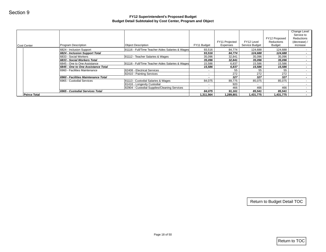| Cost Center         | Program Description                                                 | <b>Object Description</b>                                | FY11 Budget              | FY11 Projected<br>Expenses | FY12 Level<br>Service Budget | FY12 Proposed<br>Reductions<br><b>Budget</b> | Change Level<br>Service to<br>Reductions<br>(decrease) /<br>increase |
|---------------------|---------------------------------------------------------------------|----------------------------------------------------------|--------------------------|----------------------------|------------------------------|----------------------------------------------|----------------------------------------------------------------------|
|                     | 6824 - Inclusion Support                                            | 81116 - Full/Time Teacher Aides Salaries & Wages         | 93,516                   | 84,774                     | 124,688                      | 124,688                                      | $\sim$                                                               |
|                     | 6824 - Inclusion Support Total                                      |                                                          | 93,516                   | 84,774                     | 124,688                      | 124,688                                      | $\sim$                                                               |
|                     | 6833 - Social Workers                                               | 81112 - Teacher Salaries & Wages                         | 35,096                   | 32,841                     | 35,096                       | 35,096                                       | $\sim$                                                               |
|                     | 6833 - Social Workers Total                                         |                                                          | 35,096                   | 32,841                     | 35,096                       | 35,096                                       | $\sim$                                                               |
|                     | 6845 - One to One Assistance                                        | 81116 - Full/Time Teacher Aides Salaries & Wages         | 15,586                   | 6,837                      | 15,586                       | 15,586                                       | $\sim$                                                               |
|                     | 6845 - One to One Assistance Total<br>6960 - Facilities Maintenance |                                                          | 15,586                   | 6,837                      | 15,586                       | 15,586                                       | $\sim$                                                               |
|                     |                                                                     | 82408 - Electrical Services<br>82410 - Painting Services | $\sim$<br>$\sim$         | 55<br>272                  | 55<br>272                    | 55<br>272                                    | $\sim$<br>$\sim$                                                     |
|                     | 6960 - Facilities Maintenance Total                                 |                                                          | $\overline{\phantom{a}}$ | 327                        | 327                          | 327                                          | $\sim$                                                               |
|                     | 6965 - Custodial Services                                           | 81113 - Custodial Salaries & Wages                       | 84,075                   | 89,775                     | 85,075                       | 85,075                                       | $\sim$                                                               |
|                     |                                                                     | 81416 - Longevity Custodial                              | $\sim$                   | 920                        | $\sim$                       | $\sim$                                       | $\sim$                                                               |
|                     |                                                                     | 82904 - Custodial Supplies/Cleaning Services             | $\sim$                   | 466                        | 466                          | 466                                          | $\sim$                                                               |
|                     | 6965 - Custodial Services Total                                     |                                                          | 84,075                   | 91,161                     | 85,541                       | 85,541                                       | $\sim$                                                               |
| <b>Peirce Total</b> |                                                                     |                                                          | 1,311,564                | 1,289,801                  | 1,431,775                    | 1,431,775                                    | $\sim 100$                                                           |
|                     |                                                                     |                                                          |                          |                            |                              |                                              |                                                                      |
|                     |                                                                     |                                                          |                          |                            |                              |                                              |                                                                      |
|                     |                                                                     |                                                          |                          |                            |                              | Return to Budget Detail TOC                  |                                                                      |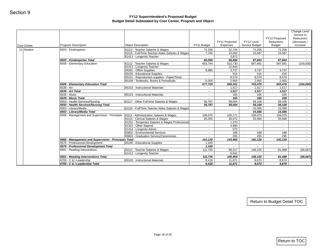| <b>Object Description</b><br>81112 - Teacher Salaries & Wages<br>81116 - Full/Time Teacher Aides Salaries & Wages<br>81413 - Longevity Teacher<br>81112 - Teacher Salaries & Wages<br>81413 - Longevity Teacher<br>84201 - Office Supplies<br>85100 - Educational Supplies<br>85101 - Reproduction supplies - Paper/Toner<br>85106 - Textbooks, Books & Periodicals<br>6506 - Elementary Education Total | FY11 Budget<br>72,256<br>7,794<br>$\sim$<br>80,050<br>663,744<br>$\sim$<br>8,985<br>$\sim$                                                                                                                                                                                                                                                                                                                                                                                                                                                                                                                                                                                      | Expenses<br>52,744<br>10,050<br>3,872<br>66,666<br>622,730<br>11,844<br>3,737<br>516                                                                                                                                        | Service Budget<br>72,256<br>15,587<br>$\sim$<br>87,843<br>687,691<br>$\sim$<br>3,737<br>516                                            | Budget<br>72,256<br>15,587<br>$\sim$<br>87,843<br>587,691<br>$\sim$<br>3,737                                                                             | increase<br>$\sim$ 10 $\pm$<br>$\sim$<br>$\sim$<br>(100,000)<br>$\sim$                                                                                |
|----------------------------------------------------------------------------------------------------------------------------------------------------------------------------------------------------------------------------------------------------------------------------------------------------------------------------------------------------------------------------------------------------------|---------------------------------------------------------------------------------------------------------------------------------------------------------------------------------------------------------------------------------------------------------------------------------------------------------------------------------------------------------------------------------------------------------------------------------------------------------------------------------------------------------------------------------------------------------------------------------------------------------------------------------------------------------------------------------|-----------------------------------------------------------------------------------------------------------------------------------------------------------------------------------------------------------------------------|----------------------------------------------------------------------------------------------------------------------------------------|----------------------------------------------------------------------------------------------------------------------------------------------------------|-------------------------------------------------------------------------------------------------------------------------------------------------------|
|                                                                                                                                                                                                                                                                                                                                                                                                          |                                                                                                                                                                                                                                                                                                                                                                                                                                                                                                                                                                                                                                                                                 |                                                                                                                                                                                                                             |                                                                                                                                        |                                                                                                                                                          |                                                                                                                                                       |
|                                                                                                                                                                                                                                                                                                                                                                                                          |                                                                                                                                                                                                                                                                                                                                                                                                                                                                                                                                                                                                                                                                                 |                                                                                                                                                                                                                             |                                                                                                                                        |                                                                                                                                                          |                                                                                                                                                       |
|                                                                                                                                                                                                                                                                                                                                                                                                          |                                                                                                                                                                                                                                                                                                                                                                                                                                                                                                                                                                                                                                                                                 |                                                                                                                                                                                                                             |                                                                                                                                        |                                                                                                                                                          |                                                                                                                                                       |
|                                                                                                                                                                                                                                                                                                                                                                                                          |                                                                                                                                                                                                                                                                                                                                                                                                                                                                                                                                                                                                                                                                                 |                                                                                                                                                                                                                             |                                                                                                                                        |                                                                                                                                                          |                                                                                                                                                       |
|                                                                                                                                                                                                                                                                                                                                                                                                          |                                                                                                                                                                                                                                                                                                                                                                                                                                                                                                                                                                                                                                                                                 |                                                                                                                                                                                                                             |                                                                                                                                        |                                                                                                                                                          |                                                                                                                                                       |
|                                                                                                                                                                                                                                                                                                                                                                                                          |                                                                                                                                                                                                                                                                                                                                                                                                                                                                                                                                                                                                                                                                                 |                                                                                                                                                                                                                             |                                                                                                                                        |                                                                                                                                                          | $\sim$ $-$                                                                                                                                            |
|                                                                                                                                                                                                                                                                                                                                                                                                          |                                                                                                                                                                                                                                                                                                                                                                                                                                                                                                                                                                                                                                                                                 |                                                                                                                                                                                                                             |                                                                                                                                        | 516                                                                                                                                                      | $\sim$                                                                                                                                                |
|                                                                                                                                                                                                                                                                                                                                                                                                          |                                                                                                                                                                                                                                                                                                                                                                                                                                                                                                                                                                                                                                                                                 | 8,579                                                                                                                                                                                                                       | 8,579                                                                                                                                  | 8,579                                                                                                                                                    | $\sim$                                                                                                                                                |
|                                                                                                                                                                                                                                                                                                                                                                                                          | 5,000                                                                                                                                                                                                                                                                                                                                                                                                                                                                                                                                                                                                                                                                           | 2,955                                                                                                                                                                                                                       | 2,955                                                                                                                                  | 2,955                                                                                                                                                    | $\sim$                                                                                                                                                |
|                                                                                                                                                                                                                                                                                                                                                                                                          | 677,729                                                                                                                                                                                                                                                                                                                                                                                                                                                                                                                                                                                                                                                                         | 650,361                                                                                                                                                                                                                     | 703,478                                                                                                                                | 603,478                                                                                                                                                  | (100, 000)                                                                                                                                            |
| 85103 - Instructional Materials                                                                                                                                                                                                                                                                                                                                                                          | $\sim$                                                                                                                                                                                                                                                                                                                                                                                                                                                                                                                                                                                                                                                                          | 1,517                                                                                                                                                                                                                       | 1,517                                                                                                                                  | 1,517                                                                                                                                                    | $\sim$ $-$                                                                                                                                            |
|                                                                                                                                                                                                                                                                                                                                                                                                          | $\sim$                                                                                                                                                                                                                                                                                                                                                                                                                                                                                                                                                                                                                                                                          | 1,517                                                                                                                                                                                                                       | 1,517                                                                                                                                  | 1,517                                                                                                                                                    | $\sim$                                                                                                                                                |
|                                                                                                                                                                                                                                                                                                                                                                                                          | $\sim$                                                                                                                                                                                                                                                                                                                                                                                                                                                                                                                                                                                                                                                                          | 165                                                                                                                                                                                                                         | 165                                                                                                                                    | 165                                                                                                                                                      | $\sim$                                                                                                                                                |
|                                                                                                                                                                                                                                                                                                                                                                                                          |                                                                                                                                                                                                                                                                                                                                                                                                                                                                                                                                                                                                                                                                                 |                                                                                                                                                                                                                             |                                                                                                                                        |                                                                                                                                                          | $\sim$                                                                                                                                                |
|                                                                                                                                                                                                                                                                                                                                                                                                          |                                                                                                                                                                                                                                                                                                                                                                                                                                                                                                                                                                                                                                                                                 |                                                                                                                                                                                                                             |                                                                                                                                        |                                                                                                                                                          | $\sim$                                                                                                                                                |
|                                                                                                                                                                                                                                                                                                                                                                                                          |                                                                                                                                                                                                                                                                                                                                                                                                                                                                                                                                                                                                                                                                                 |                                                                                                                                                                                                                             |                                                                                                                                        |                                                                                                                                                          | $\sim$<br>$\sim$                                                                                                                                      |
|                                                                                                                                                                                                                                                                                                                                                                                                          |                                                                                                                                                                                                                                                                                                                                                                                                                                                                                                                                                                                                                                                                                 |                                                                                                                                                                                                                             |                                                                                                                                        |                                                                                                                                                          | $\sim$                                                                                                                                                |
|                                                                                                                                                                                                                                                                                                                                                                                                          |                                                                                                                                                                                                                                                                                                                                                                                                                                                                                                                                                                                                                                                                                 |                                                                                                                                                                                                                             |                                                                                                                                        |                                                                                                                                                          | $\sim$                                                                                                                                                |
|                                                                                                                                                                                                                                                                                                                                                                                                          |                                                                                                                                                                                                                                                                                                                                                                                                                                                                                                                                                                                                                                                                                 |                                                                                                                                                                                                                             |                                                                                                                                        |                                                                                                                                                          | $\sim$                                                                                                                                                |
|                                                                                                                                                                                                                                                                                                                                                                                                          | $\sim$                                                                                                                                                                                                                                                                                                                                                                                                                                                                                                                                                                                                                                                                          | 1,370                                                                                                                                                                                                                       | $\sim$                                                                                                                                 | $\sim$                                                                                                                                                   | $\sim$                                                                                                                                                |
| 81322 - Other Stipend                                                                                                                                                                                                                                                                                                                                                                                    | $\sim$                                                                                                                                                                                                                                                                                                                                                                                                                                                                                                                                                                                                                                                                          | 4,990                                                                                                                                                                                                                       | $\sim$                                                                                                                                 | $\sim$                                                                                                                                                   | $\sim$ 10 $\pm$                                                                                                                                       |
| 81414 - Longevity Admin                                                                                                                                                                                                                                                                                                                                                                                  | $\sim$                                                                                                                                                                                                                                                                                                                                                                                                                                                                                                                                                                                                                                                                          | 575                                                                                                                                                                                                                         | $\sim$                                                                                                                                 | $\sim$                                                                                                                                                   | $\sim$                                                                                                                                                |
| 83802 - Environmental Services                                                                                                                                                                                                                                                                                                                                                                           | $\sim$                                                                                                                                                                                                                                                                                                                                                                                                                                                                                                                                                                                                                                                                          | 188                                                                                                                                                                                                                         | 188                                                                                                                                    | 188                                                                                                                                                      | $\sim$                                                                                                                                                |
|                                                                                                                                                                                                                                                                                                                                                                                                          | $\sim$                                                                                                                                                                                                                                                                                                                                                                                                                                                                                                                                                                                                                                                                          |                                                                                                                                                                                                                             |                                                                                                                                        |                                                                                                                                                          | $\sim$                                                                                                                                                |
|                                                                                                                                                                                                                                                                                                                                                                                                          |                                                                                                                                                                                                                                                                                                                                                                                                                                                                                                                                                                                                                                                                                 |                                                                                                                                                                                                                             |                                                                                                                                        |                                                                                                                                                          | $\sim$                                                                                                                                                |
|                                                                                                                                                                                                                                                                                                                                                                                                          |                                                                                                                                                                                                                                                                                                                                                                                                                                                                                                                                                                                                                                                                                 |                                                                                                                                                                                                                             |                                                                                                                                        |                                                                                                                                                          | $\sim$                                                                                                                                                |
|                                                                                                                                                                                                                                                                                                                                                                                                          |                                                                                                                                                                                                                                                                                                                                                                                                                                                                                                                                                                                                                                                                                 |                                                                                                                                                                                                                             |                                                                                                                                        |                                                                                                                                                          | (66, 667)                                                                                                                                             |
|                                                                                                                                                                                                                                                                                                                                                                                                          |                                                                                                                                                                                                                                                                                                                                                                                                                                                                                                                                                                                                                                                                                 |                                                                                                                                                                                                                             |                                                                                                                                        |                                                                                                                                                          | $\sim$                                                                                                                                                |
|                                                                                                                                                                                                                                                                                                                                                                                                          |                                                                                                                                                                                                                                                                                                                                                                                                                                                                                                                                                                                                                                                                                 |                                                                                                                                                                                                                             |                                                                                                                                        |                                                                                                                                                          | (66, 667)                                                                                                                                             |
|                                                                                                                                                                                                                                                                                                                                                                                                          |                                                                                                                                                                                                                                                                                                                                                                                                                                                                                                                                                                                                                                                                                 |                                                                                                                                                                                                                             |                                                                                                                                        |                                                                                                                                                          | $\sim$ 100 $\mu$                                                                                                                                      |
|                                                                                                                                                                                                                                                                                                                                                                                                          |                                                                                                                                                                                                                                                                                                                                                                                                                                                                                                                                                                                                                                                                                 |                                                                                                                                                                                                                             |                                                                                                                                        |                                                                                                                                                          |                                                                                                                                                       |
|                                                                                                                                                                                                                                                                                                                                                                                                          | 85103 - Instructional Materials<br>6554 - Health Services/Nursing<br>81117 - Other Full-time Salaries & Wages<br>6554 - Health Services/Nursing Total<br>6566 - Management and Supervision - Principals<br>81111 - Administration Salaries & Wages<br>81115 - Clerical Salaries & Wages<br>85803 - Graduation Service/Ceremonies<br>6566 - Management and Supervision - Principals Total<br>6575 - Professional Development<br>85100 - Educational Supplies<br>6575 - Professional Development Total<br>81112 - Teacher Salaries & Wages<br>81413 - Longevity Teacher<br>6581 - Reading Interventions Total<br>85103 - Instructional Materials<br>6700 - C & I Leadership Total | $\sim$<br>56,787<br>56,787<br>81116 - Full/Time Teacher Aides Salaries & Wages<br>106,075<br>35,055<br>81201 - Temporary Salaries & Wages Professional<br>141,130<br>1,169<br>1,169<br>111,736<br>111,736<br>6,418<br>6,418 | 165<br>58,004<br>58,004<br>105,171<br>30,972<br>295<br>143,560<br>$\sim 100$<br>$\blacksquare$<br>99,317<br>6,642<br>105,959<br>11,671 | 165<br>59,108<br>59,108<br>15,586<br>15,586<br>106,075<br>35,568<br>295<br>142,126<br>$\sim$<br>148,155<br>$\sim$<br>148,155<br>8,670<br>11,671<br>8,670 | 165<br>59,108<br>59,108<br>15,586<br>15,586<br>106,075<br>35,568<br>295<br>142,126<br>$\sim$<br>81,488<br>$\sim$ 10 $\pm$<br>81,488<br>8,670<br>8,670 |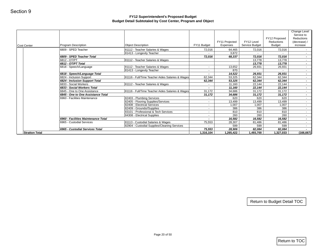|                       |                                                      |                                                  |                          | FY11 Projected      | FY12 Level          | FY12 Proposed<br>Reductions | Change Level<br>Service to<br>Reductions<br>(decrease) / |
|-----------------------|------------------------------------------------------|--------------------------------------------------|--------------------------|---------------------|---------------------|-----------------------------|----------------------------------------------------------|
| <b>Cost Center</b>    | Program Description                                  | <b>Object Description</b>                        | FY11 Budget              | Expenses            | Service Budget      | <b>Budget</b>               | increase                                                 |
|                       | 6809 - SPED Teacher                                  | 81112 - Teacher Salaries & Wages                 | 72,016                   | 64,465              | 72,016              | 72,016                      | $\sim$                                                   |
|                       | 6809 - SPED Teacher Total                            | 81413 - Longevity Teacher                        | 72,016                   | 3,872<br>68,337     | $\sim$<br>72,016    | $\sim$<br>72,016            | $\sim$ $-$<br>$\sim$                                     |
|                       | 6812 - OT/PT                                         | 81112 - Teacher Salaries & Wages                 |                          |                     | 13,778              | 13,778                      | $\sim$                                                   |
|                       | 6812 - OT/PT Total                                   |                                                  |                          |                     | 13,778              | 13,778                      | $\sim$                                                   |
|                       | 6818 - Speech/Language                               | 81112 - Teacher Salaries & Wages                 | $\sim$                   | 13,652              | 26,931              | 26,931                      | $\sim$ $-$                                               |
|                       |                                                      | 81413 - Longevity Teacher                        | $\sim$                   | 870                 | $\sim$              | $\sim$                      | $\sim$                                                   |
|                       | 6818 - Speech/Language Total                         |                                                  | $\blacksquare$           | 14,522              | 26,931              | 26,931                      | $\sim$                                                   |
|                       | 6824 - Inclusion Support                             | 81116 - Full/Time Teacher Aides Salaries & Wages | 62,344                   | 53,325              | 62,344              | 62,344                      | $\sim$                                                   |
|                       | 6824 - Inclusion Support Total                       |                                                  | 62,344                   | 53,325              | 62,344              | 62,344                      | $\sim$                                                   |
|                       | 6833 - Social Workers<br>6833 - Social Workers Total | 81112 - Teacher Salaries & Wages                 | $\sim$<br>$\sim$         | 11,160<br>11,160    | 22,144<br>22,144    | 22,144<br>22,144            | $\sim$<br>$\sim$                                         |
|                       | 6845 - One to One Assistance                         | 81116 - Full/Time Teacher Aides Salaries & Wages | 31,172                   | 34,686              | 31,172              | 31,172                      | $\sim$                                                   |
|                       | 6845 - One to One Assistance Total                   |                                                  | 31,172                   | 34,686              | 31,172              | 31,172                      | $\sim$                                                   |
|                       | 6960 - Facilities Maintenance                        | 82403 - Plumbing Services                        | $\sim$                   | 620                 | 620                 | 620                         | $\sim$                                                   |
|                       |                                                      | 82405 - Flooring Supplies/Services               | $\sim$                   | 13,499              | 13,499              | 13,499                      | $\sim$                                                   |
|                       |                                                      | 82408 - Electrical Services                      | $\sim$                   | 1,007               | 1,007               | 1,007                       | $\sim$                                                   |
|                       |                                                      | 82409 - Grounds//Supplies                        | $\sim$                   | 386                 | 386                 | 386                         | $\sim$ $-$                                               |
|                       |                                                      | 83101 - Professional & Tech Services             | $\sim$                   | 810                 | 810                 | 810                         | $\sim$                                                   |
|                       |                                                      | 84308 - Electrical Supplies                      | $\sim$                   | 260                 | 260                 | 260                         | $\sim$                                                   |
|                       | 6960 - Facilities Maintenance Total                  |                                                  | $\overline{\phantom{a}}$ | 16,582              | 16,582              | 16,582                      | $\sim$                                                   |
|                       | 6965 - Custodial Services                            | 81113 - Custodial Salaries & Wages               | 75,553                   | 28,307              | 81,486              | 81,486                      | $\sim$                                                   |
|                       | 6965 - Custodial Services Total                      | 82904 - Custodial Supplies/Cleaning Services     |                          | 599                 | 599                 | 599                         | $\sim$                                                   |
| <b>Stratton Total</b> |                                                      |                                                  | 75,553<br>1,316,104      | 28,906<br>1,265,422 | 82,084<br>1,493,700 | 82,084<br>1,327,033         | $\sim$<br>(166, 667)                                     |
|                       |                                                      |                                                  |                          |                     |                     |                             |                                                          |
|                       |                                                      |                                                  |                          |                     |                     | Return to Budget Detail TOC |                                                          |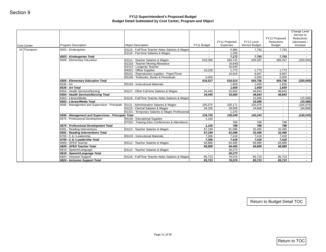| $\sim$<br>$\sim$<br>$\overline{\phantom{a}}$<br>619,389<br>$\sim$<br>10,228<br>$\sim$<br>5,000<br>634,617<br>$\sim$<br>$\blacksquare$<br>34,445<br>34,445<br>105,575<br>34,155<br>139,730<br>1,100<br>$\sim$<br>1,100 | Expenses<br>5,966<br>1,206<br>7,172<br>594,725<br>(6,640)<br>16,640<br>1,773<br>10,016<br>616,514<br>1,659<br>1,659<br>33,650<br>33,650<br>105,171<br>29,509<br>1,370<br>136,049<br>$\sim$<br>788 | Service Budget<br>7,793<br>$\sim$<br>7,793<br>639,287<br>$\sim$<br>$\sim$<br>1,773<br>8,697<br>5,000<br>654,756<br>1,659<br>1,659<br>48,843<br>48,843<br>15,586<br>15,586<br>105,575<br>34,668<br>140,243<br>$\sim$ | 7,793<br>$\sim$<br>7,793<br>389,287<br>$\sim$<br>$\sim$<br>1,773<br>8,697<br>5,000<br>404,756<br>1,659<br>1,659<br>48,843<br>48,843<br>$\sim$<br>$\sim$<br>$\sim$<br>$\sim$<br>$\blacksquare$<br>$\sim$ | $\sim$<br>$\sim$<br>$\sim$<br>$\sim$<br>$\sim$<br>$\sim$<br>$\sim$<br>$\blacksquare$<br>$\sim$<br>$\sim$ |
|-----------------------------------------------------------------------------------------------------------------------------------------------------------------------------------------------------------------------|---------------------------------------------------------------------------------------------------------------------------------------------------------------------------------------------------|---------------------------------------------------------------------------------------------------------------------------------------------------------------------------------------------------------------------|---------------------------------------------------------------------------------------------------------------------------------------------------------------------------------------------------------|----------------------------------------------------------------------------------------------------------|
|                                                                                                                                                                                                                       |                                                                                                                                                                                                   |                                                                                                                                                                                                                     |                                                                                                                                                                                                         | (250,000)<br>(250,000)<br>(15, 586)<br>(15, 586)<br>(105, 575)<br>(34, 668)<br>(140, 243)                |
|                                                                                                                                                                                                                       |                                                                                                                                                                                                   |                                                                                                                                                                                                                     |                                                                                                                                                                                                         |                                                                                                          |
|                                                                                                                                                                                                                       |                                                                                                                                                                                                   |                                                                                                                                                                                                                     |                                                                                                                                                                                                         |                                                                                                          |
|                                                                                                                                                                                                                       |                                                                                                                                                                                                   |                                                                                                                                                                                                                     |                                                                                                                                                                                                         |                                                                                                          |
|                                                                                                                                                                                                                       |                                                                                                                                                                                                   |                                                                                                                                                                                                                     |                                                                                                                                                                                                         |                                                                                                          |
|                                                                                                                                                                                                                       |                                                                                                                                                                                                   |                                                                                                                                                                                                                     |                                                                                                                                                                                                         |                                                                                                          |
|                                                                                                                                                                                                                       |                                                                                                                                                                                                   |                                                                                                                                                                                                                     |                                                                                                                                                                                                         |                                                                                                          |
|                                                                                                                                                                                                                       |                                                                                                                                                                                                   |                                                                                                                                                                                                                     |                                                                                                                                                                                                         |                                                                                                          |
|                                                                                                                                                                                                                       |                                                                                                                                                                                                   |                                                                                                                                                                                                                     |                                                                                                                                                                                                         |                                                                                                          |
|                                                                                                                                                                                                                       |                                                                                                                                                                                                   |                                                                                                                                                                                                                     |                                                                                                                                                                                                         |                                                                                                          |
|                                                                                                                                                                                                                       |                                                                                                                                                                                                   |                                                                                                                                                                                                                     |                                                                                                                                                                                                         |                                                                                                          |
|                                                                                                                                                                                                                       |                                                                                                                                                                                                   |                                                                                                                                                                                                                     |                                                                                                                                                                                                         |                                                                                                          |
|                                                                                                                                                                                                                       |                                                                                                                                                                                                   |                                                                                                                                                                                                                     |                                                                                                                                                                                                         |                                                                                                          |
|                                                                                                                                                                                                                       |                                                                                                                                                                                                   |                                                                                                                                                                                                                     |                                                                                                                                                                                                         |                                                                                                          |
|                                                                                                                                                                                                                       |                                                                                                                                                                                                   |                                                                                                                                                                                                                     |                                                                                                                                                                                                         |                                                                                                          |
|                                                                                                                                                                                                                       |                                                                                                                                                                                                   |                                                                                                                                                                                                                     |                                                                                                                                                                                                         |                                                                                                          |
|                                                                                                                                                                                                                       |                                                                                                                                                                                                   |                                                                                                                                                                                                                     |                                                                                                                                                                                                         |                                                                                                          |
|                                                                                                                                                                                                                       |                                                                                                                                                                                                   |                                                                                                                                                                                                                     |                                                                                                                                                                                                         |                                                                                                          |
|                                                                                                                                                                                                                       |                                                                                                                                                                                                   | 788                                                                                                                                                                                                                 | 788                                                                                                                                                                                                     | $\sim$<br>$\sim$                                                                                         |
|                                                                                                                                                                                                                       | 788                                                                                                                                                                                               | 788                                                                                                                                                                                                                 | 788                                                                                                                                                                                                     | $\sim$                                                                                                   |
| 67,199                                                                                                                                                                                                                | 81,096                                                                                                                                                                                            | 32,495                                                                                                                                                                                                              | 32,495                                                                                                                                                                                                  | $\sim$                                                                                                   |
| 67,199                                                                                                                                                                                                                | 81,096                                                                                                                                                                                            | 32,495                                                                                                                                                                                                              | 32,495                                                                                                                                                                                                  | $\sim$                                                                                                   |
| 7,306                                                                                                                                                                                                                 | 7,418                                                                                                                                                                                             | 7,418                                                                                                                                                                                                               | 7,418                                                                                                                                                                                                   | $\sim$                                                                                                   |
| 7,306                                                                                                                                                                                                                 | 7,418                                                                                                                                                                                             | 7,418                                                                                                                                                                                                               | 7,418                                                                                                                                                                                                   | $\sim$                                                                                                   |
|                                                                                                                                                                                                                       |                                                                                                                                                                                                   |                                                                                                                                                                                                                     |                                                                                                                                                                                                         | $\sim$                                                                                                   |
|                                                                                                                                                                                                                       |                                                                                                                                                                                                   |                                                                                                                                                                                                                     |                                                                                                                                                                                                         | $\sim$                                                                                                   |
|                                                                                                                                                                                                                       |                                                                                                                                                                                                   |                                                                                                                                                                                                                     |                                                                                                                                                                                                         | $\sim$<br>$\sim$                                                                                         |
|                                                                                                                                                                                                                       |                                                                                                                                                                                                   |                                                                                                                                                                                                                     |                                                                                                                                                                                                         | $\sim$                                                                                                   |
|                                                                                                                                                                                                                       |                                                                                                                                                                                                   |                                                                                                                                                                                                                     |                                                                                                                                                                                                         | $\sim$                                                                                                   |
|                                                                                                                                                                                                                       |                                                                                                                                                                                                   |                                                                                                                                                                                                                     |                                                                                                                                                                                                         |                                                                                                          |
|                                                                                                                                                                                                                       | 68,889<br>68,889<br>$\sim$<br>$\sim$<br>85,723<br>85,723                                                                                                                                          | 64,465                                                                                                                                                                                                              | 68,889<br>64,465<br>68,889<br>26,273<br>$\omega$<br>26,273<br>$\sim$<br>76,076<br>85,723<br>76,076<br>85,723                                                                                            | 68,889<br>68,889<br>$\sim$<br>85,723<br>85,723<br>Return to Budget Detail TOC<br>Return to TOC           |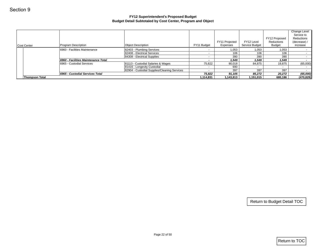|                                     | FY12 Superintendent's Proposed Budget                                                                                |                                                                                                                                                                                                                                           |                                                                                      |                                                                       |                                  |                                                                                                                                    |
|-------------------------------------|----------------------------------------------------------------------------------------------------------------------|-------------------------------------------------------------------------------------------------------------------------------------------------------------------------------------------------------------------------------------------|--------------------------------------------------------------------------------------|-----------------------------------------------------------------------|----------------------------------|------------------------------------------------------------------------------------------------------------------------------------|
|                                     | Budget Detail Subtotaled by Cost Center, Program and Object                                                          |                                                                                                                                                                                                                                           |                                                                                      |                                                                       |                                  |                                                                                                                                    |
|                                     |                                                                                                                      |                                                                                                                                                                                                                                           | FY11 Projected                                                                       | FY12 Level                                                            | FY12 Proposed<br>Reductions      | Change Level<br>Service to<br>Reductions<br>(decrease) /                                                                           |
|                                     |                                                                                                                      |                                                                                                                                                                                                                                           |                                                                                      |                                                                       |                                  | increase                                                                                                                           |
|                                     |                                                                                                                      |                                                                                                                                                                                                                                           |                                                                                      |                                                                       |                                  |                                                                                                                                    |
|                                     |                                                                                                                      | $\sim$                                                                                                                                                                                                                                    |                                                                                      |                                                                       |                                  |                                                                                                                                    |
| 6960 - Facilities Maintenance Total |                                                                                                                      | $\blacksquare$                                                                                                                                                                                                                            | 1,549                                                                                | 1,549                                                                 | 1,549                            |                                                                                                                                    |
|                                     |                                                                                                                      |                                                                                                                                                                                                                                           |                                                                                      |                                                                       |                                  | (65,000)                                                                                                                           |
|                                     |                                                                                                                      |                                                                                                                                                                                                                                           |                                                                                      |                                                                       | $\sim$                           |                                                                                                                                    |
|                                     |                                                                                                                      |                                                                                                                                                                                                                                           |                                                                                      |                                                                       |                                  | (65,000)                                                                                                                           |
|                                     |                                                                                                                      |                                                                                                                                                                                                                                           |                                                                                      |                                                                       |                                  | (470, 829)                                                                                                                         |
|                                     |                                                                                                                      |                                                                                                                                                                                                                                           |                                                                                      |                                                                       |                                  |                                                                                                                                    |
|                                     |                                                                                                                      |                                                                                                                                                                                                                                           |                                                                                      |                                                                       |                                  |                                                                                                                                    |
|                                     | Program Description<br>6960 - Facilities Maintenance<br>6965 - Custodial Services<br>6965 - Custodial Services Total | <b>Object Description</b><br>82403 - Plumbing Services<br>82408 - Electrical Services<br>84308 - Electrical Supplies<br>81113 - Custodial Salaries & Wages<br>81416 - Longevity Custodial<br>82904 - Custodial Supplies/Cleaning Services | FY11 Budget<br>$\sim$<br>$\sim$<br>75,822<br>$\sim$<br>$\sim$<br>75,822<br>1,114,831 | Expenses<br>106<br>390<br>90,018<br>690<br>397<br>91,105<br>1,143,813 | Service Budget<br>1,053<br>$106$ | <b>Budget</b><br>1,053<br>1,053<br>106<br>390<br>390<br>84,875<br>19,875<br>397<br>397<br>85,272<br>20,272<br>1,151,015<br>680,186 |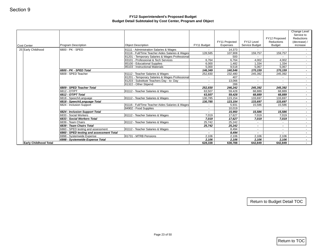| <b>Cost Center</b><br>25 Early Childhood | Program Description                      | <b>Object Description</b>                        | FY11 Budget           | FY11 Projected<br>Expenses | FY12 Level<br>Service Budget | FY12 Proposed<br>Reductions<br><b>Budget</b> | Change Level<br>Service to<br>Reductions<br>(decrease) /<br>increase |
|------------------------------------------|------------------------------------------|--------------------------------------------------|-----------------------|----------------------------|------------------------------|----------------------------------------------|----------------------------------------------------------------------|
|                                          | 6800 - PK - SPED                         | 81111 - Administration Salaries & Wages          |                       | 14,373                     |                              |                                              |                                                                      |
|                                          |                                          | 81116 - Full/Time Teacher Aides Salaries & Wages | 128,585               | 107,908                    | 159,757                      | 159,757                                      |                                                                      |
|                                          |                                          | 81201 - Temporary Salaries & Wages Professional  | $\sim$                | 500                        | $\sim$                       | $\sim$                                       |                                                                      |
|                                          |                                          | 83101 - Professional & Tech Services             | 6,764                 | 6,764                      | 4,002                        | 4,002                                        |                                                                      |
|                                          |                                          | 85100 - Educational Supplies                     | 6,000                 | 1,482                      | 1,334                        | 1,334                                        |                                                                      |
|                                          |                                          | 85103 - Instructional Materials                  | 5,000                 | 9,518                      | 5,067                        | 5,067                                        |                                                                      |
|                                          | 6800 - PK - SPED Total                   |                                                  | 146,349               | 140,546                    | 170,159                      | 170,159                                      |                                                                      |
|                                          | 6809 - SPED Teacher                      | 81112 - Teacher Salaries & Wages                 | 252,830               | 232,480                    | 245,392                      | 245,392                                      |                                                                      |
|                                          |                                          | 81201 - Temporary Salaries & Wages Professional  | $\sim$                | 407                        | $\sim$                       | $\sim$                                       |                                                                      |
|                                          |                                          | 81203 - Substitute Teachers Day - to- Day        | $\sim$                | 13,066                     | $\sim$                       | $\sim$                                       |                                                                      |
|                                          |                                          | 81322 - Other Stipend                            |                       | 288                        |                              |                                              |                                                                      |
|                                          | 6809 - SPED Teacher Total                |                                                  | 252,830               | 246,242                    | 245,392                      | 245,392                                      |                                                                      |
|                                          | 6812 - OT/PT                             | 81112 - Teacher Salaries & Wages                 | 63,507                | 59,428                     | 68,889                       | 68,889                                       |                                                                      |
|                                          | 6812 - OT/PT Total                       |                                                  | 63,507                | 59,428                     | 68,889                       | 68,889                                       |                                                                      |
|                                          | 6818 - Speech/Language                   | 81112 - Teacher Salaries & Wages                 | 130,785               | 123,154                    | 133,697                      | 133,697                                      |                                                                      |
|                                          | 6818 - Speech/Language Total             |                                                  | 130,785               | 123,154                    | 133,697                      | 133,697                                      |                                                                      |
|                                          | 6824 - Inclusion Support                 | 81116 - Full/Time Teacher Aides Salaries & Wages | $\sim$                | 5,931                      | 15,586                       | 15,586                                       |                                                                      |
|                                          |                                          | 84902 - Food Supplies                            | $\sim$                | 10,019                     | $\sim$                       | $\sim$ $-$                                   |                                                                      |
|                                          | 6824 - Inclusion Support Total           |                                                  | $\sim$                | 15,950                     | 15,586                       | 15,586                                       |                                                                      |
|                                          | 6833 - Social Workers                    | 81112 - Teacher Salaries & Wages                 | 7,019                 | 17,627                     | 7,019                        | 7,019                                        |                                                                      |
|                                          | 6833 - Social Workers Total              |                                                  | 7,019                 | 17,627                     | 7,019                        | 7,019                                        |                                                                      |
|                                          | 6839 - Team Chairs                       | 81112 - Teacher Salaries & Wages                 | 25,742                | 25,242                     | $\sim$                       | $\sim$                                       |                                                                      |
|                                          | 6839 - Team Chairs Total                 |                                                  | 25,742                | 25,242                     | $\sim$                       | $\sim$                                       |                                                                      |
|                                          | 6860 - SPED testing and assessment       | 81112 - Teacher Salaries & Wages                 | $\sim$                | 8,494                      | $\sim$                       | $\sim$                                       |                                                                      |
|                                          | 6860 - SPED testing and assessment Total |                                                  | $\tilde{\phantom{a}}$ | 8,494                      | $\sim$                       | $\sim$                                       |                                                                      |
|                                          | 6998 - Systemwide Expense                | 81731 - MTRB Pensions                            | 2,106                 | 2,106                      | 2,106                        | 2,106                                        |                                                                      |
| <b>Early Childhood Total</b>             | 6998 - Systemwide Expense Total          |                                                  | 2,106<br>628,338      | 2,106<br>638,788           | 2,106<br>642,849             | 2,106<br>642,849                             |                                                                      |
|                                          |                                          |                                                  |                       |                            |                              |                                              |                                                                      |
|                                          |                                          |                                                  |                       |                            |                              | Return to Budget Detail TOC                  |                                                                      |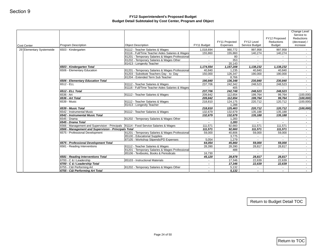|                          |                                                                                               |                                                                                      |                                                      | FY11 Projected           | FY12 Level         | FY12 Proposed<br>Reductions | Change Level<br>Service to<br>Reductions<br>(decrease) / |
|--------------------------|-----------------------------------------------------------------------------------------------|--------------------------------------------------------------------------------------|------------------------------------------------------|--------------------------|--------------------|-----------------------------|----------------------------------------------------------|
| <b>Cost Center</b>       | Program Description                                                                           | <b>Object Description</b>                                                            | FY11 Budget                                          | Expenses                 | Service Budget     | <b>Budget</b>               | increase                                                 |
| 29 Elementary Systemwide | 6503 - Kindergarten                                                                           | 81112 - Teacher Salaries & Wages<br>81116 - Full/Time Teacher Aides Salaries & Wages | 1,018,694<br>155,860                                 | 980,772<br>155,860       | 997,958<br>140,274 | 997,958<br>140,274          | $\sim$                                                   |
|                          |                                                                                               | 81201 - Temporary Salaries & Wages Professional                                      | $\sim$                                               | 80                       | $\sim$             | $\sim$                      | $\sim 100$                                               |
|                          |                                                                                               | 81202 - Temporary Salaries & Wages Other                                             | $\sim$                                               | 353                      | $\blacksquare$     | $\sim$                      | $\sim$                                                   |
|                          |                                                                                               | 81413 - Longevity Teacher                                                            | $\sim$                                               | 20,143                   |                    |                             | $\sim$                                                   |
|                          | 6503 - Kindergarten Total                                                                     |                                                                                      | 1,174,554                                            | 1,157,208                | 1,138,232          | 1,138,232                   | $\sim$                                                   |
|                          | 6506 - Elementary Education                                                                   | 81201 - Temporary Salaries & Wages Professional                                      | 40,840                                               | 1,235                    | 40,840             | 40,840                      | $\sim 100$                                               |
|                          |                                                                                               | 81203 - Substitute Teachers Day - to- Day<br>81204 - Extended Term Sub Teacher       | 150,000                                              | 126,347<br>8,766         | 190,000            | 190,000                     | $\sim$<br>$\sim$                                         |
|                          | 6506 - Elementary Education Total                                                             |                                                                                      | 190,840                                              | 136,348                  | 230,840            | 230,840                     | $\sim$                                                   |
|                          | 6512 - ELL                                                                                    | 81112 - Teacher Salaries & Wages                                                     | 237,706                                              | 242,342                  | 248,523            | 248,523                     | $\sim$                                                   |
|                          |                                                                                               | 81116 - Full/Time Teacher Aides Salaries & Wages                                     | $\sim$                                               | 405                      | $\sim$             | $\sim$                      | $\sim$                                                   |
|                          | 6512 - ELL Total                                                                              |                                                                                      | 237.706                                              | 242,748                  | 248,523            | 248,523                     | $\sim$                                                   |
|                          | 6536 - Art                                                                                    | 81112 - Teacher Salaries & Wages                                                     | 209,842                                              | 112,654                  | 199,764            | 99,764                      | (100,000)                                                |
|                          | 6536 - Art Total                                                                              |                                                                                      | 209,842                                              | 112,654                  | 199,764            | 99,764                      | (100, 000)                                               |
|                          | 6539 - Music                                                                                  | 81112 - Teacher Salaries & Wages                                                     | 218,810                                              | 124,175                  | 220,712            | 120,712                     | (100,000)                                                |
|                          |                                                                                               | 81413 - Longevity Teacher                                                            | $\sim$                                               | 1,288                    | $\sim$             | $\sim$                      | $\sim$                                                   |
|                          | 6539 - Music Total                                                                            |                                                                                      | 218,810                                              | 125,463                  | 220,712            | 120,712                     | (100, 000)                                               |
|                          | 6542 - Instrumental Music                                                                     | 81112 - Teacher Salaries & Wages                                                     | 132,679                                              | 132,679                  | 135,188            | 135,188                     | $\sim$                                                   |
|                          | 6542 - Instrumental Music Total<br>6545 - Drama                                               | 81202 - Temporary Salaries & Wages Other                                             | 132,679<br>$\sim$                                    | 132,679<br>1,283         | 135,188<br>$\sim$  | 135,188<br>$\sim$           | $\sim$<br>$\sim$                                         |
|                          | 6545 - Drama Total                                                                            |                                                                                      | $\overline{\phantom{a}}$                             | 1,283                    | $\sim$             | $\sim$                      | $\sim$                                                   |
|                          | 6566 - Management and Supervision - Principals   81114 - Food Service Salaries & Wages        |                                                                                      | 111,571                                              | 92,660                   | 111,571            | 111,571                     | $\sim$                                                   |
|                          | 6566 - Management and Supervision - Principals Total                                          |                                                                                      | 111,571                                              | 92,660                   | 111,571            | 111,571                     | $\sigma_{\rm{m}}$                                        |
|                          | 6575 - Professional Development                                                               | 81201 - Temporary Salaries & Wages Professional                                      | 59,000                                               | 40,806                   | 59,000             | 59,000                      | $\sim$                                                   |
|                          |                                                                                               | 85100 - Educational Supplies                                                         | $\sim$                                               | 3,775                    | $\sim$             | $\sim$                      | $\sim$                                                   |
|                          |                                                                                               | 87105 - Workshop Stipends/PD Expenses                                                | 5,054                                                | 1,279                    | $\sim$             | $\sim$                      | $\sim$                                                   |
|                          | 6575 - Professional Development Total                                                         |                                                                                      | 64,054                                               | 45,860                   | 59,000             | 59,000                      | $\sim$                                                   |
|                          | 6581 - Reading Interventions                                                                  | 81112 - Teacher Salaries & Wages                                                     | 28,390                                               | 28,390                   | 28,817             | 28,817                      | $\sim$                                                   |
|                          |                                                                                               | 81201 - Temporary Salaries & Wages Professional                                      | $\sim$                                               | 488                      | $\blacksquare$     | $\sim$ $-$                  | $\sim$                                                   |
|                          |                                                                                               | 85106 - Textbooks, Books & Periodicals                                               | 16,730                                               | $\sim$                   | $\omega$           | $\sim$                      | $\sim$                                                   |
|                          | 6581 - Reading Interventions Total                                                            |                                                                                      | 45,120                                               | 28,878                   | 28,817             | 28,817                      | $\sim$                                                   |
|                          | 6700 - C & I Leadership                                                                       | 85103 - Instructional Materials                                                      | $\sim$                                               | 17,346                   | 22,639             | 22,639                      | $\sim$                                                   |
|                          |                                                                                               |                                                                                      |                                                      |                          |                    |                             | $\sim$<br>$\sim$                                         |
|                          |                                                                                               |                                                                                      |                                                      |                          |                    |                             | $\sim 100$                                               |
|                          | 6700 - C & I Leadership Total<br>6755 - C&I Performing Art<br>6755 - C&I Performing Art Total | 81202 - Temporary Salaries & Wages Other                                             | $\blacksquare$<br>$\sim$<br>$\overline{\phantom{a}}$ | 17,346<br>5,132<br>5,132 | 22,639<br>$\sim$   | 22,639<br>$\sim$            |                                                          |
|                          |                                                                                               |                                                                                      |                                                      |                          |                    | Return to Budget Detail TOC |                                                          |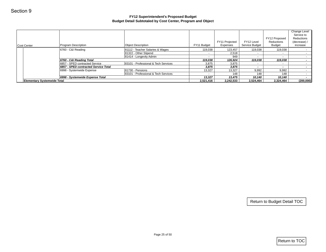|                                    |                                      | FY12 Superintendent's Proposed Budget<br>Budget Detail Subtotaled by Cost Center, Program and Object |                   |                |                   |                             |                                                          |
|------------------------------------|--------------------------------------|------------------------------------------------------------------------------------------------------|-------------------|----------------|-------------------|-----------------------------|----------------------------------------------------------|
|                                    |                                      |                                                                                                      |                   | FY11 Projected | FY12 Level        | FY12 Proposed<br>Reductions | Change Level<br>Service to<br>Reductions<br>(decrease) / |
| Cost Center                        | Program Description                  | <b>Object Description</b>                                                                            | FY11 Budget       | Expenses       | Service Budget    | <b>Budget</b>               | increase                                                 |
|                                    | 6760 - C&I Reading                   | 81112 - Teacher Salaries & Wages                                                                     | 119,038           | 123,457        | 119,038           | 119,038                     |                                                          |
|                                    |                                      | 81322 - Other Stipend                                                                                | $\sim$            | 2,518          | $\sim$            | $\sim$                      |                                                          |
|                                    | 6760 - C&I Reading Total             | 81414 - Longevity Admin                                                                              | $\sim$<br>119,038 | 949<br>126,924 | $\sim$<br>119,038 | $\sim$<br>119,038           |                                                          |
|                                    | 6857 - SPED contracted Service       | 83101 - Professional & Tech Services                                                                 | 3,875             | 3,875          | $\sim$            | $\sim$                      |                                                          |
|                                    | 6857 - SPED contracted Service Total |                                                                                                      | 3,875             | 3,875          | $\blacksquare$    | $\sim$                      |                                                          |
|                                    | 6998 - Systemwide Expense            | 81730 - Pensions<br>83101 - Professional & Tech Services                                             | 13,327            | 13,327         | 9,992             | 9,992                       |                                                          |
|                                    | 6998 - Systemwide Expense Total      |                                                                                                      | $\sim$<br>13,327  | 148<br>13,475  | 148<br>10,140     | 148<br>10,140               |                                                          |
| <b>Elementary Systemwide Total</b> |                                      |                                                                                                      | 2,521,416         | 2,242,533      | 2,524,464         | 2,324,464                   | (200,000)                                                |
|                                    |                                      |                                                                                                      |                   |                |                   |                             |                                                          |
|                                    |                                      |                                                                                                      |                   |                |                   | Return to Budget Detail TOC |                                                          |
|                                    |                                      | Page 25 of 50                                                                                        |                   |                |                   | $ $ Return to TOC           |                                                          |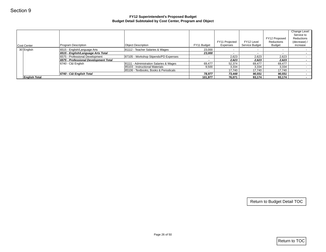|                      |                                                                       |                                         |                            | FY11 Projected  | FY12 Level              | FY12 Proposed<br>Reductions | Change Level<br>Service to<br>Reductions<br>(decrease) / |
|----------------------|-----------------------------------------------------------------------|-----------------------------------------|----------------------------|-----------------|-------------------------|-----------------------------|----------------------------------------------------------|
| Cost Center          | Program Description                                                   | <b>Object Description</b>               | FY11 Budget                | Expenses        | Service Budget          | <b>Budget</b>               | increase                                                 |
| 30 English           | 6515 - English/Language Arts                                          | 81112 - Teacher Salaries & Wages        | 23,000                     | $\sim$          | $\sim$                  | $\sim$                      | $\sim$                                                   |
|                      | 6515 - English/Language Arts Total<br>6575 - Professional Development | 87105 - Workshop Stipends/PD Expenses   | 23,000<br>$\omega_{\rm c}$ | $\sim$<br>2,623 | $\blacksquare$<br>2,623 | $\sim$<br>2,623             | $\sim$<br>$\sim$                                         |
|                      | 6575 - Professional Development Total                                 |                                         | $\sim$                     | 2,623           | 2,623                   | 2,623                       | $\sim$                                                   |
|                      | 6740 - C&I English                                                    | 81111 - Administration Salaries & Wages | 69,477                     | 52,374          | 69,477                  | 69,477                      | $\sim$                                                   |
|                      |                                                                       | 85103 - Instructional Materials         | 9,500                      | 3,334           | 3,334                   | 3,334                       | $\sim$ $-$                                               |
|                      |                                                                       | 85106 - Textbooks, Books & Periodicals  | $\sim$                     | 17,740          | 17,740                  | 17,740                      | $\sim$                                                   |
|                      | 6740 - C&I English Total                                              |                                         | 78,977                     | 73,448          | 90,551                  | 90,551                      | $\sim$                                                   |
| <b>English Total</b> |                                                                       |                                         | 101,977                    | 76,071          | 93,174                  | 93,174                      | $\sim 100$                                               |
|                      |                                                                       |                                         |                            |                 |                         |                             |                                                          |
|                      |                                                                       |                                         |                            |                 |                         |                             |                                                          |
|                      |                                                                       |                                         |                            |                 |                         | Return to Budget Detail TOC |                                                          |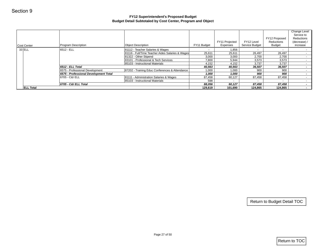|                  |                                       | FY12 Superintendent's Proposed Budget<br>Budget Detail Subtotaled by Cost Center, Program and Object |                 |                  |                  |                             |                                                          |
|------------------|---------------------------------------|------------------------------------------------------------------------------------------------------|-----------------|------------------|------------------|-----------------------------|----------------------------------------------------------|
|                  |                                       |                                                                                                      |                 | FY11 Projected   | FY12 Level       | FY12 Proposed<br>Reductions | Change Level<br>Service to<br>Reductions<br>(decrease) / |
| Cost Center      | Program Description                   | <b>Object Description</b>                                                                            | FY11 Budget     | Expenses         | Service Budget   | Budget                      | increase                                                 |
| $33$ ELL         | 6512 - ELL                            | 81112 - Teacher Salaries & Wages                                                                     | $\sim$          | 1,856            | $\sim$           | $\sim$                      | $\sim$                                                   |
|                  |                                       | 81116 - Full/Time Teacher Aides Salaries & Wages<br>81322 - Other Stipend                            | 25,611<br>3,000 | 25,611<br>3,000  | 26,497<br>2,700  | 26,497<br>2,700             | $\sim$<br>$\sim$                                         |
|                  |                                       | 83101 - Professional & Tech Services                                                                 | 7,800           | 5,944            | 3,573            | 3,573                       | $\sim$                                                   |
|                  |                                       | 85103 - Instructional Materials                                                                      | 4,152           | 4,152            | 3,737            | 3,737                       | $\sim$                                                   |
|                  | 6512 - ELL Total                      |                                                                                                      | 40,563          | 40,563           | 36,507           | 36,507                      | $\sim$                                                   |
|                  | 6575 - Professional Development       | 87202 - Training Educ Conferences & Attendance                                                       | 1,000           | 1,000            | 900              | 900                         | $\sim$                                                   |
|                  | 6575 - Professional Development Total |                                                                                                      | 1,000           | 1,000            | 900              | 900                         | $\sim$                                                   |
|                  | 6705 - C&I ELL                        | 81111 - Administration Salaries & Wages                                                              | 87,458          | 60,127           | 87,458           | 87,458                      | $\sim 100$                                               |
|                  | 6705 - C&I ELL Total                  | 85103 - Instructional Materials                                                                      | 598<br>88,056   | $\sim$<br>60,127 | $\sim$<br>87,458 | $\sim$<br>87,458            | $\sim$<br>$\sim$                                         |
| <b>ELL Total</b> |                                       |                                                                                                      | 129,619         | 101,690          | 124,865          | 124,865                     | $\sim$                                                   |
|                  |                                       |                                                                                                      |                 |                  |                  |                             |                                                          |
|                  |                                       |                                                                                                      |                 |                  |                  | Return to Budget Detail TOC |                                                          |
|                  |                                       | Page 27 of 50                                                                                        |                 |                  |                  |                             | Return to TOC                                            |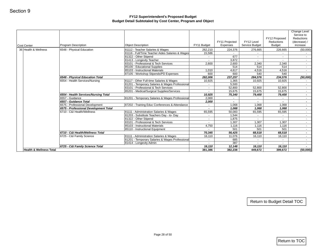| <b>Cost Center</b>                 | <b>Program Description</b>                               | <b>Object Description</b>                                            | FY11 Budget       | FY11 Projected<br>Expenses | FY12 Level<br>Service Budget | FY12 Proposed<br>Reductions<br><b>Budget</b> | Change Level<br>Service to<br>Reductions<br>(decrease) /<br>increase |
|------------------------------------|----------------------------------------------------------|----------------------------------------------------------------------|-------------------|----------------------------|------------------------------|----------------------------------------------|----------------------------------------------------------------------|
| 36 Health & Wellness               | 6548 - Physical Education                                | 81112 - Teacher Salaries & Wages                                     | 262,210           | 224,376                    | 276,665                      | 226,665                                      | (50,000)                                                             |
|                                    |                                                          | 81116 - Full/Time Teacher Aides Salaries & Wages                     | 15,586            | $\sim$                     | $\sim$                       | $\sim$                                       | $\sim$                                                               |
|                                    |                                                          | 81322 - Other Stipend                                                | $\sim$            | 677                        | $\sim$                       | $\sim$                                       | $\sim$                                                               |
|                                    |                                                          | 81413 - Longevity Teacher                                            | $\sim$            | 3,872                      | $\sim$                       | $\sim$                                       | $\sim$                                                               |
|                                    |                                                          | 83101 - Professional & Tech Services<br>85100 - Educational Supplies | 2,600             | 2,600<br>514               | 2,340<br>514                 | 2,340<br>514                                 | $\sim$                                                               |
|                                    |                                                          | 85103 - Instructional Materials                                      | 1,010             | 4,617                      | 4,516                        | 4,516                                        | $\sim$<br>$\sim$                                                     |
|                                    |                                                          | 87105 - Workshop Stipends/PD Expenses                                | 600               | 600                        | 540                          | 540                                          | $\sim$                                                               |
|                                    | 6548 - Physical Education Total                          |                                                                      | 282,006           | 237,257                    | 284,576                      | 234,576                                      | (50,000)                                                             |
|                                    | 6554 - Health Services/Nursing                           | 81117 - Other Full-time Salaries & Wages                             | 10,925            | 1,365                      | 10,925                       | 10,925                                       | $\sim$                                                               |
|                                    |                                                          | 81201 - Temporary Salaries & Wages Professional                      | $\sim$            | 5,500                      | $\sim$                       | $\sim$                                       | $\sim$                                                               |
|                                    |                                                          | 83101 - Professional & Tech Services                                 | $\sim$            | 52,800                     | 52,800                       | 52,800                                       | $\sim$                                                               |
|                                    |                                                          | 85201 - Medical/Surgical Supplies/Services                           | $\sim$            | 15,675                     | 15,675                       | 15,675                                       | $\sim$                                                               |
|                                    | 6554 - Health Services/Nursing Total                     |                                                                      | 10,925            | 75,340                     | 79,400                       | 79,400                                       | $\sim$                                                               |
|                                    | 6557 - Guidance                                          | 81201 - Temporary Salaries & Wages Professional                      | 2,000             | $\sim$                     | $\sim$                       | $\sim$                                       | $\sim$                                                               |
|                                    | 6557 - Guidance Total<br>6575 - Professional Development |                                                                      | 2,000             |                            |                              |                                              | $\sim$                                                               |
|                                    | 6575 - Professional Development Total                    | 87202 - Training Educ Conferences & Attendance                       | $\sim$<br>$\sim$  | 1,068<br>1,068             | 1,068<br>1,068               | 1,068<br>1,068                               | $\sim$<br>$\sim$                                                     |
|                                    | 6710 - C&I Health/Wellness                               | 81111 - Administration Salaries & Wages                              | 65,595            | 50,083                     | 65,595                       | 65,595                                       | $\sim$                                                               |
|                                    |                                                          | 81203 - Substitute Teachers Day - to- Day                            | $\sim$            | 1,544                      | $\sim$                       | $\sim$                                       | $\sim$                                                               |
|                                    |                                                          | 81322 - Other Stipend                                                | $\omega$          | 1,875                      | $\mathbf{r}$                 | $\sim$                                       | $\sim$                                                               |
|                                    |                                                          | 83101 - Professional & Tech Services                                 | $\sim$            | 1,307                      | 1,307                        | 1,307                                        | $\sim$                                                               |
|                                    |                                                          | 85103 - Instructional Materials                                      | 4,750             | 1,116                      | 1,116                        | 1,116                                        | $\sim$                                                               |
|                                    |                                                          | 85110 - Instructional Equipment                                      | $\sim$            | 501                        | 501                          | 501                                          | $\sim$                                                               |
|                                    | 6710 - C&I Health/Wellness Total                         |                                                                      | 70,345            | 56,425                     | 68,518                       | 68,518                                       | $\sim$                                                               |
|                                    | 6725 - C&I Family Science                                | 81111 - Administration Salaries & Wages                              | 16,110            | 11,076                     | 16,110                       | 16,110                                       | $\blacksquare$                                                       |
|                                    |                                                          | 81201 - Temporary Salaries & Wages Professional                      | $\sim$            | 685                        | $\sim$                       | $\sim$                                       | $\sim$                                                               |
|                                    |                                                          | 81414 - Longevity Admin                                              | $\sim$            | 387                        | $\sim$                       | $\sim$                                       | $\sim$                                                               |
| <b>Health &amp; Wellness Total</b> | 6725 - C&I Family Science Total                          |                                                                      | 16,110<br>381,386 | 12,148<br>382,238          | 16,110<br>449,672            | 16,110<br>399,672                            | $\sim$<br>(50,000)                                                   |
|                                    |                                                          |                                                                      |                   |                            |                              | Return to Budget Detail TOC                  |                                                                      |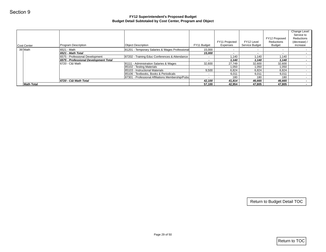|                   |                                       | Budget Detail Subtotaled by Cost Center, Program and Object |                |                |                |                             | Change Level                             |
|-------------------|---------------------------------------|-------------------------------------------------------------|----------------|----------------|----------------|-----------------------------|------------------------------------------|
|                   |                                       |                                                             |                | FY11 Projected | FY12 Level     | FY12 Proposed<br>Reductions | Service to<br>Reductions<br>(decrease) / |
| Cost Center       | Program Description                   | <b>Object Description</b>                                   | FY11 Budget    | Expenses       | Service Budget | Budget                      | increase                                 |
| 39 Math           | 6521 - Math                           | 81201 - Temporary Salaries & Wages Professional             | 15,000         | $\sim$         | $\sim$         | $\sim$                      |                                          |
|                   | 6521 - Math Total                     |                                                             | 15,000         | $\sim$         | $\sim$         | $\sim$                      |                                          |
|                   | 6575 - Professional Development       | 87202 - Training Educ Conferences & Attendance              | $\sim$         | 1,140          | 1,140          | 1,140                       |                                          |
|                   | 6575 - Professional Development Total |                                                             | $\sim$         | 1,140          | 1,140          | 1,140                       |                                          |
|                   | 6720 - C&I Math                       | 81111 - Administration Salaries & Wages                     | 32,600         | 27,749         | 32,600         | 32,600                      |                                          |
|                   |                                       | 85102 - Testing Materials                                   | $\blacksquare$ | 1,050          | 1,050          | 1,050                       |                                          |
|                   |                                       | 85103 - Instructional Materials                             | 9,500          | 6,824          | 6,824          | 6,824                       |                                          |
|                   |                                       | 85106 - Textbooks, Books & Periodicals                      | $\sim$         | 6,011          | 6,011          | 6,011                       |                                          |
|                   |                                       | 87301 - Professional Affiliations Membership/Pubs           | $\sim$         | 180            | 180            | 180                         |                                          |
|                   | 6720 - C&I Math Total                 |                                                             | 42,100         | 41,814         | 46,665         | 46,665                      |                                          |
| <b>Math Total</b> |                                       |                                                             | 57,100         | 42,954         | 47,805         | 47,805                      |                                          |
|                   |                                       |                                                             |                |                |                |                             |                                          |
|                   |                                       |                                                             |                |                |                | Return to Budget Detail TOC |                                          |
|                   |                                       | Page 29 of 50                                               |                |                |                |                             |                                          |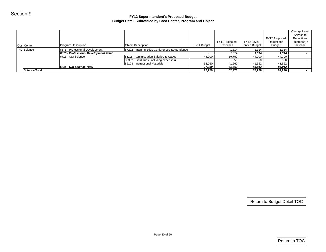| Program Description<br>6575 - Professional Development<br>6575 - Professional Development Total<br>6715 - C&I Science<br>6715 - C&I Science Total | <b>Object Description</b><br>87202 - Training Educ Conferences & Attendance<br>81111 - Administration Salaries & Wages<br>83302 - Field Trips (including expenses)<br>85103 - Instructional Materials | FY11 Budget<br>$\sim$<br>$\blacksquare$<br>44,000 | FY11 Projected<br>Expenses<br>1,314<br>1,314<br>19,750 | FY12 Level<br>Service Budget<br>1,314<br>1,314 | FY12 Proposed<br>Reductions<br><b>Budget</b><br>1,314<br>1,314 | Change Level<br>Service to<br>Reductions<br>(decrease) /<br>increase<br>$\sim$<br>$\sim$ |
|---------------------------------------------------------------------------------------------------------------------------------------------------|-------------------------------------------------------------------------------------------------------------------------------------------------------------------------------------------------------|---------------------------------------------------|--------------------------------------------------------|------------------------------------------------|----------------------------------------------------------------|------------------------------------------------------------------------------------------|
|                                                                                                                                                   |                                                                                                                                                                                                       |                                                   |                                                        |                                                |                                                                |                                                                                          |
|                                                                                                                                                   |                                                                                                                                                                                                       |                                                   |                                                        |                                                |                                                                |                                                                                          |
|                                                                                                                                                   |                                                                                                                                                                                                       |                                                   |                                                        |                                                |                                                                |                                                                                          |
|                                                                                                                                                   |                                                                                                                                                                                                       |                                                   |                                                        | 44,000                                         | 44,000                                                         | $\sim$                                                                                   |
|                                                                                                                                                   |                                                                                                                                                                                                       | $\omega$                                          | 350                                                    | 350                                            | 350                                                            |                                                                                          |
|                                                                                                                                                   |                                                                                                                                                                                                       | 33,250                                            | 41,562                                                 | 41,562                                         | 41,562                                                         | $\sim$<br>$\sim$                                                                         |
|                                                                                                                                                   |                                                                                                                                                                                                       | 77,250<br>77,250                                  | 61,662<br>62,976                                       | 85,912<br>87,226                               | 85,912<br>87,226                                               |                                                                                          |
|                                                                                                                                                   |                                                                                                                                                                                                       |                                                   |                                                        |                                                |                                                                |                                                                                          |
|                                                                                                                                                   |                                                                                                                                                                                                       |                                                   |                                                        |                                                |                                                                |                                                                                          |
|                                                                                                                                                   |                                                                                                                                                                                                       |                                                   |                                                        |                                                |                                                                |                                                                                          |
|                                                                                                                                                   |                                                                                                                                                                                                       |                                                   |                                                        |                                                |                                                                |                                                                                          |
|                                                                                                                                                   |                                                                                                                                                                                                       |                                                   |                                                        |                                                |                                                                |                                                                                          |
|                                                                                                                                                   |                                                                                                                                                                                                       |                                                   |                                                        |                                                |                                                                |                                                                                          |
|                                                                                                                                                   |                                                                                                                                                                                                       |                                                   |                                                        |                                                |                                                                | Return to Budget Detail TOC                                                              |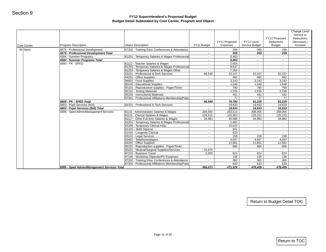| <b>Cost Center</b> | Program Description                              | <b>Object Description</b>                                                    | FY11 Budget              | FY11 Projected<br>Expenses | FY12 Level<br>Service Budget | FY12 Proposed<br>Reductions<br><b>Budget</b> | Change Level<br>Service to<br>Reductions<br>(decrease) /<br>increase |
|--------------------|--------------------------------------------------|------------------------------------------------------------------------------|--------------------------|----------------------------|------------------------------|----------------------------------------------|----------------------------------------------------------------------|
| 45 Sped            | 6575 - Professional Development                  | 87202 - Training Educ Conferences & Attendance                               | $\sim$                   | 269                        | 269                          | 269                                          | $\sim$                                                               |
|                    | 6575 - Professional Development Total            |                                                                              | $\overline{\phantom{a}}$ | 269                        | 269                          | 269                                          | $\sim$                                                               |
|                    | 6584 - Summer Programs                           | 81201 - Temporary Salaries & Wages Professional                              | $\sim$                   | 6,463                      | $\blacksquare$               | $\sim$                                       | $\sim$                                                               |
|                    | 6584 - Summer Programs Total<br>6800 - PK - SPED | 81112 - Teacher Salaries & Wages                                             | $\sim$<br>$\sim$         | 6,463<br>2,654             | $\sim$<br>$\sim$             | $\sim$<br>$\blacksquare$                     | $\sim$<br>$\sim$                                                     |
|                    |                                                  | 81201 - Temporary Salaries & Wages Professional                              | $\sim$                   | 8,637                      | $\sim$                       | $\sim$                                       | $\sim$ 10 $\pm$                                                      |
|                    |                                                  | 81202 - Temporary Salaries & Wages Other                                     | $\sim$                   | 7,264                      |                              |                                              | $\sim$                                                               |
|                    |                                                  | 83101 - Professional & Tech Services                                         | 66,549                   | 52,107                     | 52,107                       | 52,107                                       | $\sim$                                                               |
|                    |                                                  | 84201 - Office Supplies                                                      | $\sim$                   | 482                        | 482                          | 482                                          | $\sim$                                                               |
|                    |                                                  | 84902 - Food Supplies                                                        | $\sim$                   | 3,243                      | 3,243                        | 3,243                                        | $\sim$                                                               |
|                    |                                                  | 85100 - Educational Supplies<br>85101 - Reproduction supplies - Paper/Toner  | $\sim$<br>$\sim$         | 1,548<br>790               | 1,548<br>790                 | 1,548<br>790                                 | $\sim$<br>$\sim$                                                     |
|                    |                                                  | 85102 - Testing Materials                                                    | $\sim$                   | 2,536                      | 2,536                        | 2,536                                        | $\sim$                                                               |
|                    |                                                  | 85103 - Instructional Materials                                              | $\sim$                   | 441                        | 441                          | 441                                          | $\sim$                                                               |
|                    |                                                  | 87301 - Professional Affiliations Membership/Pubs                            | $\sim$                   | 77                         | 77                           | 77                                           | $\sim$                                                               |
|                    | 6800 - PK - SPED Total                           |                                                                              | 66,549                   | 79,780                     | 61,225                       | 61,225                                       | $\sim$                                                               |
|                    | 6803 - Pupil Services (504)                      | 83101 - Professional & Tech Services                                         | $\sim$                   | 19,833                     | 19,833                       | 19,833                                       | $\sim$                                                               |
|                    | 6803 - Pupil Services (504) Total                |                                                                              | $\overline{\phantom{a}}$ | 19,833                     | 19,833                       | 19,833                                       | $\sim$                                                               |
|                    | 6806 - Sped Admin/Management Services            | 81111 - Administration Salaries & Wages<br>81115 - Clerical Salaries & Wages | 284,000<br>129,415       | 263,514<br>116,953         | 288,000<br>135,222           | 288,000<br>135,222                           | $\sim$<br>$\sim$                                                     |
|                    |                                                  | 81117 - Other Full-time Salaries & Wages                                     | 34,983                   | 45,086                     | 34,983                       | 34,983                                       | $\sim$                                                               |
|                    |                                                  | 81201 - Temporary Salaries & Wages Professional                              | $\sim$                   | 1,663                      | $\sim$                       | $\sim$                                       | $\sim$                                                               |
|                    |                                                  | 81206 - Temporary Clerical Help                                              | $\sim$                   | 22,633                     | $\blacksquare$               | $\sim$                                       | $\sim$                                                               |
|                    |                                                  | 81320 - Skills Stipend                                                       | $\sim$                   | 841                        | $\sim$                       | $\sim$                                       | $\sim$                                                               |
|                    |                                                  | 81415 - Longevity Clerical                                                   | $\sim$                   | 633                        | $\sim$                       | $\sim$                                       | $\sim$                                                               |
|                    |                                                  | 83102 - Legal Services                                                       | $\sim$                   | 158                        | 158                          | 158                                          | $\sim$                                                               |
|                    |                                                  | 83402 - Telephone/pagers<br>84201 - Office Supplies                          | $\sim$<br>$\sim$         | 4,937<br>12,681            | 4,937<br>12,681              | 4,937<br>12,681                              | $\sim$<br>$\sim$                                                     |
|                    |                                                  | 85101 - Reproduction supplies - Paper/Toner                                  | $\sim$                   | 665                        | 665                          | 665                                          | $\sim$                                                               |
|                    |                                                  | 85201 - Medical/Surgical Supplies/Services                                   | 15,675                   | $\sim$                     | $\sim$                       | $\sim 100$                                   | $\sim$                                                               |
|                    |                                                  | 87101 - Business Travel                                                      | 2,000                    | 624                        | 624                          | 624                                          | $\sim$                                                               |
|                    |                                                  | 87105 - Workshop Stipends/PD Expenses                                        | $\sim$                   | 146                        | 146                          | 146                                          | $\sim$                                                               |
|                    |                                                  | 87202 - Training Educ Conferences & Attendance                               | $\sim$                   | 360                        | 360                          | 360                                          | $\sim$                                                               |
|                    |                                                  | 87301 - Professional Affiliations Membership/Pubs                            | $\sim$                   | 633                        | 633                          | 633<br>478,409                               | $\sim$                                                               |
|                    | 6806 - Sped Admin/Management Services Total      |                                                                              | 466,073                  | 471,526                    | 478,409                      |                                              | $\sim$                                                               |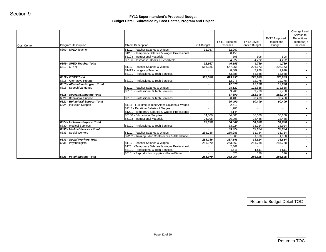| 6809 - SPED Teacher<br>81112 - Teacher Salaries & Wages<br>32,967<br>32,967<br>81201 - Temporary Salaries & Wages Professional<br>8,458<br>$\sim$<br>$\sim$<br>85103 - Instructional Materials<br>508<br>508<br>$\sim$<br>85106 - Textbooks, Books & Periodicals<br>4,222<br>4,222<br>6809 - SPED Teacher Total<br>32,967<br>46,155<br>4,730<br>6812 - OT/PT<br>81112 - Teacher Salaries & Wages<br>566,386<br>547,258<br>204,173<br>81413 - Longevity Teacher<br>7,928<br>8,809<br>$\sim$<br>83101 - Professional & Tech Services<br>63,888<br>63,888<br>$\sim$<br>6812 - OT/PT Total<br>566,386<br>619,955<br>275,989<br>83101 - Professional & Tech Services<br>6815 - Alternative Program<br>12,078<br>12,078<br>$\bullet$<br>6815 - Alternative Program Total<br>12,078<br>12,078<br>$\overline{\phantom{a}}$<br>6818 - Speech/Language<br>81112 - Teacher Salaries & Wages<br>28,122<br>172,538<br>$\sim$<br>83101 - Professional & Tech Services<br>9,768<br>9,768<br>$\sim$<br>6818 - Speech/Language Total<br>37,890<br>182,306<br>$\blacksquare$<br>6821 - Behavioral Support<br>83101 - Professional & Tech Services<br>90,400<br>90,400<br>$\sim$<br>6821 - Behavioral Support Total<br>90,400<br>90,400<br>$\overline{\phantom{a}}$<br>81116 - Full/Time Teacher Aides Salaries & Wages<br>6824 - Inclusion Support<br>2,619<br>$\sim$<br>$\sim$<br>81118 - Part-time Salaries & Wages<br>1,206<br>$\sim$<br>$\sim$<br>81201 - Temporary Salaries & Wages Professional<br>4,144<br>$\sim$<br>85100 - Educational Supplies<br>34,000<br>34,000<br>30,600<br>85103 - Instructional Materials<br>26,098<br>23,488<br>26,098<br>6824 - Inclusion Support Total<br>60,098<br>68,067<br>54,088<br>6830 - Medical Services<br>83101 - Professional & Tech Services<br>33,924<br>33,924<br>$\sim$<br>6830 - Medical Services Total<br>33,924<br>33,924<br>81112 - Teacher Salaries & Wages<br>6833 - Social Workers<br>285,286<br>285,286<br>31,754<br>87202 - Training Educ Conferences & Attendance<br>1,860<br>1,860<br>6833 - Social Workers Total<br>285,286<br>287,146<br>33,614<br>81112 - Teacher Salaries & Wages<br>6836 - Psychologists<br>263,860<br>281,970<br>284,788<br>81201 - Temporary Salaries & Wages Professional<br>2,367<br>$\sim$<br>83101 - Professional & Tech Services<br>1,511<br>1,511<br>$\sim$<br>85101 - Reproduction supplies - Paper/Toner<br>326<br>326<br>$\sim$<br>6836 - Psychologists Total<br>281,970<br>268,064<br>286,625 | $\sim$<br>508                                               | $\sim$<br>$\sim$ | FY11 Projected<br>Expenses | FY11 Budget | <b>Object Description</b> | Program Description | <b>Cost Center</b> |
|--------------------------------------------------------------------------------------------------------------------------------------------------------------------------------------------------------------------------------------------------------------------------------------------------------------------------------------------------------------------------------------------------------------------------------------------------------------------------------------------------------------------------------------------------------------------------------------------------------------------------------------------------------------------------------------------------------------------------------------------------------------------------------------------------------------------------------------------------------------------------------------------------------------------------------------------------------------------------------------------------------------------------------------------------------------------------------------------------------------------------------------------------------------------------------------------------------------------------------------------------------------------------------------------------------------------------------------------------------------------------------------------------------------------------------------------------------------------------------------------------------------------------------------------------------------------------------------------------------------------------------------------------------------------------------------------------------------------------------------------------------------------------------------------------------------------------------------------------------------------------------------------------------------------------------------------------------------------------------------------------------------------------------------------------------------------------------------------------------------------------------------------------------------------------------------------------------------------------------------------------------------------------------------------------------------------------------------------------------------------------------------------------------------------------------------------------------------------------|-------------------------------------------------------------|------------------|----------------------------|-------------|---------------------------|---------------------|--------------------|
|                                                                                                                                                                                                                                                                                                                                                                                                                                                                                                                                                                                                                                                                                                                                                                                                                                                                                                                                                                                                                                                                                                                                                                                                                                                                                                                                                                                                                                                                                                                                                                                                                                                                                                                                                                                                                                                                                                                                                                                                                                                                                                                                                                                                                                                                                                                                                                                                                                                                          | $\sim$ $-$<br>$\sim$ 10 $\pm$<br>$\sim$<br>$\sim$<br>$\sim$ |                  |                            |             |                           |                     |                    |
|                                                                                                                                                                                                                                                                                                                                                                                                                                                                                                                                                                                                                                                                                                                                                                                                                                                                                                                                                                                                                                                                                                                                                                                                                                                                                                                                                                                                                                                                                                                                                                                                                                                                                                                                                                                                                                                                                                                                                                                                                                                                                                                                                                                                                                                                                                                                                                                                                                                                          |                                                             |                  |                            |             |                           |                     |                    |
|                                                                                                                                                                                                                                                                                                                                                                                                                                                                                                                                                                                                                                                                                                                                                                                                                                                                                                                                                                                                                                                                                                                                                                                                                                                                                                                                                                                                                                                                                                                                                                                                                                                                                                                                                                                                                                                                                                                                                                                                                                                                                                                                                                                                                                                                                                                                                                                                                                                                          |                                                             |                  |                            |             |                           |                     |                    |
|                                                                                                                                                                                                                                                                                                                                                                                                                                                                                                                                                                                                                                                                                                                                                                                                                                                                                                                                                                                                                                                                                                                                                                                                                                                                                                                                                                                                                                                                                                                                                                                                                                                                                                                                                                                                                                                                                                                                                                                                                                                                                                                                                                                                                                                                                                                                                                                                                                                                          |                                                             | 4,222<br>4,730   |                            |             |                           |                     |                    |
|                                                                                                                                                                                                                                                                                                                                                                                                                                                                                                                                                                                                                                                                                                                                                                                                                                                                                                                                                                                                                                                                                                                                                                                                                                                                                                                                                                                                                                                                                                                                                                                                                                                                                                                                                                                                                                                                                                                                                                                                                                                                                                                                                                                                                                                                                                                                                                                                                                                                          |                                                             | 204,173          |                            |             |                           |                     |                    |
|                                                                                                                                                                                                                                                                                                                                                                                                                                                                                                                                                                                                                                                                                                                                                                                                                                                                                                                                                                                                                                                                                                                                                                                                                                                                                                                                                                                                                                                                                                                                                                                                                                                                                                                                                                                                                                                                                                                                                                                                                                                                                                                                                                                                                                                                                                                                                                                                                                                                          | $\sim$ 10 $\pm$                                             | 7,928            |                            |             |                           |                     |                    |
|                                                                                                                                                                                                                                                                                                                                                                                                                                                                                                                                                                                                                                                                                                                                                                                                                                                                                                                                                                                                                                                                                                                                                                                                                                                                                                                                                                                                                                                                                                                                                                                                                                                                                                                                                                                                                                                                                                                                                                                                                                                                                                                                                                                                                                                                                                                                                                                                                                                                          | $\sim$                                                      | 63,888           |                            |             |                           |                     |                    |
|                                                                                                                                                                                                                                                                                                                                                                                                                                                                                                                                                                                                                                                                                                                                                                                                                                                                                                                                                                                                                                                                                                                                                                                                                                                                                                                                                                                                                                                                                                                                                                                                                                                                                                                                                                                                                                                                                                                                                                                                                                                                                                                                                                                                                                                                                                                                                                                                                                                                          | $\sim$                                                      | 275,989          |                            |             |                           |                     |                    |
|                                                                                                                                                                                                                                                                                                                                                                                                                                                                                                                                                                                                                                                                                                                                                                                                                                                                                                                                                                                                                                                                                                                                                                                                                                                                                                                                                                                                                                                                                                                                                                                                                                                                                                                                                                                                                                                                                                                                                                                                                                                                                                                                                                                                                                                                                                                                                                                                                                                                          | $\sim$                                                      | 12,078           |                            |             |                           |                     |                    |
|                                                                                                                                                                                                                                                                                                                                                                                                                                                                                                                                                                                                                                                                                                                                                                                                                                                                                                                                                                                                                                                                                                                                                                                                                                                                                                                                                                                                                                                                                                                                                                                                                                                                                                                                                                                                                                                                                                                                                                                                                                                                                                                                                                                                                                                                                                                                                                                                                                                                          | $\sim$                                                      | 12,078           |                            |             |                           |                     |                    |
|                                                                                                                                                                                                                                                                                                                                                                                                                                                                                                                                                                                                                                                                                                                                                                                                                                                                                                                                                                                                                                                                                                                                                                                                                                                                                                                                                                                                                                                                                                                                                                                                                                                                                                                                                                                                                                                                                                                                                                                                                                                                                                                                                                                                                                                                                                                                                                                                                                                                          | $\sim$                                                      | 172,538          |                            |             |                           |                     |                    |
|                                                                                                                                                                                                                                                                                                                                                                                                                                                                                                                                                                                                                                                                                                                                                                                                                                                                                                                                                                                                                                                                                                                                                                                                                                                                                                                                                                                                                                                                                                                                                                                                                                                                                                                                                                                                                                                                                                                                                                                                                                                                                                                                                                                                                                                                                                                                                                                                                                                                          | $\sim$                                                      | 9,768            |                            |             |                           |                     |                    |
|                                                                                                                                                                                                                                                                                                                                                                                                                                                                                                                                                                                                                                                                                                                                                                                                                                                                                                                                                                                                                                                                                                                                                                                                                                                                                                                                                                                                                                                                                                                                                                                                                                                                                                                                                                                                                                                                                                                                                                                                                                                                                                                                                                                                                                                                                                                                                                                                                                                                          | $\sim$                                                      | 182,306          |                            |             |                           |                     |                    |
|                                                                                                                                                                                                                                                                                                                                                                                                                                                                                                                                                                                                                                                                                                                                                                                                                                                                                                                                                                                                                                                                                                                                                                                                                                                                                                                                                                                                                                                                                                                                                                                                                                                                                                                                                                                                                                                                                                                                                                                                                                                                                                                                                                                                                                                                                                                                                                                                                                                                          | $\sim$<br>$\sim$                                            | 90,400<br>90,400 |                            |             |                           |                     |                    |
|                                                                                                                                                                                                                                                                                                                                                                                                                                                                                                                                                                                                                                                                                                                                                                                                                                                                                                                                                                                                                                                                                                                                                                                                                                                                                                                                                                                                                                                                                                                                                                                                                                                                                                                                                                                                                                                                                                                                                                                                                                                                                                                                                                                                                                                                                                                                                                                                                                                                          | $\sim$ $-$                                                  | $\sim$           |                            |             |                           |                     |                    |
|                                                                                                                                                                                                                                                                                                                                                                                                                                                                                                                                                                                                                                                                                                                                                                                                                                                                                                                                                                                                                                                                                                                                                                                                                                                                                                                                                                                                                                                                                                                                                                                                                                                                                                                                                                                                                                                                                                                                                                                                                                                                                                                                                                                                                                                                                                                                                                                                                                                                          | $\sim$ $-$                                                  | $\sim$           |                            |             |                           |                     |                    |
|                                                                                                                                                                                                                                                                                                                                                                                                                                                                                                                                                                                                                                                                                                                                                                                                                                                                                                                                                                                                                                                                                                                                                                                                                                                                                                                                                                                                                                                                                                                                                                                                                                                                                                                                                                                                                                                                                                                                                                                                                                                                                                                                                                                                                                                                                                                                                                                                                                                                          | $\sim$                                                      | $\sim$           |                            |             |                           |                     |                    |
|                                                                                                                                                                                                                                                                                                                                                                                                                                                                                                                                                                                                                                                                                                                                                                                                                                                                                                                                                                                                                                                                                                                                                                                                                                                                                                                                                                                                                                                                                                                                                                                                                                                                                                                                                                                                                                                                                                                                                                                                                                                                                                                                                                                                                                                                                                                                                                                                                                                                          | $\sim$                                                      | 30,600           |                            |             |                           |                     |                    |
|                                                                                                                                                                                                                                                                                                                                                                                                                                                                                                                                                                                                                                                                                                                                                                                                                                                                                                                                                                                                                                                                                                                                                                                                                                                                                                                                                                                                                                                                                                                                                                                                                                                                                                                                                                                                                                                                                                                                                                                                                                                                                                                                                                                                                                                                                                                                                                                                                                                                          | $\sim$                                                      | 23,488           |                            |             |                           |                     |                    |
|                                                                                                                                                                                                                                                                                                                                                                                                                                                                                                                                                                                                                                                                                                                                                                                                                                                                                                                                                                                                                                                                                                                                                                                                                                                                                                                                                                                                                                                                                                                                                                                                                                                                                                                                                                                                                                                                                                                                                                                                                                                                                                                                                                                                                                                                                                                                                                                                                                                                          | $\sim$                                                      | 54,088           |                            |             |                           |                     |                    |
|                                                                                                                                                                                                                                                                                                                                                                                                                                                                                                                                                                                                                                                                                                                                                                                                                                                                                                                                                                                                                                                                                                                                                                                                                                                                                                                                                                                                                                                                                                                                                                                                                                                                                                                                                                                                                                                                                                                                                                                                                                                                                                                                                                                                                                                                                                                                                                                                                                                                          | $\sim$                                                      | 33,924           |                            |             |                           |                     |                    |
|                                                                                                                                                                                                                                                                                                                                                                                                                                                                                                                                                                                                                                                                                                                                                                                                                                                                                                                                                                                                                                                                                                                                                                                                                                                                                                                                                                                                                                                                                                                                                                                                                                                                                                                                                                                                                                                                                                                                                                                                                                                                                                                                                                                                                                                                                                                                                                                                                                                                          | $\sim$                                                      | 33,924           |                            |             |                           |                     |                    |
|                                                                                                                                                                                                                                                                                                                                                                                                                                                                                                                                                                                                                                                                                                                                                                                                                                                                                                                                                                                                                                                                                                                                                                                                                                                                                                                                                                                                                                                                                                                                                                                                                                                                                                                                                                                                                                                                                                                                                                                                                                                                                                                                                                                                                                                                                                                                                                                                                                                                          | $\sim$                                                      | 31,754           |                            |             |                           |                     |                    |
|                                                                                                                                                                                                                                                                                                                                                                                                                                                                                                                                                                                                                                                                                                                                                                                                                                                                                                                                                                                                                                                                                                                                                                                                                                                                                                                                                                                                                                                                                                                                                                                                                                                                                                                                                                                                                                                                                                                                                                                                                                                                                                                                                                                                                                                                                                                                                                                                                                                                          | $\sim$                                                      | 1,860            |                            |             |                           |                     |                    |
|                                                                                                                                                                                                                                                                                                                                                                                                                                                                                                                                                                                                                                                                                                                                                                                                                                                                                                                                                                                                                                                                                                                                                                                                                                                                                                                                                                                                                                                                                                                                                                                                                                                                                                                                                                                                                                                                                                                                                                                                                                                                                                                                                                                                                                                                                                                                                                                                                                                                          | $\sim$                                                      | 33,614           |                            |             |                           |                     |                    |
|                                                                                                                                                                                                                                                                                                                                                                                                                                                                                                                                                                                                                                                                                                                                                                                                                                                                                                                                                                                                                                                                                                                                                                                                                                                                                                                                                                                                                                                                                                                                                                                                                                                                                                                                                                                                                                                                                                                                                                                                                                                                                                                                                                                                                                                                                                                                                                                                                                                                          | $\sim$                                                      | 284,788          |                            |             |                           |                     |                    |
|                                                                                                                                                                                                                                                                                                                                                                                                                                                                                                                                                                                                                                                                                                                                                                                                                                                                                                                                                                                                                                                                                                                                                                                                                                                                                                                                                                                                                                                                                                                                                                                                                                                                                                                                                                                                                                                                                                                                                                                                                                                                                                                                                                                                                                                                                                                                                                                                                                                                          | $\sim$<br>$\sim$                                            | 1,511            |                            |             |                           |                     |                    |
|                                                                                                                                                                                                                                                                                                                                                                                                                                                                                                                                                                                                                                                                                                                                                                                                                                                                                                                                                                                                                                                                                                                                                                                                                                                                                                                                                                                                                                                                                                                                                                                                                                                                                                                                                                                                                                                                                                                                                                                                                                                                                                                                                                                                                                                                                                                                                                                                                                                                          | $\sim$                                                      | 326              |                            |             |                           |                     |                    |
|                                                                                                                                                                                                                                                                                                                                                                                                                                                                                                                                                                                                                                                                                                                                                                                                                                                                                                                                                                                                                                                                                                                                                                                                                                                                                                                                                                                                                                                                                                                                                                                                                                                                                                                                                                                                                                                                                                                                                                                                                                                                                                                                                                                                                                                                                                                                                                                                                                                                          | $\sim 100$                                                  | 286,625          |                            |             |                           |                     |                    |
| Return to Budget Detail TOC                                                                                                                                                                                                                                                                                                                                                                                                                                                                                                                                                                                                                                                                                                                                                                                                                                                                                                                                                                                                                                                                                                                                                                                                                                                                                                                                                                                                                                                                                                                                                                                                                                                                                                                                                                                                                                                                                                                                                                                                                                                                                                                                                                                                                                                                                                                                                                                                                                              |                                                             |                  |                            |             |                           |                     |                    |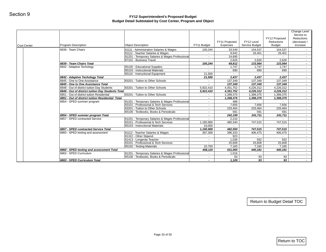| Cost Center | <b>Program Description</b>                                               | <b>Object Description</b>                                                                                            | FY11 Budget              | FY11 Projected<br><b>Expenses</b>            | FY12 Level<br>Service Budget | FY12 Proposed<br>Reductions<br><b>Budget</b> | Change Level<br>Service to<br>Reductions<br>(decrease) /<br>increase |
|-------------|--------------------------------------------------------------------------|----------------------------------------------------------------------------------------------------------------------|--------------------------|----------------------------------------------|------------------------------|----------------------------------------------|----------------------------------------------------------------------|
|             | 6839 - Team Chairs                                                       | 81111 - Administration Salaries & Wages                                                                              | 100,244                  | 33,549                                       | 104,537                      | 104,537                                      | $\sim$                                                               |
|             |                                                                          | 81112 - Teacher Salaries & Wages                                                                                     |                          | 8,942                                        | 26,401                       | 26,401                                       | $\sim$                                                               |
|             |                                                                          | 81201 - Temporary Salaries & Wages Professional                                                                      | $\bullet$                | 24,695                                       |                              |                                              | $\sim$                                                               |
|             |                                                                          | 87101 - Business Travel                                                                                              | $\sim$                   | 2,626                                        | 2,626                        | 2,626                                        | $\sim$                                                               |
|             | 6839 - Team Chairs Total                                                 |                                                                                                                      | 100,244                  | 69,812                                       | 133,564                      | 133,564                                      | $\sim$                                                               |
|             | 6842 - Adaptive Techology                                                | 85100 - Educational Supplies                                                                                         | $\sim$                   | 1,747                                        | 1,747                        | 1,747                                        | $\sim$                                                               |
|             |                                                                          | 85103 - Instructional Materials                                                                                      | $\sim$                   | 690                                          | 690                          | 690                                          | $\sim$ 10 $\pm$                                                      |
|             | 6842 - Adaptive Techology Total                                          | 85110 - Instructional Equipment                                                                                      | 21,500                   |                                              |                              | 2,437                                        | $\sim$                                                               |
|             | 6845 - One to One Assistance                                             | 83201 - Tuition to Other Schools                                                                                     | 21,500<br>$\sim$         | 2,437<br>137,349                             | 2,437<br>137,349             | 137,349                                      | $\sim$<br>$\sim$                                                     |
|             | 6845 - One to One Assistance Total                                       |                                                                                                                      | $\blacksquare$           | 137,349                                      | 137,349                      | 137,349                                      |                                                                      |
|             | 6848 - Out of district tuition Day Students                              | 83201 - Tuition to Other Schools                                                                                     | 5,922,410                | 4,351,752                                    | 4,226,312                    | 4,226,312                                    | $\sim$                                                               |
|             | 6848 - Out of district tuition Day Students Total                        |                                                                                                                      | 5,922,410                | 4,351,752                                    | 4,226,312                    | 4,226,312                                    | $\sim$<br>$\sim$                                                     |
|             | 6851 - Out of district tuition Residential                               | 83201 - Tuition to Other Schools                                                                                     | $\sim$                   |                                              |                              |                                              | $\sim$                                                               |
|             | 6851 - Out of district tuition Residential Total                         |                                                                                                                      | $\sim$                   | 1,399,375<br>1,399,375                       | 1,399,375<br>1,399,375       | 1,399,375<br>1,399,375                       | $\sim$                                                               |
|             | 6854 - SPED summer program                                               | 81201 - Temporary Salaries & Wages Professional                                                                      | $\sim$                   | 488                                          | $\sim$                       | $\sim$                                       | $\sim$                                                               |
|             |                                                                          | 83101 - Professional & Tech Services                                                                                 | $\sim$                   | 7,656                                        | 7,656                        | 7,656                                        | $\sim$                                                               |
|             |                                                                          | 83201 - Tuition to Other Schools                                                                                     | $\sim$                   | 233,464                                      | 233,464                      | 233,464                                      | $\sim$                                                               |
|             |                                                                          | 85106 - Textbooks, Books & Periodicals                                                                               | $\sim$                   | 591                                          | 591                          | 591                                          | $\sim$                                                               |
|             | 6854 - SPED summer program Total                                         |                                                                                                                      | $\sim$                   | 242,199                                      | 241,711                      | 241,711                                      | $\sim$                                                               |
|             | 6857 - SPED contracted Service                                           | 81201 - Temporary Salaries & Wages Professional                                                                      | $\sim$                   | 2,210                                        | $\sim$                       |                                              | $\sim$                                                               |
|             |                                                                          | 83101 - Professional & Tech Services                                                                                 | 1,180,969                | 480,340                                      | 747,515                      | 747,515                                      | $\sim$                                                               |
|             |                                                                          | 85103 - Instructional Materials                                                                                      | 10,000                   |                                              |                              |                                              | $\sim$                                                               |
|             | 6857 - SPED contracted Service Total                                     |                                                                                                                      | 1,190,969                | 482,550                                      | 747,515                      | 747,515                                      | $\sim$                                                               |
|             | 6860 - SPED testing and assessment                                       | 81112 - Teacher Salaries & Wages                                                                                     | 397,369                  | 396,333                                      | 406,475                      | 406,475                                      | $\sim$                                                               |
|             |                                                                          | 81322 - Other Stipend                                                                                                | $\sim$                   | 923                                          | $\sim$                       | $\sim$                                       | $\sim$                                                               |
|             |                                                                          | 81413 - Longevity Teacher                                                                                            | $\sim$                   | 1,036                                        | 932                          | 932                                          | $\sim$                                                               |
|             |                                                                          |                                                                                                                      |                          |                                              |                              |                                              | $\sim$                                                               |
|             |                                                                          |                                                                                                                      |                          |                                              |                              |                                              | $\sim$                                                               |
|             |                                                                          |                                                                                                                      |                          |                                              |                              |                                              | $\sim$                                                               |
|             | 6863 - SPED Curriculum                                                   |                                                                                                                      | $\sim$                   |                                              |                              |                                              | $\sim$                                                               |
|             |                                                                          | 85106 - Textbooks, Books & Periodicals                                                                               | $\sim$                   | 93                                           | 93                           | 93                                           | $\sim$                                                               |
|             |                                                                          |                                                                                                                      | $\overline{\phantom{a}}$ |                                              | 93                           | 93                                           | $\sim$                                                               |
|             | 6860 - SPED testing and assessment Total<br>6863 - SPED Curriculum Total | 83101 - Professional & Tech Services<br>85102 - Testing Materials<br>81201 - Temporary Salaries & Wages Professional | 10,750<br>408,119        | 25,608<br>7,165<br>431,065<br>1,016<br>1,109 | 25,608<br>7,165<br>440,181   | 25,608<br>7,165<br>440,181                   |                                                                      |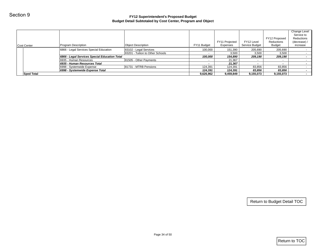|                   |                                               | <b>Budget Detail Subtotaled by Cost Center, Program and Object</b> |                          |                      |                     |                             |                            |
|-------------------|-----------------------------------------------|--------------------------------------------------------------------|--------------------------|----------------------|---------------------|-----------------------------|----------------------------|
|                   |                                               |                                                                    |                          |                      |                     |                             | Change Level<br>Service to |
|                   |                                               |                                                                    |                          | FY11 Projected       | FY12 Level          | FY12 Proposed<br>Reductions | Reductions<br>(decrease) / |
| Cost Center       | Program Description                           | <b>Object Description</b>                                          | FY11 Budget              | Expenses             | Service Budget      | <b>Budget</b>               | increase                   |
|                   | 6866 - Legal Services Special Education       | 83102 - Legal Services                                             | 100,000                  | 151,390              | 205,690             | 205,690                     | $\sim$                     |
|                   | 6866 - Legal Services Special Education Total | 83201 - Tuition to Other Schools                                   | $\sim$<br>100,000        | 3,500<br>154,890     | 3,500<br>209,190    | 3,500<br>209,190            | $\sim$                     |
|                   | 6935 - Human Resources                        | 81505 - Other Payments                                             | $\blacksquare$           | 21,367               | $\sim$              | $\sim$                      | $\sim$                     |
|                   | 6935 - Human Resources Total                  |                                                                    | $\overline{\phantom{a}}$ | 21,367               | $\blacksquare$      | $\blacksquare$              |                            |
|                   | 6998 - Systemwide Expense                     | 81731 - MTRB Pensions                                              | 124,391                  | 124,391              | 83,856              | 83,856                      | $\sim$<br>$\sim$           |
| <b>Sped Total</b> | 6998 - Systemwide Expense Total               |                                                                    | 124,391<br>9,626,962     | 124,391<br>9,459,849 | 83,856<br>9,155,073 | 83,856<br>9,155,073         |                            |
|                   |                                               |                                                                    |                          |                      |                     |                             |                            |
|                   |                                               |                                                                    |                          |                      |                     | Return to Budget Detail TOC |                            |
|                   |                                               |                                                                    |                          |                      |                     |                             |                            |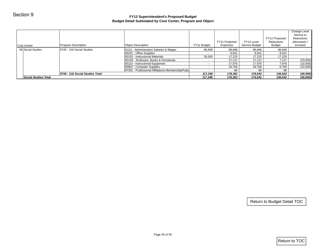| Section 9            |                                 | FY12 Superintendent's Proposed Budget<br>Budget Detail Subtotaled by Cost Center, Program and Object |                   |                            |                              |                                              |                                                                      |
|----------------------|---------------------------------|------------------------------------------------------------------------------------------------------|-------------------|----------------------------|------------------------------|----------------------------------------------|----------------------------------------------------------------------|
|                      |                                 |                                                                                                      |                   |                            |                              |                                              |                                                                      |
| Cost Center          | Program Description             | Object Description                                                                                   | FY11 Budget       | FY11 Projected<br>Expenses | FY12 Level<br>Service Budget | FY12 Proposed<br>Reductions<br><b>Budget</b> | Change Level<br>Service to<br>Reductions<br>(decrease) /<br>increase |
| 48 Social Studies    | 6745 - C&I Social Studies       | 81111 - Administration Salaries & Wages                                                              | 86,848            | 88,668                     | 86,848                       | 86,848                                       | $\sim$                                                               |
|                      |                                 | 84201 - Office Supplies                                                                              | $\sim$            | 8,501                      | 8,501                        | 8,501                                        | $\sim$                                                               |
|                      |                                 | 85103 - Instructional Materials                                                                      | 30,500            | 17,225                     | 17,225                       | 17,225                                       | $\sim$                                                               |
|                      |                                 | 85106 - Textbooks, Books & Periodicals                                                               | $\sim$ $-$        | 27,137                     | 27,137                       | 7,137                                        | (20,000)                                                             |
|                      |                                 | 85110 - Instructional Equipment                                                                      | $\sim$            | 17,976                     | 17,976                       | 7,976                                        | (10,000)                                                             |
|                      |                                 | 85802 - Computer Supplies<br>87301 - Professional Affiliations Membership/Pubs                       | $\sim$            | 18,769                     | 18,769                       | 8,769                                        | (10,000)                                                             |
|                      | 6745 - C&I Social Studies Total |                                                                                                      | $\sim$<br>117,348 | 86<br>178,362              | 86<br>176,542                | 86<br>136,542                                | (40,000)                                                             |
| Social Studies Total |                                 |                                                                                                      | 117,348           | 178,362                    | 176,542                      | 136,542                                      | (40,000)                                                             |
|                      |                                 |                                                                                                      |                   |                            |                              |                                              |                                                                      |
|                      |                                 |                                                                                                      |                   |                            |                              | Return to Budget Detail TOC                  |                                                                      |
|                      |                                 | Page 35 of 50                                                                                        |                   |                            |                              |                                              | $ $ Return to TOC $ $                                                |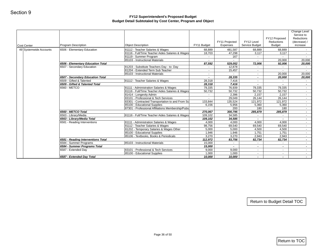| Cost Center            | Program Description                | <b>Object Description</b>                                            | FY11 Budget     | FY11 Projected<br>Expenses | FY12 Level<br>Service Budget    | FY12 Proposed<br>Reductions<br>Budget | Change Level<br>Service to<br>Reductions<br>(decrease) /<br>increase |
|------------------------|------------------------------------|----------------------------------------------------------------------|-----------------|----------------------------|---------------------------------|---------------------------------------|----------------------------------------------------------------------|
| 49 Systemwide Accounts | 6506 - Elementary Education        | 81112 - Teacher Salaries & Wages                                     | 68,889          | 481,587                    | 68,889                          | 68,889                                | $\sim$                                                               |
|                        |                                    | 81116 - Full/Time Teacher Aides Salaries & Wages                     | 18,703          | 47,298                     | 3,117                           | 3,117                                 | $\sim$ $-$                                                           |
|                        |                                    | 81119 - Summer Program                                               | $\sim$ $-$      | 167                        | $\sim$                          | $\sim$                                | $\sim$                                                               |
|                        |                                    | 85103 - Instructional Materials                                      |                 |                            |                                 | 20,000                                | 20,000                                                               |
|                        | 6506 - Elementary Education Total  |                                                                      | 87,592          | 529,052                    | 72,006                          | 92,006                                | 20,000                                                               |
|                        | 6507 - Secondary Education         | 81203 - Substitute Teachers Day - to- Day                            | $\sim$          | 12,878                     | $\sim$                          | $\sim$                                | $\sim$                                                               |
|                        |                                    | 81204 - Extended Term Sub Teacher<br>85103 - Instructional Materials | $\sim$          | 15,457<br>$\sim$           | $\sim$                          | $\sim$<br>20,000                      | $\sim$                                                               |
|                        | 6507 - Secondary Education Total   |                                                                      | $\sim$          | 28,335                     | $\sim$<br>$\tilde{\phantom{a}}$ | 20,000                                | 20,000<br>20,000                                                     |
|                        | 6509 - Gifted & Talented           | 81112 - Teacher Salaries & Wages                                     | 28,318          | 7,416                      | $\mathbf{r}$                    | $\sim$                                | $\sim$                                                               |
|                        | 6509 - Gifted & Talented Total     |                                                                      | 28,318          | 7,416                      | $\sim$                          | $\sim$                                | $\sim$                                                               |
|                        | 6560 - METCO                       | 81111 - Administration Salaries & Wages                              | 79,335          | 76,939                     | 79,335                          | 79,335                                | $\sim$                                                               |
|                        |                                    | 81116 - Full/Time Teacher Aides Salaries & Wages                     | 50,732          | 50,732                     | 50,732                          | 50,732                                | $\sim$ $-$                                                           |
|                        |                                    | 81414 - Longevity Admin                                              | $\sim$          | 2,396                      | 2,157                           | 2,157                                 | $\sim$                                                               |
|                        |                                    | 83101 - Professional & Tech Services                                 | $\sim$          | 29,049                     | 26,144                          | 26,144                                | $\sim$                                                               |
|                        |                                    | 83301 - Contracted Transportation to and From Sc                     | 133,844         | 135,524                    | 121,972                         | 121,972                               | $\sim$                                                               |
|                        |                                    | 85100 - Educational Supplies                                         | 6,156           | 5,956                      | 5,360                           | 5,360                                 | $\sim$                                                               |
|                        |                                    | 87301 - Professional Affiliations Membership/Pubs                    | $\sim$          | 200                        | 180                             | 180                                   | $\sim$ 10 $\pm$                                                      |
|                        | 6560 - METCO Total                 |                                                                      | 270,067         | 300,795                    | 285,879                         | 285,879                               | $\sim$                                                               |
|                        | 6563 - Library/Media               | 81116 - Full/Time Teacher Aides Salaries & Wages                     | 109,102         | 34,585                     |                                 |                                       | $\sim$                                                               |
|                        | 6563 - Library/Media Total         | 81111 - Administration Salaries & Wages                              | 109,102         | 34,585                     | $\sim$                          | $\sim$<br>4,000                       | $\sim$                                                               |
|                        | 6581 - Reading Interventions       | 81112 - Teacher Salaries & Wages                                     | 4,000<br>98,756 | 4,000<br>69,540            | 4,000<br>69,540                 | 69,540                                | $\sim$<br>$\sim$ 10 $\pm$                                            |
|                        |                                    | 81202 - Temporary Salaries & Wages Other                             | 5,000           | 5,000                      | 4,500                           | 4,500                                 | $\sim$                                                               |
|                        |                                    | 85100 - Educational Supplies                                         | 1,946           | 1,946                      | 1,751                           | 1,751                                 | $\sim$                                                               |
|                        |                                    | 85106 - Textbooks, Books & Periodicals                               | 3,270           | 3,270                      | 2,943                           | 2,943                                 | $\sim$                                                               |
|                        | 6581 - Reading Interventions Total |                                                                      | 112,972         | 83,756                     | 82,734                          | 82,734                                | $\sim$                                                               |
|                        | 6584 - Summer Programs             | 85103 - Instructional Materials                                      | 15,000          | $\sim$ $-$                 | $\sim$                          | $\sim$                                | $\sim$                                                               |
|                        | 6584 - Summer Programs Total       |                                                                      | 15,000          | $\blacksquare$             | $\blacksquare$                  | $\sim$                                | $\sim$                                                               |
|                        | 6587 - Extended Day                | 83101 - Professional & Tech Services                                 | 9,000           | 9,000                      | $\sim$                          | $\sim$                                | $\sim$                                                               |
|                        |                                    | 85100 - Educational Supplies                                         | 1,000           | 1,000                      | $\sim$                          | $\sim$                                | $\sim 10$                                                            |
|                        | 6587 - Extended Day Total          |                                                                      | 10,000          | 10,000                     | $\blacksquare$                  | $\sim$                                | $\sim$                                                               |
|                        |                                    |                                                                      |                 |                            |                                 | Return to Budget Detail TOC           |                                                                      |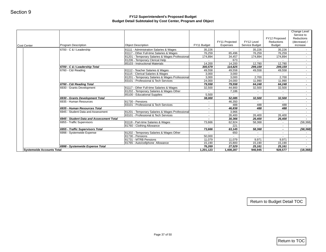|                                  |                                                               |                                                                                         |                   | FY11 Projected  | FY12 Level            | FY12 Proposed<br>Reductions | Change Level<br>Service to<br>Reductions<br>(decrease) / |
|----------------------------------|---------------------------------------------------------------|-----------------------------------------------------------------------------------------|-------------------|-----------------|-----------------------|-----------------------------|----------------------------------------------------------|
| Cost Center                      | Program Description                                           | <b>Object Description</b>                                                               | FY11 Budget       | Expenses        | Service Budget        | <b>Budget</b>               | increase                                                 |
|                                  | 6700 - C & I Leadership                                       | 81111 - Administration Salaries & Wages                                                 | 35,226            |                 | 35,226                | 35,226                      |                                                          |
|                                  |                                                               | 81117 - Other Full-time Salaries & Wages                                                | 76,259            | 65,496          | 76,259                | 76,259                      | $\sim 10$                                                |
|                                  |                                                               | 81201 - Temporary Salaries & Wages Professional<br>81206 - Temporary Clerical Help      | 174,894<br>$\sim$ | 34,457<br>673   | 174,894<br>$\sim$ $-$ | 174,894<br>$\sim$           | $\sim$ $-$<br>$\sim$                                     |
|                                  |                                                               | 85103 - Instructional Materials                                                         | 14,200            | 14,200          | 12,780                | 12,780                      | $\sim$                                                   |
|                                  | 6700 - C & I Leadership Total                                 |                                                                                         | 300,579           | 114,825         | 299,159               | 299.159                     | $\sim$                                                   |
|                                  | 6760 - C&I Reading                                            | 81112 - Teacher Salaries & Wages                                                        | 49,558            | 49,558          | 49,558                | 49,558                      | $\sim$ $-$                                               |
|                                  |                                                               | 81115 - Clerical Salaries & Wages                                                       | 3,000             | 3,000           | $\sim$                | $\sim$                      | $\sim$ 10 $\pm$                                          |
|                                  |                                                               | 81201 - Temporary Salaries & Wages Professional<br>83101 - Professional & Tech Services | 3,000<br>24,000   | 3,000<br>24,000 | 2,700<br>11,990       | 2,700<br>11,990             | $\sim$                                                   |
|                                  | 6760 - C&I Reading Total                                      |                                                                                         | 79,558            | 79,558          | 64,248                | 64,248                      | $\sim$<br>$\sim$                                         |
|                                  | 6930 - Grants Development                                     | 81117 - Other Full-time Salaries & Wages                                                | 32,500            | 44,900          | 32,500                | 32,500                      | $\sim$                                                   |
|                                  |                                                               | 81202 - Temporary Salaries & Wages Other                                                | $\sim$            | 7,186           | $\sim$                | $\sim$                      | $\sim 100$                                               |
|                                  |                                                               | 85100 - Educational Supplies                                                            | 5,500             | $\sim 100$      | $\sim$                | $\sim$                      | $\sim$ $-$                                               |
|                                  | 6930 - Grants Development Total                               |                                                                                         | 38,000            | 52,085          | 32,500                | 32,500                      | $\sim$                                                   |
|                                  | 6935 - Human Resources                                        | 81730 - Pensions                                                                        | $\sim$            | 46,350          |                       |                             | $\sim$                                                   |
|                                  | 6935 - Human Resources Total                                  | 83101 - Professional & Tech Services                                                    | $\sim$<br>$\sim$  | 488<br>46,838   | 488<br>488            | 488<br>488                  | $\sim$<br>$\sim$                                         |
|                                  | 6945 - Student Data and Assessment                            | 81201 - Temporary Salaries & Wages Professional                                         | $\sim$            | 3,966           | $\sim$                | $\sim$                      | $\sim$                                                   |
|                                  |                                                               | 83101 - Professional & Tech Services                                                    | $\sim$            | 26,400          | 26,400                | 26,400                      | $\sim$                                                   |
|                                  | 6945 - Student Data and Assessment Total                      |                                                                                         |                   | 30,366          | 26,400                | 26,400                      |                                                          |
|                                  | 6955 - Traffic Supervisors                                    | 81118 - Part-time Salaries & Wages                                                      | 73,666            | 62,924          | 58,368                | $\sim$                      | (58, 368)                                                |
|                                  |                                                               | 81760 - Clothing Allowance                                                              | $\sim$            | 221             | $\sim$                | $\sim$                      | $\sim$                                                   |
|                                  | 6955 - Traffic Supervisors Total<br>6998 - Systemwide Expense |                                                                                         | 73,666<br>$\sim$  | 63,145<br>650   | 58,368<br>$\sim$      | $\sim$<br>$\sim$            | (58, 368)<br>$\sim$                                      |
|                                  |                                                               | 81202 - Temporary Salaries & Wages Other<br>81730 - Pensions                            | 50,000            |                 |                       |                             | $\sim$                                                   |
|                                  |                                                               | 81731 - MTRB Pensions                                                                   | 11,079            | 11,079          | 9,971                 | 9,971                       | $\sim$                                                   |
|                                  |                                                               | 81765 - Auto/cellphone Allowance                                                        | 15,190            | 15,800          | 15,190                | 15,190                      | $\sim$                                                   |
|                                  | 6998 - Systemwide Expense Total                               |                                                                                         | 76,269            | 27,529          | 25,161                | 25,161                      | $\sim$                                                   |
| <b>Systemwide Accounts Total</b> |                                                               |                                                                                         | 1,201,123         | 1,408,287       | 946,945               | 928,577                     | (18, 368)                                                |
|                                  |                                                               |                                                                                         |                   |                 |                       |                             |                                                          |
|                                  |                                                               |                                                                                         |                   |                 |                       | Return to Budget Detail TOC |                                                          |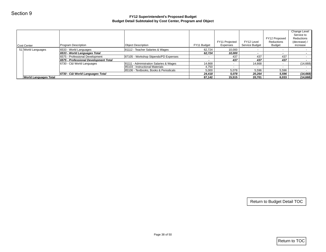| Section 9                    |                                       | FY12 Superintendent's Proposed Budget<br>Budget Detail Subtotaled by Cost Center, Program and Object |                 |                            |                              |                                              |                                                                      |
|------------------------------|---------------------------------------|------------------------------------------------------------------------------------------------------|-----------------|----------------------------|------------------------------|----------------------------------------------|----------------------------------------------------------------------|
| Cost Center                  | Program Description                   | <b>Object Description</b>                                                                            | FY11 Budget     | FY11 Projected<br>Expenses | FY12 Level<br>Service Budget | FY12 Proposed<br>Reductions<br><b>Budget</b> | Change Level<br>Service to<br>Reductions<br>(decrease) /<br>increase |
| 51 World Languages           | 6533 - World Languages                | 81112 - Teacher Salaries & Wages                                                                     | 62,724          | 10,000                     | $\blacksquare$               | $\sim$                                       | $\sim$                                                               |
|                              | 6533 - World Languages Total          |                                                                                                      | 62,724          | 10,000                     | $\blacksquare$               | $\sim$                                       | $\sim$                                                               |
|                              | 6575 - Professional Development       | 87105 - Workshop Stipends/PD Expenses                                                                | $\sim$          | 437                        | 437                          | 437                                          | $\sim$ $-$                                                           |
|                              | 6575 - Professional Development Total |                                                                                                      | $\sim$          | 437                        | 437                          | 437                                          | $\sim$                                                               |
|                              | 6730 - C&I World Languages            | 81111 - Administration Salaries & Wages                                                              | 14,668          | $\sim$                     | 14,668                       | $\omega_{\rm{eff}}$                          | (14, 668)                                                            |
|                              |                                       | 85103 - Instructional Materials<br>85106 - Textbooks, Books & Periodicals                            | 4,750           | $\blacksquare$             | $\blacksquare$               | $\sim$                                       | $\sim$<br>$\sim$                                                     |
|                              | 6730 - C&I World Languages Total      |                                                                                                      | 5,000<br>24,418 | 5,078<br>5,078             | 5,596<br>20,264              | 5,596<br>5,596                               | (14, 668)                                                            |
| <b>World Languages Total</b> |                                       |                                                                                                      | 87,142          | 15,515                     | 20,701                       | 6,033                                        | (14, 668)                                                            |
|                              |                                       |                                                                                                      |                 |                            |                              |                                              |                                                                      |
|                              |                                       |                                                                                                      |                 |                            |                              | Return to Budget Detail TOC                  |                                                                      |
|                              |                                       | Page 38 of 50                                                                                        |                 |                            |                              |                                              | Return to TOC                                                        |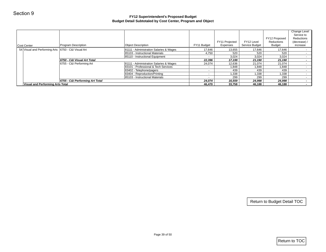| Cost Center                                         | Program Description             | <b>Object Description</b>               | FY11 Budget      | FY11 Projected<br>Expenses | FY12 Level<br>Service Budget | FY12 Proposed<br>Reductions<br><b>Budget</b> | Change Level<br>Service to<br>Reductions<br>(decrease) /<br>increase |
|-----------------------------------------------------|---------------------------------|-----------------------------------------|------------------|----------------------------|------------------------------|----------------------------------------------|----------------------------------------------------------------------|
| 54 Visual and Performing Arts 6750 - C&I Visual Art |                                 | 81111 - Administration Salaries & Wages | 17,646           | 13,655                     | 17,646                       | 17,646                                       | $\sim$                                                               |
|                                                     |                                 | 85103 - Instructional Materials         | 4,750            | 520                        | 520                          | 520                                          | $\sim$                                                               |
|                                                     |                                 | 85110 - Instructional Equipment         | $\sim$ $-$       | 3,024                      | 3,024                        | 3,024                                        | $\sim$ $-$                                                           |
|                                                     | 6750 - C&I Visual Art Total     |                                         | 22,396           | 17,199                     | 21,190                       | 21,190                                       | $\sim$                                                               |
|                                                     | 6755 - C&I Performing Art       | 81111 - Administration Salaries & Wages | 24,074           | 12,636                     | 21,074                       | 21,074                                       | $\sim$ $-$                                                           |
|                                                     |                                 | 83101 - Professional & Tech Services    | $\sim$           | 1,848                      | 1,848                        | 1,848                                        | $\sim$ $-$                                                           |
|                                                     |                                 | 83402 - Telephone/pagers                | $\sim$           | 439                        | 439                          | 439                                          | $\sim$                                                               |
|                                                     |                                 | 83404 - Reproduction/Printing           | $\sim$           | 1,338                      | 1,338                        | 1,338                                        | $\sim$                                                               |
|                                                     | 6755 - C&I Performing Art Total | 85103 - Instructional Materials         | $\sim$<br>24,074 | 299<br>16,559              | 299<br>24,998                | 299<br>24,998                                | $\sim$                                                               |
| <b>Visual and Performing Arts Total</b>             |                                 |                                         | 46,470           | 33,758                     | 46,188                       | 46,188                                       | $\sim$<br>$\sim$                                                     |
|                                                     |                                 |                                         |                  |                            |                              |                                              |                                                                      |
|                                                     |                                 |                                         |                  |                            |                              | Return to Budget Detail TOC                  |                                                                      |
|                                                     |                                 |                                         |                  |                            |                              |                                              |                                                                      |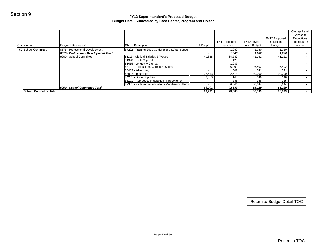| Section 9                     |                                       | FY12 Superintendent's Proposed Budget<br>Budget Detail Subtotaled by Cost Center, Program and Object |                  |                            |                              |                                              |                                                                      |
|-------------------------------|---------------------------------------|------------------------------------------------------------------------------------------------------|------------------|----------------------------|------------------------------|----------------------------------------------|----------------------------------------------------------------------|
|                               |                                       |                                                                                                      |                  |                            |                              |                                              |                                                                      |
| Cost Center                   | Program Description                   | <b>Object Description</b>                                                                            | FY11 Budget      | FY11 Projected<br>Expenses | FY12 Level<br>Service Budget | FY12 Proposed<br>Reductions<br><b>Budget</b> | Change Level<br>Service to<br>Reductions<br>(decrease) /<br>increase |
| 57 School Committee           | 6575 - Professional Development       | 87202 - Training Educ Conferences & Attendance                                                       | $\sim$           | 1,080                      | 1,080                        | 1,080                                        |                                                                      |
|                               | 6575 - Professional Development Total |                                                                                                      | $\blacksquare$   | 1,080                      | 1,080                        | 1,080                                        |                                                                      |
|                               | 6900 - School Committee               | 81115 - Clerical Salaries & Wages                                                                    | 40,838           | 34,542                     | 41,161                       | 41,161                                       |                                                                      |
|                               |                                       | 81320 - Skills Stipend                                                                               | $\sim$           | 426                        | $\sim$                       | $\sim$                                       |                                                                      |
|                               |                                       | 81415 - Longevity Clerical                                                                           | $\sim$           | 1,035                      | $\sim$                       | $\sim$                                       |                                                                      |
|                               |                                       | 83101 - Professional & Tech Services<br>83403 - Advertising                                          | $\sim$<br>$\sim$ | 6,402<br>541               | 6,402<br>541                 | 6,402<br>541                                 |                                                                      |
|                               |                                       | 83807 - Insurance                                                                                    | 22,513           | 22,513                     | 30,000                       | 30,000                                       |                                                                      |
|                               |                                       | 84201 - Office Supplies                                                                              | 2,850            | 146                        | 146                          | 146                                          |                                                                      |
|                               |                                       | 85101 - Reproduction supplies - Paper/Toner                                                          | $\sim$           | 335                        | 335                          | 335                                          |                                                                      |
|                               |                                       | 87301 - Professional Affiliations Membership/Pubs                                                    | $\sim$           | 6,644                      | 6,644                        | 6,644                                        |                                                                      |
|                               | 6900 - School Committee Total         |                                                                                                      | 66,201           | 72,583                     | 85,229                       | 85,229                                       |                                                                      |
| <b>School Committee Total</b> |                                       |                                                                                                      | 66,201           | 73,663                     | 86,309                       | 86,309                                       |                                                                      |
|                               |                                       |                                                                                                      |                  |                            |                              |                                              |                                                                      |
|                               |                                       |                                                                                                      |                  |                            |                              | Return to Budget Detail TOC                  |                                                                      |
|                               |                                       | Page 40 of 50                                                                                        |                  |                            |                              |                                              | Return to TOC                                                        |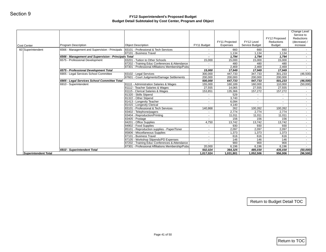| Program Description<br><b>Object Description</b>                                                     | FY11 Budget       | FY11 Projected<br>Expenses | FY12 Level<br>Service Budget | FY12 Proposed<br>Reductions<br><b>Budget</b> | Change Level<br>Service to<br>Reductions<br>(decrease) /<br>increase |
|------------------------------------------------------------------------------------------------------|-------------------|----------------------------|------------------------------|----------------------------------------------|----------------------------------------------------------------------|
| 6566 - Management and Supervision - Principals<br>83101 - Professional & Tech Services               |                   | 660                        | 660                          | 660                                          | $\sim$                                                               |
| 87101 - Business Travel<br>6566 - Management and Supervision - Principals Total                      | $\sim$            | 1,134                      | 1,134                        | 1,134                                        | $\sim$                                                               |
| 6575 - Professional Development<br>83201 - Tuition to Other Schools                                  | $\sim$<br>15,000  | 1,794<br>15,000            | 1,794<br>15,000              | 1,794<br>15,000                              | $\sim$<br>$\sim$                                                     |
| 87202 - Training Educ Conferences & Attendance                                                       | $\sim$            | 480                        | 480                          | 480                                          | $\sim$                                                               |
| 87301 - Professional Affiliations Membership/Pubs                                                    | $\sim$            | 2,469                      | 2,469                        | 2,469                                        | $\sim$                                                               |
| 6575 - Professional Development Total                                                                | 15,000            | 17,949                     | 17,949                       | 17,949                                       | $\sim$                                                               |
| 6905 - Legal Services School Committee<br>83102 - Legal Services                                     | 300,000           | 447,733                    | 347,733                      | 301,233                                      | (46, 500)                                                            |
| 87601 - Court Judgments/Damage Settlements                                                           | 200,000           | 200,000                    | 200,000                      | 200,000                                      | $\sim$                                                               |
| 6905 - Legal Services School Committee Total                                                         | 500,000           | 647,733                    | 547,733                      | 501,233                                      | (46, 500)                                                            |
| 6910 - Superintendent<br>81111 - Administration Salaries & Wages<br>81112 - Teacher Salaries & Wages | 155,000<br>27,555 | 160,189<br>14,065          | 160,000<br>27,555            | 110,000<br>27,555                            | (50,000)<br>$\sim 100$                                               |
| 81115 - Clerical Salaries & Wages                                                                    | 153,851           | 135,366                    | 157,272                      | 157,272                                      | $\sim$                                                               |
| 81320 - Skills Stipend                                                                               | $\sim$            | 529                        | $\sim$                       | $\sim$ $-$                                   | $\sim$                                                               |
| 81322 - Other Stipend                                                                                | $\sim$            | 3,740                      | $\sim$                       | $\sim$                                       | $\sim$                                                               |
| 81413 - Longevity Teacher                                                                            | $\sim$            | 6,094                      | $\sim$                       | $\sim$                                       | $\sim$                                                               |
| 81415 - Longevity Clerical                                                                           | $\sim$            | 4,140                      | $\sim$                       | $\sim$                                       | $\sim$                                                               |
| 83101 - Professional & Tech Services                                                                 | 140,868           | 262                        | 100,262                      | 100,262                                      | $\sim$                                                               |
| 83402 - Telephone/pagers                                                                             |                   | 2,774                      | 2,774                        | 2,774                                        | $\sim$                                                               |
| 83404 - Reproduction/Printing                                                                        | $\sim$            | 11,011                     | 11,011                       | 11,011                                       | $\sim$                                                               |
| 83405 - Postage                                                                                      | $\sim$            | 156                        | 156                          | 156                                          | $\sim$                                                               |
| 84201 - Office Supplies<br>84902 - Food Supplies                                                     | 4,750<br>$\sim$   | 13,742<br>930              | 13,742<br>930                | 13,742<br>930                                | $\sim$<br>$\sim$                                                     |
| 85101 - Reproduction supplies - Paper/Toner                                                          | $\sim$            | 2,097                      | 2,097                        | 2,097                                        | $\sim$                                                               |
| 85806 - Miscellaneous Supplies                                                                       | $\sim$            | 1,373                      | 1,373                        | 1,373                                        | $\sim$                                                               |
| 87101 - Business Travel                                                                              | $\sim$            | 616                        | 616                          | 616                                          | $\sim$                                                               |
| 87105 - Workshop Stipends/PD Expenses                                                                | $\sim$            | 146                        | 146                          | 146                                          | $\sim$                                                               |
| 87202 - Training Educ Conferences & Attendance                                                       | $\sim$            | 900                        | 900                          | 900                                          | $\sim$                                                               |
| 87301 - Professional Affiliations Membership/Pubs                                                    | 20,000            | 6,196                      | 6,196                        | 6,196                                        |                                                                      |
| 6910 - Superintendent Total                                                                          | 502,024           | 364,325                    | 485,030                      | 435,030                                      | (50,000)                                                             |
|                                                                                                      | 1,017,024         | 1,031,801                  | 1,052,506                    | 956,006                                      | (96, 500)                                                            |
|                                                                                                      |                   |                            |                              |                                              |                                                                      |
|                                                                                                      |                   |                            |                              |                                              |                                                                      |
|                                                                                                      |                   |                            |                              |                                              | Return to Budget Detail TOC                                          |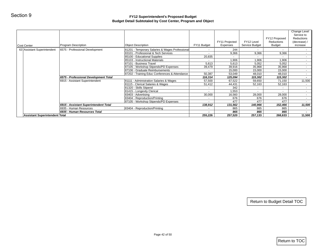| Section 9                             |                                       | FY12 Superintendent's Proposed Budget<br>Budget Detail Subtotaled by Cost Center, Program and Object |                           |                 |                 |                             |                                          |
|---------------------------------------|---------------------------------------|------------------------------------------------------------------------------------------------------|---------------------------|-----------------|-----------------|-----------------------------|------------------------------------------|
|                                       |                                       |                                                                                                      |                           |                 |                 |                             | Change Level                             |
|                                       |                                       |                                                                                                      |                           | FY11 Projected  | FY12 Level      | FY12 Proposed<br>Reductions | Service to<br>Reductions<br>(decrease) / |
| Cost Center                           | Program Description                   | <b>Object Description</b>                                                                            | FY11 Budget               | Expenses        | Service Budget  | <b>Budget</b>               | increase                                 |
| 63 Assistant Superintendent           | 6575 - Professional Development       | 81201 - Temporary Salaries & Wages Professional                                                      | $\blacksquare$            | 244             | $\sim$          | $\sim$                      | $\sim$ $-$                               |
|                                       |                                       | 83101 - Professional & Tech Services                                                                 |                           | 9,366           | 9,366           | 9,366                       | $\sim$ $-$                               |
|                                       |                                       | 85100 - Educational Supplies                                                                         | 20,835                    | $\sim$          | $\sim$          |                             | $\sim$                                   |
|                                       |                                       | 85103 - Instructional Materials<br>87101 - Business Travel                                           | $\sim$                    | 1,906           | 1,906           | 1,906                       | $\sim$                                   |
|                                       |                                       | 87105 - Workshop Stipends/PD Expenses                                                                | 5,613<br>39,479           | 5,613<br>39,916 | 5,052<br>35,968 | 5,052<br>35,968             | $\sim$<br>$\sim$                         |
|                                       |                                       | 87106 - Graduate Reimbursements                                                                      | $\sim$                    | 15,000          | 15,000          | 15,000                      | $\sim$                                   |
|                                       |                                       | 87202 - Training Educ Conferences & Attendance                                                       | 50,387                    | 53,049          | 48,010          | 48,010                      |                                          |
|                                       | 6575 - Professional Development Total |                                                                                                      | 116,314                   | 125,094         | 115,302         | 115,302                     | $\sim$                                   |
|                                       | 6915 - Assistant Superintendent       | 81111 - Administration Salaries & Wages                                                              | 57,500                    | 67,522          | 59,650          | 71,150                      | 11,500                                   |
|                                       |                                       | 81115 - Clerical Salaries & Wages                                                                    | 51,412                    | 44,431          | 52,163          | 52,163                      | $\sim$ $-$                               |
|                                       |                                       | 81320 - Skills Stipend                                                                               | $\sim$                    | 342             | $\sim$          | $\sim$                      | $\sim$                                   |
|                                       |                                       | 81415 - Longevity Clerical                                                                           | $\blacksquare$            | 1,553           | $\sim$          | $\sim$                      |                                          |
|                                       |                                       | 83403 - Advertising                                                                                  | 30,000                    | 16,560          | 28,000          | 28,000                      | $\sim$                                   |
|                                       |                                       | 83404 - Reproduction/Printing                                                                        | $\sim$                    | 676             | 676             | 676                         | $\sim$                                   |
|                                       |                                       | 87105 - Workshop Stipends/PD Expenses                                                                | $\sim$                    | 477             | 477             | 477                         | $\sim$ $-$                               |
|                                       | 6915 - Assistant Superintendent Total |                                                                                                      | 138,912                   | 131,562         | 140,966         | 152,466                     | 11,500                                   |
|                                       | 6935 - Human Resources                | 83404 - Reproduction/Printing                                                                        |                           | 865             | 865             | 865                         |                                          |
| <b>Assistant Superintendent Total</b> | 6935 - Human Resources Total          |                                                                                                      | $\blacksquare$<br>255,226 | 865<br>257,520  | 865<br>257,133  | 865<br>268,633              | $\sim$<br>11,500                         |
|                                       |                                       |                                                                                                      |                           |                 |                 |                             |                                          |
|                                       |                                       |                                                                                                      |                           |                 |                 | Return to Budget Detail TOC |                                          |
|                                       |                                       |                                                                                                      |                           |                 |                 |                             |                                          |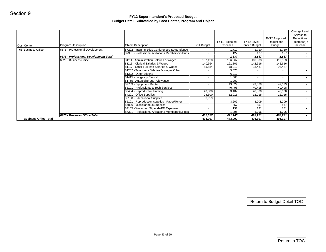| FY11 Budget<br>$\sim$<br>$\sim$<br>$\sim$<br>107,120<br>140,564<br>85,854<br>$\sim$<br>$\sim$<br>$\sim$<br>$\sim$<br>$\sim$<br>$\sim$<br>40,000<br>24,600<br>6,959<br>$\sim$<br>$\mathcal{L}_{\mathcal{A}}$<br>$\sim$<br>$\sim$<br>405,097<br>405,097 | Expenses<br>1,710<br>127<br>7,837<br>106,967<br>161,801<br>78,213<br>5,070<br>6,010<br>1,668<br>1,200<br>49,029<br>40,498<br>3,402<br>12,015<br>$\sim$<br>3,209<br>857<br>131<br>1,096<br>471,165<br>473,002 | Service Budget<br>1,710<br>127<br>1,837<br>110,333<br>142,616<br>93,487<br>$\sim$<br>$\sim$<br>$\sim$<br>$\sim$<br>49,029<br>40,498<br>40,000<br>12,015<br>$\sim$<br>3,209<br>857<br>131<br>1,096 | <b>Budget</b><br>1,710<br>127<br>1,837<br>110,333<br>142,616<br>93,487<br>$\sim$<br>$\sim$<br>$\sim$<br>$\sim$<br>49,029<br>40,498<br>40,000<br>12,015<br>$\sim$<br>3,209 | $\sim$<br>$\sim$<br>$\sim$<br>$\sim$<br>$\sim$ $-$<br>$\sim$<br>$\sim$<br>$\sim$<br>$\sim$<br>$\sim$<br>$\sim$ $-$<br>$\sim$<br>$\sim$ |
|-------------------------------------------------------------------------------------------------------------------------------------------------------------------------------------------------------------------------------------------------------|--------------------------------------------------------------------------------------------------------------------------------------------------------------------------------------------------------------|---------------------------------------------------------------------------------------------------------------------------------------------------------------------------------------------------|---------------------------------------------------------------------------------------------------------------------------------------------------------------------------|----------------------------------------------------------------------------------------------------------------------------------------|
|                                                                                                                                                                                                                                                       |                                                                                                                                                                                                              |                                                                                                                                                                                                   |                                                                                                                                                                           |                                                                                                                                        |
|                                                                                                                                                                                                                                                       |                                                                                                                                                                                                              |                                                                                                                                                                                                   |                                                                                                                                                                           |                                                                                                                                        |
|                                                                                                                                                                                                                                                       |                                                                                                                                                                                                              |                                                                                                                                                                                                   |                                                                                                                                                                           |                                                                                                                                        |
|                                                                                                                                                                                                                                                       |                                                                                                                                                                                                              |                                                                                                                                                                                                   |                                                                                                                                                                           |                                                                                                                                        |
|                                                                                                                                                                                                                                                       |                                                                                                                                                                                                              |                                                                                                                                                                                                   |                                                                                                                                                                           |                                                                                                                                        |
|                                                                                                                                                                                                                                                       |                                                                                                                                                                                                              |                                                                                                                                                                                                   |                                                                                                                                                                           |                                                                                                                                        |
|                                                                                                                                                                                                                                                       |                                                                                                                                                                                                              |                                                                                                                                                                                                   |                                                                                                                                                                           |                                                                                                                                        |
|                                                                                                                                                                                                                                                       |                                                                                                                                                                                                              |                                                                                                                                                                                                   |                                                                                                                                                                           |                                                                                                                                        |
|                                                                                                                                                                                                                                                       |                                                                                                                                                                                                              |                                                                                                                                                                                                   |                                                                                                                                                                           |                                                                                                                                        |
|                                                                                                                                                                                                                                                       |                                                                                                                                                                                                              |                                                                                                                                                                                                   |                                                                                                                                                                           |                                                                                                                                        |
|                                                                                                                                                                                                                                                       |                                                                                                                                                                                                              |                                                                                                                                                                                                   |                                                                                                                                                                           |                                                                                                                                        |
|                                                                                                                                                                                                                                                       |                                                                                                                                                                                                              |                                                                                                                                                                                                   |                                                                                                                                                                           |                                                                                                                                        |
|                                                                                                                                                                                                                                                       |                                                                                                                                                                                                              |                                                                                                                                                                                                   |                                                                                                                                                                           |                                                                                                                                        |
|                                                                                                                                                                                                                                                       |                                                                                                                                                                                                              |                                                                                                                                                                                                   |                                                                                                                                                                           | $\sim$<br>$\sim$                                                                                                                       |
|                                                                                                                                                                                                                                                       |                                                                                                                                                                                                              |                                                                                                                                                                                                   |                                                                                                                                                                           |                                                                                                                                        |
|                                                                                                                                                                                                                                                       |                                                                                                                                                                                                              |                                                                                                                                                                                                   |                                                                                                                                                                           | $\sim$ $-$                                                                                                                             |
|                                                                                                                                                                                                                                                       |                                                                                                                                                                                                              |                                                                                                                                                                                                   | 857<br>131                                                                                                                                                                | $\sim$                                                                                                                                 |
|                                                                                                                                                                                                                                                       |                                                                                                                                                                                                              |                                                                                                                                                                                                   | 1,096                                                                                                                                                                     | $\sim$                                                                                                                                 |
|                                                                                                                                                                                                                                                       |                                                                                                                                                                                                              | 493,271                                                                                                                                                                                           | 493,271                                                                                                                                                                   |                                                                                                                                        |
|                                                                                                                                                                                                                                                       |                                                                                                                                                                                                              | 495,107                                                                                                                                                                                           | 495,107                                                                                                                                                                   |                                                                                                                                        |
|                                                                                                                                                                                                                                                       |                                                                                                                                                                                                              |                                                                                                                                                                                                   |                                                                                                                                                                           |                                                                                                                                        |
|                                                                                                                                                                                                                                                       |                                                                                                                                                                                                              |                                                                                                                                                                                                   |                                                                                                                                                                           |                                                                                                                                        |
|                                                                                                                                                                                                                                                       |                                                                                                                                                                                                              |                                                                                                                                                                                                   |                                                                                                                                                                           | Return to Budget Detail TOC<br>Return to TOC                                                                                           |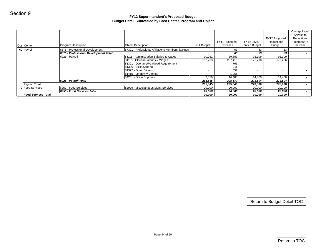| Cost Center                | Program Description                   | <b>Object Description</b>                         | FY11 Budget              | FY11 Projected<br>Expenses | FY12 Level<br>Service Budget | FY12 Proposed<br>Reductions<br><b>Budget</b> | Change Level<br>Service to<br>Reductions<br>(decrease) /<br>increase |
|----------------------------|---------------------------------------|---------------------------------------------------|--------------------------|----------------------------|------------------------------|----------------------------------------------|----------------------------------------------------------------------|
| 69 Payroll                 | 6575 - Professional Development       | 87301 - Professional Affiliations Membership/Pubs | $\sim$                   | 63                         | 63                           | 63                                           | $\sim$                                                               |
|                            | 6575 - Professional Development Total |                                                   | $\overline{\phantom{a}}$ | 63                         | 63                           | 63                                           | $\sim$                                                               |
|                            | 6925 - Payroll                        | 81111 - Administration Salaries & Wages           | 90,262                   | 69,859                     | 92,109                       | 92,109                                       | $\sim$                                                               |
|                            |                                       | 81115 - Clerical Salaries & Wages                 | 168,733                  | 207,419                    | 172,296                      | 172,296                                      | $\sim$                                                               |
|                            |                                       | 81301 - Overtime/Peakload Requirement             | $\sim$                   | 765                        | $\sim$                       | $\sim$                                       | $\sim$                                                               |
|                            |                                       | 81320 - Skills Stipend                            | $\sim$                   | 311                        | $\sim$                       | $\sim$                                       |                                                                      |
|                            |                                       | 81322 - Other Stipend                             | $\blacksquare$           | 1,557                      | $\sim$                       | $\omega_{\rm c}$                             |                                                                      |
|                            |                                       | 81415 - Longevity Clerical                        | $\sim$                   | 1,265                      | $\sim$                       | $\sim$                                       | $\sim$<br>$\sim$                                                     |
|                            |                                       | 84201 - Office Supplies                           | 2,850                    | 14,400                     | 14,400                       | 14,400                                       | $\sim$                                                               |
|                            | 6925 - Payroll Total                  |                                                   | 261,845                  | 295,577                    | 278,804                      | 278,804                                      | $\sim$                                                               |
| <b>Payroll Total</b>       |                                       |                                                   | 261,845                  | 295,640                    | 278,868                      | 278,868                                      |                                                                      |
| 72 Food Services           | 6950 - Food Services                  | 82999 - Miscellaneous Maint Services              | 20,000                   | 20,000                     | 20,000                       | 20,000                                       |                                                                      |
|                            | 6950 - Food Services Total            |                                                   | 20,000                   | 20,000                     | 20,000                       | 20,000                                       |                                                                      |
| <b>Food Services Total</b> |                                       |                                                   | 20,000                   | 20,000                     | 20,000                       | 20,000                                       |                                                                      |
|                            |                                       |                                                   |                          |                            |                              |                                              |                                                                      |
|                            |                                       |                                                   |                          |                            |                              |                                              |                                                                      |
|                            |                                       |                                                   |                          |                            |                              | Return to Budget Detail TOC                  |                                                                      |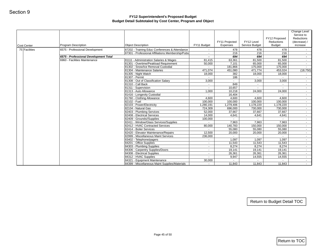| Program Description<br>6575 - Professional Development<br>6575 - Professional Development Total<br>6960 - Facilities Maintenance | <b>Object Description</b><br>87202 - Training Educ Conferences & Attendance<br>87301 - Professional Affiliations Membership/Pubs<br>81111 - Administration Salaries & Wages<br>81301 - Overtime/Peakload Requirement<br>81302 - Snow/Ice Removal Custodial | FY11 Budget<br>$\sim$<br>$\sim$<br>$\sim$<br>81,415<br>50,000                                                                                                                                                                                                                                                                                                                                                                                                                                                                                                                                  | Expenses<br>478<br>216<br>694<br>63,361<br>7,101                                                                         | Service Budget<br>478<br>216<br>694<br>81,500                                                                                                                 | <b>Budget</b><br>478<br>216<br>694                                                                                                                           | (decrease) /<br>increase<br>$\sim$<br>$\sim$                                                                                                       |
|----------------------------------------------------------------------------------------------------------------------------------|------------------------------------------------------------------------------------------------------------------------------------------------------------------------------------------------------------------------------------------------------------|------------------------------------------------------------------------------------------------------------------------------------------------------------------------------------------------------------------------------------------------------------------------------------------------------------------------------------------------------------------------------------------------------------------------------------------------------------------------------------------------------------------------------------------------------------------------------------------------|--------------------------------------------------------------------------------------------------------------------------|---------------------------------------------------------------------------------------------------------------------------------------------------------------|--------------------------------------------------------------------------------------------------------------------------------------------------------------|----------------------------------------------------------------------------------------------------------------------------------------------------|
|                                                                                                                                  |                                                                                                                                                                                                                                                            |                                                                                                                                                                                                                                                                                                                                                                                                                                                                                                                                                                                                |                                                                                                                          |                                                                                                                                                               |                                                                                                                                                              |                                                                                                                                                    |
|                                                                                                                                  |                                                                                                                                                                                                                                                            |                                                                                                                                                                                                                                                                                                                                                                                                                                                                                                                                                                                                |                                                                                                                          |                                                                                                                                                               |                                                                                                                                                              |                                                                                                                                                    |
|                                                                                                                                  |                                                                                                                                                                                                                                                            |                                                                                                                                                                                                                                                                                                                                                                                                                                                                                                                                                                                                |                                                                                                                          |                                                                                                                                                               |                                                                                                                                                              |                                                                                                                                                    |
|                                                                                                                                  |                                                                                                                                                                                                                                                            |                                                                                                                                                                                                                                                                                                                                                                                                                                                                                                                                                                                                |                                                                                                                          |                                                                                                                                                               | 81,500                                                                                                                                                       | $\sim$                                                                                                                                             |
|                                                                                                                                  |                                                                                                                                                                                                                                                            |                                                                                                                                                                                                                                                                                                                                                                                                                                                                                                                                                                                                |                                                                                                                          | 65,000                                                                                                                                                        | 65,000                                                                                                                                                       | $\sim$                                                                                                                                             |
|                                                                                                                                  |                                                                                                                                                                                                                                                            | $\omega$                                                                                                                                                                                                                                                                                                                                                                                                                                                                                                                                                                                       | 181,866                                                                                                                  | 175,000                                                                                                                                                       | 175,000                                                                                                                                                      |                                                                                                                                                    |
|                                                                                                                                  | 81304 - Maintenance Salaries                                                                                                                                                                                                                               | 471,074                                                                                                                                                                                                                                                                                                                                                                                                                                                                                                                                                                                        | 451,080                                                                                                                  | 471,774                                                                                                                                                       | 453,024                                                                                                                                                      | (18, 750)                                                                                                                                          |
|                                                                                                                                  | 81305 - Night Watch                                                                                                                                                                                                                                        | 18,000                                                                                                                                                                                                                                                                                                                                                                                                                                                                                                                                                                                         | 382                                                                                                                      | 18,000                                                                                                                                                        | 18,000                                                                                                                                                       | $\sim$                                                                                                                                             |
|                                                                                                                                  | 81307 - Permit                                                                                                                                                                                                                                             | $\sim$                                                                                                                                                                                                                                                                                                                                                                                                                                                                                                                                                                                         | 186                                                                                                                      | $\sim$                                                                                                                                                        | $\sim$                                                                                                                                                       | $\sim$                                                                                                                                             |
|                                                                                                                                  |                                                                                                                                                                                                                                                            |                                                                                                                                                                                                                                                                                                                                                                                                                                                                                                                                                                                                |                                                                                                                          |                                                                                                                                                               |                                                                                                                                                              | $\sim$<br>$\sim$                                                                                                                                   |
|                                                                                                                                  |                                                                                                                                                                                                                                                            | $\sim$                                                                                                                                                                                                                                                                                                                                                                                                                                                                                                                                                                                         |                                                                                                                          |                                                                                                                                                               | $\sim$                                                                                                                                                       | $\sim$                                                                                                                                             |
|                                                                                                                                  |                                                                                                                                                                                                                                                            | 1,000                                                                                                                                                                                                                                                                                                                                                                                                                                                                                                                                                                                          | 10,218                                                                                                                   | 24,000                                                                                                                                                        | 24,000                                                                                                                                                       | $\sim$                                                                                                                                             |
|                                                                                                                                  | 81416 - Longevity Custodial                                                                                                                                                                                                                                | $\sim$                                                                                                                                                                                                                                                                                                                                                                                                                                                                                                                                                                                         | 16,404                                                                                                                   | $\sim$                                                                                                                                                        | $\sim$                                                                                                                                                       | $\sim$                                                                                                                                             |
|                                                                                                                                  | 81760 - Clothing Allowance                                                                                                                                                                                                                                 | 4,600                                                                                                                                                                                                                                                                                                                                                                                                                                                                                                                                                                                          | 4,600                                                                                                                    | 4,600                                                                                                                                                         | 4,600                                                                                                                                                        | $\sim$                                                                                                                                             |
|                                                                                                                                  | 82102 - Fuel                                                                                                                                                                                                                                               | 100,000                                                                                                                                                                                                                                                                                                                                                                                                                                                                                                                                                                                        | 100,000                                                                                                                  | 100,000                                                                                                                                                       | 100,000                                                                                                                                                      | $\sim$                                                                                                                                             |
|                                                                                                                                  |                                                                                                                                                                                                                                                            |                                                                                                                                                                                                                                                                                                                                                                                                                                                                                                                                                                                                |                                                                                                                          |                                                                                                                                                               |                                                                                                                                                              | $\sim$                                                                                                                                             |
|                                                                                                                                  |                                                                                                                                                                                                                                                            |                                                                                                                                                                                                                                                                                                                                                                                                                                                                                                                                                                                                |                                                                                                                          |                                                                                                                                                               |                                                                                                                                                              | $\sim$                                                                                                                                             |
|                                                                                                                                  |                                                                                                                                                                                                                                                            |                                                                                                                                                                                                                                                                                                                                                                                                                                                                                                                                                                                                |                                                                                                                          |                                                                                                                                                               |                                                                                                                                                              | $\sim$<br>$\sim$                                                                                                                                   |
|                                                                                                                                  |                                                                                                                                                                                                                                                            |                                                                                                                                                                                                                                                                                                                                                                                                                                                                                                                                                                                                |                                                                                                                          |                                                                                                                                                               |                                                                                                                                                              | $\sim$                                                                                                                                             |
|                                                                                                                                  |                                                                                                                                                                                                                                                            | $\sim$                                                                                                                                                                                                                                                                                                                                                                                                                                                                                                                                                                                         |                                                                                                                          |                                                                                                                                                               |                                                                                                                                                              | $\sim$                                                                                                                                             |
|                                                                                                                                  |                                                                                                                                                                                                                                                            |                                                                                                                                                                                                                                                                                                                                                                                                                                                                                                                                                                                                |                                                                                                                          |                                                                                                                                                               |                                                                                                                                                              | $\sim$                                                                                                                                             |
|                                                                                                                                  | 82414 - Boiler Services                                                                                                                                                                                                                                    | $\sim$                                                                                                                                                                                                                                                                                                                                                                                                                                                                                                                                                                                         | 55,080                                                                                                                   | 55,080                                                                                                                                                        | 55,080                                                                                                                                                       | $\sim$                                                                                                                                             |
|                                                                                                                                  | 82420 - Elevator Maintenance/Repairs                                                                                                                                                                                                                       | 12,500                                                                                                                                                                                                                                                                                                                                                                                                                                                                                                                                                                                         | 20,000                                                                                                                   | 20,000                                                                                                                                                        | 20,000                                                                                                                                                       | $\sim$                                                                                                                                             |
|                                                                                                                                  |                                                                                                                                                                                                                                                            | 236,000                                                                                                                                                                                                                                                                                                                                                                                                                                                                                                                                                                                        | $\omega$                                                                                                                 | $\sim$                                                                                                                                                        | $\sim$                                                                                                                                                       | $\sim$                                                                                                                                             |
|                                                                                                                                  |                                                                                                                                                                                                                                                            | $\sim$                                                                                                                                                                                                                                                                                                                                                                                                                                                                                                                                                                                         |                                                                                                                          |                                                                                                                                                               |                                                                                                                                                              | $\sim$                                                                                                                                             |
|                                                                                                                                  |                                                                                                                                                                                                                                                            |                                                                                                                                                                                                                                                                                                                                                                                                                                                                                                                                                                                                |                                                                                                                          |                                                                                                                                                               |                                                                                                                                                              | $\sim$                                                                                                                                             |
|                                                                                                                                  |                                                                                                                                                                                                                                                            |                                                                                                                                                                                                                                                                                                                                                                                                                                                                                                                                                                                                |                                                                                                                          |                                                                                                                                                               |                                                                                                                                                              | $\sim$<br>$\sim$                                                                                                                                   |
|                                                                                                                                  |                                                                                                                                                                                                                                                            |                                                                                                                                                                                                                                                                                                                                                                                                                                                                                                                                                                                                |                                                                                                                          |                                                                                                                                                               |                                                                                                                                                              | $\sim$                                                                                                                                             |
|                                                                                                                                  |                                                                                                                                                                                                                                                            | $\sim$                                                                                                                                                                                                                                                                                                                                                                                                                                                                                                                                                                                         |                                                                                                                          |                                                                                                                                                               |                                                                                                                                                              | $\sim$                                                                                                                                             |
|                                                                                                                                  |                                                                                                                                                                                                                                                            | 30,000                                                                                                                                                                                                                                                                                                                                                                                                                                                                                                                                                                                         | $\sim$                                                                                                                   | $\sim$                                                                                                                                                        | $\sim$ $-$                                                                                                                                                   | $\sim$                                                                                                                                             |
|                                                                                                                                  | 84399 - Miscellaneous Maint Supplies/Materials                                                                                                                                                                                                             | $\sim$                                                                                                                                                                                                                                                                                                                                                                                                                                                                                                                                                                                         | 11,843                                                                                                                   | 11,843                                                                                                                                                        | 11,843                                                                                                                                                       | $\sim$ $-$                                                                                                                                         |
|                                                                                                                                  |                                                                                                                                                                                                                                                            | 81308 - Out of Classification Salary<br>81310 - Call Back<br>81311 - Supervision<br>81313 - Auto Allowance<br>82103 - Power/Electricity<br>82104 - Natural Gas<br>82403 - Plumbing Services<br>82408 - Electrical Services<br>82409 - Grounds//Supplies<br>82411 - Window/Glass Services/Supplies<br>82412 - HVAC Contracted Services<br>82999 - Miscellaneous Maint Services<br>83402 - Telephone/pagers<br>84201 - Office Supplies<br>84303 - Plumbing Supplies<br>84306 - Carpentry Supplies/Doors<br>84308 - Electrical Supplies<br>84312 - HVAC Supplies<br>84321 - Equipment Maintenance | 3,000<br>$\sim$<br>1,280,191<br>724,309<br>52,000<br>14,000<br>100,000<br>80,000<br>$\sim$<br>$\sim$<br>$\sim$<br>$\sim$ | $\omega$<br>849<br>10,657<br>1,279,406<br>696,000<br>37,667<br>4,641<br>$\omega$<br>7,963<br>140,783<br>1,097<br>11,543<br>8,274<br>19,141<br>26,361<br>9,947 | 3,000<br>$\sim$<br>$\sim$<br>1,178,220<br>730,000<br>37,667<br>4,641<br>$\sim$<br>7,963<br>150,000<br>1,097<br>11,543<br>8,274<br>19,141<br>26,361<br>14,555 | 3,000<br>$\sim$<br>1,178,220<br>730,000<br>37,667<br>4,641<br>$\sim$<br>7,963<br>150,000<br>1,097<br>11,543<br>8,274<br>19,141<br>26,361<br>14,555 |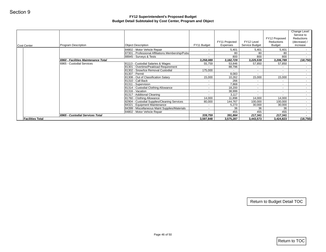|                         |                                     |                                                                                   |                      | FY11 Projected       | FY12 Level               | FY12 Proposed<br>Reductions | Change Level<br>Service to<br>Reductions<br>(decrease) / |
|-------------------------|-------------------------------------|-----------------------------------------------------------------------------------|----------------------|----------------------|--------------------------|-----------------------------|----------------------------------------------------------|
| Cost Center             | Program Description                 | <b>Object Description</b>                                                         | FY11 Budget          | Expenses             | Service Budget           | Budget                      | increase                                                 |
|                         |                                     | 84802 - Motor Vehicle Repair<br>87301 - Professional Affiliations Membership/Pubs | $\sim$<br>$\sim$     | 5,401<br>80          | 5,401<br>80              | 5,401<br>80                 | $\sim$<br>$\sim$                                         |
|                         |                                     | 88945 - Surveys & Tests                                                           | $\sim$               | 800                  | 800                      | 800                         | $\sim$                                                   |
|                         | 6960 - Facilities Maintenance Total |                                                                                   | 3,258,089            | 3, 182, 729          | 3,225,539                | 3,206,789                   | (18, 750)                                                |
|                         | 6965 - Custodial Services           | 81113 - Custodial Salaries & Wages<br>81301 - Overtime/Peakload Requirement       | 55,759               | 53,846<br>88,796     | 57,850<br>$\blacksquare$ | 57,850<br>$\sim$            | $\sim$<br>$\sim$                                         |
|                         |                                     | 81302 - Snow/Ice Removal Custodial                                                | 175,000              | $\sim$               | $\sim$                   | $\sim$                      | $\sim$                                                   |
|                         |                                     | 81307 - Permit                                                                    | $\sim$               | 8,083                | $\sim$                   | $\sim$                      | $\sim$                                                   |
|                         |                                     | 81308 - Out of Classification Salary                                              | 15,000               | 10,262               | 15,000                   | 15,000                      | $\sim$                                                   |
|                         |                                     | 81310 - Call Back                                                                 | $\sim$               | 266                  | $\blacksquare$           | $\sim$                      | $\sim$                                                   |
|                         |                                     | 81311 - Supervision<br>81314 - Custodial Clothing Allowance                       | $\sim$<br>$\sim$     | 7,868<br>18,200      | $\sim$<br>$\sim$         | $\sim$<br>$\sim$            | $\sim$<br>$\sim$                                         |
|                         |                                     | 81316 - Vacation                                                                  | $\sim$               | 38,999               | $\sim$                   | $\sim$                      | $\sim$                                                   |
|                         |                                     | 81317 - Additional Cleaning                                                       | $\sim$               | 3,117                | $\sim$                   | $\sim$                      | $\sim$                                                   |
|                         |                                     | 81760 - Clothing Allowance                                                        | 14,000               | 11,898               | 14,000                   | 14,000                      | $\sim$                                                   |
|                         |                                     | 82904 - Custodial Supplies/Cleaning Services                                      | 80,000               | 144,767              | 100,000                  | 100,000                     | $\sim$                                                   |
|                         |                                     | 84321 - Equipment Maintenance<br>84399 - Miscellaneous Maint Supplies/Materials   | $\sim$<br>$\sim$     | 5,273<br>36          | 30,000<br>36             | 30,000<br>36                | $\sim$<br>$\sim$ $-$                                     |
|                         |                                     | 84802 - Motor Vehicle Repair                                                      | $\sim$               | 455                  | 455                      | 455                         | $\sim$                                                   |
|                         |                                     |                                                                                   |                      |                      |                          |                             |                                                          |
|                         | 6965 - Custodial Services Total     |                                                                                   | 339,759<br>3,597,848 | 391,864<br>3,575,287 | 217,341<br>3,443,573     | 217,341<br>3,424,823        | $\sim$                                                   |
| <b>Facilities Total</b> |                                     |                                                                                   |                      |                      |                          |                             | (18, 750)                                                |
|                         |                                     |                                                                                   |                      |                      |                          | Return to Budget Detail TOC |                                                          |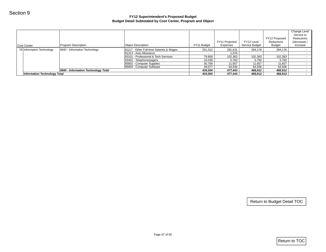| Cost Center                         | Program Description                 | <b>Object Description</b>                             | FY11 Budget      | FY11 Projected<br>Expenses | FY12 Level<br>Service Budget | FY12 Proposed<br>Reductions<br><b>Budget</b> | <b>Change Level</b><br>Service to<br>Reductions<br>(decrease) /<br>increase |
|-------------------------------------|-------------------------------------|-------------------------------------------------------|------------------|----------------------------|------------------------------|----------------------------------------------|-----------------------------------------------------------------------------|
| 78 Information Technology           | 6940 - Information Technology       | 81117 - Other Full-time Salaries & Wages              | 251,312          | 291,631                    | 284,176                      | 284,176                                      | $\sim$                                                                      |
|                                     |                                     | 81313 - Auto Allowance                                | $\sim$           | 1,076                      | $\sim$                       | $\sim$                                       | $\sim$                                                                      |
|                                     |                                     | 83101 - Professional & Tech Services                  | 79,808           | 102,383                    | 102,383                      | 102,383                                      | $\sim$                                                                      |
|                                     |                                     | 83402 - Telephone/pagers<br>85802 - Computer Supplies | 24,038           | 5,760                      | 5,760                        | 5,760                                        | $\sim$<br>$\sim$                                                            |
|                                     |                                     | 85804 - Computer Software                             | 30,769<br>48,077 | 11,657<br>64,936           | 11,657<br>64,936             | 11,657<br>64,936                             | $\sim$ 100 $\mu$                                                            |
|                                     | 6940 - Information Technology Total |                                                       | 434,004          | 477,443                    | 468,912                      | 468,912                                      | $\sim$                                                                      |
| <b>Information Technology Total</b> |                                     |                                                       | 434,004          | 477,443                    | 468,912                      | 468,912                                      | $\sim 10$                                                                   |
|                                     |                                     |                                                       |                  |                            |                              |                                              |                                                                             |
|                                     |                                     |                                                       |                  |                            |                              | Return to Budget Detail TOC                  |                                                                             |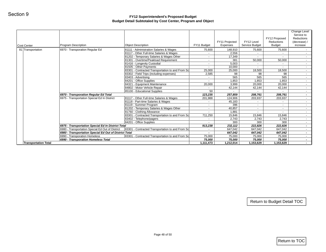| Cost Center<br>81 Transportation | Program Description<br>6970 - Transporation Regular Ed<br>6970 - Transporation Regular Ed Total<br>6975 - Transportation Special Ed In District | <b>Object Description</b><br>81111 - Administration Salaries & Wages<br>81117 - Other Full-time Salaries & Wages<br>81202 - Temporary Salaries & Wages Other<br>81301 - Overtime/Peakload Requirement<br>81416 - Longevity Custodial<br>81505 - Other Payments<br>83301 - Contracted Transportation to and From Sc<br>83302 - Field Trips (including expenses)<br>83403 - Advertising<br>84201 - Office Supplies<br>84321 - Equipment Maintenance<br>84802 - Motor Vehicle Repair<br>85100 - Educational Supplies<br>81117 - Other Full-time Salaries & Wages<br>81118 - Part-time Salaries & Wages<br>81119 - Summer Program<br>81202 - Temporary Salaries & Wages Other | FY11 Budget<br>75,600<br>$\sim$<br>$\sim$<br>$\sim$<br>$\sim$<br>$\sim$<br>25,000<br>2,585<br>$\sim$<br>$\sim$<br>20,000<br>50<br>123,235<br>201,988<br>$\sim$ | Expenses<br>148,910<br>2,556<br>17,349<br>381<br>5,003<br>10,000<br>25,000<br>98<br>565<br>1,853<br>3,999<br>42,144<br>257,859<br>124,906 | Service Budget<br>75,600<br>50,000<br>$\sim$<br>$\sim$<br>18,500<br>98<br>565<br>1,853<br>20,000<br>42,144<br>208,761 | Budget<br>75,600<br>50,000<br>$\sim$<br>$\sim$<br>18,500<br>98<br>565<br>1,853<br>20,000 | increase<br>$\sim$<br>$\sim$<br>$\sim$<br>$\sim$<br>$\sim$<br>$\sim$<br>$\sim$ $-$<br>$\sim$<br>$\sim$<br>$\sim$<br>$\sim$<br>$\sim$<br>$\sim$ |
|----------------------------------|-------------------------------------------------------------------------------------------------------------------------------------------------|---------------------------------------------------------------------------------------------------------------------------------------------------------------------------------------------------------------------------------------------------------------------------------------------------------------------------------------------------------------------------------------------------------------------------------------------------------------------------------------------------------------------------------------------------------------------------------------------------------------------------------------------------------------------------|----------------------------------------------------------------------------------------------------------------------------------------------------------------|-------------------------------------------------------------------------------------------------------------------------------------------|-----------------------------------------------------------------------------------------------------------------------|------------------------------------------------------------------------------------------|------------------------------------------------------------------------------------------------------------------------------------------------|
|                                  |                                                                                                                                                 |                                                                                                                                                                                                                                                                                                                                                                                                                                                                                                                                                                                                                                                                           |                                                                                                                                                                |                                                                                                                                           |                                                                                                                       |                                                                                          |                                                                                                                                                |
|                                  |                                                                                                                                                 |                                                                                                                                                                                                                                                                                                                                                                                                                                                                                                                                                                                                                                                                           |                                                                                                                                                                |                                                                                                                                           |                                                                                                                       |                                                                                          |                                                                                                                                                |
|                                  |                                                                                                                                                 |                                                                                                                                                                                                                                                                                                                                                                                                                                                                                                                                                                                                                                                                           |                                                                                                                                                                |                                                                                                                                           |                                                                                                                       |                                                                                          |                                                                                                                                                |
|                                  |                                                                                                                                                 |                                                                                                                                                                                                                                                                                                                                                                                                                                                                                                                                                                                                                                                                           |                                                                                                                                                                |                                                                                                                                           |                                                                                                                       |                                                                                          |                                                                                                                                                |
|                                  |                                                                                                                                                 |                                                                                                                                                                                                                                                                                                                                                                                                                                                                                                                                                                                                                                                                           |                                                                                                                                                                |                                                                                                                                           |                                                                                                                       |                                                                                          |                                                                                                                                                |
|                                  |                                                                                                                                                 |                                                                                                                                                                                                                                                                                                                                                                                                                                                                                                                                                                                                                                                                           |                                                                                                                                                                |                                                                                                                                           |                                                                                                                       |                                                                                          |                                                                                                                                                |
|                                  |                                                                                                                                                 |                                                                                                                                                                                                                                                                                                                                                                                                                                                                                                                                                                                                                                                                           |                                                                                                                                                                |                                                                                                                                           |                                                                                                                       |                                                                                          |                                                                                                                                                |
|                                  |                                                                                                                                                 |                                                                                                                                                                                                                                                                                                                                                                                                                                                                                                                                                                                                                                                                           |                                                                                                                                                                |                                                                                                                                           |                                                                                                                       |                                                                                          |                                                                                                                                                |
|                                  |                                                                                                                                                 |                                                                                                                                                                                                                                                                                                                                                                                                                                                                                                                                                                                                                                                                           |                                                                                                                                                                |                                                                                                                                           |                                                                                                                       |                                                                                          |                                                                                                                                                |
|                                  |                                                                                                                                                 |                                                                                                                                                                                                                                                                                                                                                                                                                                                                                                                                                                                                                                                                           |                                                                                                                                                                |                                                                                                                                           |                                                                                                                       |                                                                                          |                                                                                                                                                |
|                                  |                                                                                                                                                 |                                                                                                                                                                                                                                                                                                                                                                                                                                                                                                                                                                                                                                                                           |                                                                                                                                                                |                                                                                                                                           |                                                                                                                       | 42,144                                                                                   |                                                                                                                                                |
|                                  |                                                                                                                                                 |                                                                                                                                                                                                                                                                                                                                                                                                                                                                                                                                                                                                                                                                           |                                                                                                                                                                |                                                                                                                                           |                                                                                                                       |                                                                                          |                                                                                                                                                |
|                                  |                                                                                                                                                 |                                                                                                                                                                                                                                                                                                                                                                                                                                                                                                                                                                                                                                                                           |                                                                                                                                                                |                                                                                                                                           |                                                                                                                       | 208,761                                                                                  |                                                                                                                                                |
|                                  |                                                                                                                                                 |                                                                                                                                                                                                                                                                                                                                                                                                                                                                                                                                                                                                                                                                           |                                                                                                                                                                |                                                                                                                                           | 203,937                                                                                                               | 203,937                                                                                  |                                                                                                                                                |
|                                  |                                                                                                                                                 |                                                                                                                                                                                                                                                                                                                                                                                                                                                                                                                                                                                                                                                                           | $\sim$                                                                                                                                                         | 45,183<br>396                                                                                                                             | $\sim$<br>$\sim$                                                                                                      | $\sim$<br>$\sim$                                                                         |                                                                                                                                                |
|                                  |                                                                                                                                                 |                                                                                                                                                                                                                                                                                                                                                                                                                                                                                                                                                                                                                                                                           | $\omega$                                                                                                                                                       | 40,857                                                                                                                                    | $\sim$                                                                                                                | $\sim$                                                                                   |                                                                                                                                                |
|                                  |                                                                                                                                                 | 81760 - Clothing Allowance                                                                                                                                                                                                                                                                                                                                                                                                                                                                                                                                                                                                                                                | $\sim$                                                                                                                                                         | 1,881                                                                                                                                     | $\sim$                                                                                                                | $\sim$                                                                                   |                                                                                                                                                |
|                                  |                                                                                                                                                 | 83301 - Contracted Transportation to and From Sc                                                                                                                                                                                                                                                                                                                                                                                                                                                                                                                                                                                                                          | 711,250                                                                                                                                                        | 15,846                                                                                                                                    | 15,846                                                                                                                | 15,846                                                                                   |                                                                                                                                                |
|                                  |                                                                                                                                                 | 83402 - Telephone/pagers                                                                                                                                                                                                                                                                                                                                                                                                                                                                                                                                                                                                                                                  | $\sim$                                                                                                                                                         | 2,743                                                                                                                                     | 2,743                                                                                                                 | 2,743                                                                                    |                                                                                                                                                |
|                                  |                                                                                                                                                 | 84201 - Office Supplies                                                                                                                                                                                                                                                                                                                                                                                                                                                                                                                                                                                                                                                   |                                                                                                                                                                | 300                                                                                                                                       | 300                                                                                                                   | 300                                                                                      |                                                                                                                                                |
|                                  | 6975 - Transportation Special Ed In District Total                                                                                              |                                                                                                                                                                                                                                                                                                                                                                                                                                                                                                                                                                                                                                                                           | 913,238                                                                                                                                                        | 232,112                                                                                                                                   | 222,826                                                                                                               | 222,826                                                                                  |                                                                                                                                                |
|                                  | 6980 - Transportation Special Ed Out of District                                                                                                | 83301 - Contracted Transportation to and From Sc                                                                                                                                                                                                                                                                                                                                                                                                                                                                                                                                                                                                                          | $\sim$                                                                                                                                                         | 647,042                                                                                                                                   | 647,042                                                                                                               | 647,042                                                                                  |                                                                                                                                                |
|                                  | 6980 - Transportation Special Ed Out of District Total                                                                                          |                                                                                                                                                                                                                                                                                                                                                                                                                                                                                                                                                                                                                                                                           | $\sim$                                                                                                                                                         | 647,042                                                                                                                                   | 647,042                                                                                                               | 647,042                                                                                  |                                                                                                                                                |
|                                  | 6990 - Transporation Homeless                                                                                                                   | 83301 - Contracted Transportation to and From Sc                                                                                                                                                                                                                                                                                                                                                                                                                                                                                                                                                                                                                          | 75,000                                                                                                                                                         | 75,000                                                                                                                                    | 75,000                                                                                                                | 75,000                                                                                   |                                                                                                                                                |
| <b>Transportation Total</b>      | 6990 - Transporation Homeless Total                                                                                                             |                                                                                                                                                                                                                                                                                                                                                                                                                                                                                                                                                                                                                                                                           | 75,000<br>1,111,473                                                                                                                                            | 75,000<br>1,212,014                                                                                                                       | 75,000<br>1,153,629                                                                                                   | 75,000<br>1,153,629                                                                      |                                                                                                                                                |
|                                  |                                                                                                                                                 |                                                                                                                                                                                                                                                                                                                                                                                                                                                                                                                                                                                                                                                                           |                                                                                                                                                                |                                                                                                                                           |                                                                                                                       |                                                                                          |                                                                                                                                                |
|                                  |                                                                                                                                                 |                                                                                                                                                                                                                                                                                                                                                                                                                                                                                                                                                                                                                                                                           |                                                                                                                                                                |                                                                                                                                           |                                                                                                                       | Return to Budget Detail TOC                                                              |                                                                                                                                                |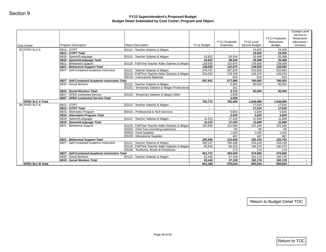| Program Description<br>6812 - OT/PT<br>6812 - OT/PT Total |                                                                                                                                                                                                                                                                                                                                                                                                                                                                                                                                                         | FY11 Budget                                                                                                                                                                                                                                                                                                                                                                                                                                                                                                                                                                                                                                                                                                                                                                                                       | FY11 Projected<br>Expenses                                                                                                                                                                                                                                               | FY12 Level<br>Service Budget                                                                                                                                                                                                                                                      | FY12 Proposed<br>Reductions<br><b>Budget</b>                                                                                                                                                                                                                                        | Service to<br><b>Reductions</b><br>(decrease) /<br>increase                                                                                                                                                                                                                         |
|-----------------------------------------------------------|---------------------------------------------------------------------------------------------------------------------------------------------------------------------------------------------------------------------------------------------------------------------------------------------------------------------------------------------------------------------------------------------------------------------------------------------------------------------------------------------------------------------------------------------------------|-------------------------------------------------------------------------------------------------------------------------------------------------------------------------------------------------------------------------------------------------------------------------------------------------------------------------------------------------------------------------------------------------------------------------------------------------------------------------------------------------------------------------------------------------------------------------------------------------------------------------------------------------------------------------------------------------------------------------------------------------------------------------------------------------------------------|--------------------------------------------------------------------------------------------------------------------------------------------------------------------------------------------------------------------------------------------------------------------------|-----------------------------------------------------------------------------------------------------------------------------------------------------------------------------------------------------------------------------------------------------------------------------------|-------------------------------------------------------------------------------------------------------------------------------------------------------------------------------------------------------------------------------------------------------------------------------------|-------------------------------------------------------------------------------------------------------------------------------------------------------------------------------------------------------------------------------------------------------------------------------------|
|                                                           | <b>Object Description</b><br>81112 - Teacher Salaries & Wages                                                                                                                                                                                                                                                                                                                                                                                                                                                                                           |                                                                                                                                                                                                                                                                                                                                                                                                                                                                                                                                                                                                                                                                                                                                                                                                                   |                                                                                                                                                                                                                                                                          | 24,505                                                                                                                                                                                                                                                                            | 24,505                                                                                                                                                                                                                                                                              | $\sim$                                                                                                                                                                                                                                                                              |
|                                                           |                                                                                                                                                                                                                                                                                                                                                                                                                                                                                                                                                         | $\overline{\phantom{a}}$                                                                                                                                                                                                                                                                                                                                                                                                                                                                                                                                                                                                                                                                                                                                                                                          |                                                                                                                                                                                                                                                                          | 24,505                                                                                                                                                                                                                                                                            | 24,505                                                                                                                                                                                                                                                                              | $\sim$                                                                                                                                                                                                                                                                              |
| 6818 - Speech/Language                                    | 81112 - Teacher Salaries & Wages                                                                                                                                                                                                                                                                                                                                                                                                                                                                                                                        | 16,822                                                                                                                                                                                                                                                                                                                                                                                                                                                                                                                                                                                                                                                                                                                                                                                                            | 58,244                                                                                                                                                                                                                                                                   | 35,488                                                                                                                                                                                                                                                                            | 35,488                                                                                                                                                                                                                                                                              | $\sim$                                                                                                                                                                                                                                                                              |
| 6818 - Speech/Language Total                              |                                                                                                                                                                                                                                                                                                                                                                                                                                                                                                                                                         | 16,822                                                                                                                                                                                                                                                                                                                                                                                                                                                                                                                                                                                                                                                                                                                                                                                                            | 58,244                                                                                                                                                                                                                                                                   | 35,488                                                                                                                                                                                                                                                                            | 35,488                                                                                                                                                                                                                                                                              | $\sim$                                                                                                                                                                                                                                                                              |
| 6821 - Behavioral Support                                 | 81116 - Full/Time Teacher Aides Salaries & Wages                                                                                                                                                                                                                                                                                                                                                                                                                                                                                                        | 138,000                                                                                                                                                                                                                                                                                                                                                                                                                                                                                                                                                                                                                                                                                                                                                                                                           | 110,975                                                                                                                                                                                                                                                                  | 138,000                                                                                                                                                                                                                                                                           | 138,000                                                                                                                                                                                                                                                                             | $\sim$                                                                                                                                                                                                                                                                              |
|                                                           |                                                                                                                                                                                                                                                                                                                                                                                                                                                                                                                                                         |                                                                                                                                                                                                                                                                                                                                                                                                                                                                                                                                                                                                                                                                                                                                                                                                                   |                                                                                                                                                                                                                                                                          |                                                                                                                                                                                                                                                                                   |                                                                                                                                                                                                                                                                                     | $\sim$                                                                                                                                                                                                                                                                              |
|                                                           |                                                                                                                                                                                                                                                                                                                                                                                                                                                                                                                                                         |                                                                                                                                                                                                                                                                                                                                                                                                                                                                                                                                                                                                                                                                                                                                                                                                                   |                                                                                                                                                                                                                                                                          |                                                                                                                                                                                                                                                                                   |                                                                                                                                                                                                                                                                                     | $\sim$                                                                                                                                                                                                                                                                              |
|                                                           |                                                                                                                                                                                                                                                                                                                                                                                                                                                                                                                                                         |                                                                                                                                                                                                                                                                                                                                                                                                                                                                                                                                                                                                                                                                                                                                                                                                                   |                                                                                                                                                                                                                                                                          |                                                                                                                                                                                                                                                                                   |                                                                                                                                                                                                                                                                                     | $\sim$                                                                                                                                                                                                                                                                              |
|                                                           |                                                                                                                                                                                                                                                                                                                                                                                                                                                                                                                                                         | $\sim$                                                                                                                                                                                                                                                                                                                                                                                                                                                                                                                                                                                                                                                                                                                                                                                                            |                                                                                                                                                                                                                                                                          |                                                                                                                                                                                                                                                                                   |                                                                                                                                                                                                                                                                                     | $\sim$                                                                                                                                                                                                                                                                              |
|                                                           |                                                                                                                                                                                                                                                                                                                                                                                                                                                                                                                                                         |                                                                                                                                                                                                                                                                                                                                                                                                                                                                                                                                                                                                                                                                                                                                                                                                                   |                                                                                                                                                                                                                                                                          |                                                                                                                                                                                                                                                                                   |                                                                                                                                                                                                                                                                                     | $\sim$                                                                                                                                                                                                                                                                              |
|                                                           |                                                                                                                                                                                                                                                                                                                                                                                                                                                                                                                                                         |                                                                                                                                                                                                                                                                                                                                                                                                                                                                                                                                                                                                                                                                                                                                                                                                                   |                                                                                                                                                                                                                                                                          |                                                                                                                                                                                                                                                                                   |                                                                                                                                                                                                                                                                                     | $\sim$                                                                                                                                                                                                                                                                              |
|                                                           |                                                                                                                                                                                                                                                                                                                                                                                                                                                                                                                                                         |                                                                                                                                                                                                                                                                                                                                                                                                                                                                                                                                                                                                                                                                                                                                                                                                                   |                                                                                                                                                                                                                                                                          |                                                                                                                                                                                                                                                                                   |                                                                                                                                                                                                                                                                                     | $\sim$                                                                                                                                                                                                                                                                              |
|                                                           |                                                                                                                                                                                                                                                                                                                                                                                                                                                                                                                                                         |                                                                                                                                                                                                                                                                                                                                                                                                                                                                                                                                                                                                                                                                                                                                                                                                                   |                                                                                                                                                                                                                                                                          |                                                                                                                                                                                                                                                                                   |                                                                                                                                                                                                                                                                                     | $\sim$                                                                                                                                                                                                                                                                              |
|                                                           |                                                                                                                                                                                                                                                                                                                                                                                                                                                                                                                                                         |                                                                                                                                                                                                                                                                                                                                                                                                                                                                                                                                                                                                                                                                                                                                                                                                                   |                                                                                                                                                                                                                                                                          |                                                                                                                                                                                                                                                                                   |                                                                                                                                                                                                                                                                                     | $\sim 100$                                                                                                                                                                                                                                                                          |
|                                                           |                                                                                                                                                                                                                                                                                                                                                                                                                                                                                                                                                         |                                                                                                                                                                                                                                                                                                                                                                                                                                                                                                                                                                                                                                                                                                                                                                                                                   |                                                                                                                                                                                                                                                                          |                                                                                                                                                                                                                                                                                   |                                                                                                                                                                                                                                                                                     | $\sim$                                                                                                                                                                                                                                                                              |
|                                                           |                                                                                                                                                                                                                                                                                                                                                                                                                                                                                                                                                         |                                                                                                                                                                                                                                                                                                                                                                                                                                                                                                                                                                                                                                                                                                                                                                                                                   |                                                                                                                                                                                                                                                                          |                                                                                                                                                                                                                                                                                   |                                                                                                                                                                                                                                                                                     | $\sim$                                                                                                                                                                                                                                                                              |
|                                                           |                                                                                                                                                                                                                                                                                                                                                                                                                                                                                                                                                         |                                                                                                                                                                                                                                                                                                                                                                                                                                                                                                                                                                                                                                                                                                                                                                                                                   |                                                                                                                                                                                                                                                                          |                                                                                                                                                                                                                                                                                   |                                                                                                                                                                                                                                                                                     | $\sim$                                                                                                                                                                                                                                                                              |
|                                                           |                                                                                                                                                                                                                                                                                                                                                                                                                                                                                                                                                         |                                                                                                                                                                                                                                                                                                                                                                                                                                                                                                                                                                                                                                                                                                                                                                                                                   |                                                                                                                                                                                                                                                                          |                                                                                                                                                                                                                                                                                   |                                                                                                                                                                                                                                                                                     | $\sim$                                                                                                                                                                                                                                                                              |
|                                                           |                                                                                                                                                                                                                                                                                                                                                                                                                                                                                                                                                         |                                                                                                                                                                                                                                                                                                                                                                                                                                                                                                                                                                                                                                                                                                                                                                                                                   |                                                                                                                                                                                                                                                                          |                                                                                                                                                                                                                                                                                   |                                                                                                                                                                                                                                                                                     | $\sim$                                                                                                                                                                                                                                                                              |
|                                                           |                                                                                                                                                                                                                                                                                                                                                                                                                                                                                                                                                         |                                                                                                                                                                                                                                                                                                                                                                                                                                                                                                                                                                                                                                                                                                                                                                                                                   |                                                                                                                                                                                                                                                                          |                                                                                                                                                                                                                                                                                   |                                                                                                                                                                                                                                                                                     | $\sim$                                                                                                                                                                                                                                                                              |
|                                                           |                                                                                                                                                                                                                                                                                                                                                                                                                                                                                                                                                         |                                                                                                                                                                                                                                                                                                                                                                                                                                                                                                                                                                                                                                                                                                                                                                                                                   |                                                                                                                                                                                                                                                                          |                                                                                                                                                                                                                                                                                   |                                                                                                                                                                                                                                                                                     |                                                                                                                                                                                                                                                                                     |
|                                                           |                                                                                                                                                                                                                                                                                                                                                                                                                                                                                                                                                         |                                                                                                                                                                                                                                                                                                                                                                                                                                                                                                                                                                                                                                                                                                                                                                                                                   |                                                                                                                                                                                                                                                                          |                                                                                                                                                                                                                                                                                   |                                                                                                                                                                                                                                                                                     | $\sim$                                                                                                                                                                                                                                                                              |
|                                                           |                                                                                                                                                                                                                                                                                                                                                                                                                                                                                                                                                         |                                                                                                                                                                                                                                                                                                                                                                                                                                                                                                                                                                                                                                                                                                                                                                                                                   |                                                                                                                                                                                                                                                                          |                                                                                                                                                                                                                                                                                   |                                                                                                                                                                                                                                                                                     | $\sim$                                                                                                                                                                                                                                                                              |
|                                                           |                                                                                                                                                                                                                                                                                                                                                                                                                                                                                                                                                         |                                                                                                                                                                                                                                                                                                                                                                                                                                                                                                                                                                                                                                                                                                                                                                                                                   |                                                                                                                                                                                                                                                                          |                                                                                                                                                                                                                                                                                   |                                                                                                                                                                                                                                                                                     | $\sim$                                                                                                                                                                                                                                                                              |
|                                                           |                                                                                                                                                                                                                                                                                                                                                                                                                                                                                                                                                         |                                                                                                                                                                                                                                                                                                                                                                                                                                                                                                                                                                                                                                                                                                                                                                                                                   |                                                                                                                                                                                                                                                                          |                                                                                                                                                                                                                                                                                   |                                                                                                                                                                                                                                                                                     | $\sim$                                                                                                                                                                                                                                                                              |
|                                                           |                                                                                                                                                                                                                                                                                                                                                                                                                                                                                                                                                         |                                                                                                                                                                                                                                                                                                                                                                                                                                                                                                                                                                                                                                                                                                                                                                                                                   |                                                                                                                                                                                                                                                                          |                                                                                                                                                                                                                                                                                   |                                                                                                                                                                                                                                                                                     | $\sim$                                                                                                                                                                                                                                                                              |
|                                                           |                                                                                                                                                                                                                                                                                                                                                                                                                                                                                                                                                         |                                                                                                                                                                                                                                                                                                                                                                                                                                                                                                                                                                                                                                                                                                                                                                                                                   |                                                                                                                                                                                                                                                                          |                                                                                                                                                                                                                                                                                   |                                                                                                                                                                                                                                                                                     | $\sim$                                                                                                                                                                                                                                                                              |
|                                                           |                                                                                                                                                                                                                                                                                                                                                                                                                                                                                                                                                         |                                                                                                                                                                                                                                                                                                                                                                                                                                                                                                                                                                                                                                                                                                                                                                                                                   |                                                                                                                                                                                                                                                                          |                                                                                                                                                                                                                                                                                   |                                                                                                                                                                                                                                                                                     | $\sim$                                                                                                                                                                                                                                                                              |
|                                                           |                                                                                                                                                                                                                                                                                                                                                                                                                                                                                                                                                         |                                                                                                                                                                                                                                                                                                                                                                                                                                                                                                                                                                                                                                                                                                                                                                                                                   |                                                                                                                                                                                                                                                                          |                                                                                                                                                                                                                                                                                   |                                                                                                                                                                                                                                                                                     | $\sim$                                                                                                                                                                                                                                                                              |
|                                                           |                                                                                                                                                                                                                                                                                                                                                                                                                                                                                                                                                         |                                                                                                                                                                                                                                                                                                                                                                                                                                                                                                                                                                                                                                                                                                                                                                                                                   |                                                                                                                                                                                                                                                                          |                                                                                                                                                                                                                                                                                   |                                                                                                                                                                                                                                                                                     | $\sim$                                                                                                                                                                                                                                                                              |
|                                                           |                                                                                                                                                                                                                                                                                                                                                                                                                                                                                                                                                         | $\sim$                                                                                                                                                                                                                                                                                                                                                                                                                                                                                                                                                                                                                                                                                                                                                                                                            |                                                                                                                                                                                                                                                                          |                                                                                                                                                                                                                                                                                   |                                                                                                                                                                                                                                                                                     | $\sim$                                                                                                                                                                                                                                                                              |
|                                                           |                                                                                                                                                                                                                                                                                                                                                                                                                                                                                                                                                         |                                                                                                                                                                                                                                                                                                                                                                                                                                                                                                                                                                                                                                                                                                                                                                                                                   |                                                                                                                                                                                                                                                                          |                                                                                                                                                                                                                                                                                   |                                                                                                                                                                                                                                                                                     | $\sim$                                                                                                                                                                                                                                                                              |
|                                                           |                                                                                                                                                                                                                                                                                                                                                                                                                                                                                                                                                         |                                                                                                                                                                                                                                                                                                                                                                                                                                                                                                                                                                                                                                                                                                                                                                                                                   |                                                                                                                                                                                                                                                                          |                                                                                                                                                                                                                                                                                   |                                                                                                                                                                                                                                                                                     | $\sim$                                                                                                                                                                                                                                                                              |
|                                                           |                                                                                                                                                                                                                                                                                                                                                                                                                                                                                                                                                         |                                                                                                                                                                                                                                                                                                                                                                                                                                                                                                                                                                                                                                                                                                                                                                                                                   |                                                                                                                                                                                                                                                                          |                                                                                                                                                                                                                                                                                   |                                                                                                                                                                                                                                                                                     | $\sim$                                                                                                                                                                                                                                                                              |
|                                                           |                                                                                                                                                                                                                                                                                                                                                                                                                                                                                                                                                         |                                                                                                                                                                                                                                                                                                                                                                                                                                                                                                                                                                                                                                                                                                                                                                                                                   |                                                                                                                                                                                                                                                                          |                                                                                                                                                                                                                                                                                   |                                                                                                                                                                                                                                                                                     | $\sim 100$                                                                                                                                                                                                                                                                          |
|                                                           | 6821 - Behavioral Support Total<br>6827 - Self-Contained Academic Instruction<br>6833 - Social Workers<br>6833 - Social Workers Total<br>6857 - SPED contracted Service<br>6857 - SPED contracted Service Total<br>6812 - OT/PT<br>6812 - OT/PT Total<br>6815 - Alternative Program<br>6815 - Alternative Program Total<br>6818 - Speech/Language<br>6818 - Speech/Language Total<br>6821 - Behavioral Support<br>6821 - Behavioral Support Total<br>6827 - Self-Contained Academic Instruction<br>6833 - Social Workers<br>6833 - Social Workers Total | 81112 - Teacher Salaries & Wages<br>81116 - Full/Time Teacher Aides Salaries & Wages<br>85103 - Instructional Materials<br>6827 - Self-Contained Academic Instruction Total<br>81112 - Teacher Salaries & Wages<br>81201 - Temporary Salaries & Wages Professional<br>81202 - Temporary Salaries & Wages Other<br>81112 - Teacher Salaries & Wages<br>83101 - Professional & Tech Services<br>81112 - Teacher Salaries & Wages<br>81116 - Full/Time Teacher Aides Salaries & Wages<br>83302 - Field Trips (including expenses)<br>84902 - Food Supplies<br>85100 - Educational Supplies<br>81112 - Teacher Salaries & Wages<br>81116 - Full/Time Teacher Aides Salaries & Wages<br>85106 - Textbooks, Books & Periodicals<br>6827 - Self-Contained Academic Instruction Total<br>81112 - Teacher Salaries & Wages | 138,000<br>379,747<br>218,204<br>597,951<br>$\sim$<br>$\sim$<br>$\sim$<br>$\blacksquare$<br>752,773<br>$\sim$<br>$\sim$<br>$\sim$<br>$\sim$<br>11,215<br>11,215<br>105,800<br>$\sim$<br>$\sim$<br>105,800<br>308,197<br>93,516<br>401,713<br>93,440<br>93,440<br>612,168 | 110,975<br>397,628<br>179,708<br>624<br>577,960<br>5,580<br>151<br>5,731<br>2,559<br>2,559<br>755,469<br>$\sim$<br>$\sim$<br>5,834<br>5,834<br>17,430<br>17,430<br>112,995<br>66<br>1,020<br>467<br>114,548<br>299,498<br>84,333<br>173<br>384,004<br>57,199<br>57,199<br>579,015 | 138,000<br>510,993<br>249,376<br>624<br>760,993<br>90,004<br>90,004<br>$\sim$<br>$\sim$<br>1,048,989<br>17,616<br>17,616<br>5,834<br>5,834<br>11,689<br>11,689<br>101,200<br>66<br>1,020<br>467<br>102,753<br>434,418<br>140,274<br>173<br>574,865<br>192,176<br>192,176<br>904,934 | 138,000<br>510,993<br>249,376<br>624<br>760,993<br>90,004<br>90,004<br>$\sim$<br>$\sim$<br>1,048,989<br>17,616<br>17,616<br>5,834<br>5,834<br>11,689<br>11,689<br>101,200<br>66<br>1,020<br>467<br>102,753<br>434,418<br>140,274<br>173<br>574,865<br>192,176<br>192,176<br>904,934 |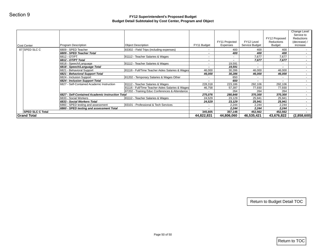| <b>Cost Center</b>                            | Program Description                                       | <b>Object Description</b>                        | FY11 Budget              | FY11 Projected<br>Expenses | FY12 Level<br>Service Budget | FY12 Proposed<br>Reductions<br><b>Budget</b> | Change Level<br>Service to<br>Reductions<br>(decrease) /<br>increase |
|-----------------------------------------------|-----------------------------------------------------------|--------------------------------------------------|--------------------------|----------------------------|------------------------------|----------------------------------------------|----------------------------------------------------------------------|
| 87 SPED SLC C                                 | 6809 - SPED Teacher                                       | 83302 - Field Trips (including expenses)         | $\sim$                   | 400                        | 400                          | 400                                          | $\sim$                                                               |
|                                               | 6809 - SPED Teacher Total                                 |                                                  | $\blacksquare$           | 400                        | 400                          | 400                                          | $\sim$                                                               |
|                                               | 6812 - OT/PT                                              | 81112 - Teacher Salaries & Wages                 | $\sim$                   | $\sim$                     | 7,677                        | 7,677                                        | $\sim$                                                               |
|                                               | 6812 - OT/PT Total                                        |                                                  | $\blacksquare$           | $\sim$                     | 7,677                        | 7,677                                        | $\sim$                                                               |
|                                               | 6818 - Speech/Language                                    | 81112 - Teacher Salaries & Wages                 | $\sim$                   | 19,591                     | $\sim$                       | $\sim$                                       | $\sim$                                                               |
|                                               | 6818 - Speech/Language Total<br>6821 - Behavioral Support | 81116 - Full/Time Teacher Aides Salaries & Wages | $\blacksquare$<br>46,000 | 19,591<br>30,286           | 46,000                       | 46,000                                       | $\sim$<br>$\sim$                                                     |
|                                               | 6821 - Behavioral Support Total                           |                                                  | 46,000                   | 30,286                     | 46,000                       | 46,000                                       | $\sim$                                                               |
|                                               | 6824 - Inclusion Support                                  | 81202 - Temporary Salaries & Wages Other         | $\sim$                   | 650                        | $\sim$                       | $\sim$                                       | $\sim$                                                               |
|                                               | 6824 - Inclusion Support Total                            |                                                  | $\blacksquare$           | 650                        | $\sim$                       | $\sim$                                       | $\sim$                                                               |
|                                               | 6827 - Self-Contained Academic Instruction                | 81112 - Teacher Salaries & Wages                 | 228,318                  | 223,186                    | 292,106                      | 292,106                                      | $\sim$                                                               |
|                                               |                                                           | 81116 - Full/Time Teacher Aides Salaries & Wages | 46,758                   | 57,397                     | 77,930                       | 77,930                                       | $\sim$                                                               |
|                                               |                                                           | 87202 - Training Educ Conferences & Attendance   | $\sim$                   | 264                        | 264                          | 264                                          | $\sim$                                                               |
|                                               | 6827 - Self-Contained Academic Instruction Total          |                                                  | 275,076                  | 280,848                    | 370,300                      | 370,300                                      | $\sim$                                                               |
|                                               | 6833 - Social Workers                                     | 81112 - Teacher Salaries & Wages                 | 24,529                   | 23,129                     | 25,941                       | 25,941                                       | $\sim$                                                               |
|                                               | 6833 - Social Workers Total                               |                                                  | 24,529                   | 23,129                     | 25,941                       | 25,941                                       | $\sim$                                                               |
|                                               | 6860 - SPED testing and assessment                        | 83101 - Professional & Tech Services             | $\blacksquare$           | 2,244                      | 2,244                        | 2,244                                        | $\sim$                                                               |
|                                               | 6860 - SPED testing and assessment Total                  |                                                  | $\sim$                   | 2,244                      | 2,244                        | 2,244                                        | $\sim$                                                               |
|                                               |                                                           |                                                  |                          |                            |                              |                                              |                                                                      |
| <b>SPED SLC C Total</b><br><b>Grand Total</b> |                                                           |                                                  | 345,605<br>44,822,831    | 357,148<br>44,806,060      | 452,562<br>46,535,421        | 452,562<br>43,676,822                        |                                                                      |
|                                               |                                                           |                                                  |                          |                            |                              |                                              |                                                                      |
|                                               |                                                           |                                                  |                          |                            |                              |                                              | $\sim$<br>(2,858,600)                                                |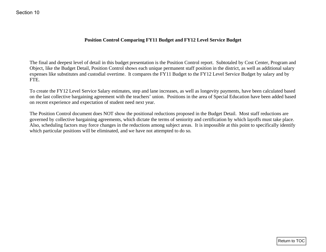# **Position Control Comparing FY11 Budget and FY12 Level Service Budget**

The final and deepest level of detail in this budget presentation is the Position Control report. Subtotaled by Cost Center, Program and Object, like the Budget Detail, Position Control shows each unique permanent staff position in the district, as well as additional salary expenses like substitutes and custodial overtime. It compares the FY11 Budget to the FY12 Level Service Budget by salary and by FTE.

To create the FY12 Level Service Salary estimates, step and lane increases, as well as longevity payments, have been calculated based on the last collective bargaining agreement with the teachers' union. Positions in the area of Special Education have been added based on recent experience and expectation of student need next year.

The Position Control document does NOT show the positional reductions proposed in the Budget Detail. Most staff reductions are governed by collective bargaining agreements, which dictate the terms of seniority and certification by which layoffs must take place. Also, scheduling factors may force changes in the reductions among subject areas. It is impossible at this point to specifically identify which particular positions will be eliminated, and we have not attempted to do so. Festion Control Comparing FY11 Budget and FY12 Level Service Budget<br>The final and deepest level of detail in this budget presentation is the Position Counted repert. Subtoined by Cost Center, Program and<br>Object, like the l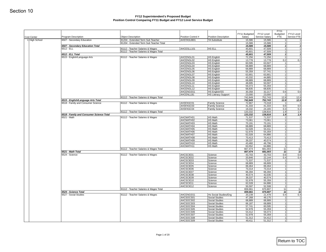| Cost Center   | Program Description                      | <b>Object Description</b>               | Position Control #     | Position Description             | FY11 Budgeted<br>Salary | FY12 Level<br>Service Salary | <b>FY11</b><br>Budgeted<br>FTE | FY12 Level<br>Service FTE |
|---------------|------------------------------------------|-----------------------------------------|------------------------|----------------------------------|-------------------------|------------------------------|--------------------------------|---------------------------|
| 1 High School | 6507 - Secondary Education               | 81204 - Extended Term Sub Teacher       | AHSTASUB01             | <b>TA Substitute</b>             | 15,586                  | 15,586                       | 1                              |                           |
|               | 6507 - Secondary Education Total         | 81204 - Extended Term Sub Teacher Total |                        |                                  | 15,586<br>15,586        | 15,586<br>15,586             | 1<br>$1\overline{1}$           |                           |
|               | 6512 - ELL                               | 81112 - Teacher Salaries & Wages        | AHCESLL101             | HS ELL                           | 45,601                  | 47,509                       | 1                              |                           |
|               |                                          | 81112 - Teacher Salaries & Wages Total  |                        |                                  | 45,601                  | 47,509                       | 1                              |                           |
|               | 6512 - ELL Total                         |                                         |                        |                                  | 45,601                  | 47,509                       | $1\overline{1}$                |                           |
|               | 6515 - English/Language Arts             | 81112 - Teacher Salaries & Wages        | AHCENGL01              | HS English                       | 72,256                  | 72,256                       | 11                             |                           |
|               |                                          |                                         | AHCENGL02<br>AHCENGL03 | <b>HS English</b><br>HS English  | 13,778<br>60,595        | 13,778<br>63,507             | 0.2<br>1                       | 0.2                       |
|               |                                          |                                         | AHCENGL04              | HS English                       | 68,889                  | 68,889                       | 1                              |                           |
|               |                                          |                                         | AHCENGL05              | <b>HS English</b>                | 68,889                  | 68,889                       | 1                              |                           |
|               |                                          |                                         | AHCENGL06              | <b>HS English</b>                | 55,359                  | 57,741                       | 1                              |                           |
|               |                                          |                                         | AHCENGL07<br>AHCENGL08 | HS English<br><b>HS English</b>  | 63,901<br>43,332        | 63,901<br>44,885             | 1 <sup>1</sup><br>1            |                           |
|               |                                          |                                         | AHCENGL09              | <b>HS English</b>                | 68,889                  | 68,889                       | 1                              |                           |
|               |                                          |                                         | AHCENGL10              | HS English                       | 48,695                  | 50,597                       | 1                              |                           |
|               |                                          |                                         | AHCENGL11              | <b>HS English</b>                | 56,073                  | 55,359                       | 1                              |                           |
|               |                                          |                                         | AHCENGL12              | <b>HS English</b>                | 68,835                  | 68,835                       | $\overline{1}$                 |                           |
|               |                                          |                                         | AHCENGSS1              | HS English/SS                    | 30,358                  | 32,217                       | 0.6<br>$\mathbf{1}$            | 0.6                       |
|               |                                          | 81112 - Teacher Salaries & Wages Total  | AHCENLLB1              | <b>HS Literacy Support</b>       | 23,000<br>742,849       | 23,000<br>752,743            | 12.8                           | 12.8                      |
|               | 6515 - English/Language Arts Total       |                                         |                        |                                  | 742,849                 | 752,743                      | 12.8                           | 12.8                      |
|               | 6518 - Family and Consumer Science       | 81112 - Teacher Salaries & Wages        | AHSFASC01              | <b>Family Science</b>            | 72,667                  | 73,318                       | $\mathbf{1}$                   |                           |
|               |                                          |                                         | AHSFASC03              | <b>Family Science</b>            | 41,333                  | 41,333                       | 0.6                            | 0.6                       |
|               |                                          |                                         | AHSFASC04              | <b>Family Science</b>            | 19,332                  | 24,165                       | 0.3                            | 0.3                       |
|               | 6518 - Family and Consumer Science Total | 81112 - Teacher Salaries & Wages Total  |                        |                                  | 133,332<br>133,332      | 138,816<br>138,816           | 1.9<br>1.9                     | 1.9<br>1.9                |
|               | 6521 - Math                              | 81112 - Teacher Salaries & Wages        | AHCMATH01              | HS Math                          | 71,537                  | 71,537                       | 1                              |                           |
|               |                                          |                                         | AHCMATH02              | HS Math                          | 73,061                  | 73,061                       | 1                              |                           |
|               |                                          |                                         | AHCMATH03              | HS Math                          | 70,191                  | 70,191                       | 1                              |                           |
|               |                                          |                                         | AHCMATH04              | HS Math                          | 68,889                  | 68,889                       | 1                              |                           |
|               |                                          |                                         | AHCMATH05<br>AHCMATH06 | HS Math<br>HS Math               | 52,028<br>52,978        | 54,411<br>55,359             | 1<br>1 <sup>1</sup>            |                           |
|               |                                          |                                         | AHCMATH07              | HS Math                          | 62,028                  | 64,886                       | 1                              |                           |
|               |                                          |                                         | AHCMATH08              | HS Math                          | 70,413                  | 70,413                       | 1                              |                           |
|               |                                          |                                         | AHCMATH09              | HS Math                          | 39,337                  | 40,574                       | 1                              |                           |
|               |                                          |                                         | AHCMATH10              | HS Math                          | 43,460                  | 46,796                       | 1                              |                           |
|               |                                          | 81112 - Teacher Salaries & Wages Total  | AHCMATH11              | HS Math                          | 63,552<br>667,474       | 64,886<br>681,003            | 1<br>11                        | 11                        |
|               | 6521 - Math Total                        |                                         |                        |                                  | 667,474                 | 681,003                      | 11                             | 11                        |
|               | 6524 - Science                           | 81112 - Teacher Salaries & Wages        | AHCSCIE01              | Science                          | 43,703                  | 43,703                       | 0.6                            | 0.6                       |
|               |                                          |                                         | AHCSCIE02              | Science                          | 20,846                  | 22,144                       | 0.4                            | 0.4                       |
|               |                                          |                                         | AHCSCIE03              | Science                          | 71,537                  | 71,537                       | $\vert$ 1                      |                           |
|               |                                          |                                         | AHCSCIE04<br>AHCSCIE05 | Science<br>Science               | 68,889<br>69,464        | 68,889<br>69,464             | $\mathbf{1}$<br>1              |                           |
|               |                                          |                                         | AHCSCIE06              | Science                          | 73,314                  | 73,314                       | 1                              |                           |
|               |                                          |                                         | AHCSCIE07              | Science                          | 66,394                  | 66,394                       | 1                              |                           |
|               |                                          |                                         | AHCSCIE08              | Science                          | 40,574                  | 42,035                       | 1                              |                           |
|               |                                          |                                         | AHCSCIE09              | Science                          | 39,337                  | 40,574                       | 11                             |                           |
|               |                                          |                                         | AHCSCIE10<br>AHCSCIE11 | Science<br>Science               | 52,978<br>62,028        | 55,359<br>64,886             | 1<br>1 <sup>1</sup>            |                           |
|               |                                          |                                         | AHCSCIE12              | Science                          | 50,597                  | 52,508                       | 1                              |                           |
|               |                                          | 81112 - Teacher Salaries & Wages Total  |                        |                                  | 659,661                 | 670,807                      | 11                             |                           |
|               | 6524 - Science Total                     |                                         |                        |                                  | 659,661                 | 670,807                      | 11                             | 11                        |
|               | 6527 - Social Studies                    | 81112 - Teacher Salaries & Wages        | AHCENGSS1              | Hs Social Studies/Eng            | 20,239                  | 21,478                       | 0.4                            | 0.4                       |
|               |                                          |                                         | AHCSOCS01<br>AHCSOCS02 | Social Studies<br>Social Studies | 47,268<br>68,889        | 49,175<br>68,889             | 1<br>11                        |                           |
|               |                                          |                                         | AHCSOCS03              | <b>Social Studies</b>            | 66,187                  | 68,889                       | 1                              |                           |
|               |                                          |                                         | AHCSOCS04              | Social Studies                   | 57,741                  | 60,595                       | 1                              |                           |
|               |                                          |                                         | AHCSOCS05              | <b>Social Studies</b>            | 52,978                  | 55,359                       | 1                              |                           |
|               |                                          |                                         | AHCSOCS06              | Social Studies                   | 54,412                  | 56,073                       | 1<br>1                         |                           |
|               |                                          |                                         | AHCSOCS07<br>AHCSOCS08 | Social Studies<br>Social Studies | 52,978<br>51,312        | 55,359<br>54,412             | 1                              |                           |
|               |                                          |                                         | AHCSOCS09              | <b>Social Studies</b>            | 49,411                  | 51,312                       | 1                              |                           |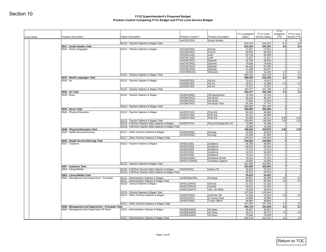| <b>Cost Center</b> | Program Description                                                                               | <b>Object Description</b>                                                                                  | Position Control #     | Position Description        | FY11 Budgeted<br>Salary | FY12 Level<br>Service Salary | <b>FY11</b><br>Budgeted<br><b>FTE</b> | FY12 Level<br>Service FTE |
|--------------------|---------------------------------------------------------------------------------------------------|------------------------------------------------------------------------------------------------------------|------------------------|-----------------------------|-------------------------|------------------------------|---------------------------------------|---------------------------|
|                    |                                                                                                   |                                                                                                            | AHCSOCS10              | Social Studies              |                         |                              | $\overline{0}$                        |                           |
|                    | 6527 - Social Studies Total                                                                       | 81112 - Teacher Salaries & Wages Total                                                                     |                        |                             | 521,415<br>521,415      | 541,541<br>541,541           | 9.4<br>9.4                            | 9.4<br>9.4                |
|                    | 6533 - World Languages                                                                            | 81112 - Teacher Salaries & Wages                                                                           | AHCWLFR01              | French                      | 71,537                  | 71,537                       | 11                                    |                           |
|                    |                                                                                                   |                                                                                                            | AHCWLFR02              | French                      | 69,540                  | 69,540                       | 11                                    |                           |
|                    |                                                                                                   |                                                                                                            | AHCWLLN01<br>AHCWLLN03 | Latin<br>Latin              | 53,740<br>71,537        | 55,359<br>71,537             | 1 <sup>1</sup>                        | 1                         |
|                    |                                                                                                   |                                                                                                            | AHCWLSP01              | Spanish                     | 46,796                  | 48,694                       | 1                                     |                           |
|                    |                                                                                                   |                                                                                                            | AHCWLSP02              | Spanish                     | 79,838                  | 79,838                       | 1                                     |                           |
|                    |                                                                                                   |                                                                                                            | AHCWLSP03              | Spanish                     | 59,169                  | 62,028                       | 1                                     |                           |
|                    |                                                                                                   |                                                                                                            | AHCWLSP06<br>AHCWMAND1 | Spanish<br>Mandarin         | 47,268<br>10,000        | 50,597<br>10,000             | 1<br>0.2                              | 0.2                       |
|                    |                                                                                                   | 81112 - Teacher Salaries & Wages Total                                                                     |                        |                             | 509,425                 | 519,130                      | 8.2                                   | 8.2                       |
|                    | 6533 - World Languages Total                                                                      |                                                                                                            |                        |                             | 509,425                 | 519,130                      | 8.2                                   | 8.2                       |
|                    | 6536 - Art                                                                                        | 81112 - Teacher Salaries & Wages                                                                           | AHSARTS01              | HS Art                      | 70,413                  | 70,413                       | 1                                     | 0.4                       |
|                    |                                                                                                   |                                                                                                            | AHSARTS02<br>AHSARTS03 | HS Art<br>HS Art            | 18,527<br>71,537        | 19,288<br>71,537             | 0.4<br>$\mathbf{1}$                   |                           |
|                    |                                                                                                   | 81112 - Teacher Salaries & Wages Total                                                                     |                        |                             | 160,477                 | 161,238                      | 2.4                                   | 2.4                       |
|                    | 6536 - Art Total                                                                                  |                                                                                                            |                        |                             | 160,477                 | 161,238                      | 2.4                                   | 2.4                       |
|                    | 6539 - Music                                                                                      | 81112 - Teacher Salaries & Wages                                                                           | AHSMUDR01<br>AHSMUSK01 | HS Mus/Drama                | 76,764                  | 76,764                       | 11<br>1                               |                           |
|                    |                                                                                                   |                                                                                                            | AHSMUSK02              | <b>HS Music</b><br>HS Music | 85,116<br>72,843        | 85,116<br>72,843             | 1                                     |                           |
|                    |                                                                                                   |                                                                                                            | AHSMUTK01              | HS Music Tech               | 55,359                  | 57,741                       | 1                                     |                           |
|                    |                                                                                                   | 81112 - Teacher Salaries & Wages Total                                                                     |                        |                             | 290,082                 | 292,464                      | 4                                     |                           |
|                    | 6539 - Music Total<br>6548 - Physical Education                                                   | 81112 - Teacher Salaries & Wages                                                                           | AHSPHYS01              | Phys Ed                     | 290,082<br>68,334       | 292,464<br>68,889            | $\boldsymbol{4}$<br>11                |                           |
|                    |                                                                                                   |                                                                                                            | AHSPHYS02              | Phys Ed                     | 65,257                  | 68,889                       | 11                                    |                           |
|                    |                                                                                                   |                                                                                                            | AHSPHYS03              | Phys Ed                     | 50,365                  | 52,511                       | 0.95                                  | 0.95                      |
|                    |                                                                                                   | 81112 - Teacher Salaries & Wages Total                                                                     |                        |                             | 183,956                 | 190,289                      | 2.95                                  | 2.95                      |
|                    |                                                                                                   | 81116 - Full/Time Teacher Aides Salaries & Wages<br>81116 - Full/Time Teacher Aides Salaries & Wages Total | AHSPHYTA1              | Phys Ed Weight Rm TA        | 15,586<br>15,586        | 15,586<br>15,586             | 11<br>1                               |                           |
|                    | 6548 - Physical Education Total                                                                   |                                                                                                            |                        |                             | 199,542                 | 205,875                      | 3.95                                  | 3.95                      |
|                    | 6554 - Health Services/Nursing                                                                    | 81117 - Other Full-time Salaries & Wages                                                                   | AHSNURSE1              | Nursing                     | 42,035                  | 43,939                       | 1                                     |                           |
|                    |                                                                                                   |                                                                                                            | AHSNURSE2              | Nursing                     | 81,989                  | 81,989                       | 1                                     |                           |
|                    | 6554 - Health Services/Nursing Total                                                              | 81117 - Other Full-time Salaries & Wages Total                                                             |                        |                             | 124,024<br>124,024      | 125,928<br>125,928           | 2 <br>$\mathbf{2}$                    |                           |
|                    | 6557 - Guidance                                                                                   | 81112 - Teacher Salaries & Wages                                                                           | AHSGUID01              | Guidance                    | 46,796                  | 48,694                       | 1                                     |                           |
|                    |                                                                                                   |                                                                                                            | AHSGUID02              | Guidance                    | 69,540                  | 69,540                       | 1                                     |                           |
|                    |                                                                                                   |                                                                                                            | AHSGUID03              | Guidance                    | 74,313                  | 74,313                       | 1                                     |                           |
|                    |                                                                                                   |                                                                                                            | AHSGUID04<br>AHSGUID05 | Guidance<br>Guidance        | 64,516<br>74,313        | 69,940<br>74,313             | 1<br>1                                |                           |
|                    |                                                                                                   |                                                                                                            | AHSGUSW01              | Guidance-Social             | 70,191                  | 70,191                       | 1                                     |                           |
|                    |                                                                                                   |                                                                                                            | AHSGUTRANS             | <b>Transition Support</b>   | 23,000                  | 23,000                       | 1                                     |                           |
|                    |                                                                                                   | 81112 - Teacher Salaries & Wages Total                                                                     |                        |                             | 422,669                 | 429,991                      | 7 <sup>1</sup>                        | $\mathbf{z}$              |
|                    | 6557 - Guidance Total<br>6563 - Library/Media                                                     | 81116 - Full/Time Teacher Aides Salaries & Wages                                                           | AHSLBTA01              | Library TA                  | 422,669<br>25,023       | 429,991<br>25,023            | 1                                     |                           |
|                    |                                                                                                   | 81116 - Full/Time Teacher Aides Salaries & Wages Total                                                     |                        |                             | 25,023                  | 25,023                       | 1                                     |                           |
|                    | 6563 - Library/Media Total                                                                        |                                                                                                            |                        |                             | 25,023                  | 25,023                       | $\mathbf{1}$                          |                           |
|                    | 6566 - Management and Supervision - Principals                                                    | 81111 - Administration Salaries & Wages<br>81111 - Administration Salaries & Wages Total                   | AHSPRINCIPAL           | Principal                   | 39,901<br>39,901        | 85,000<br>85,000             | 0.8<br>0.8                            | 0.8<br>0.8                |
|                    |                                                                                                   | 81115 - Clerical Salaries & Wages                                                                          | AHSCLERK01             | Clerical                    | 51,412                  | 52,163                       | 1                                     |                           |
|                    |                                                                                                   |                                                                                                            | AHSCLERK03             | Clerical                    | 50,612                  | 51,363                       | 11                                    |                           |
|                    |                                                                                                   |                                                                                                            | AHSCLRKPT2             | Cler (41 Wks)               | 35,505                  | 36,018                       | 1                                     |                           |
|                    |                                                                                                   | 81115 - Clerical Salaries & Wages Total<br>81117 - Other Full-time Salaries & Wages                        | AHSGCOP01              | Schl Res Off                | 137,529<br>23.529       | 139,544<br>23.529            | 3 <sup>1</sup><br>0.5                 | 0.5                       |
|                    |                                                                                                   |                                                                                                            | AHSGSUS01              | In House Susp               | 44,886                  | 44,886                       | 1                                     |                           |
|                    |                                                                                                   |                                                                                                            | AHSGTRN01              | <b>Truant Officer</b>       | 38,869                  | 38,869                       | 1                                     |                           |
|                    |                                                                                                   | 81117 - Other Full-time Salaries & Wages Total                                                             |                        |                             | 107,284                 | 107,284                      | 2.5                                   | 2.5                       |
|                    | 6566 - Management and Supervision - Principals Total<br>6569 - Management and Supervision-HS Dean | 81111 - Administration Salaries & Wages                                                                    | AHSDEAN001             | Hs Dean                     | 284,714<br>90,957       | 331,828<br>90,957            | 6.3<br>1                              | 6.3                       |
|                    |                                                                                                   |                                                                                                            | AHSDEAN002             | Hs Dean                     | 40,275                  | 40,275                       | 0.5                                   | 0.5                       |
|                    |                                                                                                   |                                                                                                            | AHSDEAN003             | Hs Dean                     | 79,500                  | 79,500                       | 1                                     | 2.5                       |
|                    |                                                                                                   | 81111 - Administration Salaries & Wages Total                                                              |                        |                             | 210,732                 | 210,732                      | 2.5                                   |                           |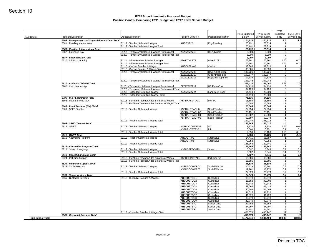| <b>Cost Center</b>       | Program Description                             | <b>Object Description</b>                                                                  | Position Control #             | Position Description         | FY11 Budgeted<br>Salary | FY12 Level<br>Service Salary | FY11<br>Budgeted<br>FTE | FY12 Level<br>Service FTE |
|--------------------------|-------------------------------------------------|--------------------------------------------------------------------------------------------|--------------------------------|------------------------------|-------------------------|------------------------------|-------------------------|---------------------------|
|                          | 6569 - Management and Supervision-HS Dean Total |                                                                                            |                                |                              | 210,732                 | 210,732                      | 2.5                     | 2.5                       |
|                          | 6581 - Reading Interventions                    | 81112 - Teacher Salaries & Wages<br>81112 - Teacher Salaries & Wages Total                 | AHSENRD01                      | Eng/Reading                  | 70,191<br>70,191        | 73,314<br>73,314             | 11<br>1 <sup>1</sup>    |                           |
|                          | 6581 - Reading Interventions Total              |                                                                                            |                                |                              | 70,191                  | 73,314                       | $1\vert$                |                           |
|                          | 6587 - Extended Day                             | 81201 - Temporary Salaries & Wages Professional                                            | ZZZZZZZZZZ13                   | <b>HS Advisors</b>           | 6,000                   | 6,000                        | $\overline{0}$          |                           |
|                          | 6587 - Extended Day Total                       | 81201 - Temporary Salaries & Wages Professional Total                                      |                                |                              | 6,000<br>6,000          | 6,000<br>6,000               | 0 <br>o                 |                           |
|                          | 6620 - Athletics (Admin)                        | 81111 - Administration Salaries & Wages                                                    | <b>ADMATHLETE</b>              | Athletic Dir                 | 72,991                  | 72,991                       | 0.75                    | 0.75                      |
|                          |                                                 | 81111 - Administration Salaries & Wages Total                                              |                                |                              | 72,991                  | 72,991                       | 0.75                    | 0.75                      |
|                          |                                                 | 81115 - Clerical Salaries & Wages<br>81115 - Clerical Salaries & Wages Total               | AHSCLERK02                     | Clerical                     | 38,885<br>38,885        | 39,828<br>39,828             | 1<br>1                  |                           |
|                          |                                                 | 81201 - Temporary Salaries & Wages Professional                                            | ZZZZZZZZZZ09                   | Boys Athletic Stip           | 132,726                 | 132,726                      | 0                       |                           |
|                          |                                                 |                                                                                            | ZZZZZZZZZZ10                   | Girls Athletic Stip          | 102,877                 | 102,877                      | 0                       |                           |
|                          |                                                 | 81201 - Temporary Salaries & Wages Professional Total                                      | ZZZZZZZZZZ11                   | Boy/Girls Stipends           | 17,639<br>253,242       | 17,639<br>253,242            | 0 <br> 0                |                           |
|                          | 6620 - Athletics (Admin) Total                  |                                                                                            |                                |                              | 365,118                 | 366,061                      | 1.75                    | 1.75                      |
|                          | 6700 - C & I Leadership                         | 81201 - Temporary Salaries & Wages Professional                                            | ZZZZZZZZZZ12                   | <b>HS Extra Curr</b>         | 64,126                  | 64,126                       | 0                       |                           |
|                          |                                                 | 81201 - Temporary Salaries & Wages Professional Total<br>81204 - Extended Term Sub Teacher | ZZZZZZZZZZ24                   | Long Term Subs               | 64,126<br>14,410        | 64,126<br>20,000             | 0 <br>$\overline{0}$    |                           |
|                          |                                                 | 81204 - Extended Term Sub Teacher Total                                                    |                                |                              | 14,410                  | 20,000                       | 0                       |                           |
|                          | 6700 - C & I Leadership Total                   |                                                                                            |                                |                              | 78,536                  | 84,126                       | ol                      |                           |
|                          | 6803 - Pupil Services (504)                     | 81116 - Full/Time Teacher Aides Salaries & Wages                                           | XSPDAH504TA01                  | 504 TA                       | 15,586                  | 15,586                       | 1<br>1 <sup>1</sup>     |                           |
|                          | 6803 - Pupil Services (504) Total               | 81116 - Full/Time Teacher Aides Salaries & Wages Total                                     |                                |                              | 15,586<br>15,586        | 15,586<br>15,586             | $1\vert$                |                           |
|                          | 6809 - SPED Teacher                             | 81112 - Teacher Salaries & Wages                                                           | XSPDAHTEACH01                  | Sped Teacher                 | 72,954                  | 72,954                       | 1 <sup>1</sup>          |                           |
|                          |                                                 |                                                                                            | XSPDAHTEACH02                  | Sped Teacher                 | 70,191                  | 70,191                       | 1                       |                           |
|                          |                                                 |                                                                                            | XSPDAHTEACH04<br>XSPDAHTEACH05 | Sped Teacher<br>Sped Teacher | 63,507<br>50,597        | 68,889<br>52,978             | 1<br>1                  |                           |
|                          |                                                 | 81112 - Teacher Salaries & Wages Total                                                     |                                |                              | 257,249                 | 265,012                      | 4 <sup>1</sup>          |                           |
|                          | 6809 - SPED Teacher Total                       |                                                                                            |                                |                              | 257,249                 | 265,012                      | $\boldsymbol{4}$        |                           |
|                          | 6812 - OT/PT                                    | 81112 - Teacher Salaries & Wages                                                           | XSPDOCCUTPY03<br>XSPDPHYSTPY01 | OT<br>PT                     | 3,838<br>6,060          | 3,838<br>6,351               | 0.05<br>0.1             | 0.05<br>0.1               |
|                          |                                                 | 81112 - Teacher Salaries & Wages Total                                                     |                                |                              | 9,898                   | 10,189                       | 0.15                    | 0.15                      |
|                          | 6812 - OT/PT Total                              |                                                                                            |                                |                              | 9,898                   | 10,189                       | 0.15                    | 0.15                      |
|                          | 6815 - Alternative Program                      | 81112 - Teacher Salaries & Wages                                                           | AHSALTR01<br>AHSALTR02         | Alternative<br>Alternative   | 54,411<br>70,953        | 56,787<br>70,953             | 11<br>1                 |                           |
|                          |                                                 | 81112 - Teacher Salaries & Wages Total                                                     |                                |                              | 125,364                 | 127,740                      | 2                       |                           |
|                          | 6815 - Alternative Program Total                |                                                                                            |                                |                              | 125,364                 | 127,740                      | 2                       |                           |
|                          | 6818 - Speech/Language                          | 81112 - Teacher Salaries & Wages<br>81112 - Teacher Salaries & Wages Total                 | XSPDSPEECHT01                  | Speech                       | 5,607<br>5,607          | 5,845<br>5,845               | 0.1<br>0.1              | 0.1<br>0.1                |
|                          | 6818 - Speech/Language Total                    |                                                                                            |                                |                              | 5,607                   | 5,845                        | 0.1                     | 0.1                       |
|                          | 6824 - Inclusion Support                        | 81116 - Full/Time Teacher Aides Salaries & Wages                                           | XSPDHSINCTA01                  | Inclusion TA                 | 15,586                  | 15,586                       | 1                       |                           |
|                          | 6824 - Inclusion Support Total                  | 81116 - Full/Time Teacher Aides Salaries & Wages Total                                     |                                |                              | 15,586<br>15,586        | 15,586<br>15,586             | 1<br>$1\vert$           |                           |
|                          | 6833 - Social Workers                           | 81112 - Teacher Salaries & Wages                                                           | XSPDSOCWKR04                   | Social Worker                | 12,119                  | 12,701                       | 0.2                     | 0.2                       |
|                          |                                                 |                                                                                            | XSPDSOCWKR05                   | Social Worker                | 12,701                  | 13,778                       | 0.2                     | 0.2                       |
|                          | 6833 - Social Workers Total                     | 81112 - Teacher Salaries & Wages Total                                                     |                                |                              | 24,820<br>24,820        | 26,479<br>26,479             | 0.4<br>0.4              | 0.4<br>0.4                |
|                          | 6965 - Custodial Services                       | 81113 - Custodial Salaries & Wages                                                         | AHSCUSTOD1                     | Custodian                    | 33,073                  | 33,073                       | 1                       |                           |
|                          |                                                 |                                                                                            | AHSCUSTOD2                     | Custodian                    | 36,558                  | 40,702                       | 1                       |                           |
|                          |                                                 |                                                                                            | AHSCUSTOD3<br>AHSCUSTOD4       | Custodian<br>Custodian       | 41,742<br>39,502        | 42,142<br>41,426             | 1<br>1                  |                           |
|                          |                                                 |                                                                                            | AHSCUSTOD5                     | Custodian                    | 40,694                  | 41,094                       | 11                      |                           |
|                          |                                                 |                                                                                            | AHSCUSTOD6                     | Custodian                    | 41,026                  | 41,726                       | 11                      |                           |
|                          |                                                 |                                                                                            | AHSCUSTOD7<br>AHSCUSTOD8       | Custodian<br>Custodian       | 41,326<br>33,073        | 41,726<br>33,073             | 1<br>1                  |                           |
|                          |                                                 |                                                                                            | AHSCUSTOD9                     | Custodian                    | 42,749                  | 42,749                       | 1                       |                           |
|                          |                                                 |                                                                                            | AHSCUSTSR1                     | Senior Cust                  | 47,758                  | 48,158                       | 1                       |                           |
|                          |                                                 |                                                                                            | AHSCUSTSR2<br>AHSCUSTSR3       | Senior Cust<br>Senior Cust   | 44,397<br>44,181        | 44,797<br>44,581             | 1<br>1                  |                           |
|                          |                                                 | 81113 - Custodial Salaries & Wages Total                                                   |                                |                              | 486,079                 | 495,247                      | 12                      | 12                        |
|                          | 6965 - Custodial Services Total                 |                                                                                            |                                |                              | 486,079                 | 495,247                      | 12                      | 12                        |
| <b>High School Total</b> |                                                 |                                                                                            |                                |                              | 6,472,641               | 6,641,400                    | 108.85                  | 108.85                    |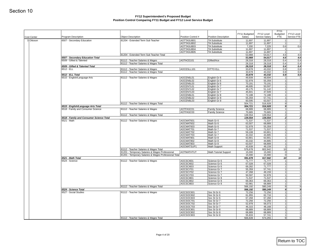| <b>Cost Center</b> | Program Description                                          | <b>Object Description</b>                             | Position Control #       | <b>Position Description</b>                  | FY11 Budgeted<br>Salary | FY12 Level<br>Service Salary | FY11<br>Budgeted<br><b>FTE</b> | FY12 Level<br>Service FTE |
|--------------------|--------------------------------------------------------------|-------------------------------------------------------|--------------------------|----------------------------------------------|-------------------------|------------------------------|--------------------------------|---------------------------|
| 3 Ottoson          | 6507 - Secondary Education                                   | 81204 - Extended Term Sub Teacher                     | AOTTASUB01               | <b>TA Substitute</b>                         | 11,697                  | 11,697                       | 1                              |                           |
|                    |                                                              |                                                       | AOTTASUB02               | <b>TA Substitute</b>                         | 11,697                  | 11,697                       | 1<br>0.6                       |                           |
|                    |                                                              |                                                       | AOTTASUB03<br>AOTTASUB04 | <b>TA Substitute</b><br><b>TA Substitute</b> | 7,200<br>11,697         | 7,229<br>11,697              | 1                              |                           |
|                    |                                                              |                                                       | AOTTASUB05               | <b>TA Substitute</b>                         | 11,697                  | 11,697                       | 1                              |                           |
|                    |                                                              | 81204 - Extended Term Sub Teacher Total               |                          |                                              | 53,988                  | 54,017                       | 4.6                            |                           |
|                    | 6507 - Secondary Education Total<br>6509 - Gifted & Talented | 81112 - Teacher Salaries & Wages                      | AOTACE101                | Gifted/Ace                                   | 53,988<br>28,318        | 54,017<br>28,318             | 4.6<br>0.4                     |                           |
|                    |                                                              | 81112 - Teacher Salaries & Wages Total                |                          |                                              | 28,318                  | 28,318                       | 0.4                            |                           |
|                    | 6509 - Gifted & Talented Total                               |                                                       |                          |                                              | 28,318                  | 28,318                       | 0.4                            |                           |
|                    | 6512 - ELL                                                   | 81112 - Teacher Salaries & Wages                      | AOCESLL101               | <b>OTTO ELL</b>                              | 33,678                  | 43,332                       | 0.8                            |                           |
|                    | 6512 - ELL Total                                             | 81112 - Teacher Salaries & Wages Total                |                          |                                              | 33,678<br>33,678        | 43,332<br>43,332             | 0.8<br>0.8                     |                           |
|                    | 6515 - English/Language Arts                                 | 81112 - Teacher Salaries & Wages                      | AOCEN6L01                | English Gr 6                                 | 49,939                  | 48,694                       | 1                              |                           |
|                    |                                                              |                                                       | AOCEN6L02                | English Gr 6                                 | 52,978                  | 55,359                       | 1                              |                           |
|                    |                                                              |                                                       | AOCEN6L03                | English Gr 6                                 | 70,191                  | 70,191                       | 1 <sup>1</sup>                 |                           |
|                    |                                                              |                                                       | AOCEN7L01<br>AOCEN7L02   | English Gr 7<br>English Gr 7                 | 48,695<br>49,175        | 50,597<br>51,142             | 1<br>1                         |                           |
|                    |                                                              |                                                       | AOCEN7L03                | English Gr 7                                 | 45,601                  | 47,509                       | 1                              |                           |
|                    |                                                              |                                                       | AOCEN8L01                | English Gr 8                                 | 72,188                  | 72,188                       | 1                              |                           |
|                    |                                                              |                                                       | AOCEN8L02                | English Gr 8                                 | 55,359                  | 57,741                       | 1                              |                           |
|                    |                                                              | 81112 - Teacher Salaries & Wages Total                | AOCEN8L03                | English Gr 8                                 | 60,595                  | 63,507                       | 1                              |                           |
|                    | 6515 - English/Language Arts Total                           |                                                       |                          |                                              | 504,721<br>504,721      | 516,928<br>516,928           | 9<br> 9                        |                           |
|                    | 6518 - Family and Consumer Science                           | 81112 - Teacher Salaries & Wages                      | AOTFASC01                | <b>Family Science</b>                        | 68,889                  | 68,889                       | 1                              |                           |
|                    |                                                              |                                                       | AOTFASC03                | <b>Family Science</b>                        | 70,665                  | 70,665                       | 1                              |                           |
|                    | 6518 - Family and Consumer Science Total                     | 81112 - Teacher Salaries & Wages Total                |                          |                                              | 139,554<br>139,554      | 139,554<br>139,554           | 2 <br>$\overline{2}$           |                           |
|                    | 6521 - Math                                                  | 81112 - Teacher Salaries & Wages                      | AOCMAT601                | Math Gr 6                                    | 71,537                  | 71,537                       | 1                              |                           |
|                    |                                                              |                                                       | AOCMAT602                | Math Gr 6                                    | 63,507                  | 68,889                       | 1                              |                           |
|                    |                                                              |                                                       | AOCMAT603                | Math Gr 6                                    | 52,978                  | 55,359                       | 1                              |                           |
|                    |                                                              |                                                       | AOCMAT701<br>AOCMAT702   | Math Gr 7<br>Math Gr 7                       | 71,537<br>59,108        | 71,537<br>63,901             | 1<br>1                         |                           |
|                    |                                                              |                                                       | AOCMAT703                | Math Gr 7                                    | 43,332                  | 44,885                       | 1                              |                           |
|                    |                                                              |                                                       | AOCMAT801                | Math Gr 8                                    | 63,901                  | 63,901                       | 1                              |                           |
|                    |                                                              |                                                       | AOCMAT802                | Math Gr 8                                    | 43,332                  | 44,885                       | 1<br>1                         |                           |
|                    |                                                              |                                                       | AOCMAT803<br>AOCMATSUP1  | Math Gr 8<br>Math Support                    | 63,507<br>43,939        | 68,889<br>49,159             | 1                              |                           |
|                    |                                                              | 81112 - Teacher Salaries & Wages Total                |                          |                                              | 576,678                 | 602,942                      | 10 <sup>1</sup>                |                           |
|                    |                                                              | 81201 - Temporary Salaries & Wages Professional       | <b>AOTMATHTUT</b>        | <b>Math Tutorial Support</b>                 | 15,000                  | 15,000                       | 0                              |                           |
|                    | 6521 - Math Total                                            | 81201 - Temporary Salaries & Wages Professional Total |                          |                                              | 15,000<br>591,678       | 15,000                       | $\overline{0}$<br>10           |                           |
|                    | 6524 - Science                                               | 81112 - Teacher Salaries & Wages                      | AOCSCI601                | Science Gr 6                                 | 71,777                  | 617,942<br>71,777            | 1 <sup>1</sup>                 |                           |
|                    |                                                              |                                                       | AOCSCI602                | Science Gr 6                                 | 67,028                  | 67,028                       | 1                              |                           |
|                    |                                                              |                                                       | AOCSCI603                | Science Gr 6                                 | 69,282                  | 71,777                       | 1                              |                           |
|                    |                                                              |                                                       | AOCSCI701<br>AOCSCI702   | Science Gr 7<br>Science Gr 7                 | 55,359<br>47,268        | 57,741<br>49,159             | 1<br>1                         |                           |
|                    |                                                              |                                                       | AOCSCI703                | Science Gr 7                                 | 50,597                  | 52,978                       | 1                              |                           |
|                    |                                                              |                                                       | AOCSCI801                | Science Gr 8                                 | 71,537                  | 71,537                       | 1                              |                           |
|                    |                                                              |                                                       | AOCSCI802                | Science Gr 8<br>Science Gr 8                 | 69,363                  | 69,363                       | 1 <sup>1</sup>                 |                           |
|                    |                                                              | 81112 - Teacher Salaries & Wages Total                | AOCSCI803                |                                              | 63,981<br>566,192       | 68,889<br>580,249            | 1<br>9 <sup>1</sup>            |                           |
|                    | 6524 - Science Total                                         |                                                       |                          |                                              | 566,192                 | 580,249                      | $\mathbf{g}$                   |                           |
|                    | 6527 - Social Studies                                        | 81112 - Teacher Salaries & Wages                      | AOCSOC601                | Soc St Gr 6                                  | 72,256                  | 72,256                       | 11                             |                           |
|                    |                                                              |                                                       | AOCSOC602<br>AOCSOC603   | Soc St Gr 6<br>Soc St Gr 6                   | 61,955<br>67,268        | 62,716<br>67,268             | 11<br>1                        |                           |
|                    |                                                              |                                                       | AOCSOC701                | Soc St Gr 7                                  | 72,256                  | 72,256                       | 1                              |                           |
|                    |                                                              |                                                       | AOCSOC702                | Soc St Gr 7                                  | 52,978                  | 56,073                       | 1                              |                           |
|                    |                                                              |                                                       | AOCSOC703                | Soc St Gr 7                                  | 46,315                  | 48,168                       | 1                              |                           |
|                    |                                                              |                                                       | AOCSOC801<br>AOCSOC802   | Soc St Gr 8<br>Soc St Gr 8                   | 68,889<br>68,889        | 68,889<br>68,889             | 1<br>1                         |                           |
|                    |                                                              |                                                       | AOCSOC803                | Soc St Gr 8                                  | 55,833                  | 57,741                       | 1                              |                           |
|                    |                                                              | 81112 - Teacher Salaries & Wages Total                |                          |                                              | 566,639                 | 574,255                      | 9                              |                           |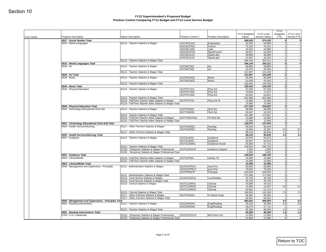| Cost Center | Program Description                                     | <b>Object Description</b>                                                                  | Position Control #     | Position Description      | FY11 Budgeted<br>Salary | FY12 Level<br>Service Salary | <b>FY11</b><br>Budgeted<br><b>FTE</b> | FY12 Level<br>Service FTE                 |
|-------------|---------------------------------------------------------|--------------------------------------------------------------------------------------------|------------------------|---------------------------|-------------------------|------------------------------|---------------------------------------|-------------------------------------------|
|             | 6527 - Social Studies Total                             |                                                                                            |                        |                           | 566,639                 | 574,255                      |                                       | 9                                         |
|             | 6533 - World Languages                                  | 81112 - Teacher Salaries & Wages                                                           | AOCWLEX01              | Exploratory               | 62,028                  | 64,886                       |                                       | 1                                         |
|             |                                                         |                                                                                            | AOCWLFR01              | French                    | 70,191                  | 70,191                       |                                       | 1                                         |
|             |                                                         |                                                                                            | AOCWLLN01              | Latin                     | 43,332                  | 44,885                       |                                       | 1                                         |
|             |                                                         |                                                                                            | AOCWLSFR1<br>AOCWLSL01 | Span/French<br>Span/Latin | 59,657<br>68,889        | 62,028<br>68,889             |                                       | 1<br>1                                    |
|             |                                                         |                                                                                            | AOCWLSL02              | Span/Latin                | 42,097                  | 43,332                       |                                       | 1                                         |
|             |                                                         | 81112 - Teacher Salaries & Wages Total                                                     |                        |                           | 346,194                 | 354,211                      |                                       | 6                                         |
|             | 6533 - World Languages Total                            |                                                                                            |                        |                           | 346,194                 | 354,211                      |                                       | 6                                         |
|             | 6536 - Art                                              | 81112 - Teacher Salaries & Wages                                                           | AOTARTS01              | Art                       | 68,889                  | 68,889                       |                                       | 1                                         |
|             |                                                         |                                                                                            | AOTARTS02              | Art                       | 52,978                  | 55,359                       |                                       | 1                                         |
|             | 6536 - Art Total                                        | 81112 - Teacher Salaries & Wages Total                                                     |                        |                           | 121,867<br>121,867      | 124,248<br>124,248           |                                       | 2 <br>$\overline{2}$                      |
|             | 6539 - Music                                            | 81112 - Teacher Salaries & Wages                                                           | AOTMUSK01              | Music                     | 65,494                  | 68,889                       |                                       | 1                                         |
|             |                                                         |                                                                                            | AOTMUSK02              | Music                     | 62,939                  | 65,456                       |                                       | 1                                         |
|             |                                                         | 81112 - Teacher Salaries & Wages Total                                                     |                        |                           | 128,432                 | 134,345                      |                                       | $\overline{2}$                            |
|             | 6539 - Music Total                                      |                                                                                            |                        |                           | 128,432                 | 134,345                      |                                       | 2 <sup>1</sup>                            |
|             | 6548 - Physical Education                               | 81112 - Teacher Salaries & Wages                                                           | AOTPHYS01              | Phys Ed                   | 67,028                  | 67,028                       |                                       | 1 <sup>1</sup>                            |
|             |                                                         |                                                                                            | AOTPHYS02              | Phys Ed                   | 70,639                  | 71,537                       |                                       | 1                                         |
|             |                                                         | 81112 - Teacher Salaries & Wages Total                                                     | AOTPHYS03              | Phys Ed                   | 63,901<br>201,568       | 63,901<br>202,466            |                                       | 1<br>3                                    |
|             |                                                         | 81116 - Full/Time Teacher Aides Salaries & Wages                                           | AOTPHYTA1              | Phys Ed TA                | 15,586                  | 15,586                       |                                       | 1                                         |
|             |                                                         | 81116 - Full/Time Teacher Aides Salaries & Wages Total                                     |                        |                           | 15,586                  | 15,586                       |                                       | 1                                         |
|             | 6548 - Physical Education Total                         |                                                                                            |                        |                           | 217,154                 | 218,052                      |                                       | $\boldsymbol{4}$                          |
|             | 6551 - Technology Educational (Tech Ed)                 | 81112 - Teacher Salaries & Wages                                                           | AOTTKED01              | Tech Ed                   | 68,889                  | 68,889                       |                                       | 1 <sup>1</sup>                            |
|             |                                                         |                                                                                            | AOTTKED03              | Tech Ed                   | 50,597                  | 52,978                       |                                       | 1                                         |
|             |                                                         | 81112 - Teacher Salaries & Wages Total<br>81116 - Full/Time Teacher Aides Salaries & Wages | AOTTKEDTA01            | TA Tech Ed                | 119,486<br>15,586       | 121,867<br>15,586            |                                       | 2 <br>1                                   |
|             |                                                         | 81116 - Full/Time Teacher Aides Salaries & Wages Total                                     |                        |                           | 15,586                  | 15,586                       |                                       | 1                                         |
|             | 6551 - Technology Educational (Tech Ed) Total           |                                                                                            |                        |                           | 135,072                 | 137,453                      |                                       | $\mathbf{3}$                              |
|             | 6554 - Health Services/Nursing                          | 81117 - Other Full-time Salaries & Wages                                                   | AOTNURSE1              | Nursing                   | 66,549                  | 66,549                       |                                       | 1                                         |
|             |                                                         |                                                                                            | AOTNURSE2              | Nursing                   | 19,669                  | 20,287                       | 0.5                                   |                                           |
|             |                                                         | 81117 - Other Full-time Salaries & Wages Total                                             |                        |                           | 86,218                  | 86,836                       | 1.5                                   | 1.5                                       |
|             | 6554 - Health Services/Nursing Total<br>6557 - Guidance | 81112 - Teacher Salaries & Wages                                                           | AOTGUID01              | Guidance                  | 86,218<br>52,978        | 86,836<br>56,073             | 1.5                                   | 1                                         |
|             |                                                         |                                                                                            | AOTGUID02              | Guidance                  | 50,597                  | 52,978                       |                                       | 1                                         |
|             |                                                         |                                                                                            | AOTGUSW01              | Guidance-Social           | 55,359                  | 57,741                       |                                       | 1                                         |
|             |                                                         | 81112 - Teacher Salaries & Wages Total                                                     |                        |                           | 158,934                 | 166,792                      |                                       | 3 <sup>1</sup>                            |
|             |                                                         | 81201 - Temporary Salaries & Wages Professional                                            | <b>AOTGUIDSUP</b>      | <b>Guidance Support</b>   | 2,000                   | 2,000                        |                                       | $\overline{0}$                            |
|             |                                                         | 81201 - Temporary Salaries & Wages Professional Total                                      |                        |                           | 2,000                   | 2,000                        |                                       | $\overline{0}$                            |
|             | 6557 - Guidance Total<br>6563 - Library/Media           | 81116 - Full/Time Teacher Aides Salaries & Wages                                           | AOTLBTA01              | Library TA                | 160,934<br>15,586       | 168,792<br>15,586            |                                       | $\overline{\mathbf{3}}$<br>1 <sup>1</sup> |
|             |                                                         | 81116 - Full/Time Teacher Aides Salaries & Wages Total                                     |                        |                           | 15,586                  | 15,586                       |                                       | 1                                         |
|             | 6563 - Library/Media Total                              |                                                                                            |                        |                           | 15,586                  | 15,586                       |                                       | 1                                         |
|             | 6566 - Management and Supervision - Principals          | 81111 - Administration Salaries & Wages                                                    | AOTASTPRC1             | Asst Prin                 | 83,865                  | 83,865                       |                                       | 1                                         |
|             |                                                         |                                                                                            | AOTASTPRC2             | Asst Prin                 | 79,500                  | 79,500                       |                                       | 1                                         |
|             |                                                         |                                                                                            | <b>AOTPRINCIP</b>      | Principal                 | 109,000                 | 109,000                      |                                       | 1                                         |
|             |                                                         | 81111 - Administration Salaries & Wages Total<br>81114 - Food Service Salaries & Wages     | ZZZZZZZZZZ21           | Lunch/Aides               | 272,365<br>35,759       | 272,365<br>35,759            |                                       | 3 <sup>1</sup><br> 0                      |
|             |                                                         | 81114 - Food Service Salaries & Wages Total                                                |                        |                           | 35,759                  | 35,759                       |                                       | $\circ$                                   |
|             |                                                         | 81115 - Clerical Salaries & Wages                                                          | AOTCLERK01             | Clerical                  | 43,869                  | 44,519                       |                                       | 11                                        |
|             |                                                         |                                                                                            | AOTCLERK02             | Clerical                  | 14,095                  | 14,307                       | 0.5                                   | 0.5                                       |
|             |                                                         |                                                                                            | AOTCLERK03             | Clerical                  | 50,962                  | 51,713                       |                                       | $\vert$                                   |
|             |                                                         | 81115 - Clerical Salaries & Wages Total                                                    |                        |                           | 108,926                 | 110,539                      | 2.5                                   |                                           |
|             |                                                         | 81117 - Other Full-time Salaries & Wages<br>81117 - Other Full-time Salaries & Wages Total | AOTGSUS01              | In House Susp             | 66,391<br>66,391        | 66,391<br>66,391             |                                       | 1<br>1                                    |
|             | 6566 - Management and Supervision - Principals Total    |                                                                                            |                        |                           | 483,441                 | 485,053                      | 6.5                                   |                                           |
|             | 6581 - Reading Interventions                            | 81112 - Teacher Salaries & Wages                                                           | AOCENRD01              | Eng/Reading               | 29,216                  | 30,358                       | 0.6                                   |                                           |
|             |                                                         |                                                                                            | AOCENRD02              | Eng/Reading               | 56,073                  | 57,741                       | $\vert$ 1                             |                                           |
|             |                                                         | 81112 - Teacher Salaries & Wages Total                                                     |                        |                           | 85,289                  | 88,099                       | 1.6                                   |                                           |
|             | 6581 - Reading Interventions Total                      | 81201 - Temporary Salaries & Wages Professional                                            | ZZZZZZZZZZ14           | <b>MS Extra Curr</b>      | 85,289<br>21,684        | 88,099<br>21,684             | 1.6                                   | $\circ$                                   |
|             | 6700 - C & I Leadership                                 |                                                                                            |                        |                           |                         |                              |                                       |                                           |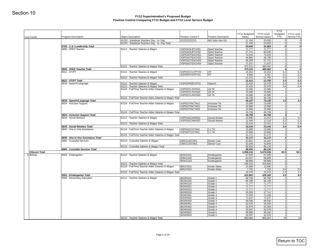| Cost Center          | Program Description                                     | <b>Object Description</b>                                                  | Position Control #                 | Position Description         | FY11 Budgeted<br>Salary | FY12 Level<br>Service Salary | FY11<br>Budgeted<br><b>FTE</b> | FY12 Level<br>Service FTE |
|----------------------|---------------------------------------------------------|----------------------------------------------------------------------------|------------------------------------|------------------------------|-------------------------|------------------------------|--------------------------------|---------------------------|
|                      |                                                         | 81203 - Substitute Teachers Day - to- Day                                  | ZZZZZZZZZZ23                       | MS Subs Gen Ed               | 21,760                  | 20,000                       | 0                              |                           |
|                      |                                                         | 81203 - Substitute Teachers Day - to- Day Total                            |                                    |                              | 21,760                  | 20,000                       | 0                              |                           |
|                      | 6700 - C & I Leadership Total                           |                                                                            |                                    |                              | 43,444                  | 41,684                       | 0                              |                           |
|                      | 6809 - SPED Teacher                                     | 81112 - Teacher Salaries & Wages                                           | XSPDAOLBTCH01                      | Sped Teacher                 | 71,777                  | 71,777                       | 1                              |                           |
|                      |                                                         |                                                                            | XSPDAOLBTCH02<br>XSPDAOTEACH01     | Sped Teacher<br>Sped Teacher | 57,741<br>72,016        | 60,595<br>72,016             | 1<br>1                         |                           |
|                      |                                                         |                                                                            | XSPDAOTEACH02                      | Sped Teacher                 | 44,885                  | 46,796                       | 1                              |                           |
|                      |                                                         |                                                                            | XSPDAOTEACH03                      | Sped Teacher                 | 55,359                  | 57,741                       | 1                              |                           |
|                      |                                                         |                                                                            | XSPDAOTEACH04                      | Sped Teacher                 | 71,537                  | 71,537                       | 1                              |                           |
|                      | 6809 - SPED Teacher Total                               | 81112 - Teacher Salaries & Wages Total                                     |                                    |                              | 373,315<br>373,315      | 380,462<br>380,462           | 6<br>6                         |                           |
|                      | 6812 - OT/PT                                            | 81112 - Teacher Salaries & Wages                                           | XSPDOCCUTPY03                      | <b>OT</b>                    | 15,354                  | 15,354                       | 0.2                            | 0.2                       |
|                      |                                                         |                                                                            | XSPDPHYSTPY01                      | PT                           | 6,060                   | 6,351                        | 0.1                            | 0.1                       |
|                      |                                                         | 81112 - Teacher Salaries & Wages Total                                     |                                    |                              | 21,413                  | 21,705                       | 0.3                            | 0.3                       |
|                      | 6812 - OT/PT Total                                      |                                                                            |                                    |                              | 21,413                  | 21,705                       | 0.3                            | 0.3                       |
|                      | 6818 - Speech/Language                                  | 81112 - Teacher Salaries & Wages<br>81112 - Teacher Salaries & Wages Total | XSPDSPEECHT01                      | Speech                       | 22,429<br>22,429        | 23,378<br>23,378             | 0.4<br>0.4                     | 0.4<br>0.4                |
|                      |                                                         | 81116 - Full/Time Teacher Aides Salaries & Wages                           | XSPDOTLANTA01                      | LB TA                        | 15,586                  | 15,586                       | 1                              |                           |
|                      |                                                         |                                                                            | XSPDOTLANTA02                      | LB TA                        | 15,586                  | 15,586                       | 1                              |                           |
|                      |                                                         |                                                                            | XSPDOTLANTA03                      | LB TA                        | 15,586                  | 15,586                       | 1                              |                           |
|                      | 6818 - Speech/Language Total                            | 81116 - Full/Time Teacher Aides Salaries & Wages Total                     |                                    |                              | 46,758<br>69,187        | 46,758<br>70,136             | 3 <sup>1</sup><br>3.4          |                           |
|                      | 6824 - Inclusion Support                                | 81116 - Full/Time Teacher Aides Salaries & Wages                           | XSPDOTINCTA01                      | Inclusion TA                 | 15,586                  | 15,586                       | 1                              | 3.4                       |
|                      |                                                         |                                                                            | XSPDOTINCTA02                      | Inclusion TA                 | 15,586                  | 15,586                       | 1                              |                           |
|                      |                                                         |                                                                            | XSPDOTINCTA03                      | Inclusion TA                 | 15,586                  | 15,586                       | 1                              |                           |
|                      |                                                         | 81116 - Full/Time Teacher Aides Salaries & Wages Total                     |                                    |                              | 46,758                  | 46,758                       | 3                              |                           |
|                      | 6824 - Inclusion Support Total<br>6833 - Social Workers | 81112 - Teacher Salaries & Wages                                           | XSPDSOCWKR02                       | Social Worker                | 46,758<br>10,596        | 46,758<br>11,072             | 0.2                            | 3<br>0.2                  |
|                      |                                                         |                                                                            | XSPDSOCWKR03                       | Social Worker                | 11,548                  | 12,119                       | 0.2                            | 0.2                       |
|                      |                                                         | 81112 - Teacher Salaries & Wages Total                                     |                                    |                              | 22,144                  | 23,191                       | 0.4                            | 0.4                       |
|                      | 6833 - Social Workers Total                             |                                                                            |                                    |                              | 22,144                  | 23,191                       | 0.4                            | 0.4                       |
|                      | 6845 - One to One Assistance                            | 81116 - Full/Time Teacher Aides Salaries & Wages                           | XSPDAO121TA01<br>XSPDOT121TA01     | 1:1 TA<br>$1:1$ TA           | 15,586<br>15,586        | 15,586<br>15,586             | 1<br>1                         |                           |
|                      |                                                         | 81116 - Full/Time Teacher Aides Salaries & Wages Total                     |                                    |                              | 31,172                  | 31,172                       | 2                              |                           |
|                      | 6845 - One to One Assistance Total                      |                                                                            |                                    |                              | 31,172                  | 31,172                       | $\mathbf{2}$                   |                           |
|                      | 6965 - Custodial Services                               | 81113 - Custodial Salaries & Wages                                         | OMCCUSTSR1                         | Senior Cust                  | 43,581                  | 44,181                       | 1                              |                           |
|                      |                                                         | 81113 - Custodial Salaries & Wages Total                                   | OMCCUSTSR2                         | Senior Cust                  | 43,349                  | 43,949<br>88,130             | 1<br>2                         |                           |
|                      | 6965 - Custodial Services Total                         |                                                                            |                                    |                              | 86,930<br>86,930        | 88,130                       | $\overline{2}$                 |                           |
| <b>Ottoson Total</b> |                                                         |                                                                            |                                    |                              | 4,959,318               | 5,070,508                    | 92.5                           | 92.5                      |
| 6 Bishop             | 6503 - Kindergarten                                     | 81112 - Teacher Salaries & Wages                                           | BIAKG101                           | Kindergarten                 | 67,028                  | 67,028                       | 1                              |                           |
|                      |                                                         |                                                                            | BIAKG102<br>BIAKG103               | Kindergarten                 | 63,507<br>68,889        | 68,889<br>68,889             | 1<br>1                         |                           |
|                      |                                                         | 81112 - Teacher Salaries & Wages Total                                     |                                    | Kindergarten                 | 199,424                 | 204,806                      | 3                              |                           |
|                      |                                                         | 81116 - Full/Time Teacher Aides Salaries & Wages                           | BIKGTA01                           | Kinder Aides                 | 15,586                  | 15,586                       | 1                              |                           |
|                      |                                                         |                                                                            | BIKGTA02                           | Kinder Aides                 | 7,793                   | 7,793                        | 0.5                            | 0.5                       |
|                      | 6503 - Kindergarten Total                               | 81116 - Full/Time Teacher Aides Salaries & Wages Total                     |                                    |                              | 23,379<br>222,803       | 23,379<br>228,185            | 1.5<br>4.5                     | 1.5<br>4.5                |
|                      | 6506 - Elementary Education                             | 81112 - Teacher Salaries & Wages                                           | <b>BIGR0101</b>                    | Grade 1                      | 66,789                  | 66,789                       | 11                             |                           |
|                      |                                                         |                                                                            | <b>BIGR0102</b>                    | Grade 1                      | 66,789                  | 66,789                       | 1                              |                           |
|                      |                                                         |                                                                            | <b>BIGR0103</b>                    | Grade 1                      | 71,777                  | 71,777                       | 1                              |                           |
|                      |                                                         |                                                                            | <b>BIGR0201</b><br><b>BIGR0202</b> | Grade 2<br>Grade 2           | 71,777<br>71,777        | 71,777<br>71,777             | 1<br>1                         |                           |
|                      |                                                         |                                                                            | <b>BIGR0203</b>                    | Grade 2                      | 55,359                  | 57,741                       | 1                              |                           |
|                      |                                                         |                                                                            |                                    | Grade 3                      | 72,256                  | 72,256                       |                                | 1                         |
|                      |                                                         |                                                                            |                                    |                              |                         | 71,537                       | 1                              |                           |
|                      |                                                         |                                                                            | <b>BIGR0301</b><br><b>BIGR0302</b> | Grade 3                      | 71,537                  |                              |                                |                           |
|                      |                                                         |                                                                            | <b>BIGR0303</b>                    | Grade 3                      | 69,540                  | 69,540                       | 1                              |                           |
|                      |                                                         |                                                                            | <b>BIGR0401</b>                    | Grade 4                      | 52,978                  | 55,359                       | 1                              |                           |
|                      |                                                         |                                                                            | <b>BIGR0402</b><br><b>BIGR0403</b> | Grade 4<br>Grade 4           | 52,978<br>50,597        | 55,359<br>52,978             | 1<br>1                         |                           |
|                      |                                                         |                                                                            | <b>BIGR0502</b>                    | Grade 5                      | 68,889                  | 69,540                       | 1                              |                           |
|                      |                                                         | 81112 - Teacher Salaries & Wages Total                                     | <b>BIGR0503</b>                    | Grade 5                      | 50,597<br>893,640       | 52,978<br>906,197            | 1<br>14                        |                           |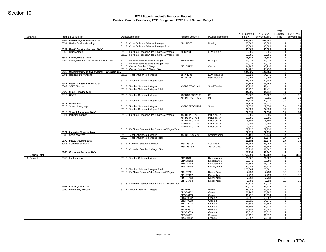| Cost Center                       | Program Description                                      | <b>Object Description</b>                                                                                  | Position Control #                 | <b>Position Description</b>  | FY11 Budgeted<br>Salary | FY12 Level<br>Service Salary | <b>FY11</b><br>Budgeted<br><b>FTE</b> | FY12 Level<br>Service FTE |
|-----------------------------------|----------------------------------------------------------|------------------------------------------------------------------------------------------------------------|------------------------------------|------------------------------|-------------------------|------------------------------|---------------------------------------|---------------------------|
|                                   | 6506 - Elementary Education Total                        |                                                                                                            |                                    |                              | 893,640                 | 906,197                      | 14                                    |                           |
|                                   | 6554 - Health Services/Nursing                           | 81117 - Other Full-time Salaries & Wages                                                                   | BINURSE01                          | Nursing                      | 68,889                  | 68,889                       | 1                                     |                           |
|                                   |                                                          | 81117 - Other Full-time Salaries & Wages Total                                                             |                                    |                              | 68,889                  | 68,889                       | 11                                    |                           |
|                                   | 6554 - Health Services/Nursing Total                     |                                                                                                            |                                    |                              | 68,889                  | 68,889                       |                                       | $\mathbf{1}$              |
|                                   | 6563 - Library/Media                                     | 81116 - Full/Time Teacher Aides Salaries & Wages<br>81116 - Full/Time Teacher Aides Salaries & Wages Total | BILBTA01                           | <b>ESW Library</b>           | 15,586<br>15,586        | 15,586<br>15,586             | 1                                     | 1 <sup>1</sup>            |
|                                   | 6563 - Library/Media Total                               |                                                                                                            |                                    |                              | 15,586                  | 15,586                       |                                       | 1                         |
|                                   | 6566 - Management and Supervision - Principals           | 81111 - Administration Salaries & Wages                                                                    | <b>BIPRINCIPAL</b>                 | Principal                    | 106,075                 | 106,075                      | 11                                    |                           |
|                                   |                                                          | 81111 - Administration Salaries & Wages Total                                                              |                                    |                              | 106,075                 | 106,075                      | 1                                     |                           |
|                                   |                                                          | 81115 - Clerical Salaries & Wages<br>81115 - Clerical Salaries & Wages Total                               | BICLERK01                          | Clerical                     | 34,705                  | 35,218                       |                                       | 1                         |
|                                   | 6566 - Management and Supervision - Principals Total     |                                                                                                            |                                    |                              | 34,705<br>140,780       | 35,218<br>141,293            |                                       | 11<br>$\mathbf{2}$        |
|                                   | 6581 - Reading Interventions                             | 81112 - Teacher Salaries & Wages                                                                           | BIHARD01                           | <b>ESW Reading</b>           | 62,028                  | 64,846                       | 1                                     |                           |
|                                   |                                                          |                                                                                                            | BIREAD01                           | <b>ESW Reading</b>           | 72,256                  | 72,256                       | 1                                     |                           |
|                                   |                                                          | 81112 - Teacher Salaries & Wages Total                                                                     |                                    |                              | 134,284                 | 137,102                      |                                       | 2                         |
|                                   | 6581 - Reading Interventions Total                       |                                                                                                            |                                    |                              | 134,284                 | 137,102                      |                                       | 2                         |
|                                   | 6809 - SPED Teacher                                      | 81112 - Teacher Salaries & Wages<br>81112 - Teacher Salaries & Wages Total                                 | XSPDBITEACH01                      | Sped Teacher                 | 46,796<br>46,796        | 49,411<br>49,411             |                                       | 1<br>1 <sup>1</sup>       |
|                                   | 6809 - SPED Teacher Total                                |                                                                                                            |                                    |                              | 46,796                  | 49,411                       |                                       | 1                         |
|                                   | 6812 - OT/PT                                             | 81112 - Teacher Salaries & Wages                                                                           | XSPDOCCUTPY05                      | OT                           | 20,667                  | 20,667                       | 0.3                                   |                           |
|                                   |                                                          |                                                                                                            | XSPDPHYSTPY01                      | PT                           | 6,060                   | 6,351                        | 0.1                                   |                           |
|                                   |                                                          | 81112 - Teacher Salaries & Wages Total                                                                     |                                    |                              | 26,726                  | 27,017                       | 0.4                                   |                           |
|                                   | 6812 - OT/PT Total                                       |                                                                                                            | XSPDSPEECHT05                      |                              | 26,726                  | 27,017                       | 0.4<br>0.4                            |                           |
|                                   | 6818 - Speech/Language                                   | 81112 - Teacher Salaries & Wages<br>81112 - Teacher Salaries & Wages Total                                 |                                    | Speech                       | 27,556<br>27,556        | 27,556<br>27,556             | 0.4                                   |                           |
|                                   | 6818 - Speech/Language Total                             |                                                                                                            |                                    |                              | 27,556                  | 27,556                       | 0.4                                   |                           |
|                                   | 6824 - Inclusion Support                                 | 81116 - Full/Time Teacher Aides Salaries & Wages                                                           | XSPDBIINCTA01                      | Inclusion TA                 | 15,586                  | 15,586                       | 1                                     |                           |
|                                   |                                                          |                                                                                                            | XSPDBIINCTA02                      | Inclusion TA                 | 15,586                  | 15,586                       | 1                                     |                           |
|                                   |                                                          |                                                                                                            | XSPDBIINCTA03                      | Inclusion TA                 | 15,586                  | 15,586                       | 1                                     | 1                         |
|                                   |                                                          |                                                                                                            | XSPDBIINCTA04<br>XSPDBIINCTA05     | Inclusion TA<br>Inclusion TA | 15,586<br>15,586        | 15,586<br>15,586             | 1                                     |                           |
|                                   |                                                          | 81116 - Full/Time Teacher Aides Salaries & Wages Total                                                     |                                    |                              | 77,930                  | 77,930                       |                                       | 5 <sub>1</sub>            |
|                                   | 6824 - Inclusion Support Total                           |                                                                                                            |                                    |                              | 77,930                  | 77,930                       |                                       | 5 <sub>l</sub>            |
|                                   | 6833 - Social Workers                                    | 81112 - Teacher Salaries & Wages                                                                           | XSPDSOCWKR01                       | Social Worker                | 21,191                  | 22,144                       | 0.4                                   |                           |
|                                   |                                                          | 81112 - Teacher Salaries & Wages Total                                                                     |                                    |                              | 21,191                  | 22,144                       | 0.4<br>0.4                            |                           |
|                                   | 6833 - Social Workers Total<br>6965 - Custodial Services | 81113 - Custodial Salaries & Wages                                                                         | <b>BISCUSTOD1</b>                  | Custodian                    | 21,191<br>34,368        | 22,144<br>38,293             | $\mathbf{1}$                          |                           |
|                                   |                                                          |                                                                                                            | BISCUSTSR1                         | Senior Cust                  | 42,749                  | 43,349                       | 1                                     |                           |
|                                   |                                                          | 81113 - Custodial Salaries & Wages Total                                                                   |                                    |                              | 77,118                  | 81,642                       |                                       | 2                         |
|                                   | 6965 - Custodial Services Total                          |                                                                                                            |                                    |                              | 77,118                  | 81,642                       |                                       | $\mathbf{2}$              |
| <b>Bishop Total</b><br>9 Brackett | 6503 - Kindergarten                                      | 81112 - Teacher Salaries & Wages                                                                           | BRAKG101                           | Kindergarten                 | 1,753,299<br>71,537     | 1,782,952<br>71,537          | 33.7<br>$\mathbf{1}$                  |                           |
|                                   |                                                          |                                                                                                            | BRAKG102                           | Kindergarten                 | 52,978                  | 55,359                       |                                       | 1                         |
|                                   |                                                          |                                                                                                            | BRAKG103                           | Kindergarten                 | 53,695                  | 56,073                       | 1                                     |                           |
|                                   |                                                          |                                                                                                            | BRAKG104                           | Kindergarten                 | 42,094                  | 43,332                       |                                       | 1                         |
|                                   |                                                          | 81112 - Teacher Salaries & Wages Total                                                                     |                                    |                              | 220,304                 | 226,301                      |                                       | 4 <sup>1</sup>            |
|                                   |                                                          | 81116 - Full/Time Teacher Aides Salaries & Wages                                                           | BRKGTA01                           | Kinder Aides                 | 7,793<br>7,793          | 7,793                        | 0.5<br>0.5                            |                           |
|                                   |                                                          |                                                                                                            | BRKGTA02<br>BRKGTA03               | Kinder Aides<br>Kinder Aides | 7,793                   | 7,793<br>7,793               | 0.5                                   |                           |
|                                   |                                                          |                                                                                                            | BRKGTA04                           | <b>Kinder Aides</b>          | 7,793                   | 7,793                        | 0.5                                   |                           |
|                                   |                                                          | 81116 - Full/Time Teacher Aides Salaries & Wages Total                                                     |                                    |                              | 31,172                  | 31,172                       |                                       | 2 <sup>1</sup>            |
|                                   | 6503 - Kindergarten Total                                |                                                                                                            |                                    |                              | 251,476                 | 257,473                      |                                       | 6                         |
|                                   | 6506 - Elementary Education                              | 81112 - Teacher Salaries & Wages                                                                           | <b>BRGR0101</b>                    | Grade 1                      | 49,658                  | 55,359                       |                                       | 1                         |
|                                   |                                                          |                                                                                                            | <b>BRGR0102</b><br><b>BRGR0103</b> | Grade 1<br>Grade 1           | 66,789<br>46,796        | 66,789<br>48,694             | 1                                     | 1                         |
|                                   |                                                          |                                                                                                            | <b>BRGR0202</b>                    | Grade 2                      | 60,595                  | 63,507                       |                                       | 1                         |
|                                   |                                                          |                                                                                                            | <b>BRGR0203</b>                    | Grade 2                      | 62,028                  | 64,846                       |                                       | 1                         |
|                                   |                                                          |                                                                                                            | <b>BRGR0204</b>                    | Grade 2                      | 73,558                  | 73,558                       |                                       | 11                        |
|                                   |                                                          |                                                                                                            | <b>BRGR0301</b>                    | Grade 3                      | 48,695                  | 43,332                       |                                       | 1                         |
|                                   |                                                          |                                                                                                            | <b>BRGR0302</b><br><b>BRGR0303</b> | Grade 3                      | 55,359                  | 57,741                       | $\mathbf{1}$                          | 11                        |
|                                   |                                                          |                                                                                                            |                                    | Grade 3                      | 48,695                  | 50,597                       |                                       |                           |
|                                   |                                                          |                                                                                                            | <b>BRGR0401</b>                    | Grade 4                      | 58,455                  | 61,312                       |                                       | 1                         |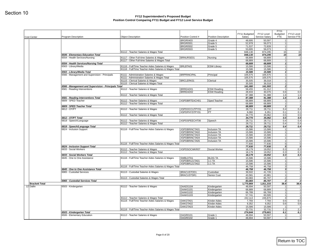| <b>Cost Center</b>    | <b>Program Description</b>                                   | <b>Object Description</b>                                                          | Position Control #             | <b>Position Description</b>         | FY11 Budgeted<br>Salary | FY12 Level<br>Service Salary | <b>FY11</b><br>Budgeted<br>FTE | FY12 Level<br>Service FTE |
|-----------------------|--------------------------------------------------------------|------------------------------------------------------------------------------------|--------------------------------|-------------------------------------|-------------------------|------------------------------|--------------------------------|---------------------------|
|                       |                                                              |                                                                                    | <b>BRGR0403</b>                | Grade 4                             | 48,695                  | 50,597                       | 1                              |                           |
|                       |                                                              |                                                                                    | <b>BRGR0501</b>                | Grade 5                             | 52,978                  | 56,073                       | 1                              |                           |
|                       |                                                              |                                                                                    | <b>BRGR0502</b>                | Grade 5                             | 71,537                  | 72,839                       | 1                              |                           |
|                       |                                                              | 81112 - Teacher Salaries & Wages Total                                             | <b>BRGR0503</b>                | Grade 5                             | 53,695<br>848,130       | 56,073<br>874,295            | 1<br>15                        |                           |
|                       | 6506 - Elementary Education Total                            |                                                                                    |                                |                                     | 848,130                 | 874,295                      | 15                             |                           |
|                       | 6554 - Health Services/Nursing                               | 81117 - Other Full-time Salaries & Wages                                           | BRNURSE01                      | Nursing                             | 68,889                  | 68,889                       | 1                              |                           |
|                       |                                                              | 81117 - Other Full-time Salaries & Wages Total                                     |                                |                                     | 68,889                  | 68,889<br>68,889             | 1                              |                           |
|                       | 6554 - Health Services/Nursing Total<br>6563 - Library/Media | 81116 - Full/Time Teacher Aides Salaries & Wages                                   | BRLBTA01                       | <b>ESW Library</b>                  | 68,889<br>15,586        | 15,586                       | 1<br>1                         |                           |
|                       |                                                              | 81116 - Full/Time Teacher Aides Salaries & Wages Total                             |                                |                                     | 15,586                  | 15,586                       | 1                              |                           |
|                       | 6563 - Library/Media Total                                   |                                                                                    |                                |                                     | 15,586                  | 15,586                       | 1                              |                           |
|                       | 6566 - Management and Supervision - Principals               | 81111 - Administration Salaries & Wages                                            | <b>BRPRINCIPAL</b>             | Principal                           | 105,575                 | 105,575                      | 1                              | 1                         |
|                       |                                                              | 81111 - Administration Salaries & Wages Total<br>81115 - Clerical Salaries & Wages | BRCLERK01                      | Clerical                            | 105,575<br>35,505       | 105,575<br>36,018            | 1                              |                           |
|                       |                                                              | 81115 - Clerical Salaries & Wages Total                                            |                                |                                     | 35,505                  | 36,018                       | 1                              |                           |
|                       | 6566 - Management and Supervision - Principals Total         |                                                                                    |                                |                                     | 141,080                 | 141,593                      | $\overline{2}$                 |                           |
|                       | 6581 - Reading Interventions                                 | 81112 - Teacher Salaries & Wages                                                   | BRREAD01                       | <b>ESW Reading</b>                  | 58,455                  | 61,312                       | 1                              |                           |
|                       |                                                              | 81112 - Teacher Salaries & Wages Total                                             | BRREAD02                       | <b>ESW Reading</b>                  | 28,933<br>87,388        | 30,076<br>91,388             | 0.6<br>1.6                     |                           |
|                       | 6581 - Reading Interventions Total                           |                                                                                    |                                |                                     | 87,388                  | 91,388                       | 1.6                            |                           |
|                       | 6809 - SPED Teacher                                          | 81112 - Teacher Salaries & Wages                                                   | XSPDBRTEACH01                  | Sped Teacher                        | 68,889                  | 68,889                       | 1                              |                           |
|                       |                                                              | 81112 - Teacher Salaries & Wages Total                                             |                                |                                     | 68,889                  | 68,889                       | 1                              |                           |
|                       | 6809 - SPED Teacher Total<br>6812 - OT/PT                    | 81112 - Teacher Salaries & Wages                                                   | XSPDOCCUTPY01                  | OT                                  | 68,889<br>28,711        | 68,889<br>28,711             | 1<br>0.4                       |                           |
|                       |                                                              |                                                                                    | XSPDPHYSTPY01                  | PT                                  | 6,060                   | 6,351                        | 0.1                            |                           |
|                       |                                                              | 81112 - Teacher Salaries & Wages Total                                             |                                |                                     | 34,770                  | 35,062                       | 0.5                            |                           |
|                       | 6812 - OT/PT Total                                           |                                                                                    | XSPDSPEECHT06                  |                                     | 34,770                  | 35,062                       | 0.5                            |                           |
|                       | 6818 - Speech/Language                                       | 81112 - Teacher Salaries & Wages<br>81112 - Teacher Salaries & Wages Total         |                                | Speech                              | 28,711<br>28,711        | 28,711<br>28,711             | 0.4<br>0.4                     |                           |
|                       | 6818 - Speech/Language Total                                 |                                                                                    |                                |                                     | 28,711                  | 28,711                       | 0.4                            |                           |
|                       | 6824 - Inclusion Support                                     | 81116 - Full/Time Teacher Aides Salaries & Wages                                   | XSPDBRINCTA01                  | Inclusion TA                        | 15,586                  | 15,586                       | 1                              |                           |
|                       |                                                              |                                                                                    | XSPDBRINCTA02<br>XSPDBRINCTA03 | Inclusion TA<br>Inclusion TA        | 15,586<br>15,586        | 15,586<br>15,586             | 1<br>1                         |                           |
|                       |                                                              |                                                                                    | XSPDBRINCTA04                  | Inclusion TA                        | 15,586                  | 15,586                       | 1                              |                           |
|                       |                                                              |                                                                                    | XSPDBRINCTA05                  | Inclusion TA                        | 15,586                  | 15,586                       | 1                              |                           |
|                       |                                                              | 81116 - Full/Time Teacher Aides Salaries & Wages Total                             |                                |                                     | 77,930                  | 77,930                       | 5 <sup>1</sup>                 |                           |
|                       | 6824 - Inclusion Support Total<br>6833 - Social Workers      | 81112 - Teacher Salaries & Wages                                                   | XSPDSOCWKR07                   | Social Worker                       | 77,930<br>18,179        | 77,930<br>19,052             | 5 <sub>1</sub><br>0.3          |                           |
|                       |                                                              | 81112 - Teacher Salaries & Wages Total                                             |                                |                                     | 18,179                  | 19,052                       | 0.3                            |                           |
|                       | 6833 - Social Workers Total                                  |                                                                                    |                                |                                     | 18,179                  | 19,052                       | 0.3                            |                           |
|                       | 6845 - One to One Assistance                                 | 81116 - Full/Time Teacher Aides Salaries & Wages                                   | SWBLDTA1                       | <b>BLDG TA</b>                      | 15,586                  | 15,586                       | 1                              |                           |
|                       |                                                              |                                                                                    | XSPDBR121TA01<br>XSPDBR121TA02 | 1:1 TA<br>1:1 TA                    | 15,586<br>15,586        | 15,586<br>15,586             | 1<br>1                         |                           |
|                       |                                                              | 81116 - Full/Time Teacher Aides Salaries & Wages Total                             |                                |                                     | 46,758                  | 46,758                       | 3 <sup>1</sup>                 |                           |
|                       | 6845 - One to One Assistance Total                           |                                                                                    |                                |                                     | 46,758                  | 46,758                       |                                | 3 <sup>1</sup>            |
|                       | 6965 - Custodial Services                                    | 81113 - Custodial Salaries & Wages                                                 | BRACUSTOD1                     | Custodian                           | 39,502                  | 41,726                       | 1                              |                           |
|                       |                                                              | 81113 - Custodial Salaries & Wages Total                                           | BRACUSTSR1                     | Senior Cust                         | 43,581<br>83,083        | 43,981<br>85,707             | 1<br>2                         |                           |
|                       | 6965 - Custodial Services Total                              |                                                                                    |                                |                                     | 83,083                  | 85,707                       | $\overline{2}$                 |                           |
| <b>Brackett Total</b> |                                                              |                                                                                    |                                |                                     | 1,770,869               | 1,811,333                    | 38.8                           |                           |
| 12 Dallin             | 6503 - Kindergarten                                          | 81112 - Teacher Salaries & Wages                                                   | DAADG104<br>DAAKG101           | Kindergarten                        | 48,694<br>68,889        | 50,597<br>68,889             | 1<br>1                         |                           |
|                       |                                                              |                                                                                    | DAAKG102                       | Kindergarten<br>Kindergarten        | 66,789                  | 66,789                       | 1                              |                           |
|                       |                                                              |                                                                                    | DAAKG103                       | Kindergarten                        | 57,741                  | 60,595                       | 1                              |                           |
|                       |                                                              | 81112 - Teacher Salaries & Wages Total                                             |                                |                                     | 242,113                 | 246,870                      | 4 <sup>1</sup>                 |                           |
|                       |                                                              | 81116 - Full/Time Teacher Aides Salaries & Wages                                   | DAKGTA01                       | <b>Kinder Aides</b><br>Kinder Aides | 7,793                   | 7,793                        | 0.5                            |                           |
|                       |                                                              |                                                                                    | DAKGTA02<br>DAKGTA03           | <b>Kinder Aides</b>                 | 9,352<br>15,586         | 9,352<br>15,586              | 0.6<br>1                       |                           |
|                       |                                                              | 81116 - Full/Time Teacher Aides Salaries & Wages Total                             |                                |                                     | 32,731                  | 32,731                       | 2.1                            |                           |
|                       | 6503 - Kindergarten Total                                    |                                                                                    |                                |                                     | 274,844                 | 279,601                      | 6.1                            |                           |
|                       | 6506 - Elementary Education                                  | 81112 - Teacher Salaries & Wages                                                   | DAGR0101                       | Grade 1                             | 48,694                  | 50,597                       | 1                              |                           |
|                       |                                                              |                                                                                    | DAGR0102                       | Grade 1                             | 48,694                  | 50,597                       |                                | 1                         |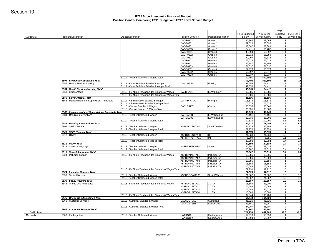|                     |                                                              |                                                                            | DAGR0103<br><b>DAGR0201</b>        | Grade 1                         | 46,796            | 48,694            | 1                          |            |
|---------------------|--------------------------------------------------------------|----------------------------------------------------------------------------|------------------------------------|---------------------------------|-------------------|-------------------|----------------------------|------------|
|                     |                                                              |                                                                            |                                    |                                 |                   |                   |                            |            |
|                     |                                                              |                                                                            |                                    | Grade 2                         | 52,028            | 53,695            | 11                         |            |
|                     |                                                              |                                                                            | <b>DAGR0202</b>                    | Grade 2                         | 63,507            | 68,889            | 11                         |            |
|                     |                                                              |                                                                            | DAGR0203<br><b>DAGR0301</b>        | Grade 2<br>Grade 3              | 54,411<br>48,694  | 56,787<br>50,597  | 1<br>1 <sup>1</sup>        |            |
|                     |                                                              |                                                                            | DAGR0302                           | Grade 3                         | 51,318            | 55,359            | 1                          |            |
|                     |                                                              |                                                                            | <b>DAGR0303</b>                    | Grade 3                         | 42,097            | 43,332            | 1                          |            |
|                     |                                                              |                                                                            | <b>DAGR0401</b>                    | Grade 4                         | 72,016            | 72,016            | 1                          |            |
|                     |                                                              |                                                                            | <b>DAGR0402</b>                    | Grade 4                         | 56,787            | 59,108            | 1                          |            |
|                     |                                                              |                                                                            | DAGR0403                           | Grade 4                         | 71,537            | 71,537            | 1<br>1                     |            |
|                     |                                                              |                                                                            | <b>DAGR0501</b><br><b>DAGR0502</b> | Grade 5<br>Grade 5              | 52,978<br>50,597  | 56,073<br>52,978  | 1                          |            |
|                     |                                                              |                                                                            | <b>DAGR0503</b>                    | Grade 5                         | 39,337            | 39,337            | 1                          |            |
|                     |                                                              | 81112 - Teacher Salaries & Wages Total                                     |                                    |                                 | 799,491           | 829,596           | 15                         | 15         |
|                     | 6506 - Elementary Education Total                            |                                                                            |                                    |                                 | 799,491           | 829,596           | 15                         | 15         |
|                     | 6554 - Health Services/Nursing                               | 81117 - Other Full-time Salaries & Wages                                   | DANURSE01                          | Nursing                         | 49,658            | 54,411            | 1                          |            |
|                     |                                                              | 81117 - Other Full-time Salaries & Wages Total                             |                                    |                                 | 49,658            | 54,411            | 1 <sup>1</sup><br>$1\vert$ |            |
|                     | 6554 - Health Services/Nursing Total<br>6563 - Library/Media | 81116 - Full/Time Teacher Aides Salaries & Wages                           | DALBRA01                           | <b>ESW Library</b>              | 49,658<br>15,586  | 54,411<br>15,586  | 1                          |            |
|                     |                                                              | 81116 - Full/Time Teacher Aides Salaries & Wages Total                     |                                    |                                 | 15,586            | 15,586            | 1 <sup>1</sup>             |            |
|                     | 6563 - Library/Media Total                                   |                                                                            |                                    |                                 | 15,586            | 15,586            | $1\vert$                   |            |
|                     | 6566 - Management and Supervision - Principals               | 81111 - Administration Salaries & Wages                                    | <b>DAPRINICPAL</b>                 | Principal                       | 105,575           | 105,575           | 1                          |            |
|                     |                                                              | 81111 - Administration Salaries & Wages Total                              |                                    |                                 | 105,575           | 105,575           | 1                          |            |
|                     |                                                              | 81115 - Clerical Salaries & Wages                                          | DACLERK01                          | Clerical                        | 35,055            | 35,568            | 11                         |            |
|                     | 6566 - Management and Supervision - Principals Total         | 81115 - Clerical Salaries & Wages Total                                    |                                    |                                 | 35,055<br>140,630 | 35,568<br>141,143 | 1<br>$\mathbf{z}$          |            |
|                     | 6581 - Reading Interventions                                 | 81112 - Teacher Salaries & Wages                                           | DAREAD01                           | <b>ESW Reading</b>              | 70,191            | 70,191            | 1                          |            |
|                     |                                                              |                                                                            | DAREAD02                           | <b>ESW Reading</b>              | 22,330            | 38,908            | 0.6                        | 0.6        |
|                     |                                                              | 81112 - Teacher Salaries & Wages Total                                     |                                    |                                 | 92,521            | 109,099           | 1.6                        | 1.6        |
|                     | 6581 - Reading Interventions Total                           |                                                                            |                                    |                                 | 92,521            | 109,099           | 1.6                        | 1.6        |
|                     | 6809 - SPED Teacher                                          | 81112 - Teacher Salaries & Wages                                           | XSPDDATEACH01                      | Sped Teacher                    | 52,978            | 55,359            | 1                          |            |
|                     | 6809 - SPED Teacher Total                                    | 81112 - Teacher Salaries & Wages Total                                     |                                    |                                 | 52,978<br>52,978  | 55,359<br>55,359  | 1<br>1                     |            |
|                     | 6812 - OT/PT                                                 | 81112 - Teacher Salaries & Wages                                           | XSPDOCCUTPY01                      | OT                              | 21,533            | 21,533            | 0.3                        | 0.3        |
|                     |                                                              |                                                                            | XSPDPHYSTPY01                      | PT                              | 6,060             | 6,351             | 0.1                        | 0.1        |
|                     |                                                              | 81112 - Teacher Salaries & Wages Total                                     |                                    |                                 | 27,593            | 27,884            | 0.4                        | 0.4        |
|                     | 6812 - OT/PT Total                                           |                                                                            |                                    |                                 | 27,593            | 27,884            | 0.4                        | 0.4        |
|                     | 6818 - Speech/Language                                       | 81112 - Teacher Salaries & Wages<br>81112 - Teacher Salaries & Wages Total | XSPDSPEECHT07                      | Speech                          | 26,907<br>26,907  | 28,615<br>28,615  | 0.4<br>0.4                 | 0.4<br>0.4 |
|                     | 6818 - Speech/Language Total                                 |                                                                            |                                    |                                 | 26,907            | 28,615            | 0.4                        | 0.4        |
|                     | 6824 - Inclusion Support                                     | 81116 - Full/Time Teacher Aides Salaries & Wages                           | XSPDDAINCTA01                      | Inclusion TA                    | 15,586            | 15,586            | 11                         |            |
|                     |                                                              |                                                                            | XSPDDAINCTA02                      | <b>Inclusion TA</b>             | 15,586            | 23,000            | 1                          |            |
|                     |                                                              |                                                                            | XSPDDAINCTA03                      | Inclusion TA                    | 15,586            | 18,159            | 1                          |            |
|                     |                                                              |                                                                            | XSPDDAINCTA04<br>XSPDDAINCTA05     | Inclusion TA<br>Inclusion TA    | 15,586<br>15,586  | 15,586<br>15,586  | 11<br>1 <sup>1</sup>       |            |
|                     |                                                              | 81116 - Full/Time Teacher Aides Salaries & Wages Total                     |                                    |                                 | 77,930            | 87,917            | 5 <sup>1</sup>             |            |
|                     | 6824 - Inclusion Support Total                               |                                                                            |                                    |                                 | 77,930            | 87,917            | 5 <sup>1</sup>             |            |
|                     | 6833 - Social Workers                                        | 81112 - Teacher Salaries & Wages                                           | XSPDSOCWKR06                       | Social Worker                   | 21,867            | 21,867            | 0.3                        | 0.3        |
|                     |                                                              | 81112 - Teacher Salaries & Wages Total                                     |                                    |                                 | 21,867            | 21,867            | 0.3                        | 0.3        |
|                     | 6833 - Social Workers Total                                  |                                                                            |                                    |                                 | 21,867            | 21,867            | 0.3                        | 0.3        |
|                     | 6845 - One to One Assistance                                 | 81116 - Full/Time Teacher Aides Salaries & Wages                           | XSPDDA121TA01<br>XSPDDA121TA02     | 1:1 TA<br>$1:1$ TA              | 15,586<br>15,586  | 23,000<br>15,586  | 11<br>1 <sup>1</sup>       |            |
|                     |                                                              |                                                                            | XSPDDA121TA03                      | 1:1 TA                          | 15,586            | 52,028            | 1                          |            |
|                     |                                                              |                                                                            | XSPDDA121TA04                      | 1:1 TA                          | 15,586            | 15,586            | 1                          |            |
|                     |                                                              | 81116 - Full/Time Teacher Aides Salaries & Wages Total                     |                                    |                                 | 62,344            | 106,200           | 4                          |            |
|                     | 6845 - One to One Assistance Total                           |                                                                            |                                    |                                 | 62,344            | 106,200           | $\boldsymbol{4}$           |            |
|                     | 6965 - Custodial Services                                    | 81113 - Custodial Salaries & Wages                                         | DALCUSTOD1<br>DALCUSTSR1           | Custodian<br><b>Senior Cust</b> | 41,326<br>43,581  | 41,726<br>43,981  | 1<br>1                     |            |
|                     |                                                              | 81113 - Custodial Salaries & Wages Total                                   |                                    |                                 | 84,907            | 85,707            | $\overline{2}$             |            |
|                     | 6965 - Custodial Services Total                              |                                                                            |                                    |                                 | 84,907            | 85,707            | $\mathbf{2}$               |            |
| <b>Dallin Total</b> |                                                              |                                                                            |                                    |                                 | 1,727,256         | 1,842,985         | 39.8                       | 39.8       |
| 15 Hardy            | 6503 - Kindergarten                                          | 81112 - Teacher Salaries & Wages                                           | HAAKG101<br>HAAKG102               | Kindergarten<br>Kindergarten    | 52,978<br>48,694  | 55,359<br>50,597  | 11<br>1                    |            |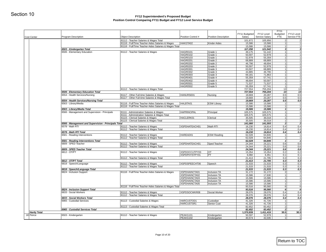|                                    | <b>Object Description</b>                                                                                                                                                                                                                                                                                                                                                                  | Position Control #                                                                                                                                                                                                                                                                                                                                                                                                                                                                                                                                                                                                      | <b>Position Description</b>                                                                                                                                                                                                                                                                                                                                                                                                                                   | FY11 Budgeted<br>Salary                                                                                                                                                                                                                                            | FY12 Level<br>Service Salary                                                                                                                                                                                                                                                                                                  | FY11<br>Budgeted<br><b>FTE</b>                                                                                                                                                                                                                                                                                                          | FY12 Level<br>Service FTE                                                                                                                                                            |
|------------------------------------|--------------------------------------------------------------------------------------------------------------------------------------------------------------------------------------------------------------------------------------------------------------------------------------------------------------------------------------------------------------------------------------------|-------------------------------------------------------------------------------------------------------------------------------------------------------------------------------------------------------------------------------------------------------------------------------------------------------------------------------------------------------------------------------------------------------------------------------------------------------------------------------------------------------------------------------------------------------------------------------------------------------------------------|---------------------------------------------------------------------------------------------------------------------------------------------------------------------------------------------------------------------------------------------------------------------------------------------------------------------------------------------------------------------------------------------------------------------------------------------------------------|--------------------------------------------------------------------------------------------------------------------------------------------------------------------------------------------------------------------------------------------------------------------|-------------------------------------------------------------------------------------------------------------------------------------------------------------------------------------------------------------------------------------------------------------------------------------------------------------------------------|-----------------------------------------------------------------------------------------------------------------------------------------------------------------------------------------------------------------------------------------------------------------------------------------------------------------------------------------|--------------------------------------------------------------------------------------------------------------------------------------------------------------------------------------|
|                                    | 81112 - Teacher Salaries & Wages Total                                                                                                                                                                                                                                                                                                                                                     |                                                                                                                                                                                                                                                                                                                                                                                                                                                                                                                                                                                                                         |                                                                                                                                                                                                                                                                                                                                                                                                                                                               | 101,672                                                                                                                                                                                                                                                            | 105,956                                                                                                                                                                                                                                                                                                                       | $\overline{2}$                                                                                                                                                                                                                                                                                                                          |                                                                                                                                                                                      |
|                                    | 81116 - Full/Time Teacher Aides Salaries & Wages                                                                                                                                                                                                                                                                                                                                           | HAKGTA02                                                                                                                                                                                                                                                                                                                                                                                                                                                                                                                                                                                                                | <b>Kinder Aides</b>                                                                                                                                                                                                                                                                                                                                                                                                                                           | 15,586                                                                                                                                                                                                                                                             | 15,586                                                                                                                                                                                                                                                                                                                        | 1 <sup>1</sup>                                                                                                                                                                                                                                                                                                                          |                                                                                                                                                                                      |
|                                    | 81116 - Full/Time Teacher Aides Salaries & Wages Total                                                                                                                                                                                                                                                                                                                                     |                                                                                                                                                                                                                                                                                                                                                                                                                                                                                                                                                                                                                         |                                                                                                                                                                                                                                                                                                                                                                                                                                                               | 15,586                                                                                                                                                                                                                                                             | 15,586                                                                                                                                                                                                                                                                                                                        | -11                                                                                                                                                                                                                                                                                                                                     |                                                                                                                                                                                      |
| 6503 - Kindergarten Total          |                                                                                                                                                                                                                                                                                                                                                                                            |                                                                                                                                                                                                                                                                                                                                                                                                                                                                                                                                                                                                                         |                                                                                                                                                                                                                                                                                                                                                                                                                                                               | 117,258                                                                                                                                                                                                                                                            | 121,542                                                                                                                                                                                                                                                                                                                       | 3                                                                                                                                                                                                                                                                                                                                       |                                                                                                                                                                                      |
| 6506 - Elementary Education        | 81112 - Teacher Salaries & Wages                                                                                                                                                                                                                                                                                                                                                           | <b>HAGR0101</b>                                                                                                                                                                                                                                                                                                                                                                                                                                                                                                                                                                                                         | Grade 1                                                                                                                                                                                                                                                                                                                                                                                                                                                       | 49,175                                                                                                                                                                                                                                                             | 51,142                                                                                                                                                                                                                                                                                                                        | 11                                                                                                                                                                                                                                                                                                                                      |                                                                                                                                                                                      |
|                                    |                                                                                                                                                                                                                                                                                                                                                                                            |                                                                                                                                                                                                                                                                                                                                                                                                                                                                                                                                                                                                                         |                                                                                                                                                                                                                                                                                                                                                                                                                                                               |                                                                                                                                                                                                                                                                    |                                                                                                                                                                                                                                                                                                                               |                                                                                                                                                                                                                                                                                                                                         |                                                                                                                                                                                      |
|                                    |                                                                                                                                                                                                                                                                                                                                                                                            |                                                                                                                                                                                                                                                                                                                                                                                                                                                                                                                                                                                                                         |                                                                                                                                                                                                                                                                                                                                                                                                                                                               |                                                                                                                                                                                                                                                                    |                                                                                                                                                                                                                                                                                                                               | 1                                                                                                                                                                                                                                                                                                                                       |                                                                                                                                                                                      |
|                                    |                                                                                                                                                                                                                                                                                                                                                                                            | <b>HAGR0202</b>                                                                                                                                                                                                                                                                                                                                                                                                                                                                                                                                                                                                         | Grade 2                                                                                                                                                                                                                                                                                                                                                                                                                                                       | 46,796                                                                                                                                                                                                                                                             | 48,694                                                                                                                                                                                                                                                                                                                        | 1 <sup>1</sup>                                                                                                                                                                                                                                                                                                                          |                                                                                                                                                                                      |
|                                    |                                                                                                                                                                                                                                                                                                                                                                                            |                                                                                                                                                                                                                                                                                                                                                                                                                                                                                                                                                                                                                         | Grade 2                                                                                                                                                                                                                                                                                                                                                                                                                                                       | 50,597                                                                                                                                                                                                                                                             |                                                                                                                                                                                                                                                                                                                               | 1                                                                                                                                                                                                                                                                                                                                       |                                                                                                                                                                                      |
|                                    |                                                                                                                                                                                                                                                                                                                                                                                            |                                                                                                                                                                                                                                                                                                                                                                                                                                                                                                                                                                                                                         |                                                                                                                                                                                                                                                                                                                                                                                                                                                               |                                                                                                                                                                                                                                                                    |                                                                                                                                                                                                                                                                                                                               |                                                                                                                                                                                                                                                                                                                                         |                                                                                                                                                                                      |
|                                    |                                                                                                                                                                                                                                                                                                                                                                                            |                                                                                                                                                                                                                                                                                                                                                                                                                                                                                                                                                                                                                         |                                                                                                                                                                                                                                                                                                                                                                                                                                                               |                                                                                                                                                                                                                                                                    |                                                                                                                                                                                                                                                                                                                               |                                                                                                                                                                                                                                                                                                                                         |                                                                                                                                                                                      |
|                                    |                                                                                                                                                                                                                                                                                                                                                                                            |                                                                                                                                                                                                                                                                                                                                                                                                                                                                                                                                                                                                                         |                                                                                                                                                                                                                                                                                                                                                                                                                                                               |                                                                                                                                                                                                                                                                    |                                                                                                                                                                                                                                                                                                                               |                                                                                                                                                                                                                                                                                                                                         |                                                                                                                                                                                      |
|                                    |                                                                                                                                                                                                                                                                                                                                                                                            |                                                                                                                                                                                                                                                                                                                                                                                                                                                                                                                                                                                                                         |                                                                                                                                                                                                                                                                                                                                                                                                                                                               |                                                                                                                                                                                                                                                                    |                                                                                                                                                                                                                                                                                                                               |                                                                                                                                                                                                                                                                                                                                         |                                                                                                                                                                                      |
|                                    |                                                                                                                                                                                                                                                                                                                                                                                            |                                                                                                                                                                                                                                                                                                                                                                                                                                                                                                                                                                                                                         |                                                                                                                                                                                                                                                                                                                                                                                                                                                               |                                                                                                                                                                                                                                                                    |                                                                                                                                                                                                                                                                                                                               |                                                                                                                                                                                                                                                                                                                                         |                                                                                                                                                                                      |
|                                    |                                                                                                                                                                                                                                                                                                                                                                                            | <b>HAGR0502</b>                                                                                                                                                                                                                                                                                                                                                                                                                                                                                                                                                                                                         | Grade 5                                                                                                                                                                                                                                                                                                                                                                                                                                                       | 55,359                                                                                                                                                                                                                                                             | 57,741                                                                                                                                                                                                                                                                                                                        | 1                                                                                                                                                                                                                                                                                                                                       |                                                                                                                                                                                      |
|                                    | 81112 - Teacher Salaries & Wages Total                                                                                                                                                                                                                                                                                                                                                     |                                                                                                                                                                                                                                                                                                                                                                                                                                                                                                                                                                                                                         |                                                                                                                                                                                                                                                                                                                                                                                                                                                               | 727,554                                                                                                                                                                                                                                                            | 755,204                                                                                                                                                                                                                                                                                                                       | 13                                                                                                                                                                                                                                                                                                                                      |                                                                                                                                                                                      |
| 6506 - Elementary Education Total  |                                                                                                                                                                                                                                                                                                                                                                                            |                                                                                                                                                                                                                                                                                                                                                                                                                                                                                                                                                                                                                         |                                                                                                                                                                                                                                                                                                                                                                                                                                                               | 727,554                                                                                                                                                                                                                                                            | 755,204                                                                                                                                                                                                                                                                                                                       | 13                                                                                                                                                                                                                                                                                                                                      |                                                                                                                                                                                      |
|                                    |                                                                                                                                                                                                                                                                                                                                                                                            |                                                                                                                                                                                                                                                                                                                                                                                                                                                                                                                                                                                                                         |                                                                                                                                                                                                                                                                                                                                                                                                                                                               |                                                                                                                                                                                                                                                                    |                                                                                                                                                                                                                                                                                                                               |                                                                                                                                                                                                                                                                                                                                         | 0.5                                                                                                                                                                                  |
|                                    |                                                                                                                                                                                                                                                                                                                                                                                            |                                                                                                                                                                                                                                                                                                                                                                                                                                                                                                                                                                                                                         |                                                                                                                                                                                                                                                                                                                                                                                                                                                               |                                                                                                                                                                                                                                                                    |                                                                                                                                                                                                                                                                                                                               |                                                                                                                                                                                                                                                                                                                                         | 0.5                                                                                                                                                                                  |
|                                    |                                                                                                                                                                                                                                                                                                                                                                                            |                                                                                                                                                                                                                                                                                                                                                                                                                                                                                                                                                                                                                         |                                                                                                                                                                                                                                                                                                                                                                                                                                                               |                                                                                                                                                                                                                                                                    |                                                                                                                                                                                                                                                                                                                               |                                                                                                                                                                                                                                                                                                                                         | 0.5                                                                                                                                                                                  |
|                                    |                                                                                                                                                                                                                                                                                                                                                                                            |                                                                                                                                                                                                                                                                                                                                                                                                                                                                                                                                                                                                                         |                                                                                                                                                                                                                                                                                                                                                                                                                                                               |                                                                                                                                                                                                                                                                    |                                                                                                                                                                                                                                                                                                                               |                                                                                                                                                                                                                                                                                                                                         |                                                                                                                                                                                      |
|                                    |                                                                                                                                                                                                                                                                                                                                                                                            |                                                                                                                                                                                                                                                                                                                                                                                                                                                                                                                                                                                                                         |                                                                                                                                                                                                                                                                                                                                                                                                                                                               |                                                                                                                                                                                                                                                                    |                                                                                                                                                                                                                                                                                                                               |                                                                                                                                                                                                                                                                                                                                         |                                                                                                                                                                                      |
|                                    |                                                                                                                                                                                                                                                                                                                                                                                            |                                                                                                                                                                                                                                                                                                                                                                                                                                                                                                                                                                                                                         |                                                                                                                                                                                                                                                                                                                                                                                                                                                               |                                                                                                                                                                                                                                                                    |                                                                                                                                                                                                                                                                                                                               | 1 <sup>1</sup>                                                                                                                                                                                                                                                                                                                          |                                                                                                                                                                                      |
|                                    | 81111 - Administration Salaries & Wages Total                                                                                                                                                                                                                                                                                                                                              |                                                                                                                                                                                                                                                                                                                                                                                                                                                                                                                                                                                                                         |                                                                                                                                                                                                                                                                                                                                                                                                                                                               | 105,575                                                                                                                                                                                                                                                            | 105,575                                                                                                                                                                                                                                                                                                                       | 1 <sup>1</sup>                                                                                                                                                                                                                                                                                                                          |                                                                                                                                                                                      |
|                                    | 81115 - Clerical Salaries & Wages                                                                                                                                                                                                                                                                                                                                                          |                                                                                                                                                                                                                                                                                                                                                                                                                                                                                                                                                                                                                         | Clerical                                                                                                                                                                                                                                                                                                                                                                                                                                                      | 35,505                                                                                                                                                                                                                                                             | 36,018                                                                                                                                                                                                                                                                                                                        | 1                                                                                                                                                                                                                                                                                                                                       |                                                                                                                                                                                      |
|                                    | 81115 - Clerical Salaries & Wages Total                                                                                                                                                                                                                                                                                                                                                    |                                                                                                                                                                                                                                                                                                                                                                                                                                                                                                                                                                                                                         |                                                                                                                                                                                                                                                                                                                                                                                                                                                               | 35,505                                                                                                                                                                                                                                                             | 36,018                                                                                                                                                                                                                                                                                                                        | 1                                                                                                                                                                                                                                                                                                                                       |                                                                                                                                                                                      |
|                                    |                                                                                                                                                                                                                                                                                                                                                                                            |                                                                                                                                                                                                                                                                                                                                                                                                                                                                                                                                                                                                                         |                                                                                                                                                                                                                                                                                                                                                                                                                                                               |                                                                                                                                                                                                                                                                    |                                                                                                                                                                                                                                                                                                                               |                                                                                                                                                                                                                                                                                                                                         |                                                                                                                                                                                      |
|                                    |                                                                                                                                                                                                                                                                                                                                                                                            |                                                                                                                                                                                                                                                                                                                                                                                                                                                                                                                                                                                                                         |                                                                                                                                                                                                                                                                                                                                                                                                                                                               |                                                                                                                                                                                                                                                                    |                                                                                                                                                                                                                                                                                                                               |                                                                                                                                                                                                                                                                                                                                         | 0.4<br>0.4                                                                                                                                                                           |
|                                    |                                                                                                                                                                                                                                                                                                                                                                                            |                                                                                                                                                                                                                                                                                                                                                                                                                                                                                                                                                                                                                         |                                                                                                                                                                                                                                                                                                                                                                                                                                                               |                                                                                                                                                                                                                                                                    |                                                                                                                                                                                                                                                                                                                               |                                                                                                                                                                                                                                                                                                                                         | 0.4                                                                                                                                                                                  |
|                                    |                                                                                                                                                                                                                                                                                                                                                                                            |                                                                                                                                                                                                                                                                                                                                                                                                                                                                                                                                                                                                                         |                                                                                                                                                                                                                                                                                                                                                                                                                                                               |                                                                                                                                                                                                                                                                    |                                                                                                                                                                                                                                                                                                                               | $\overline{1}$                                                                                                                                                                                                                                                                                                                          |                                                                                                                                                                                      |
|                                    | 81112 - Teacher Salaries & Wages Total                                                                                                                                                                                                                                                                                                                                                     |                                                                                                                                                                                                                                                                                                                                                                                                                                                                                                                                                                                                                         |                                                                                                                                                                                                                                                                                                                                                                                                                                                               | 62,028                                                                                                                                                                                                                                                             | 64,846                                                                                                                                                                                                                                                                                                                        | 1                                                                                                                                                                                                                                                                                                                                       |                                                                                                                                                                                      |
| 6581 - Reading Interventions Total |                                                                                                                                                                                                                                                                                                                                                                                            |                                                                                                                                                                                                                                                                                                                                                                                                                                                                                                                                                                                                                         |                                                                                                                                                                                                                                                                                                                                                                                                                                                               | 62,028                                                                                                                                                                                                                                                             | 64,846                                                                                                                                                                                                                                                                                                                        | $\mathbf{1}$                                                                                                                                                                                                                                                                                                                            |                                                                                                                                                                                      |
|                                    |                                                                                                                                                                                                                                                                                                                                                                                            |                                                                                                                                                                                                                                                                                                                                                                                                                                                                                                                                                                                                                         |                                                                                                                                                                                                                                                                                                                                                                                                                                                               |                                                                                                                                                                                                                                                                    |                                                                                                                                                                                                                                                                                                                               |                                                                                                                                                                                                                                                                                                                                         | 0.6                                                                                                                                                                                  |
|                                    |                                                                                                                                                                                                                                                                                                                                                                                            |                                                                                                                                                                                                                                                                                                                                                                                                                                                                                                                                                                                                                         |                                                                                                                                                                                                                                                                                                                                                                                                                                                               |                                                                                                                                                                                                                                                                    |                                                                                                                                                                                                                                                                                                                               |                                                                                                                                                                                                                                                                                                                                         | 0.6<br>0.6                                                                                                                                                                           |
|                                    |                                                                                                                                                                                                                                                                                                                                                                                            |                                                                                                                                                                                                                                                                                                                                                                                                                                                                                                                                                                                                                         |                                                                                                                                                                                                                                                                                                                                                                                                                                                               |                                                                                                                                                                                                                                                                    |                                                                                                                                                                                                                                                                                                                               |                                                                                                                                                                                                                                                                                                                                         | 0.2                                                                                                                                                                                  |
|                                    |                                                                                                                                                                                                                                                                                                                                                                                            |                                                                                                                                                                                                                                                                                                                                                                                                                                                                                                                                                                                                                         |                                                                                                                                                                                                                                                                                                                                                                                                                                                               |                                                                                                                                                                                                                                                                    |                                                                                                                                                                                                                                                                                                                               |                                                                                                                                                                                                                                                                                                                                         | 0.1                                                                                                                                                                                  |
|                                    | 81112 - Teacher Salaries & Wages Total                                                                                                                                                                                                                                                                                                                                                     |                                                                                                                                                                                                                                                                                                                                                                                                                                                                                                                                                                                                                         |                                                                                                                                                                                                                                                                                                                                                                                                                                                               | 21,413                                                                                                                                                                                                                                                             | 21,705                                                                                                                                                                                                                                                                                                                        | 0.3                                                                                                                                                                                                                                                                                                                                     | 0.3                                                                                                                                                                                  |
| 6812 - OT/PT Total                 |                                                                                                                                                                                                                                                                                                                                                                                            |                                                                                                                                                                                                                                                                                                                                                                                                                                                                                                                                                                                                                         |                                                                                                                                                                                                                                                                                                                                                                                                                                                               | 21,413                                                                                                                                                                                                                                                             | 21,705                                                                                                                                                                                                                                                                                                                        | 0.3                                                                                                                                                                                                                                                                                                                                     | 0.3                                                                                                                                                                                  |
| 6818 - Speech/Language             |                                                                                                                                                                                                                                                                                                                                                                                            |                                                                                                                                                                                                                                                                                                                                                                                                                                                                                                                                                                                                                         | Speech                                                                                                                                                                                                                                                                                                                                                                                                                                                        | 21,533                                                                                                                                                                                                                                                             | 21,533                                                                                                                                                                                                                                                                                                                        | 0.3                                                                                                                                                                                                                                                                                                                                     | 0.3                                                                                                                                                                                  |
|                                    |                                                                                                                                                                                                                                                                                                                                                                                            |                                                                                                                                                                                                                                                                                                                                                                                                                                                                                                                                                                                                                         |                                                                                                                                                                                                                                                                                                                                                                                                                                                               |                                                                                                                                                                                                                                                                    |                                                                                                                                                                                                                                                                                                                               |                                                                                                                                                                                                                                                                                                                                         | 0.3                                                                                                                                                                                  |
|                                    |                                                                                                                                                                                                                                                                                                                                                                                            |                                                                                                                                                                                                                                                                                                                                                                                                                                                                                                                                                                                                                         |                                                                                                                                                                                                                                                                                                                                                                                                                                                               |                                                                                                                                                                                                                                                                    |                                                                                                                                                                                                                                                                                                                               |                                                                                                                                                                                                                                                                                                                                         | 0.3                                                                                                                                                                                  |
|                                    |                                                                                                                                                                                                                                                                                                                                                                                            |                                                                                                                                                                                                                                                                                                                                                                                                                                                                                                                                                                                                                         |                                                                                                                                                                                                                                                                                                                                                                                                                                                               |                                                                                                                                                                                                                                                                    |                                                                                                                                                                                                                                                                                                                               |                                                                                                                                                                                                                                                                                                                                         |                                                                                                                                                                                      |
|                                    |                                                                                                                                                                                                                                                                                                                                                                                            |                                                                                                                                                                                                                                                                                                                                                                                                                                                                                                                                                                                                                         |                                                                                                                                                                                                                                                                                                                                                                                                                                                               |                                                                                                                                                                                                                                                                    |                                                                                                                                                                                                                                                                                                                               | 1                                                                                                                                                                                                                                                                                                                                       |                                                                                                                                                                                      |
|                                    |                                                                                                                                                                                                                                                                                                                                                                                            | XSPDHAINCTA04                                                                                                                                                                                                                                                                                                                                                                                                                                                                                                                                                                                                           | Inclusion TA                                                                                                                                                                                                                                                                                                                                                                                                                                                  |                                                                                                                                                                                                                                                                    |                                                                                                                                                                                                                                                                                                                               | 1                                                                                                                                                                                                                                                                                                                                       |                                                                                                                                                                                      |
|                                    |                                                                                                                                                                                                                                                                                                                                                                                            | XSPDHAINCTA05                                                                                                                                                                                                                                                                                                                                                                                                                                                                                                                                                                                                           | Inclusion TA                                                                                                                                                                                                                                                                                                                                                                                                                                                  | 15,586                                                                                                                                                                                                                                                             | 15,586                                                                                                                                                                                                                                                                                                                        | 1                                                                                                                                                                                                                                                                                                                                       |                                                                                                                                                                                      |
|                                    | 81116 - Full/Time Teacher Aides Salaries & Wages Total                                                                                                                                                                                                                                                                                                                                     |                                                                                                                                                                                                                                                                                                                                                                                                                                                                                                                                                                                                                         |                                                                                                                                                                                                                                                                                                                                                                                                                                                               | 93,516                                                                                                                                                                                                                                                             | 95,560                                                                                                                                                                                                                                                                                                                        | 6                                                                                                                                                                                                                                                                                                                                       |                                                                                                                                                                                      |
| 6824 - Inclusion Support Total     |                                                                                                                                                                                                                                                                                                                                                                                            |                                                                                                                                                                                                                                                                                                                                                                                                                                                                                                                                                                                                                         |                                                                                                                                                                                                                                                                                                                                                                                                                                                               | 93,516                                                                                                                                                                                                                                                             | 95,560                                                                                                                                                                                                                                                                                                                        | 6                                                                                                                                                                                                                                                                                                                                       |                                                                                                                                                                                      |
| 6833 - Social Workers              | 81112 - Teacher Salaries & Wages                                                                                                                                                                                                                                                                                                                                                           | XSPDSOCWKR08                                                                                                                                                                                                                                                                                                                                                                                                                                                                                                                                                                                                            | Social Worker                                                                                                                                                                                                                                                                                                                                                                                                                                                 | 28,076                                                                                                                                                                                                                                                             | 28,076                                                                                                                                                                                                                                                                                                                        | 0.4                                                                                                                                                                                                                                                                                                                                     | 0.4<br>0.4                                                                                                                                                                           |
|                                    | 81112 - Teacher Salaries & Wages Total                                                                                                                                                                                                                                                                                                                                                     |                                                                                                                                                                                                                                                                                                                                                                                                                                                                                                                                                                                                                         |                                                                                                                                                                                                                                                                                                                                                                                                                                                               | 28,076<br>28,076                                                                                                                                                                                                                                                   | 28,076<br>28,076                                                                                                                                                                                                                                                                                                              | 0.4<br>0.4                                                                                                                                                                                                                                                                                                                              | 0.4                                                                                                                                                                                  |
|                                    |                                                                                                                                                                                                                                                                                                                                                                                            | HARCUSTOD1                                                                                                                                                                                                                                                                                                                                                                                                                                                                                                                                                                                                              | Custodian                                                                                                                                                                                                                                                                                                                                                                                                                                                     | 41,326                                                                                                                                                                                                                                                             | 41,726                                                                                                                                                                                                                                                                                                                        | 1                                                                                                                                                                                                                                                                                                                                       |                                                                                                                                                                                      |
| 6833 - Social Workers Total        |                                                                                                                                                                                                                                                                                                                                                                                            |                                                                                                                                                                                                                                                                                                                                                                                                                                                                                                                                                                                                                         |                                                                                                                                                                                                                                                                                                                                                                                                                                                               |                                                                                                                                                                                                                                                                    |                                                                                                                                                                                                                                                                                                                               |                                                                                                                                                                                                                                                                                                                                         |                                                                                                                                                                                      |
| 6965 - Custodial Services          | 81113 - Custodial Salaries & Wages                                                                                                                                                                                                                                                                                                                                                         |                                                                                                                                                                                                                                                                                                                                                                                                                                                                                                                                                                                                                         | <b>Senior Cust</b>                                                                                                                                                                                                                                                                                                                                                                                                                                            |                                                                                                                                                                                                                                                                    |                                                                                                                                                                                                                                                                                                                               | 1                                                                                                                                                                                                                                                                                                                                       |                                                                                                                                                                                      |
|                                    | 81113 - Custodial Salaries & Wages Total                                                                                                                                                                                                                                                                                                                                                   | HARCUSTSR <sub>1</sub>                                                                                                                                                                                                                                                                                                                                                                                                                                                                                                                                                                                                  |                                                                                                                                                                                                                                                                                                                                                                                                                                                               | 41,326<br>82,652                                                                                                                                                                                                                                                   | 41,726<br>83,452                                                                                                                                                                                                                                                                                                              | 2                                                                                                                                                                                                                                                                                                                                       |                                                                                                                                                                                      |
| 6965 - Custodial Services Total    |                                                                                                                                                                                                                                                                                                                                                                                            |                                                                                                                                                                                                                                                                                                                                                                                                                                                                                                                                                                                                                         |                                                                                                                                                                                                                                                                                                                                                                                                                                                               | 82,652                                                                                                                                                                                                                                                             | 83,452                                                                                                                                                                                                                                                                                                                        | $\mathbf{2}$                                                                                                                                                                                                                                                                                                                            |                                                                                                                                                                                      |
| 6503 - Kindergarten                | 81112 - Teacher Salaries & Wages                                                                                                                                                                                                                                                                                                                                                           | PEAKG101                                                                                                                                                                                                                                                                                                                                                                                                                                                                                                                                                                                                                | Kindergarten                                                                                                                                                                                                                                                                                                                                                                                                                                                  | 1,370,939<br>50,597                                                                                                                                                                                                                                                | 1,411,419<br>52,978                                                                                                                                                                                                                                                                                                           | 30.5<br>-1 I                                                                                                                                                                                                                                                                                                                            | 30.5                                                                                                                                                                                 |
|                                    | 6554 - Health Services/Nursing<br>6554 - Health Services/Nursing Total<br>6563 - Library/Media<br>6563 - Librarv/Media Total<br>6566 - Management and Supervision - Principals<br>6578 - Math RTI<br>6578 - Math RTI Total<br>6581 - Reading Interventions<br>6809 - SPED Teacher<br>6809 - SPED Teacher Total<br>6812 - OT/PT<br>6818 - Speech/Language Total<br>6824 - Inclusion Support | 81117 - Other Full-time Salaries & Wages<br>81117 - Other Full-time Salaries & Wages Total<br>81116 - Full/Time Teacher Aides Salaries & Wages<br>81111 - Administration Salaries & Wages<br>6566 - Management and Supervision - Principals Total<br>81112 - Teacher Salaries & Wages<br>81112 - Teacher Salaries & Wages Total<br>81112 - Teacher Salaries & Wages<br>81112 - Teacher Salaries & Wages<br>81112 - Teacher Salaries & Wages Total<br>81112 - Teacher Salaries & Wages<br>81112 - Teacher Salaries & Wages<br>81112 - Teacher Salaries & Wages Total<br>81116 - Full/Time Teacher Aides Salaries & Wages | <b>HAGR0102</b><br><b>HAGR0103</b><br><b>HAGR0201</b><br><b>HAGR0203</b><br><b>HAGR0301</b><br><b>HAGR0302</b><br><b>HAGR0303</b><br>HAGR0401<br><b>HAGR0402</b><br><b>HAGR0501</b><br>HANURSE01<br>HALBTA01<br>81116 - Full/Time Teacher Aides Salaries & Wages Total<br><b>HAPRINCIPAL</b><br>HACLERK01<br>XSPDHATEACH01<br>HAREAD01<br>XSPDHATEACH01<br>XSPDOCCUTPY03<br>XSPDPHYSTPY01<br>XSPDSPEECHT06<br>XSPDHAINCTA01<br>XSPDHAINCTA02<br>XSPDHAINCTA03 | Grade 1<br>Grade 1<br>Grade 2<br>Grade 3<br>Grade 3<br>Grade 3<br>Grade 4<br>Grade 4<br>Grade 5<br>Nursing<br><b>ESW Library</b><br>Principal<br>Math RTI<br><b>ESW Reading</b><br>Sped Teacher<br>OT<br>PT<br><b>Inclusion TA</b><br>Inclusion TA<br>Inclusion TA | 50,597<br>52,978<br>68,889<br>63,507<br>44,885<br>69,181<br>55,359<br>48,694<br>71,537<br>19,669<br>19,669<br>19,669<br>15,586<br>15,586<br>15,586<br>105,575<br>141,080<br>16,230<br>16,230<br>16,230<br>62,028<br>24,344<br>24,344<br>24,344<br>15,354<br>6,060<br>21,533<br>21,533<br>31,172<br>15,586<br>15,586<br>15,586 | 52,978<br>55,359<br>68,889<br>52,978<br>68,889<br>46,796<br>71,863<br>57,741<br>50,597<br>71,537<br>20,287<br>20,287<br>20,287<br>15,586<br>15,586<br>15,586<br>105,575<br>141,593<br>16,814<br>16,814<br>16,814<br>64,846<br>25,221<br>25,221<br>25,221<br>15,354<br>6,351<br>21,533<br>21,533<br>31,172<br>17,630<br>15,586<br>15,586 | 1<br>1<br>1<br>1 <sup>1</sup><br>1<br>1<br>1<br>1<br>0.5<br>0.5<br>0.5<br>1<br>11<br>$1\vert$<br>2 <br>0.4<br>0.4<br>0.4<br>0.6<br>0.6<br>0.6<br>0.2<br>0.1<br>0.3<br>0.3<br>2 <br>1 |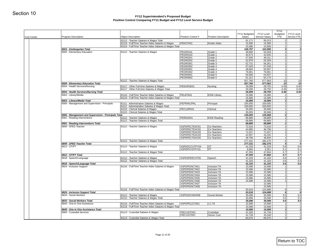| <b>Cost Center</b> | Program Description                                                                  | <b>Object Description</b>                                                                | Position Control #                 | Position Description                | FY11 Budgeted<br>Salary | FY12 Level<br>Service Salary | <b>FY11</b><br>Budgeted<br>FTE | FY12 Level<br>Service FTE |
|--------------------|--------------------------------------------------------------------------------------|------------------------------------------------------------------------------------------|------------------------------------|-------------------------------------|-------------------------|------------------------------|--------------------------------|---------------------------|
|                    |                                                                                      | 81112 - Teacher Salaries & Wages Total                                                   |                                    |                                     | 91,171                  | 95,013                       | 2                              |                           |
|                    |                                                                                      | 81116 - Full/Time Teacher Aides Salaries & Wages                                         | PEKGTA01                           | <b>Kinder Aides</b>                 | 15,586                  | 15,586                       | 1 <sup>1</sup>                 |                           |
|                    |                                                                                      | 81116 - Full/Time Teacher Aides Salaries & Wages Total                                   |                                    |                                     | 15,586                  | 15,586                       | 1                              |                           |
|                    | 6503 - Kindergarten Total<br>6506 - Elementary Education                             | 81112 - Teacher Salaries & Wages                                                         | PEGR0101                           | Grade 1                             | 106,757<br>49,658       | 110,599<br>52,028            | 3 <sup>1</sup><br>1            |                           |
|                    |                                                                                      |                                                                                          | <b>PEGR0102</b>                    | Grade 1                             | 40,574                  | 42,035                       | 1 <sup>1</sup>                 |                           |
|                    |                                                                                      |                                                                                          | <b>PEGR0201</b>                    | Grade 2                             | 47,509                  | 49,411                       | 1                              |                           |
|                    |                                                                                      |                                                                                          | <b>PEGR0202</b><br>PEGR0301        | Grade 2<br>Grade 3                  | 52,978<br>52,731        | 55,359<br>56,261             | 1<br>1                         |                           |
|                    |                                                                                      |                                                                                          | <b>PEGR0302</b>                    | Grade 3                             | 67,028                  | 67,028                       | 1                              |                           |
|                    |                                                                                      |                                                                                          | <b>PEGR0401</b>                    | Grade 4                             | 48,694                  | 50,597                       | 1                              |                           |
|                    |                                                                                      |                                                                                          | <b>PEGR0402</b>                    | Grade 4                             | 76,681                  | 76,681                       | 1                              |                           |
|                    |                                                                                      |                                                                                          | <b>PEGR0501</b><br><b>PEGR0502</b> | Grade 5<br>Grade 5                  | 60,595<br>61,312        | 63,507<br>64,176             | 1<br>1                         |                           |
|                    |                                                                                      | 81112 - Teacher Salaries & Wages Total                                                   |                                    |                                     | 557,760                 | 577,083                      | 10 <sup>1</sup>                | 10                        |
|                    | 6506 - Elementary Education Total                                                    |                                                                                          |                                    |                                     | 557,760                 | 577,083                      | 10                             | 10                        |
|                    | 6554 - Health Services/Nursing                                                       | 81117 - Other Full-time Salaries & Wages                                                 | PENURSE01                          | Nursing                             | 26,599                  | 28,755                       | 0.45                           | 0.45                      |
|                    | 6554 - Health Services/Nursing Total                                                 | 81117 - Other Full-time Salaries & Wages Total                                           |                                    |                                     | 26,599<br>26,599        | 28,755<br>28,755             | 0.45<br>0.45                   | 0.45<br>0.45              |
|                    | 6563 - Library/Media                                                                 | 81116 - Full/Time Teacher Aides Salaries & Wages                                         | PELBTA01                           | <b>ESW Library</b>                  | 15,586                  | 15,586                       | 1                              |                           |
|                    |                                                                                      | 81116 - Full/Time Teacher Aides Salaries & Wages Total                                   |                                    |                                     | 15,586                  | 15,586                       | 1                              |                           |
|                    | 6563 - Library/Media Total                                                           |                                                                                          |                                    |                                     | 15,586                  | 15,586                       | $1\vert$                       |                           |
|                    | 6566 - Management and Supervision - Principals                                       | 81111 - Administration Salaries & Wages<br>81111 - Administration Salaries & Wages Total | PEPRINCIPAL                        | Principal                           | 100,000<br>100,000      | 100,000<br>100,000           | 1<br>1                         |                           |
|                    |                                                                                      | 81115 - Clerical Salaries & Wages                                                        | PECLERK01                          | Clerical                            | 35,055                  | 35,568                       | 1                              |                           |
|                    |                                                                                      | 81115 - Clerical Salaries & Wages Total                                                  |                                    |                                     | 35,055                  | 35,568                       | 1                              |                           |
|                    | 6566 - Management and Supervision - Principals Total<br>6581 - Reading Interventions |                                                                                          | PEREAD01                           |                                     | 135,055                 | 135,568                      | $\overline{2}$<br>1            |                           |
|                    |                                                                                      | 81112 - Teacher Salaries & Wages<br>81112 - Teacher Salaries & Wages Total               |                                    | <b>ESW Reading</b>                  | 68,889<br>68,889        | 68,889<br>68,889             | 1                              |                           |
|                    | 6581 - Reading Interventions Total                                                   |                                                                                          |                                    |                                     | 68,889                  | 68,889                       | 1 <sup>1</sup>                 |                           |
|                    | 6809 - SPED Teacher                                                                  | 81112 - Teacher Salaries & Wages                                                         | XSPDPECTEAC01                      | Co-Teachers                         | 72,016                  | 72,016                       | 1                              |                           |
|                    |                                                                                      |                                                                                          | XSPDPECTEAC02<br>XSPDPECTEAC03     | Co-Teachers<br>Co-Teachers          | 44,885                  | 46,796<br>71,537             | 1<br>1                         |                           |
|                    |                                                                                      |                                                                                          | XSPDPECTEAC04                      | Co-Teachers                         | 71,537<br>42,097        | 43,332                       | 1                              |                           |
|                    |                                                                                      |                                                                                          | XSPDPECTEAC05                      | Co-Teachers                         | 46,796                  | 48,694                       | 1                              |                           |
|                    |                                                                                      | 81112 - Teacher Salaries & Wages Total                                                   |                                    |                                     | 277,331                 | 282,375                      | 5 <sup>1</sup>                 |                           |
|                    | 6809 - SPED Teacher Total<br>6812 - OT/PT                                            | 81112 - Teacher Salaries & Wages                                                         | XSPDOCCUTPY04                      | <b>OT</b>                           | 277,331<br>41,333       | 282,375<br>41,333            | 5<br>0.6                       | 0.6                       |
|                    |                                                                                      |                                                                                          | XSPDPHYSTPY01                      | PT                                  | 6,060                   | 6,351                        | 0.1                            | 0.1                       |
|                    |                                                                                      | 81112 - Teacher Salaries & Wages Total                                                   |                                    |                                     | 47,393                  | 47,684                       | 0.7                            | 0.7                       |
|                    | 6812 - OT/PT Total                                                                   |                                                                                          |                                    |                                     | 47,393                  | 47,684                       | 0.7                            | 0.7                       |
|                    | 6818 - Speech/Language                                                               | 81112 - Teacher Salaries & Wages<br>81112 - Teacher Salaries & Wages Total               | XSPDSPEECHT05                      | Speech                              | 41,333<br>41,333        | 41,333<br>41,333             | 0.6<br>0.6                     | 0.6<br>0.6                |
|                    | 6818 - Speech/Language Total                                                         |                                                                                          |                                    |                                     | 41,333                  | 41,333                       | 0.6                            | 0.6                       |
|                    | 6824 - Inclusion Support                                                             | 81116 - Full/Time Teacher Aides Salaries & Wages                                         | XSPDPEINCTA01                      | Inclusion TA                        | 15,586                  | 15,586                       | 1                              |                           |
|                    |                                                                                      |                                                                                          | XSPDPEINCTA02<br>XSPDPEINCTA03     | <b>Inclusion TA</b><br>Inclusion TA | 15,586<br>15,586        | 15,586<br>15,586             | 1<br>1                         |                           |
|                    |                                                                                      |                                                                                          | XSPDPEINCTA04                      | Inclusion TA                        | 15,586                  | 15,586                       | 1                              |                           |
|                    |                                                                                      |                                                                                          | XSPDPEINCTA05                      | <b>Inclusion TA</b>                 | 15,586                  | 15,586                       | 1                              |                           |
|                    |                                                                                      |                                                                                          | XSPDPEINCTA06                      | Inclusion TA                        | 15,586                  | 15,586                       | 1                              |                           |
|                    |                                                                                      |                                                                                          | XSPDPEINCTA07<br>XSPDPEINCTA08     | Inclusion TA<br>Inclusion TA        |                         | 15,586<br>15,586             |                                |                           |
|                    |                                                                                      | 81116 - Full/Time Teacher Aides Salaries & Wages Total                                   |                                    |                                     | 93,516                  | 124,688                      | 6                              |                           |
|                    | 6824 - Inclusion Support Total                                                       |                                                                                          |                                    |                                     | 93,516                  | 124,688                      | 6                              |                           |
|                    | 6833 - Social Workers                                                                | 81112 - Teacher Salaries & Wages<br>81112 - Teacher Salaries & Wages Total               | XSPDSOCWKR08                       | Social Worker                       | 35,096                  | 35,096                       | 0.5                            | 0.5                       |
|                    | 6833 - Social Workers Total                                                          |                                                                                          |                                    |                                     | 35,096<br>35,096        | 35,096<br>35,096             | 0.5<br>0.5                     | 0.5<br>0.5                |
|                    | 6845 - One to One Assistance                                                         | 81116 - Full/Time Teacher Aides Salaries & Wages                                         | XSPDPE121TA01                      | $1:1$ TA                            | 15,586                  | 15,586                       | 1                              |                           |
|                    |                                                                                      | 81116 - Full/Time Teacher Aides Salaries & Wages Total                                   |                                    |                                     | 15,586                  | 15,586                       | 1                              |                           |
|                    | 6845 - One to One Assistance Total<br>6965 - Custodial Services                      | 81113 - Custodial Salaries & Wages                                                       | PIECUSTOD1                         | Custodian                           | 15,586<br>41,326        | 15,586<br>41,726             | $1\vert$<br>1                  |                           |
|                    |                                                                                      |                                                                                          | PIECUSTSR1                         | Senior Cust                         | 42,749                  | 43,349                       | 1                              |                           |
|                    |                                                                                      |                                                                                          |                                    |                                     |                         |                              |                                |                           |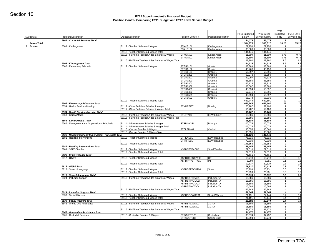| 6965 - Custodial Services Total<br>6503 - Kindergarten          | 81112 - Teacher Salaries & Wages<br>81112 - Teacher Salaries & Wages Total                                                                                                                                                                                                                                                                                              | STAKG101<br>STAKG102                                                                                                                                                                                                                                                                                                                                                                                                                                                                                                                                                                                                                                             | Kindergarten                                                                                                                                                                                                                                                                                                                                                                                                                 | 84,075<br>1,504,975<br>72,256                                                                                                                                                                                                                                     | 85,075<br>1,568,317<br>72,256                                                                                                                                                                                                                                                                                         | 2 <sup>1</sup><br>33.25<br>$\overline{1}$                                                                                                                                                                                                                                                                                                 | 35.25                                                                                                                                                                                                                         |
|-----------------------------------------------------------------|-------------------------------------------------------------------------------------------------------------------------------------------------------------------------------------------------------------------------------------------------------------------------------------------------------------------------------------------------------------------------|------------------------------------------------------------------------------------------------------------------------------------------------------------------------------------------------------------------------------------------------------------------------------------------------------------------------------------------------------------------------------------------------------------------------------------------------------------------------------------------------------------------------------------------------------------------------------------------------------------------------------------------------------------------|------------------------------------------------------------------------------------------------------------------------------------------------------------------------------------------------------------------------------------------------------------------------------------------------------------------------------------------------------------------------------------------------------------------------------|-------------------------------------------------------------------------------------------------------------------------------------------------------------------------------------------------------------------------------------------------------------------|-----------------------------------------------------------------------------------------------------------------------------------------------------------------------------------------------------------------------------------------------------------------------------------------------------------------------|-------------------------------------------------------------------------------------------------------------------------------------------------------------------------------------------------------------------------------------------------------------------------------------------------------------------------------------------|-------------------------------------------------------------------------------------------------------------------------------------------------------------------------------------------------------------------------------|
|                                                                 |                                                                                                                                                                                                                                                                                                                                                                         |                                                                                                                                                                                                                                                                                                                                                                                                                                                                                                                                                                                                                                                                  |                                                                                                                                                                                                                                                                                                                                                                                                                              |                                                                                                                                                                                                                                                                   |                                                                                                                                                                                                                                                                                                                       |                                                                                                                                                                                                                                                                                                                                           |                                                                                                                                                                                                                               |
|                                                                 |                                                                                                                                                                                                                                                                                                                                                                         |                                                                                                                                                                                                                                                                                                                                                                                                                                                                                                                                                                                                                                                                  |                                                                                                                                                                                                                                                                                                                                                                                                                              |                                                                                                                                                                                                                                                                   |                                                                                                                                                                                                                                                                                                                       |                                                                                                                                                                                                                                                                                                                                           |                                                                                                                                                                                                                               |
|                                                                 |                                                                                                                                                                                                                                                                                                                                                                         |                                                                                                                                                                                                                                                                                                                                                                                                                                                                                                                                                                                                                                                                  |                                                                                                                                                                                                                                                                                                                                                                                                                              |                                                                                                                                                                                                                                                                   |                                                                                                                                                                                                                                                                                                                       |                                                                                                                                                                                                                                                                                                                                           |                                                                                                                                                                                                                               |
|                                                                 |                                                                                                                                                                                                                                                                                                                                                                         |                                                                                                                                                                                                                                                                                                                                                                                                                                                                                                                                                                                                                                                                  | Kindergarten                                                                                                                                                                                                                                                                                                                                                                                                                 | 68,889<br>141,145                                                                                                                                                                                                                                                 | 68,889<br>141,145                                                                                                                                                                                                                                                                                                     | 1<br>2                                                                                                                                                                                                                                                                                                                                    |                                                                                                                                                                                                                               |
|                                                                 | 81116 - Full/Time Teacher Aides Salaries & Wages                                                                                                                                                                                                                                                                                                                        | STKGTA01                                                                                                                                                                                                                                                                                                                                                                                                                                                                                                                                                                                                                                                         | Kinder Aides                                                                                                                                                                                                                                                                                                                                                                                                                 | 11,690                                                                                                                                                                                                                                                            | 11,690                                                                                                                                                                                                                                                                                                                | 0.75                                                                                                                                                                                                                                                                                                                                      |                                                                                                                                                                                                                               |
|                                                                 |                                                                                                                                                                                                                                                                                                                                                                         | STKGTA02                                                                                                                                                                                                                                                                                                                                                                                                                                                                                                                                                                                                                                                         | <b>Kinder Aides</b>                                                                                                                                                                                                                                                                                                                                                                                                          | 11,690                                                                                                                                                                                                                                                            | 11,690                                                                                                                                                                                                                                                                                                                | 0.75                                                                                                                                                                                                                                                                                                                                      |                                                                                                                                                                                                                               |
|                                                                 | 81116 - Full/Time Teacher Aides Salaries & Wages Total                                                                                                                                                                                                                                                                                                                  |                                                                                                                                                                                                                                                                                                                                                                                                                                                                                                                                                                                                                                                                  |                                                                                                                                                                                                                                                                                                                                                                                                                              | 23,380                                                                                                                                                                                                                                                            | 23,380                                                                                                                                                                                                                                                                                                                | 1.5                                                                                                                                                                                                                                                                                                                                       |                                                                                                                                                                                                                               |
| 6503 - Kindergarten Total                                       |                                                                                                                                                                                                                                                                                                                                                                         |                                                                                                                                                                                                                                                                                                                                                                                                                                                                                                                                                                                                                                                                  |                                                                                                                                                                                                                                                                                                                                                                                                                              | 164,525                                                                                                                                                                                                                                                           | 164,525                                                                                                                                                                                                                                                                                                               | 3.5                                                                                                                                                                                                                                                                                                                                       |                                                                                                                                                                                                                               |
| 6506 - Elementary Education                                     | 81112 - Teacher Salaries & Wages                                                                                                                                                                                                                                                                                                                                        | STGR0101                                                                                                                                                                                                                                                                                                                                                                                                                                                                                                                                                                                                                                                         | Grade 1                                                                                                                                                                                                                                                                                                                                                                                                                      | 68,889                                                                                                                                                                                                                                                            | 68,889                                                                                                                                                                                                                                                                                                                | 1                                                                                                                                                                                                                                                                                                                                         |                                                                                                                                                                                                                               |
|                                                                 |                                                                                                                                                                                                                                                                                                                                                                         | STGR0102                                                                                                                                                                                                                                                                                                                                                                                                                                                                                                                                                                                                                                                         | Grade 1                                                                                                                                                                                                                                                                                                                                                                                                                      | 43,460                                                                                                                                                                                                                                                            | 45,198                                                                                                                                                                                                                                                                                                                | 1                                                                                                                                                                                                                                                                                                                                         |                                                                                                                                                                                                                               |
|                                                                 |                                                                                                                                                                                                                                                                                                                                                                         |                                                                                                                                                                                                                                                                                                                                                                                                                                                                                                                                                                                                                                                                  |                                                                                                                                                                                                                                                                                                                                                                                                                              |                                                                                                                                                                                                                                                                   |                                                                                                                                                                                                                                                                                                                       |                                                                                                                                                                                                                                                                                                                                           |                                                                                                                                                                                                                               |
|                                                                 |                                                                                                                                                                                                                                                                                                                                                                         |                                                                                                                                                                                                                                                                                                                                                                                                                                                                                                                                                                                                                                                                  |                                                                                                                                                                                                                                                                                                                                                                                                                              |                                                                                                                                                                                                                                                                   |                                                                                                                                                                                                                                                                                                                       | $\mathbf{1}$                                                                                                                                                                                                                                                                                                                              |                                                                                                                                                                                                                               |
|                                                                 |                                                                                                                                                                                                                                                                                                                                                                         | <b>STGR0203</b>                                                                                                                                                                                                                                                                                                                                                                                                                                                                                                                                                                                                                                                  | Grade 2                                                                                                                                                                                                                                                                                                                                                                                                                      | 68,889                                                                                                                                                                                                                                                            | 68,889                                                                                                                                                                                                                                                                                                                | $\mathbf{1}$                                                                                                                                                                                                                                                                                                                              |                                                                                                                                                                                                                               |
|                                                                 |                                                                                                                                                                                                                                                                                                                                                                         | STGR0301                                                                                                                                                                                                                                                                                                                                                                                                                                                                                                                                                                                                                                                         | Grade 3                                                                                                                                                                                                                                                                                                                                                                                                                      | 62,124                                                                                                                                                                                                                                                            | 63,315                                                                                                                                                                                                                                                                                                                | 1                                                                                                                                                                                                                                                                                                                                         |                                                                                                                                                                                                                               |
|                                                                 |                                                                                                                                                                                                                                                                                                                                                                         |                                                                                                                                                                                                                                                                                                                                                                                                                                                                                                                                                                                                                                                                  |                                                                                                                                                                                                                                                                                                                                                                                                                              | 63,507                                                                                                                                                                                                                                                            |                                                                                                                                                                                                                                                                                                                       | 1 <sup>1</sup>                                                                                                                                                                                                                                                                                                                            |                                                                                                                                                                                                                               |
|                                                                 |                                                                                                                                                                                                                                                                                                                                                                         |                                                                                                                                                                                                                                                                                                                                                                                                                                                                                                                                                                                                                                                                  |                                                                                                                                                                                                                                                                                                                                                                                                                              |                                                                                                                                                                                                                                                                   |                                                                                                                                                                                                                                                                                                                       |                                                                                                                                                                                                                                                                                                                                           |                                                                                                                                                                                                                               |
|                                                                 |                                                                                                                                                                                                                                                                                                                                                                         |                                                                                                                                                                                                                                                                                                                                                                                                                                                                                                                                                                                                                                                                  |                                                                                                                                                                                                                                                                                                                                                                                                                              |                                                                                                                                                                                                                                                                   |                                                                                                                                                                                                                                                                                                                       |                                                                                                                                                                                                                                                                                                                                           |                                                                                                                                                                                                                               |
|                                                                 |                                                                                                                                                                                                                                                                                                                                                                         |                                                                                                                                                                                                                                                                                                                                                                                                                                                                                                                                                                                                                                                                  |                                                                                                                                                                                                                                                                                                                                                                                                                              |                                                                                                                                                                                                                                                                   |                                                                                                                                                                                                                                                                                                                       |                                                                                                                                                                                                                                                                                                                                           |                                                                                                                                                                                                                               |
|                                                                 |                                                                                                                                                                                                                                                                                                                                                                         |                                                                                                                                                                                                                                                                                                                                                                                                                                                                                                                                                                                                                                                                  |                                                                                                                                                                                                                                                                                                                                                                                                                              |                                                                                                                                                                                                                                                                   |                                                                                                                                                                                                                                                                                                                       |                                                                                                                                                                                                                                                                                                                                           |                                                                                                                                                                                                                               |
| 6506 - Elementary Education Total                               |                                                                                                                                                                                                                                                                                                                                                                         |                                                                                                                                                                                                                                                                                                                                                                                                                                                                                                                                                                                                                                                                  |                                                                                                                                                                                                                                                                                                                                                                                                                              |                                                                                                                                                                                                                                                                   |                                                                                                                                                                                                                                                                                                                       | 12                                                                                                                                                                                                                                                                                                                                        |                                                                                                                                                                                                                               |
| 6554 - Health Services/Nursing                                  | 81117 - Other Full-time Salaries & Wages                                                                                                                                                                                                                                                                                                                                | STNURSE01                                                                                                                                                                                                                                                                                                                                                                                                                                                                                                                                                                                                                                                        | Nursing                                                                                                                                                                                                                                                                                                                                                                                                                      | 56,787                                                                                                                                                                                                                                                            | 59,108                                                                                                                                                                                                                                                                                                                | 11                                                                                                                                                                                                                                                                                                                                        |                                                                                                                                                                                                                               |
|                                                                 |                                                                                                                                                                                                                                                                                                                                                                         |                                                                                                                                                                                                                                                                                                                                                                                                                                                                                                                                                                                                                                                                  |                                                                                                                                                                                                                                                                                                                                                                                                                              | 56,787                                                                                                                                                                                                                                                            | 59,108                                                                                                                                                                                                                                                                                                                | -11                                                                                                                                                                                                                                                                                                                                       |                                                                                                                                                                                                                               |
|                                                                 |                                                                                                                                                                                                                                                                                                                                                                         |                                                                                                                                                                                                                                                                                                                                                                                                                                                                                                                                                                                                                                                                  |                                                                                                                                                                                                                                                                                                                                                                                                                              |                                                                                                                                                                                                                                                                   |                                                                                                                                                                                                                                                                                                                       |                                                                                                                                                                                                                                                                                                                                           |                                                                                                                                                                                                                               |
|                                                                 |                                                                                                                                                                                                                                                                                                                                                                         |                                                                                                                                                                                                                                                                                                                                                                                                                                                                                                                                                                                                                                                                  |                                                                                                                                                                                                                                                                                                                                                                                                                              |                                                                                                                                                                                                                                                                   |                                                                                                                                                                                                                                                                                                                       |                                                                                                                                                                                                                                                                                                                                           |                                                                                                                                                                                                                               |
|                                                                 |                                                                                                                                                                                                                                                                                                                                                                         |                                                                                                                                                                                                                                                                                                                                                                                                                                                                                                                                                                                                                                                                  |                                                                                                                                                                                                                                                                                                                                                                                                                              |                                                                                                                                                                                                                                                                   |                                                                                                                                                                                                                                                                                                                       |                                                                                                                                                                                                                                                                                                                                           |                                                                                                                                                                                                                               |
|                                                                 |                                                                                                                                                                                                                                                                                                                                                                         |                                                                                                                                                                                                                                                                                                                                                                                                                                                                                                                                                                                                                                                                  |                                                                                                                                                                                                                                                                                                                                                                                                                              |                                                                                                                                                                                                                                                                   |                                                                                                                                                                                                                                                                                                                       | 1 <sup>1</sup>                                                                                                                                                                                                                                                                                                                            |                                                                                                                                                                                                                               |
|                                                                 | 81111 - Administration Salaries & Wages Total                                                                                                                                                                                                                                                                                                                           |                                                                                                                                                                                                                                                                                                                                                                                                                                                                                                                                                                                                                                                                  |                                                                                                                                                                                                                                                                                                                                                                                                                              | 106,075                                                                                                                                                                                                                                                           | 106,075                                                                                                                                                                                                                                                                                                               | 1                                                                                                                                                                                                                                                                                                                                         |                                                                                                                                                                                                                               |
|                                                                 | 81115 - Clerical Salaries & Wages                                                                                                                                                                                                                                                                                                                                       | STCLERK01                                                                                                                                                                                                                                                                                                                                                                                                                                                                                                                                                                                                                                                        | Clerical                                                                                                                                                                                                                                                                                                                                                                                                                     |                                                                                                                                                                                                                                                                   | 35,568                                                                                                                                                                                                                                                                                                                | 1                                                                                                                                                                                                                                                                                                                                         |                                                                                                                                                                                                                               |
|                                                                 |                                                                                                                                                                                                                                                                                                                                                                         |                                                                                                                                                                                                                                                                                                                                                                                                                                                                                                                                                                                                                                                                  |                                                                                                                                                                                                                                                                                                                                                                                                                              |                                                                                                                                                                                                                                                                   |                                                                                                                                                                                                                                                                                                                       |                                                                                                                                                                                                                                                                                                                                           |                                                                                                                                                                                                                               |
|                                                                 |                                                                                                                                                                                                                                                                                                                                                                         |                                                                                                                                                                                                                                                                                                                                                                                                                                                                                                                                                                                                                                                                  |                                                                                                                                                                                                                                                                                                                                                                                                                              |                                                                                                                                                                                                                                                                   |                                                                                                                                                                                                                                                                                                                       |                                                                                                                                                                                                                                                                                                                                           |                                                                                                                                                                                                                               |
|                                                                 |                                                                                                                                                                                                                                                                                                                                                                         |                                                                                                                                                                                                                                                                                                                                                                                                                                                                                                                                                                                                                                                                  |                                                                                                                                                                                                                                                                                                                                                                                                                              |                                                                                                                                                                                                                                                                   |                                                                                                                                                                                                                                                                                                                       | 1                                                                                                                                                                                                                                                                                                                                         |                                                                                                                                                                                                                               |
|                                                                 | 81112 - Teacher Salaries & Wages Total                                                                                                                                                                                                                                                                                                                                  |                                                                                                                                                                                                                                                                                                                                                                                                                                                                                                                                                                                                                                                                  |                                                                                                                                                                                                                                                                                                                                                                                                                              | 148,155                                                                                                                                                                                                                                                           | 148,155                                                                                                                                                                                                                                                                                                               | 2                                                                                                                                                                                                                                                                                                                                         |                                                                                                                                                                                                                               |
| 6581 - Reading Interventions Total                              |                                                                                                                                                                                                                                                                                                                                                                         |                                                                                                                                                                                                                                                                                                                                                                                                                                                                                                                                                                                                                                                                  |                                                                                                                                                                                                                                                                                                                                                                                                                              | 148, 155                                                                                                                                                                                                                                                          | 148,155                                                                                                                                                                                                                                                                                                               | 2                                                                                                                                                                                                                                                                                                                                         |                                                                                                                                                                                                                               |
|                                                                 |                                                                                                                                                                                                                                                                                                                                                                         |                                                                                                                                                                                                                                                                                                                                                                                                                                                                                                                                                                                                                                                                  |                                                                                                                                                                                                                                                                                                                                                                                                                              | 72,016                                                                                                                                                                                                                                                            |                                                                                                                                                                                                                                                                                                                       | 1 <sup>1</sup>                                                                                                                                                                                                                                                                                                                            |                                                                                                                                                                                                                               |
|                                                                 |                                                                                                                                                                                                                                                                                                                                                                         |                                                                                                                                                                                                                                                                                                                                                                                                                                                                                                                                                                                                                                                                  |                                                                                                                                                                                                                                                                                                                                                                                                                              |                                                                                                                                                                                                                                                                   |                                                                                                                                                                                                                                                                                                                       |                                                                                                                                                                                                                                                                                                                                           |                                                                                                                                                                                                                               |
|                                                                 |                                                                                                                                                                                                                                                                                                                                                                         |                                                                                                                                                                                                                                                                                                                                                                                                                                                                                                                                                                                                                                                                  |                                                                                                                                                                                                                                                                                                                                                                                                                              |                                                                                                                                                                                                                                                                   |                                                                                                                                                                                                                                                                                                                       |                                                                                                                                                                                                                                                                                                                                           |                                                                                                                                                                                                                               |
|                                                                 |                                                                                                                                                                                                                                                                                                                                                                         |                                                                                                                                                                                                                                                                                                                                                                                                                                                                                                                                                                                                                                                                  |                                                                                                                                                                                                                                                                                                                                                                                                                              |                                                                                                                                                                                                                                                                   |                                                                                                                                                                                                                                                                                                                       |                                                                                                                                                                                                                                                                                                                                           |                                                                                                                                                                                                                               |
|                                                                 | 81112 - Teacher Salaries & Wages Total                                                                                                                                                                                                                                                                                                                                  |                                                                                                                                                                                                                                                                                                                                                                                                                                                                                                                                                                                                                                                                  |                                                                                                                                                                                                                                                                                                                                                                                                                              | 19,837                                                                                                                                                                                                                                                            | 20,129                                                                                                                                                                                                                                                                                                                | 0.3                                                                                                                                                                                                                                                                                                                                       |                                                                                                                                                                                                                               |
| 6812 - OT/PT Total                                              |                                                                                                                                                                                                                                                                                                                                                                         |                                                                                                                                                                                                                                                                                                                                                                                                                                                                                                                                                                                                                                                                  |                                                                                                                                                                                                                                                                                                                                                                                                                              | 19,837                                                                                                                                                                                                                                                            | 20,129                                                                                                                                                                                                                                                                                                                | 0.3                                                                                                                                                                                                                                                                                                                                       |                                                                                                                                                                                                                               |
| 6818 - Speech/Language                                          |                                                                                                                                                                                                                                                                                                                                                                         |                                                                                                                                                                                                                                                                                                                                                                                                                                                                                                                                                                                                                                                                  |                                                                                                                                                                                                                                                                                                                                                                                                                              |                                                                                                                                                                                                                                                                   |                                                                                                                                                                                                                                                                                                                       | 0.6                                                                                                                                                                                                                                                                                                                                       |                                                                                                                                                                                                                               |
|                                                                 |                                                                                                                                                                                                                                                                                                                                                                         |                                                                                                                                                                                                                                                                                                                                                                                                                                                                                                                                                                                                                                                                  |                                                                                                                                                                                                                                                                                                                                                                                                                              |                                                                                                                                                                                                                                                                   |                                                                                                                                                                                                                                                                                                                       |                                                                                                                                                                                                                                                                                                                                           |                                                                                                                                                                                                                               |
|                                                                 |                                                                                                                                                                                                                                                                                                                                                                         |                                                                                                                                                                                                                                                                                                                                                                                                                                                                                                                                                                                                                                                                  |                                                                                                                                                                                                                                                                                                                                                                                                                              |                                                                                                                                                                                                                                                                   |                                                                                                                                                                                                                                                                                                                       |                                                                                                                                                                                                                                                                                                                                           |                                                                                                                                                                                                                               |
|                                                                 |                                                                                                                                                                                                                                                                                                                                                                         |                                                                                                                                                                                                                                                                                                                                                                                                                                                                                                                                                                                                                                                                  |                                                                                                                                                                                                                                                                                                                                                                                                                              |                                                                                                                                                                                                                                                                   |                                                                                                                                                                                                                                                                                                                       | -11                                                                                                                                                                                                                                                                                                                                       |                                                                                                                                                                                                                               |
|                                                                 |                                                                                                                                                                                                                                                                                                                                                                         | XSPDSTINCTA03                                                                                                                                                                                                                                                                                                                                                                                                                                                                                                                                                                                                                                                    | Inclusion TA                                                                                                                                                                                                                                                                                                                                                                                                                 | 15,586                                                                                                                                                                                                                                                            | 15,586                                                                                                                                                                                                                                                                                                                | 1                                                                                                                                                                                                                                                                                                                                         |                                                                                                                                                                                                                               |
|                                                                 |                                                                                                                                                                                                                                                                                                                                                                         | XSPDSTINCTA04                                                                                                                                                                                                                                                                                                                                                                                                                                                                                                                                                                                                                                                    | Inclusion TA                                                                                                                                                                                                                                                                                                                                                                                                                 | 15,586                                                                                                                                                                                                                                                            | 15,586                                                                                                                                                                                                                                                                                                                | 1 <sup>1</sup>                                                                                                                                                                                                                                                                                                                            |                                                                                                                                                                                                                               |
|                                                                 |                                                                                                                                                                                                                                                                                                                                                                         |                                                                                                                                                                                                                                                                                                                                                                                                                                                                                                                                                                                                                                                                  |                                                                                                                                                                                                                                                                                                                                                                                                                              | 62,344                                                                                                                                                                                                                                                            |                                                                                                                                                                                                                                                                                                                       | 4 <sup>1</sup>                                                                                                                                                                                                                                                                                                                            |                                                                                                                                                                                                                               |
|                                                                 |                                                                                                                                                                                                                                                                                                                                                                         |                                                                                                                                                                                                                                                                                                                                                                                                                                                                                                                                                                                                                                                                  |                                                                                                                                                                                                                                                                                                                                                                                                                              |                                                                                                                                                                                                                                                                   |                                                                                                                                                                                                                                                                                                                       |                                                                                                                                                                                                                                                                                                                                           |                                                                                                                                                                                                                               |
|                                                                 |                                                                                                                                                                                                                                                                                                                                                                         |                                                                                                                                                                                                                                                                                                                                                                                                                                                                                                                                                                                                                                                                  |                                                                                                                                                                                                                                                                                                                                                                                                                              |                                                                                                                                                                                                                                                                   |                                                                                                                                                                                                                                                                                                                       |                                                                                                                                                                                                                                                                                                                                           |                                                                                                                                                                                                                               |
| 6833 - Social Workers Total                                     |                                                                                                                                                                                                                                                                                                                                                                         |                                                                                                                                                                                                                                                                                                                                                                                                                                                                                                                                                                                                                                                                  |                                                                                                                                                                                                                                                                                                                                                                                                                              | 21,191                                                                                                                                                                                                                                                            | 22,144                                                                                                                                                                                                                                                                                                                | 0.4                                                                                                                                                                                                                                                                                                                                       |                                                                                                                                                                                                                               |
| 6845 - One to One Assistance                                    | 81116 - Full/Time Teacher Aides Salaries & Wages                                                                                                                                                                                                                                                                                                                        | XSPDST121TA01                                                                                                                                                                                                                                                                                                                                                                                                                                                                                                                                                                                                                                                    | $1:1$ TA                                                                                                                                                                                                                                                                                                                                                                                                                     | 15,586                                                                                                                                                                                                                                                            | 15,586                                                                                                                                                                                                                                                                                                                | 11                                                                                                                                                                                                                                                                                                                                        |                                                                                                                                                                                                                               |
|                                                                 |                                                                                                                                                                                                                                                                                                                                                                         | XSPDST121TA02                                                                                                                                                                                                                                                                                                                                                                                                                                                                                                                                                                                                                                                    | 1:1 TA                                                                                                                                                                                                                                                                                                                                                                                                                       | 15,586                                                                                                                                                                                                                                                            | 15,586                                                                                                                                                                                                                                                                                                                | $\mathbf{1}$                                                                                                                                                                                                                                                                                                                              |                                                                                                                                                                                                                               |
|                                                                 |                                                                                                                                                                                                                                                                                                                                                                         |                                                                                                                                                                                                                                                                                                                                                                                                                                                                                                                                                                                                                                                                  |                                                                                                                                                                                                                                                                                                                                                                                                                              |                                                                                                                                                                                                                                                                   |                                                                                                                                                                                                                                                                                                                       |                                                                                                                                                                                                                                                                                                                                           |                                                                                                                                                                                                                               |
|                                                                 | 81116 - Full/Time Teacher Aides Salaries & Wages Total                                                                                                                                                                                                                                                                                                                  |                                                                                                                                                                                                                                                                                                                                                                                                                                                                                                                                                                                                                                                                  |                                                                                                                                                                                                                                                                                                                                                                                                                              | 31,172                                                                                                                                                                                                                                                            | 31,172                                                                                                                                                                                                                                                                                                                | 2                                                                                                                                                                                                                                                                                                                                         |                                                                                                                                                                                                                               |
| 6845 - One to One Assistance Total<br>6965 - Custodial Services | 81113 - Custodial Salaries & Wages                                                                                                                                                                                                                                                                                                                                      | STRCUSTOD1                                                                                                                                                                                                                                                                                                                                                                                                                                                                                                                                                                                                                                                       | Custodian                                                                                                                                                                                                                                                                                                                                                                                                                    | 31,172<br>33,074                                                                                                                                                                                                                                                  | 31,172<br>37,737                                                                                                                                                                                                                                                                                                      | $\overline{2}$<br>11                                                                                                                                                                                                                                                                                                                      |                                                                                                                                                                                                                               |
|                                                                 | 6554 - Health Services/Nursing Total<br>6563 - Library/Media<br>6563 - Library/Media Total<br>6566 - Management and Supervision - Principals<br>6581 - Reading Interventions<br>6809 - SPED Teacher<br>6809 - SPED Teacher Total<br>6812 - OT/PT<br>6818 - Speech/Language Total<br>6824 - Inclusion Support<br>6824 - Inclusion Support Total<br>6833 - Social Workers | 81112 - Teacher Salaries & Wages Total<br>81117 - Other Full-time Salaries & Wages Total<br>81116 - Full/Time Teacher Aides Salaries & Wages<br>81111 - Administration Salaries & Wages<br>81115 - Clerical Salaries & Wages Total<br>6566 - Management and Supervision - Principals Total<br>81112 - Teacher Salaries & Wages<br>81112 - Teacher Salaries & Wages<br>81112 - Teacher Salaries & Wages Total<br>81112 - Teacher Salaries & Wages<br>81112 - Teacher Salaries & Wages<br>81112 - Teacher Salaries & Wages Total<br>81116 - Full/Time Teacher Aides Salaries & Wages<br>81112 - Teacher Salaries & Wages<br>81112 - Teacher Salaries & Wages Total | STGR0103<br><b>STGR0201</b><br>STGR0202<br>STGR0302<br><b>STGR0401</b><br><b>STGR0402</b><br><b>STGR0501</b><br><b>STGR0502</b><br>STLBTA01<br>81116 - Full/Time Teacher Aides Salaries & Wages Total<br>STPRINCIPAL<br>STREAD01<br>STTHRD01<br>XSPDSTTEACH01<br>XSPDOCCUTPY05<br>XSPDPHYSTPY01<br>XSPDSPEECHT04<br>XSPDSTINCTA01<br>XSPDSTINCTA02<br>81116 - Full/Time Teacher Aides Salaries & Wages Total<br>XSPDSOCWKR01 | Grade 1<br>Grade 2<br>Grade 2<br>Grade 3<br>Grade 4<br>Grade 4<br>Grade 5<br>Grade 5<br><b>ESW Library</b><br>Principal<br><b>ESW Reading</b><br><b>ESW Reading</b><br>Sped Teacher<br>OT<br>PT<br>Speech<br><b>Inclusion TA</b><br>Inclusion TA<br>Social Worker | 50,597<br>52,978<br>42,097<br>48,694<br>57,741<br>48,694<br>56,074<br>663,744<br>663,744<br>56,787<br>15,586<br>15,586<br>15,586<br>106,075<br>35,055<br>35,055<br>141,130<br>75,316<br>72,839<br>72,016<br>72,016<br>13,778<br>6,060<br>25,999<br>25,999<br>25,999<br>15,586<br>15,586<br>62,344<br>21,191<br>21,191 | 53,695<br>55,359<br>43,332<br>68,889<br>50,597<br>60,595<br>50,597<br>58,336<br>687,691<br>687,691<br>59,108<br>15,586<br>15,586<br>15,586<br>106,075<br>35,568<br>141,643<br>75,316<br>72,839<br>72,016<br>72,016<br>72,016<br>13,778<br>6,351<br>26,931<br>26,931<br>26,931<br>15,586<br>15,586<br>62,344<br>62,344<br>22,144<br>22,144 | 11<br>1<br>1 <sup>1</sup><br>1<br>1 <sup>1</sup><br>1<br>12<br>$1\overline{1}$<br>1 <sup>1</sup><br>1<br>$1\overline{1}$<br>1 <sup>1</sup><br>$\mathbf{2}$<br>1<br>1<br>1<br>0.2<br>0.1<br>0.6<br>0.6<br>1<br>4<br>0.4<br>0.4 |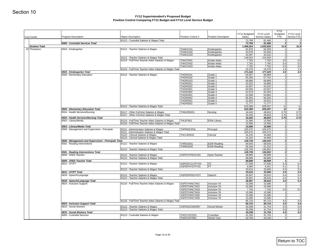| <b>Cost Center</b>    |                                                                     |                                                                                                            |                                    |                                          | FY11 Budgeted     | FY12 Level        | <b>FY11</b><br>Budgeted                                                                                                                                                   | FY12 Level  |
|-----------------------|---------------------------------------------------------------------|------------------------------------------------------------------------------------------------------------|------------------------------------|------------------------------------------|-------------------|-------------------|---------------------------------------------------------------------------------------------------------------------------------------------------------------------------|-------------|
|                       | <b>Program Description</b>                                          | <b>Object Description</b>                                                                                  | Position Control #                 | Position Description                     | Salary            | Service Salary    | FTE                                                                                                                                                                       | Service FTE |
|                       | 6965 - Custodial Services Total                                     | 81113 - Custodial Salaries & Wages Total                                                                   |                                    |                                          | 73,768<br>73,768  | 81,486<br>81,486  | 2<br>$\mathbf{2}$                                                                                                                                                         |             |
| <b>Stratton Total</b> |                                                                     |                                                                                                            |                                    |                                          | 1,496,254         | 1,532,929         | 31.8                                                                                                                                                                      | 31.8        |
| 24 Thompson           | 6503 - Kindergarten                                                 | 81112 - Teacher Salaries & Wages                                                                           | THAKG101<br>THAKG102               | Kindergarten<br>Kindergarten             | 52,978<br>52,978  | 55,359<br>55,359  | 1<br>1                                                                                                                                                                    |             |
|                       |                                                                     |                                                                                                            | THAKG103                           | Kindergarten                             | 42,097            | 43,332            | 1                                                                                                                                                                         |             |
|                       |                                                                     | 81112 - Teacher Salaries & Wages Total<br>81116 - Full/Time Teacher Aides Salaries & Wages                 |                                    | Kinder Aides                             | 148,053           | 154,050           | 3                                                                                                                                                                         |             |
|                       |                                                                     |                                                                                                            | THKGTA01<br>THKGTA02               | Kinder Aides                             | 7,793<br>7,793    | 7,793<br>7,793    | 0.5<br>0.5                                                                                                                                                                | 0.5<br>0.5  |
|                       |                                                                     |                                                                                                            | THKGTA03                           | Kinder Aides                             | 7,793             | 7,793             | 0.5                                                                                                                                                                       | 0.5         |
|                       | 6503 - Kindergarten Total                                           | 81116 - Full/Time Teacher Aides Salaries & Wages Total                                                     |                                    |                                          | 23,379            | 23,379            | 1.5<br>4.5                                                                                                                                                                | 1.5<br>4.5  |
|                       | 6506 - Elementary Education                                         | 81112 - Teacher Salaries & Wages                                                                           | <b>THGR0101</b>                    | Grade 1                                  | 171,432<br>63,507 | 177,429<br>68,889 | 1                                                                                                                                                                         |             |
|                       |                                                                     |                                                                                                            | <b>THGR0102</b>                    | Grade 1                                  | 55,359            | 57,741            | 1                                                                                                                                                                         |             |
|                       |                                                                     |                                                                                                            | <b>THGR0103</b><br><b>THGR0201</b> | Grade 1                                  | 68,889            | 68,889            | 1 <sup>1</sup>                                                                                                                                                            |             |
|                       |                                                                     |                                                                                                            | <b>THGR0202</b>                    | Grade 2<br>Grade 2                       | 43,332<br>42,097  | 44,885<br>43,332  |                                                                                                                                                                           |             |
|                       |                                                                     |                                                                                                            | <b>THGR0301</b>                    | Grade 3                                  | 60,595            | 63,507            |                                                                                                                                                                           |             |
|                       |                                                                     |                                                                                                            | <b>THGR0302</b>                    | Grade 3                                  | 52,978            | 55,359            |                                                                                                                                                                           |             |
|                       |                                                                     |                                                                                                            | <b>THGR0401</b><br><b>THGR0402</b> | Grade 4<br>Grade 4                       | 52,508<br>66,394  | 54,883<br>66,394  |                                                                                                                                                                           |             |
|                       |                                                                     |                                                                                                            | <b>THGR0501</b>                    | Grade 5                                  | 41,953            | 43,631            |                                                                                                                                                                           |             |
|                       |                                                                     |                                                                                                            | <b>THGR0502</b>                    | Grade 5                                  | 71,777            | 71,777            |                                                                                                                                                                           |             |
|                       |                                                                     | 81112 - Teacher Salaries & Wages Total                                                                     |                                    |                                          | 619,389           | 639,287           |                                                                                                                                                                           | 11<br>11    |
|                       | 6506 - Elementary Education Total<br>6554 - Health Services/Nursing | 81117 - Other Full-time Salaries & Wages                                                                   | THNURSE01                          | Nursing                                  | 619,389<br>34,445 | 639,287<br>48,843 |                                                                                                                                                                           | 0.75        |
|                       |                                                                     | 81117 - Other Full-time Salaries & Wages Total                                                             |                                    |                                          | 34,445            | 48,843            |                                                                                                                                                                           | 0.75        |
|                       | 6554 - Health Services/Nursing Total                                |                                                                                                            |                                    |                                          | 34,445            | 48,843            |                                                                                                                                                                           | 0.75        |
|                       | 6563 - Library/Media                                                | 81116 - Full/Time Teacher Aides Salaries & Wages<br>81116 - Full/Time Teacher Aides Salaries & Wages Total | THLBTA01                           | <b>ESW Library</b>                       | 15,586<br>15,586  | 15,586<br>15,586  |                                                                                                                                                                           |             |
|                       | 6563 - Library/Media Total                                          |                                                                                                            |                                    |                                          | 15,586            | 15,586            |                                                                                                                                                                           |             |
|                       | 6566 - Management and Supervision - Principals                      | 81111 - Administration Salaries & Wages                                                                    | <b>THPRINCIPAL</b>                 | Principal                                | 105,575           | 105,575           |                                                                                                                                                                           |             |
|                       |                                                                     | 81111 - Administration Salaries & Wages Total<br>81115 - Clerical Salaries & Wages                         | THCLERK01                          | Clerical                                 | 105,575<br>34,155 | 105,575<br>34,668 | 1<br>1<br>1<br>1<br>11<br>11<br>11<br>0.75<br>0.75<br>0.75<br>1<br>1<br>1<br>1<br>1<br>1<br>1<br>2 <br>1<br>1<br>2<br>2 <sup>1</sup><br>1<br>1<br>1                       |             |
|                       |                                                                     | 81115 - Clerical Salaries & Wages Total                                                                    |                                    |                                          | 34,155            | 34,668            |                                                                                                                                                                           |             |
|                       | 6566 - Management and Supervision - Principals Total                |                                                                                                            |                                    |                                          | 139,730           | 140,243           |                                                                                                                                                                           |             |
|                       | 6581 - Reading Interventions                                        | 81112 - Teacher Salaries & Wages                                                                           | THREAD01<br>THREAD02               | <b>ESW Reading</b><br><b>ESW Reading</b> | 69,540<br>59,169  | 69,540<br>61,312  |                                                                                                                                                                           |             |
|                       |                                                                     | 81112 - Teacher Salaries & Wages Total                                                                     |                                    |                                          | 128,709           | 130,852           |                                                                                                                                                                           |             |
|                       | 6581 - Reading Interventions Total                                  |                                                                                                            |                                    |                                          | 128,709           | 130,852           |                                                                                                                                                                           |             |
|                       | 6809 - SPED Teacher                                                 | 81112 - Teacher Salaries & Wages                                                                           | XSPDTHTEACH01                      | Sped Teacher                             | 68,889            | 68,889            |                                                                                                                                                                           |             |
|                       | 6809 - SPED Teacher Total                                           | 81112 - Teacher Salaries & Wages Total                                                                     |                                    |                                          | 68,889<br>68,889  | 68,889<br>68,889  |                                                                                                                                                                           |             |
|                       | 6812 - OT/PT                                                        | 81112 - Teacher Salaries & Wages                                                                           | XSPDOCCUTPY04                      | OT                                       | 27,556            | 27,556            |                                                                                                                                                                           | 0.4         |
|                       |                                                                     |                                                                                                            | XSPDPHYSTPY01                      | PT                                       | 6,060             | 6,351             |                                                                                                                                                                           | 0.1         |
|                       |                                                                     | 81112 - Teacher Salaries & Wages Total                                                                     |                                    |                                          | 33,615            | 33,906<br>33,906  |                                                                                                                                                                           | 0.5<br>0.5  |
|                       |                                                                     |                                                                                                            |                                    |                                          |                   |                   |                                                                                                                                                                           |             |
|                       | 6812 - OT/PT Total<br>6818 - Speech/Language                        | 81112 - Teacher Salaries & Wages                                                                           | XSPDSPEECHT07                      | Speech                                   | 33,615<br>26,907  | 28,615            |                                                                                                                                                                           |             |
|                       |                                                                     | 81112 - Teacher Salaries & Wages Total                                                                     |                                    |                                          | 26,907            | 28,615            |                                                                                                                                                                           | 0.4<br>0.4  |
|                       | 6818 - Speech/Language Total                                        |                                                                                                            |                                    |                                          | 26,907            | 28,615            | 1 <sup>1</sup><br>1<br>1<br>0.4<br>0.1<br>0.5<br>0.5<br>0.4<br>0.4<br>0.4<br>1<br>1<br>0.5<br>1<br>$\overline{1}$<br>11<br>5.5<br>5.5<br>0.5<br>0.5<br>0.5<br>1<br>41,726 |             |
|                       | 6824 - Inclusion Support                                            | 81116 - Full/Time Teacher Aides Salaries & Wages                                                           | XSPDTHINCTA01<br>XSPDTHINCTA02     | Inclusion TA<br><b>Inclusion TA</b>      | 15,586<br>15,586  | 15,586<br>15,586  |                                                                                                                                                                           |             |
|                       |                                                                     |                                                                                                            | XSPDTHINCTA03                      | Inclusion TA                             | 7,793             | 7,793             |                                                                                                                                                                           |             |
|                       |                                                                     |                                                                                                            | XSPDTHINCTA04                      | <b>Inclusion TA</b>                      | 15,586            | 15,586            |                                                                                                                                                                           |             |
|                       |                                                                     |                                                                                                            | XSPDTHINCTA05                      | <b>Inclusion TA</b>                      | 15,586            | 15,586            |                                                                                                                                                                           | 0.4<br>0.5  |
|                       |                                                                     | 81116 - Full/Time Teacher Aides Salaries & Wages Total                                                     | XSPDTHINCTA06                      | Inclusion TA                             | 15,586<br>85,723  | 15,586<br>85,723  |                                                                                                                                                                           | 5.5         |
|                       | 6824 - Inclusion Support Total                                      |                                                                                                            |                                    |                                          | 85,723            | 85,723            |                                                                                                                                                                           | 5.5         |
|                       | 6833 - Social Workers                                               | 81112 - Teacher Salaries & Wages<br>81112 - Teacher Salaries & Wages Total                                 | XSPDSOCWKR07                       | Social Worker                            | 30,298<br>30,298  | 31,754<br>31,754  |                                                                                                                                                                           | 0.5<br>0.5  |
|                       | 6833 - Social Workers Total<br>6965 - Custodial Services            | 81113 - Custodial Salaries & Wages                                                                         | THOCUSTOD1                         | Custodian                                | 30,298<br>41,326  | 31,754            |                                                                                                                                                                           | 0.5         |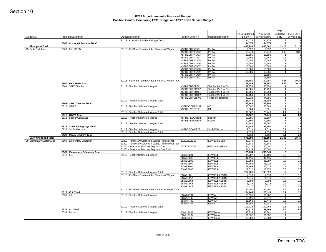| <b>Cost Center</b>           | Program Description                                   | <b>Object Description</b>                                                                                | Position Control #             | Position Description                         | FY11 Budgeted<br>Salary | FY12 Level<br>Service Salary | <b>FY11</b><br>Budgeted<br>FTE   | FY12 Level<br>Service FTE |
|------------------------------|-------------------------------------------------------|----------------------------------------------------------------------------------------------------------|--------------------------------|----------------------------------------------|-------------------------|------------------------------|----------------------------------|---------------------------|
|                              | 6965 - Custodial Services Total                       | 81113 - Custodial Salaries & Wages Total                                                                 |                                |                                              | 84,075<br>84,075        | 84,875<br>84,875             | 2 <br>$\overline{2}$             |                           |
| <b>Thompson Total</b>        |                                                       |                                                                                                          |                                |                                              | 1,438,798               | 1,486,002                    | 31.15                            |                           |
| 25 Early Childhood           | 6800 - PK - SPED                                      | 81116 - Full/Time Teacher Aides Salaries & Wages                                                         | XSPDECHPKTA01                  | PK TA                                        | 9,352                   | 9,352                        | 0.6                              |                           |
|                              |                                                       |                                                                                                          | XSPDECHPKTA02<br>XSPDECHPKTA03 | PK TA<br>PK TA                               | 13,248                  | 13,248                       | 0.85<br>$\mathbf{1}$             |                           |
|                              |                                                       |                                                                                                          | XSPDECHPKTA04                  | PK TA                                        | 15,586<br>12,469        | 15,586<br>12,469             | 0.8                              |                           |
|                              |                                                       |                                                                                                          | XSPDECHPKTA05                  | PK TA                                        | 15,586                  | 15,586                       | 1                                |                           |
|                              |                                                       |                                                                                                          | XSPDECHPKTA06                  | PK TA                                        | 15,586                  | 15,586                       | 1                                |                           |
|                              |                                                       |                                                                                                          | XSPDECHPKTA07<br>XSPDECHPKTA08 | PK TA<br>PK TA                               | 15,586                  | 15,586<br>15,586             | 11<br>11                         |                           |
|                              |                                                       |                                                                                                          | XSPDECHPKTA09                  | PK TA                                        | 15,586<br>15,586        | 15,586                       | 1                                |                           |
|                              |                                                       |                                                                                                          | XSPDECHPKTA10                  | PK TA                                        |                         | 15,586                       |                                  |                           |
|                              |                                                       |                                                                                                          | XSPDECHPKTA11                  | PK TA                                        |                         | 15,586                       |                                  |                           |
|                              |                                                       | 81116 - Full/Time Teacher Aides Salaries & Wages Total                                                   |                                |                                              | 128,585                 | 159,757                      | 8.25                             |                           |
|                              | 6800 - PK - SPED Total<br>6809 - SPED Teacher         | 81112 - Teacher Salaries & Wages                                                                         | XSPDECHTCR301                  | Teacher Pk 3 Yr Old                          | 128,585<br>52,978       | 159,757<br>55,359            | 8.25<br>11                       |                           |
|                              |                                                       |                                                                                                          | XSPDECHTCR302                  | Teacher Pk 3 Yr Old                          | 44,885                  | 46,796                       | 1                                |                           |
|                              |                                                       |                                                                                                          | XSPDECHTCR401                  | Teacher Pk 4 Yr Old                          | 46,796                  | 48,694                       | 1 <sup>1</sup>                   |                           |
|                              |                                                       |                                                                                                          | XSPDECHTCR402                  | Teacher Pk 4 Yr Old                          | 47,753                  | 49,658                       | 1                                |                           |
|                              |                                                       | 81112 - Teacher Salaries & Wages Total                                                                   | XSPDECHTCRF01                  | <b>Teacher Footprints</b>                    | 43,332<br>235,744       | 44,885<br>245,392            | 1<br>5 <sup>1</sup>              |                           |
|                              | 6809 - SPED Teacher Total                             |                                                                                                          |                                |                                              | 235,744                 | 245,392                      | 5 <sup>1</sup>                   |                           |
|                              | 6812 - OT/PT                                          | 81112 - Teacher Salaries & Wages                                                                         | XSPDOCCUTPY02                  | OT                                           | 63,507                  | 68,889                       | 1                                |                           |
|                              |                                                       |                                                                                                          | XSPDPHYSTPY01                  | PT                                           | 6,060                   | 6,351                        | 0.1                              |                           |
|                              | 6812 - OT/PT Total                                    | 81112 - Teacher Salaries & Wages Total                                                                   |                                |                                              | 69,567<br>69,567        | 75,240<br>75,240             | 1.1<br>1.1                       |                           |
|                              | 6818 - Speech/Language                                | 81112 - Teacher Salaries & Wages                                                                         | XSPDSPEECHT02                  | Speech                                       | 60,595                  | 63,507                       | 1                                |                           |
|                              |                                                       |                                                                                                          | XSPDSPEECHT03                  | Speech                                       | 70,190                  | 70,190                       | 1                                |                           |
|                              |                                                       | 81112 - Teacher Salaries & Wages Total                                                                   |                                |                                              | 130,785                 | 133,697                      | $\overline{2}$                   |                           |
|                              | 6818 - Speech/Language Total<br>6833 - Social Workers | 81112 - Teacher Salaries & Wages                                                                         | XSPDSOCWKR08                   | Social Worker                                | 130,785<br>7,019        | 133,697<br>7,019             | $\mathbf{2}$<br>0.1              |                           |
|                              |                                                       | 81112 - Teacher Salaries & Wages Total                                                                   |                                |                                              | 7,019                   | 7,019                        | 0.1                              |                           |
|                              | 6833 - Social Workers Total                           |                                                                                                          |                                |                                              | 7,019                   | 7,019                        | 0.1                              |                           |
| <b>Early Childhood Total</b> | 6506 - Elementary Education                           |                                                                                                          | ZZZZZZZZZZ15                   | <b>ESW Extra Curr</b>                        | 571,699                 | 621,104                      | 16.45                            |                           |
| 29 Elementary Systemwide     |                                                       | 81201 - Temporary Salaries & Wages Professional<br>81201 - Temporary Salaries & Wages Professional Total |                                |                                              | 40,840<br>40,840        | 40,840<br>40,840             | $\overline{0}$<br>$\overline{0}$ |                           |
|                              |                                                       | 81203 - Substitute Teachers Day - to- Day                                                                | ZZZZZZZZZZ22                   | ESW Subs Gen Ed                              | 84,414                  | 190,000                      | 0                                |                           |
|                              |                                                       | 81203 - Substitute Teachers Day - to- Day Total                                                          |                                |                                              | 84,414                  | 190,000                      | $\overline{0}$                   |                           |
|                              | 6506 - Elementary Education Total<br>6512 - ELL       | 81112 - Teacher Salaries & Wages                                                                         |                                | <b>ESW ELL</b>                               | 125,254<br>44,287       | 230,840<br>46,193            | 0<br>0.8                         |                           |
|                              |                                                       |                                                                                                          | ESWESL01<br>ESWESL02           | <b>ESW ELL</b>                               | 42,115                  | 42,115                       | 0.6                              |                           |
|                              |                                                       |                                                                                                          | ESWESL03                       | <b>ESW ELL</b>                               | 30,358                  | 31,787                       | 0.6                              |                           |
|                              |                                                       |                                                                                                          | ESWESL04                       | <b>ESW ELL</b>                               | 44,455                  | 48,222                       | 0.7                              |                           |
|                              |                                                       |                                                                                                          | ESWESL05<br>ESWESL06           | <b>ESW ELL</b><br><b>ESW ELL</b>             | 59,169<br>17,322        | 62,028<br>18,179             | $\overline{1}$<br>0.3            |                           |
|                              |                                                       | 81112 - Teacher Salaries & Wages Total                                                                   |                                |                                              | 237,706                 | 248,523                      | 4 <sup>1</sup>                   |                           |
|                              |                                                       | 81116 - Full/Time Teacher Aides Salaries & Wages                                                         | ESWELTA1                       | <b>ESW ELL ASSTS</b>                         | 4,676                   | 4,676                        | 0.3                              |                           |
|                              |                                                       |                                                                                                          | ESWELTA2                       | <b>ESW ELL ASSTS</b>                         | 4,676                   | 4,676                        | 0.3                              |                           |
|                              |                                                       |                                                                                                          | ESWELTA3<br>ESWELTA4           | <b>ESW ELL ASSTS</b><br><b>ESW ELL ASSTS</b> | 7,793<br>6,234          | 7,793<br>6,234               | 0.5<br>0.4                       |                           |
|                              |                                                       |                                                                                                          | <b>ESWELTA5</b>                | <b>ESW ELL ASSTS</b>                         | 3,117                   | 3,117                        | 0.2                              |                           |
|                              |                                                       | 81116 - Full/Time Teacher Aides Salaries & Wages Total                                                   |                                |                                              | 26,497                  | 26,497                       | 1.7                              |                           |
|                              | 6512 - ELL Total                                      |                                                                                                          |                                |                                              | 264,203                 | 275,020                      | 5.7                              |                           |
|                              | 6536 - Art                                            | 81112 - Teacher Salaries & Wages                                                                         | ESWART01<br>ESWART02           | <b>ESW Art</b><br><b>ESW Art</b>             | 60,595<br>53,695        | 63,507<br>56,073             | 1<br>1                           |                           |
|                              |                                                       |                                                                                                          | ESWART03                       | <b>ESW Art</b>                               | 21,666                  | 22,443                       | 0.5                              |                           |
|                              |                                                       |                                                                                                          | ESWART04                       | ESW Art                                      | 55,359                  | 57,741                       | $\vert$ 1                        |                           |
|                              | 6536 - Art Total                                      | 81112 - Teacher Salaries & Wages Total                                                                   |                                |                                              | 191,315<br>191,315      | 199,764<br>199,764           | 3.5<br>3.5                       |                           |
|                              | 6539 - Music                                          | 81112 - Teacher Salaries & Wages                                                                         | ESMUSK01                       | <b>ESW Music</b>                             | 43,939                  | 45,841                       | 1                                |                           |
|                              |                                                       |                                                                                                          | ESMUSK02                       | <b>ESW Music</b>                             | 71,537                  | 71,537                       | 1                                |                           |
|                              |                                                       |                                                                                                          | ESMUSK03                       | <b>ESW Music</b>                             | 68,889                  | 68,889                       | 1                                |                           |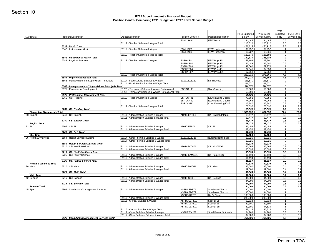| Cost Center                              | <b>Program Description</b>                                   | <b>Object Description</b>                                                           | Position Control #   | <b>Position Description</b>                   | FY11 Budgeted<br>Salary | FY12 Level<br>Service Salary | <b>FY11</b><br>Budgeted<br><b>FTE</b> | FY12 Level<br>Service FTE |
|------------------------------------------|--------------------------------------------------------------|-------------------------------------------------------------------------------------|----------------------|-----------------------------------------------|-------------------------|------------------------------|---------------------------------------|---------------------------|
|                                          |                                                              |                                                                                     | ESMUSK04             | <b>ESW Music</b>                              | 34,445                  | 34,445                       | 0.5                                   | 0.5                       |
|                                          |                                                              | 81112 - Teacher Salaries & Wages Total                                              |                      |                                               | 218,810                 | 220,712                      | 3.5                                   | 3.5                       |
|                                          | 6539 - Music Total<br>6542 - Instrumental Music              | 81112 - Teacher Salaries & Wages                                                    | ESMUIN01             | <b>ESW</b> Instument                          | 218,810<br>69,952       | 220,712<br>69,952            | 3.5<br>11                             | 3.5                       |
|                                          |                                                              |                                                                                     | ESMUIN02             | ESW Instument                                 | 62,727                  | 65,236                       | 1                                     |                           |
|                                          |                                                              | 81112 - Teacher Salaries & Wages Total                                              |                      |                                               | 132,679                 | 135,188                      | 2                                     |                           |
|                                          | 6542 - Instrumental Music Total<br>6548 - Physical Education | 81112 - Teacher Salaries & Wages                                                    | ESPHYS01             | ESW Phys Ed                                   | 132,679<br>59,108       | 135,188<br>63,901            | $\mathbf{2}$<br>1                     |                           |
|                                          |                                                              |                                                                                     | ESPHYS02             | ESW Phys Ed                                   | 26,489                  | 27,680                       | 0.5                                   | 0.5                       |
|                                          |                                                              |                                                                                     | ESPHYS03             | ESW Phys Ed                                   | 47,000                  | 52,978                       | 1                                     |                           |
|                                          |                                                              |                                                                                     | ESPHYS04             | ESW Phys Ed                                   | 62,345                  | 64,839                       | 1<br>1                                |                           |
|                                          |                                                              | 81112 - Teacher Salaries & Wages Total                                              | ESPHYS07             | <b>ESW Phys Ed</b>                            | 67,268<br>262,210       | 67,268<br>276,665            | 4.5                                   | 4.5                       |
|                                          | 6548 - Physical Education Total                              |                                                                                     |                      |                                               | 262,210                 | 276,665                      | 4.5                                   | 4.5                       |
|                                          | 6566 - Management and Supervision - Principals               | 81114 - Food Service Salaries & Wages                                               | ZZZZZZZZZZ20         | Lunch/Aides                                   | 111,571                 | 111,571                      | $\overline{0}$                        |                           |
|                                          | 6566 - Management and Supervision - Principals Total         | 81114 - Food Service Salaries & Wages Total                                         |                      |                                               | 111,571<br>111,571      | 111,571<br>111,571           | 0 <br>0                               |                           |
|                                          | 6575 - Professional Development                              | 81201 - Temporary Salaries & Wages Professional                                     | ESRDCH03             | SW Coaching                                   | 59,000                  | 59,000                       | 1 <sup>1</sup>                        |                           |
|                                          |                                                              | 81201 - Temporary Salaries & Wages Professional Total                               |                      |                                               | 59,000                  | 59,000                       | 1                                     |                           |
|                                          | 6575 - Professional Development Total                        |                                                                                     |                      |                                               | 59,000                  | 59,000                       | $\mathbf{1}$                          |                           |
|                                          | 6760 - C&I Reading                                           | 81112 - Teacher Salaries & Wages                                                    | ESRDCH01<br>ESRDCH02 | Esw Reading Coach<br><b>Esw Reading Coach</b> | 77,852<br>74,964        | 77,852<br>74,964             | 1<br>1                                |                           |
|                                          |                                                              |                                                                                     | ESRDCM12             | Coor Mentoring K-12                           | 15,780                  | 15,780                       | 0.2                                   | 0.2                       |
|                                          |                                                              | 81112 - Teacher Salaries & Wages Total                                              |                      |                                               | 168,596                 | 168,596                      | 2.2                                   | 2.2                       |
| <b>Elementary Systemwide Total</b>       | 6760 - C&I Reading Total                                     |                                                                                     |                      |                                               | 168,596<br>1,533,638    | 168,596<br>1,677,356         | 2.2<br>22.4                           | 2.2<br>22.4               |
| 30 English                               | 6740 - C&I English                                           | 81111 - Administration Salaries & Wages                                             | ADMCIENGL1           | C&I English Interim                           | 69,477                  | 69,477                       | 0.5                                   | 0.5                       |
|                                          |                                                              | 81111 - Administration Salaries & Wages Total                                       |                      |                                               | 69,477                  | 69,477                       | 0.5                                   | 0.5                       |
|                                          | 6740 - C&I English Total                                     |                                                                                     |                      |                                               | 69,477                  | 69,477                       | 0.5                                   | 0.5                       |
| <b>English Total</b><br>33 ELL           | 6705 - C&I ELL                                               | 81111 - Administration Salaries & Wages                                             | ADMCIESL01           | C&I EII                                       | 69,477<br>87,458        | 69,477<br>87,458             | 0.5<br>11                             | 0.5                       |
|                                          |                                                              | 81111 - Administration Salaries & Wages Total                                       |                      |                                               | 87,458                  | 87,458                       | 1                                     |                           |
|                                          | 6705 - C&I ELL Total                                         |                                                                                     |                      |                                               | 87,458                  | 87,458                       | 1                                     |                           |
| <b>ELL Total</b><br>36 Health & Wellness | 6554 - Health Services/Nursing                               | 81117 - Other Full-time Salaries & Wages                                            | ZZZZZZZZZZ25         | Nursing/Traffic Subs                          | 87,458<br>10,925        | 87,458<br>10,925             | 1 <sup>1</sup><br> 0                  |                           |
|                                          |                                                              | 81117 - Other Full-time Salaries & Wages Total                                      |                      |                                               | 10,925                  | 10,925                       | 0                                     |                           |
|                                          | 6554 - Health Services/Nursing Total                         |                                                                                     |                      |                                               | 10,925                  | 10,925                       | ol                                    |                           |
|                                          | 6710 - C&I Health/Wellness                                   | 81111 - Administration Salaries & Wages                                             | ADMHEATH01           | C&I Hith/ Well                                | 65,595                  | 65,595                       | 0.8                                   | 0.8                       |
|                                          | 6710 - C&I Health/Wellness Total                             | 81111 - Administration Salaries & Wages Total                                       |                      |                                               | 65,595<br>65,595        | 65,595<br>65,595             | 0.8<br>0.8                            | 0.8<br>0.8                |
|                                          | 6725 - C&I Family Science                                    | 81111 - Administration Salaries & Wages                                             | ADMCIFAMSC1          | C&I Family Sci                                | 16,110                  | 16,110                       | 0.2                                   | 0.2                       |
|                                          |                                                              | 81111 - Administration Salaries & Wages Total                                       |                      |                                               | 16,110                  | 16,110                       | 0.2                                   | 0.2                       |
| <b>Health &amp; Wellness Total</b>       | 6725 - C&I Family Science Total                              |                                                                                     |                      |                                               | 16,110<br>92,630        | 16,110<br>92,630             | 0.2<br>1                              | 0.2                       |
| 39 Math                                  | 6720 - C&I Math                                              | 81111 - Administration Salaries & Wages                                             | ADMCIMATH1           | C&I Math                                      | 32,600                  | 32,600                       | 0.4                                   | 0.4                       |
|                                          |                                                              | 81111 - Administration Salaries & Wages Total                                       |                      |                                               | 32,600                  | 32,600                       | 0.4                                   | 0.4                       |
| <b>Math Total</b>                        | 6720 - C&I Math Total                                        |                                                                                     |                      |                                               | 32,600<br>32,600        | 32,600<br>32,600             | 0.4<br>0.4                            | 0.4<br>0.4                |
| 42 Science                               | 6715 - C&I Science                                           | 81111 - Administration Salaries & Wages                                             | ADMCISCI01           | C&I Science                                   | 44,000                  | 44,000                       | 0.5                                   | 0.5                       |
|                                          |                                                              | 81111 - Administration Salaries & Wages Total                                       |                      |                                               | 44,000                  | 44,000                       | 0.5                                   | 0.5                       |
| <b>Science Total</b>                     | 6715 - C&I Science Total                                     |                                                                                     |                      |                                               | 44,000<br>44,000        | 44,000<br>44,000             | 0.5<br>0.5                            | 0.5<br>0.5                |
| 45 Sped                                  | 6806 - Sped Admin/Management Services                        | 81111 - Administration Salaries & Wages                                             | XSPDASDRT1           | Sped Asst Director                            | 90,000                  | 90,000                       | 11                                    |                           |
|                                          |                                                              |                                                                                     | XSPDASDRT2           | Sped Asst Director                            | 90,000                  | 94,000                       | 1                                     |                           |
|                                          |                                                              |                                                                                     | <b>XSPDDIRECT</b>    | Dir Of Sped                                   | 108,000                 | 108,000                      | $\overline{1}$                        |                           |
|                                          |                                                              | 81111 - Administration Salaries & Wages Total<br>81115 - Clerical Salaries & Wages  | XSPDCLERK01          | Special Ed                                    | 288,000<br>50,813       | 292,000<br>50,813            | 3 <br>11                              |                           |
|                                          |                                                              |                                                                                     | XSPDCLERK02          | Special Ed                                    | 39,301                  | 39,890                       | 1                                     |                           |
|                                          |                                                              |                                                                                     | XSPDCLERK03          | Special Ed                                    | 39,301                  | 44,519                       | 1                                     |                           |
|                                          |                                                              | 81115 - Clerical Salaries & Wages Total<br>81117 - Other Full-time Salaries & Wages | <b>XSPDPTOUTR</b>    | Sped Parent Outreach                          | 129,415<br>34,983       | 135,222<br>34,983            | 3 <br>0.8                             | 0.8                       |
|                                          |                                                              | 81117 - Other Full-time Salaries & Wages Total                                      |                      |                                               | 34,983                  | 34,983                       | 0.8                                   | 0.8                       |
|                                          |                                                              |                                                                                     |                      |                                               |                         | 462,205                      |                                       | 6.8<br>6.8                |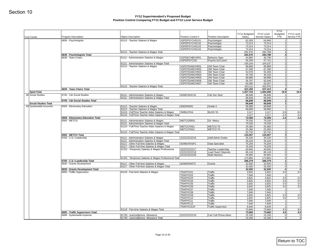| Cost Center                                           | Program Description                                           | <b>Object Description</b>                                                                | Position Control #             | Position Description                       | FY11 Budgeted<br>Salary | FY12 Level<br>Service Salary | <b>FY11</b><br>Budgeted<br><b>FTE</b> | FY12 Level<br>Service FTE                 |
|-------------------------------------------------------|---------------------------------------------------------------|------------------------------------------------------------------------------------------|--------------------------------|--------------------------------------------|-------------------------|------------------------------|---------------------------------------|-------------------------------------------|
|                                                       | 6836 - Psychologists                                          | 81112 - Teacher Salaries & Wages                                                         | XSPDPSYCHOL01                  | Psychologist                               | 62,028                  | 64,846                       | 11                                    |                                           |
|                                                       |                                                               |                                                                                          | XSPDPSYCHOL02                  | Psychologist                               | 73,314                  | 73,314                       | 1                                     |                                           |
|                                                       |                                                               |                                                                                          | XSPDPSYCHOL03                  | Psychologist                               | 73,314                  | 73,314                       |                                       | 1 <sup>1</sup>                            |
|                                                       |                                                               |                                                                                          | XSPDPSYCHOL04                  | Psychologist                               | 73,314                  | 73,314                       |                                       | 1                                         |
|                                                       | 6836 - Psychologists Total                                    | 81112 - Teacher Salaries & Wages Total                                                   |                                |                                            | 281,970<br>281,970      | 284,788<br>284,788           |                                       | 4 <sup>1</sup><br>$\vert$                 |
|                                                       | 6839 - Team Chairs                                            | 81111 - Administration Salaries & Wages                                                  | XSPDECHBHVR01                  | <b>Behavior Spec</b>                       | 44,885                  | 46,796                       |                                       | 1 <sup>1</sup>                            |
|                                                       |                                                               |                                                                                          | XSPDPSYCOD                     | Psycho Ed Coord                            | 55,359                  | 57,741                       |                                       | 1                                         |
|                                                       |                                                               | 81111 - Administration Salaries & Wages Total                                            |                                |                                            | 100,244                 | 104,537                      |                                       | $\overline{2}$                            |
|                                                       |                                                               | 81112 - Teacher Salaries & Wages                                                         | XSPDTEAMCHR01                  | SW Team Chair                              | 68,889                  | 68,889                       | 1                                     |                                           |
|                                                       |                                                               |                                                                                          | XSPDTEAMCHR02<br>XSPDTEAMCHR03 | SW Team Chair<br>SW Team Chair             | 67,268<br>52,978        | 67,268<br>55,359             |                                       | 1<br>1                                    |
|                                                       |                                                               |                                                                                          | <b>XSPDTEAMCHR04</b>           | SW Team Chair                              | 44,705                  | 46,318                       |                                       | 1                                         |
|                                                       |                                                               |                                                                                          | XSPDTEAMCHR05                  | SW Team Chair                              | 68,889                  | 68,889                       |                                       | 1                                         |
|                                                       |                                                               |                                                                                          | XSPDTEAMCHR06                  | SW Team Chair                              | 59,787                  | 62,646                       |                                       | 1                                         |
|                                                       |                                                               |                                                                                          | XSPDTEAMCHR07                  | SW Team Chair                              | 60,595                  | 63,507                       |                                       | 1                                         |
|                                                       | 6839 - Team Chairs Total                                      | 81112 - Teacher Salaries & Wages Total                                                   |                                |                                            | 423,111<br>523,355      | 432,876<br>537,413           | 7                                     | 9                                         |
| <b>Sped Total</b>                                     |                                                               |                                                                                          |                                |                                            | 1,257,723               | 1,284,406                    | 19.8                                  |                                           |
| 48 Social Studies                                     | 6745 - C&I Social Studies                                     | 81111 - Administration Salaries & Wages                                                  | ADMCISOCS1                     | C&I Soc Stud                               | 86,848                  | 86,848                       | 1                                     |                                           |
|                                                       |                                                               | 81111 - Administration Salaries & Wages Total                                            |                                |                                            | 86,848                  | 86,848                       |                                       | 1 <sup>1</sup>                            |
|                                                       | 6745 - C&I Social Studies Total                               |                                                                                          |                                |                                            | 86,848                  | 86,848                       |                                       | $1\vert$                                  |
| <b>Social Studies Total</b><br>49 Systemwide Accounts | 6506 - Elementary Education                                   | 81112 - Teacher Salaries & Wages                                                         | <b>SWGR0401</b>                | Grade 4                                    | 86,848<br>68,889        | 86,848<br>68,889             |                                       | 1<br>1                                    |
|                                                       |                                                               | 81112 - Teacher Salaries & Wages Total                                                   |                                |                                            | 68,889                  | 68,889                       |                                       | 1                                         |
|                                                       |                                                               | 81116 - Full/Time Teacher Aides Salaries & Wages                                         | SWBLDTA4                       | <b>BLDG TA</b>                             | 3,117                   | 3,117                        | $-0.6$                                |                                           |
|                                                       |                                                               | 81116 - Full/Time Teacher Aides Salaries & Wages Total                                   |                                |                                            | 3,117                   | 3,117                        | $-2.6$                                |                                           |
|                                                       | 6506 - Elementary Education Total                             |                                                                                          |                                |                                            | 72,006                  | 72,006                       | $-1.6$                                |                                           |
|                                                       | 6560 - METCO                                                  | 81111 - Administration Salaries & Wages<br>81111 - Administration Salaries & Wages Total | METCODR01                      | Dir Metco                                  | 79,335<br>79,335        | 79,335<br>79,335             | 1<br>1                                |                                           |
|                                                       |                                                               | 81116 - Full/Time Teacher Aides Salaries & Wages                                         | METCOTA01                      | <b>METCO TA</b>                            | 25,366                  | 25,366                       |                                       | 1                                         |
|                                                       |                                                               |                                                                                          | METCOTA02                      | <b>METCO TA</b>                            | 25,366                  | 25,366                       |                                       | 1                                         |
|                                                       |                                                               | 81116 - Full/Time Teacher Aides Salaries & Wages Total                                   |                                |                                            | 50,732                  | 50,732                       |                                       | 2                                         |
|                                                       | 6560 - METCO Total<br>6700 - C & I Leadership                 | 81111 - Administration Salaries & Wages                                                  | ZZZZZZZZZZ16                   | <b>Addl Admin Duties</b>                   | 130,067                 | 130,067<br>35,226            |                                       | $\overline{\mathbf{3}}$<br>$\overline{0}$ |
|                                                       |                                                               | 81111 - Administration Salaries & Wages Total                                            |                                |                                            | 35,226<br>35,226        | 35,226                       |                                       | 0                                         |
|                                                       |                                                               | 81117 - Other Full-time Salaries & Wages                                                 | ADMDATASP1                     | Data Specialist                            | 76,259                  | 76,259                       |                                       | 1                                         |
|                                                       |                                                               | 81117 - Other Full-time Salaries & Wages Total                                           |                                |                                            | 76,259                  | 76,259                       |                                       | 1                                         |
|                                                       |                                                               | 81201 - Temporary Salaries & Wages Professional                                          | ZZZZZZZZZZ17                   | Teacher Leadership                         | 40,840                  | 40,840                       |                                       | 0                                         |
|                                                       |                                                               |                                                                                          | ZZZZZZZZZZ18<br>ZZZZZZZZZZ20   | Lead Teach Stipends<br><b>Math Mentors</b> | 88,149                  | 88,149                       |                                       | 0                                         |
|                                                       |                                                               | 81201 - Temporary Salaries & Wages Professional Total                                    |                                |                                            | 45,905<br>174,894       | 45,905<br>174,894            | 0                                     | 0                                         |
|                                                       | 6700 - C & I Leadership Total                                 |                                                                                          |                                |                                            | 286,379                 | 286,379                      |                                       | $1\vert$                                  |
|                                                       | 6930 - Grants Development                                     | 81117 - Other Full-time Salaries & Wages                                                 | <b>ADMGRANTS</b>               | Grants                                     | 32,500                  | 32,500                       |                                       | $\overline{0}$                            |
|                                                       |                                                               | 81117 - Other Full-time Salaries & Wages Total                                           |                                |                                            | 32,500                  | 32,500                       | 0                                     |                                           |
|                                                       | 6930 - Grants Development Total<br>6955 - Traffic Supervisors | 81118 - Part-time Salaries & Wages                                                       | TRAFFIC01                      | Traffic                                    | 32,500<br>3,825         | 32,500<br>3,825              | 0.5                                   | o                                         |
|                                                       |                                                               |                                                                                          | TRAFFIC02                      | Traffic                                    | 7,649                   | 7,649                        | $\overline{1}$                        |                                           |
|                                                       |                                                               |                                                                                          | TRAFFIC03                      | Traffic                                    | 3,825                   | 3,825                        | 0.5                                   |                                           |
|                                                       |                                                               |                                                                                          | TRAFFIC04                      | Traffic                                    | 3,825                   | 3,825                        | 0.5                                   |                                           |
|                                                       |                                                               |                                                                                          | TRAFFIC05                      | Traffic                                    | 3,825                   | 3,825                        | 0.5                                   |                                           |
|                                                       |                                                               |                                                                                          | TRAFFIC06<br>TRAFFIC07         | Traffic<br>Traffic                         | 3,825<br>7,649          | 3,825<br>7,649               | 0.5<br>1                              |                                           |
|                                                       |                                                               |                                                                                          | TRAFFIC08                      | Traffic                                    | 7,649                   | 7,649                        | 1                                     |                                           |
|                                                       |                                                               |                                                                                          | TRAFFIC09                      | <b>Traffic</b>                             | 3,825                   | 3,825                        | 0.5                                   |                                           |
|                                                       |                                                               |                                                                                          | TRAFFIC10                      | Traffic                                    | 3,825                   | 3,825                        | 0.5                                   |                                           |
|                                                       |                                                               |                                                                                          | TRAFFIC11                      | Traffic                                    | 7,649                   | 7,649                        | $\vert$ 1                             |                                           |
|                                                       |                                                               |                                                                                          | TRAFFIC12<br><b>TRAFFICSUP</b> | Traffic<br><b>Traffic Supervisor</b>       | 7,649<br>8,649          | 7,649<br>8,649               | 1<br>$\vert$ 1                        |                                           |
|                                                       |                                                               | 81118 - Part-time Salaries & Wages Total                                                 |                                |                                            | 73,666                  | 73,666                       | 9.5                                   |                                           |
|                                                       | 6955 - Traffic Supervisors Total                              |                                                                                          |                                |                                            | 73,666                  | 73,666                       | 9.5                                   |                                           |
|                                                       | 6998 - Systemwide Expense                                     | 81765 - Auto/cellphone Allowance                                                         | ZZZZZZZZZZ19                   | Car/ Cell Phone Allow                      | 15,190                  | 15,190                       | $\overline{0}$                        |                                           |
|                                                       |                                                               | 81765 - Auto/cellphone Allowance Total                                                   |                                |                                            | 15,190                  | 15,190                       |                                       | $\overline{0}$                            |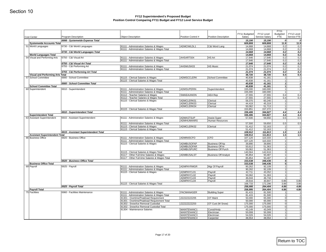| <b>Cost Center</b>                                            | Program Description                   | <b>Object Description</b>                                                                  | Position Control #             | Position Description                             | FY11 Budgeted<br>Salary | FY12 Level<br>Service Salary | <b>FY11</b><br>Budgeted<br><b>FTE</b> | FY12 Level<br>Service FTE |
|---------------------------------------------------------------|---------------------------------------|--------------------------------------------------------------------------------------------|--------------------------------|--------------------------------------------------|-------------------------|------------------------------|---------------------------------------|---------------------------|
|                                                               | 6998 - Systemwide Expense Total       |                                                                                            |                                |                                                  | 15,190                  | 15,190                       | o                                     |                           |
| <b>Systemwide Accounts Total</b><br>51 World Languages        | 6730 - C&I World Languages            | 81111 - Administration Salaries & Wages                                                    | ADMCIWLDL1                     | C&I Word Lang                                    | 609,808<br>14,668       | 609,808<br>14,668            | 11.9<br>0.2                           |                           |
|                                                               |                                       | 81111 - Administration Salaries & Wages Total                                              |                                |                                                  | 14,668                  | 14,668                       | 0.2                                   |                           |
|                                                               | 6730 - C&I World Languages Total      |                                                                                            |                                |                                                  | 14,668                  | 14,668                       | 0.2                                   |                           |
| <b>World Languages Total</b><br>54 Visual and Performing Arts | 6750 - C&I Visual Art                 | 81111 - Administration Salaries & Wages                                                    | AHSARTS04                      | <b>HS Art</b>                                    | 14,668<br>17,646        | 14,668<br>17,646             | 0.2<br>0.2                            |                           |
|                                                               |                                       | 81111 - Administration Salaries & Wages Total                                              |                                |                                                  | 17,646                  | 17,646                       | 0.2                                   |                           |
|                                                               | 6750 - C&I Visual Art Total           |                                                                                            |                                |                                                  | 17,646                  | 17,646                       | 0.2                                   |                           |
|                                                               | 6755 - C&I Performing Art             | 81111 - Administration Salaries & Wages<br>81111 - Administration Salaries & Wages Total   | AHSMUSK03                      | <b>HS Music</b>                                  | 21,074                  | 21,074                       | 0.2<br>0.2                            |                           |
|                                                               | 6755 - C&I Performing Art Total       |                                                                                            |                                |                                                  | 21,074<br>21,074        | 21,074<br>21,074             | 0.2                                   |                           |
| <b>Visual and Performing Arts Total</b>                       |                                       |                                                                                            |                                |                                                  | 38,720                  | 38,720                       | 0.4                                   |                           |
| 57 School Committee                                           | 6900 - School Committee               | 81115 - Clerical Salaries & Wages                                                          | <b>ADMSCCLERK</b>              | School Committee                                 | 40,838                  | 41,161                       | $\mathbf{1}$                          |                           |
|                                                               | 6900 - School Committee Total         | 81115 - Clerical Salaries & Wages Total                                                    |                                |                                                  | 40,838<br>40,838        | 41,161<br>41,161             | 1<br>1                                |                           |
| <b>School Committee Total</b>                                 |                                       |                                                                                            |                                |                                                  | 40,838                  | 41,161                       | 1                                     |                           |
| 60 Superintendent                                             | 6910 - Superintendent                 | 81111 - Administration Salaries & Wages                                                    | ADMSUPERIN                     | Superintendent                                   | 155,000                 | 160,000                      | 1                                     |                           |
|                                                               |                                       | 81111 - Administration Salaries & Wages Total<br>81112 - Teacher Salaries & Wages          | SWAEAUNION                     | <b>AEA</b> Rep                                   | 155,000<br>27,555       | 160,000<br>27,555            | 1 <sup>1</sup><br>0.4                 |                           |
|                                                               |                                       | 81112 - Teacher Salaries & Wages Total                                                     |                                |                                                  | 27,555                  | 27,555                       | 0.4                                   |                           |
|                                                               |                                       | 81115 - Clerical Salaries & Wages                                                          | ADMCLERK01                     | Clerical                                         | 59,370                  | 60,240                       | 1                                     |                           |
|                                                               |                                       |                                                                                            | ADMCLERK03                     | Clerical                                         | 44,419                  | 45,319                       | 1                                     |                           |
|                                                               |                                       | 81115 - Clerical Salaries & Wages Total                                                    | ADMCLERK04                     | Clerical                                         | 50,062<br>153,851       | 51,713<br>157,272            | 1<br>3 <sup>1</sup>                   |                           |
|                                                               | 6910 - Superintendent Total           |                                                                                            |                                |                                                  | 336,406                 | 344,827                      | 4.4                                   |                           |
| <b>Superintendent Total</b>                                   |                                       |                                                                                            |                                |                                                  | 336,406                 | 344,827                      | 4.4                                   |                           |
| 63 Assistant Superintendent                                   | 6915 - Assistant Superintendent       | 81111 - Administration Salaries & Wages                                                    | ADMASTSUP<br><b>ADMHUMANRS</b> | Assist Super<br>Human Resources                  | 57,500                  | 59,650                       | 0.5                                   |                           |
|                                                               |                                       | 81111 - Administration Salaries & Wages Total                                              |                                |                                                  | 57,500                  | 59,650                       | 0.5                                   |                           |
|                                                               |                                       | 81115 - Clerical Salaries & Wages                                                          | ADMCLERK02                     | Clerical                                         | 51,412                  | 52,163                       | 1                                     |                           |
|                                                               | 6915 - Assistant Superintendent Total | 81115 - Clerical Salaries & Wages Total                                                    |                                |                                                  | 51,412                  | 52,163                       | 11                                    |                           |
| <b>Assistant Superintendent Total</b>                         |                                       |                                                                                            |                                |                                                  | 108,912<br>108,912      | 111,813<br>111,813           | 1.5<br>1.5                            |                           |
| 66 Business Office                                            | 6920 - Business Office                | 81111 - Administration Salaries & Wages                                                    | <b>ADMINISCFO</b>              | CFO                                              | 107,120                 | 110,333                      | $\overline{1}$                        |                           |
|                                                               |                                       | 81111 - Administration Salaries & Wages Total                                              |                                |                                                  | 107,120                 | 110,333                      | 1                                     |                           |
|                                                               |                                       | 81115 - Clerical Salaries & Wages                                                          | ADMBUSOFAP<br>ADMBUSOFAR       | <b>Business Off Ap</b><br><b>Business Off Ar</b> | 39,890<br>50,612        | 39,890<br>51,363             | 1<br>1                                |                           |
|                                                               |                                       |                                                                                            | ADMBUSPURC                     | <b>Business Off Purch</b>                        | 50,062                  | 51,363                       | 1                                     |                           |
|                                                               |                                       | 81115 - Clerical Salaries & Wages Total                                                    |                                |                                                  | 140,564                 | 142,616                      | 3                                     |                           |
|                                                               |                                       | 81117 - Other Full-time Salaries & Wages<br>81117 - Other Full-time Salaries & Wages Total | ADMBUSALST                     | <b>Business Off Analyst</b>                      | 85,854<br>85,854        | 93,487<br>93,487             | 1<br>1                                |                           |
|                                                               | 6920 - Business Office Total          |                                                                                            |                                |                                                  | 333,538                 | 346,436                      | 5 <sup>1</sup>                        |                           |
| <b>Business Office Total</b>                                  |                                       |                                                                                            |                                |                                                  | 333,538                 | 346,436                      | 5 <sup>1</sup>                        |                           |
| 69 Payroll                                                    | 6925 - Payroll                        | 81111 - Administration Salaries & Wages                                                    | <b>ADMPAYRMGR</b>              | Mgr Of Payroll                                   | 90,262                  | 92,109                       | 1                                     |                           |
|                                                               |                                       | 81111 - Administration Salaries & Wages Total<br>81115 - Clerical Salaries & Wages         | ADMPAYCL01                     | Payroll                                          | 90,262<br>42,711        | 92,109<br>43,352             | 1<br>1                                |                           |
|                                                               |                                       |                                                                                            | ADMPAYCL02                     | Payroll                                          | 50,062                  | 51,363                       | 1                                     |                           |
|                                                               |                                       |                                                                                            | ADMPAYCL03                     | Payroll                                          | 46,044                  | 46,734                       | 1                                     |                           |
|                                                               |                                       | 81115 - Clerical Salaries & Wages Total                                                    | ADMPAYCL04                     | Payroll                                          | 29,916<br>168,733       | 30,847<br>172,296            | 0.86<br>3.86                          |                           |
|                                                               | 6925 - Payroll Total                  |                                                                                            |                                |                                                  | 258,995                 | 264,404                      | 4.86                                  |                           |
| <b>Payroll Total</b>                                          |                                       |                                                                                            |                                |                                                  | 258,995                 | 264,404                      | 4.86                                  |                           |
| 75 Facilities                                                 | 6960 - Facilities Maintenance         | 81111 - Administration Salaries & Wages<br>81111 - Administration Salaries & Wages Total   | <b>FACMANAGER</b>              | <b>Building Super</b>                            | 81,415<br>81,415        | 81,500<br>81,500             | $\mathbf{1}$<br>11                    |                           |
|                                                               |                                       | 81301 - Overtime/Peakload Requirement                                                      | ZZZZZZZZZZ05                   | OT Maint                                         | 50,000                  | 65,000                       | $\overline{0}$                        |                           |
|                                                               |                                       | 81301 - Overtime/Peakload Requirement Total                                                |                                |                                                  | 50,000                  | 65,000                       | $\overline{0}$                        |                           |
|                                                               |                                       | 81302 - Snow/Ice Removal Custodial<br>81302 - Snow/Ice Removal Custodial Total             | ZZZZZZZZZZ03                   | OT Cust (W Snow)                                 | 175,000<br>175,000      | 175,000<br>175,000           | 0 <br>$\overline{0}$                  |                           |
|                                                               |                                       | 81304 - Maintenance Salaries                                                               | MAINTENANC1                    | Const/Hndy                                       | 43,149                  | 43,349                       | 1                                     |                           |
|                                                               |                                       |                                                                                            | MAINTENANC2                    | Electrician                                      | 50,008                  | 50,308                       | 1                                     |                           |
|                                                               |                                       |                                                                                            | MAINTENANC3<br>MAINTENANC4     | Electrician                                      | 54,026                  | 54,026                       | 1<br>1                                |                           |
|                                                               |                                       |                                                                                            |                                | Carpenter                                        | 48,554                  | 48,554                       |                                       |                           |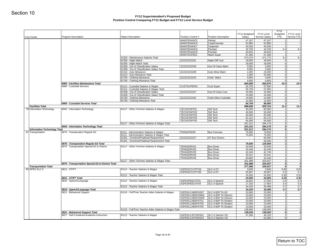| <b>Cost Center</b>                  | <b>Program Description</b>                                                    | <b>Object Description</b>                                                                | Position Control #                 | <b>Position Description</b>                           | FY11 Budgeted<br>Salary | FY12 Level<br>Service Salary | FY11<br>Budgeted<br><b>FTE</b>   | FY12 Level<br>Service FTE |
|-------------------------------------|-------------------------------------------------------------------------------|------------------------------------------------------------------------------------------|------------------------------------|-------------------------------------------------------|-------------------------|------------------------------|----------------------------------|---------------------------|
|                                     |                                                                               |                                                                                          | MAINTENANC5                        | Painter                                               | 47,167                  | 47,167                       | 1                                |                           |
|                                     |                                                                               |                                                                                          | MAINTENANC6                        | Carp/Foreman                                          | 52,885                  | 52,885                       | 1                                |                           |
|                                     |                                                                               |                                                                                          | MAINTENANC7                        | Carpenter                                             | 44,336                  | 44,536                       | 11                               |                           |
|                                     |                                                                               |                                                                                          | MAINTENANC8                        | Plumber                                               | 18,750                  | 18,750                       | 0.4                              |                           |
|                                     |                                                                               |                                                                                          | MAINTENANC9                        | Plumber                                               | 44,833                  | 44,833                       | 11                               |                           |
|                                     |                                                                               | 81304 - Maintenance Salaries Total                                                       | MAINTSUPER1                        | <b>Maint Super</b>                                    | 67,366<br>471,074       | 67,366<br>471,774            | 11<br>9.4                        | 9.4                       |
|                                     |                                                                               | 81305 - Night Watch                                                                      | ZZZZZZZZZZ01                       | Night Diff Cust                                       | 18,000                  | 18,000                       | 0                                |                           |
|                                     |                                                                               | 81305 - Night Watch Total                                                                |                                    |                                                       | 18,000                  | 18,000                       | $\overline{0}$                   |                           |
|                                     |                                                                               | 81308 - Out of Classification Salary                                                     | ZZZZZZZZZZ06                       | Out Of Class Maint                                    | 3,000                   | 3,000                        | 0                                |                           |
|                                     |                                                                               | 81308 - Out of Classification Salary Total                                               |                                    |                                                       | 3,000                   | 3,000                        | 0                                |                           |
|                                     |                                                                               | 81313 - Auto Allowance<br>81313 - Auto Allowance Total                                   | ZZZZZZZZZZ08                       | <b>Auto Allow Maint</b>                               | 1,000<br>1,000          | 24,000<br>24,000             | $\overline{0}$<br> 0             |                           |
|                                     |                                                                               | 81760 - Clothing Allowance                                                               | ZZZZZZZZZZ04                       | Cloth Maint                                           | 4,600                   | 4,600                        | $\overline{0}$                   |                           |
|                                     |                                                                               | 81760 - Clothing Allowance Total                                                         |                                    |                                                       | 4,600                   | 4,600                        | $\overline{0}$                   |                           |
|                                     | 6960 - Facilities Maintenance Total                                           |                                                                                          |                                    |                                                       | 804,089                 | 842,874                      | 10.4                             | 10.4                      |
|                                     | 6965 - Custodial Services                                                     | 81113 - Custodial Salaries & Wages                                                       | CUSTSUPER01                        | <b>Cust Super</b>                                     | 55,759                  | 57,850                       | 11                               |                           |
|                                     |                                                                               | 81113 - Custodial Salaries & Wages Total                                                 | ZZZZZZZZZZ07                       | Out Of Class Cust                                     | 55,759                  | 57,850                       | 1<br> 0                          |                           |
|                                     |                                                                               | 81308 - Out of Classification Salary<br>81308 - Out of Classification Salary Total       |                                    |                                                       | 15,000<br>15,000        | 15,000<br>15,000             | 0                                |                           |
|                                     |                                                                               | 81760 - Clothing Allowance                                                               | ZZZZZZZZZZ202                      | Cloth Allow Custodial                                 | 14,000                  | 14,000                       | 0                                |                           |
|                                     |                                                                               | 81760 - Clothing Allowance Total                                                         |                                    |                                                       | 14,000                  | 14,000                       | 0                                |                           |
|                                     | 6965 - Custodial Services Total                                               |                                                                                          |                                    |                                                       | 84,759                  | 86,850                       | $\mathbf{I}$                     |                           |
| <b>Facilities Total</b>             |                                                                               |                                                                                          |                                    |                                                       | 888,848                 | 929,724                      | 11.4                             | 11.4                      |
| 78 Information Technology           | 6940 - Information Technology                                                 | 81117 - Other Full-time Salaries & Wages                                                 | TECHSTAFF01<br>TECHSTAFF02         | SW Tech<br>SW Tech                                    | 45,000<br>40,000        | 50,000<br>50,000             | 11<br>1                          |                           |
|                                     |                                                                               |                                                                                          | TECHSTAFF03                        | SW Tech                                               | 40,000                  | 55,000                       | 11                               |                           |
|                                     |                                                                               |                                                                                          | TECHSTAFF04                        | SW Tech                                               | 61,312                  | 64,176                       | 1                                |                           |
|                                     |                                                                               |                                                                                          | TECHSTAFF05                        | SW Tech                                               | 65,000                  | 65,000                       | 1                                |                           |
|                                     |                                                                               | 81117 - Other Full-time Salaries & Wages Total                                           |                                    |                                                       | 251,312                 | 284,176                      | 5 <sup>1</sup>                   |                           |
|                                     |                                                                               |                                                                                          |                                    |                                                       |                         |                              |                                  |                           |
|                                     | 6940 - Information Technology Total                                           |                                                                                          |                                    |                                                       | 251,312                 | 284,176                      | 5 <sup>1</sup>                   |                           |
| <b>Information Technology Total</b> |                                                                               |                                                                                          | <b>TRANSPMGR</b>                   | <b>Bus Foreman</b>                                    | 251,312                 | 284,176                      | 5 <sup>1</sup><br>1              |                           |
|                                     | 6970 - Transporation Regular Ed                                               | 81111 - Administration Salaries & Wages<br>81111 - Administration Salaries & Wages Total |                                    |                                                       | 75,600<br>75,600        | 75,600<br>75,600             | 1                                |                           |
| 81 Transportation                   |                                                                               | 81301 - Overtime/Peakload Requirement                                                    | ZZZZZZZZZZ27                       | OT Bus Drivers                                        | $\sim$                  | 50,000                       | 0                                |                           |
|                                     |                                                                               | 81301 - Overtime/Peakload Requirement Total                                              |                                    |                                                       | $\sim$                  | 50,000                       | 0                                |                           |
|                                     | 6970 - Transporation Regular Ed Total                                         |                                                                                          |                                    |                                                       | 75,600                  | 125,600                      | $1\vert$                         |                           |
|                                     | 6975 - Transportation Special Ed In District                                  | 81117 - Other Full-time Salaries & Wages                                                 | TRANSDRV01<br>TRANSDRV02           | <b>Bus Driver</b><br><b>Bus Driver</b>                | 42,949<br>42,449        | 42,949<br>42,449             | 1<br>1                           |                           |
|                                     |                                                                               |                                                                                          | TRANSDRV03                         | <b>Bus Driver</b>                                     | 42,449                  | 42,749                       | 1                                |                           |
|                                     |                                                                               |                                                                                          | TRANSDRV04                         | <b>Bus Driver</b>                                     | 33,341                  | 33,341                       | 1                                |                           |
|                                     |                                                                               |                                                                                          | TRANSDRV05                         | <b>Bus Driver</b>                                     | 40,800                  | 42,449                       | 1 <sup>1</sup>                   |                           |
|                                     |                                                                               | 81117 - Other Full-time Salaries & Wages Total                                           |                                    |                                                       | 201,988                 | 203,937                      | 5 <sup>1</sup>                   |                           |
| <b>Transportation Total</b>         | 6975 - Transportation Special Ed In District Total                            |                                                                                          |                                    |                                                       | 201,988<br>277,588      | 203,937<br>329,537           | 5 <sub>l</sub><br>6 <sup>1</sup> |                           |
|                                     | 6812 - OT/PT                                                                  | 81112 - Teacher Salaries & Wages                                                         | XSPDOCCUTPY03                      | <b>SLCAOT</b>                                         | 3,838                   | 3,838                        | 0.05                             |                           |
|                                     |                                                                               |                                                                                          | XSPDOCCUTPY05                      | <b>SLC A OT</b>                                       | 20,667                  | 20,667                       | 0.3                              |                           |
|                                     |                                                                               | 81112 - Teacher Salaries & Wages Total                                                   |                                    |                                                       | 24,505                  | 24,505                       | 0.35                             | 0.05<br>0.3<br>0.35       |
| 85 SPED SLC A                       | 6812 - OT/PT Total                                                            |                                                                                          |                                    |                                                       | 24,505                  | 24,505                       | 0.35                             | 0.35                      |
|                                     | 6818 - Speech/Language                                                        | 81112 - Teacher Salaries & Wages                                                         | XSPDSPEECHT01<br>XSPDSPEECHT04     | <b>SLC A Speech</b><br><b>SLC A Speech</b>            | 16,822<br>17,333        | 17,534<br>17,954             | 0.3<br>0.4                       |                           |
|                                     |                                                                               | 81112 - Teacher Salaries & Wages Total                                                   |                                    |                                                       | 34,155                  | 35,488                       | 0.7                              | 0.3<br>0.4<br>0.7         |
|                                     | 6818 - Speech/Language Total                                                  |                                                                                          |                                    |                                                       | 34,155                  | 35,488                       | 0.7                              | 0.7                       |
|                                     | 6821 - Behavioral Support                                                     | 81116 - Full/Time Teacher Aides Salaries & Wages                                         | XSPDSLCABSPHS07                    | SLC A BSP TA HS                                       | 23,000                  | 23,000                       | 11                               |                           |
|                                     |                                                                               |                                                                                          |                                    | XSPDSLCABSPOM04   SLC A BSP TA Ottoson                | 23,000                  | 23,000                       | 1                                |                           |
|                                     |                                                                               |                                                                                          |                                    | XSPDSLCABSPOM06   SLC A BSP TA Ottoson                | 23,000                  | 23,000                       | 1                                |                           |
|                                     |                                                                               |                                                                                          | XSPDSLCABSPST01<br>XSPDSLCABSPST03 | SLC A BSP TA Stratton<br><b>SLC A BSP TA Stratton</b> | 23,000<br>23,000        | 23,000<br>23,000             | 1<br>1                           |                           |
|                                     |                                                                               |                                                                                          | XSPDSLCABSPST05                    | <b>SLC A BSP TA Stratton</b>                          | 23,000                  | 23,000                       | 1                                |                           |
|                                     |                                                                               | 81116 - Full/Time Teacher Aides Salaries & Wages Total                                   |                                    |                                                       | 138,000                 | 138,000                      | 6                                |                           |
|                                     | 6821 - Behavioral Support Total<br>6827 - Self-Contained Academic Instruction | 81112 - Teacher Salaries & Wages                                                         | XSPDSLCATCRHS01                    | SLC A Teacher HS                                      | 138,000<br>47,268       | 138,000<br>49,159            | 6<br>11                          |                           |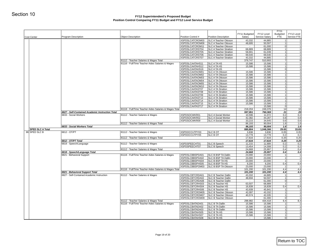| <b>Program Description</b>                       | <b>Object Description</b>                                                                                                                                                                           | Position Control #                                                                                                                                                                                                                                                                                                                                                                 | Position Description                                                                                                                                                                                                                                                                                                                                                                                                                                                                                                                                                                                                                                                                                                                                                  | FY11 Budgeted<br>Salary                                                                                                                                                                                                                                                                                                                                                                                                                                                                                                                                                                                                                                                                                                                                                               | FY12 Level<br>Service Salary                                                                                                                                                                                                                                                                                                                                   | Budgeted<br><b>FTE</b>                                                                                                                                                                                                                                                                                                                                                                                             | FY12 Level<br>Service FTE                                                                                                                                                                                                                                                                                                                                                                                                       |
|--------------------------------------------------|-----------------------------------------------------------------------------------------------------------------------------------------------------------------------------------------------------|------------------------------------------------------------------------------------------------------------------------------------------------------------------------------------------------------------------------------------------------------------------------------------------------------------------------------------------------------------------------------------|-----------------------------------------------------------------------------------------------------------------------------------------------------------------------------------------------------------------------------------------------------------------------------------------------------------------------------------------------------------------------------------------------------------------------------------------------------------------------------------------------------------------------------------------------------------------------------------------------------------------------------------------------------------------------------------------------------------------------------------------------------------------------|---------------------------------------------------------------------------------------------------------------------------------------------------------------------------------------------------------------------------------------------------------------------------------------------------------------------------------------------------------------------------------------------------------------------------------------------------------------------------------------------------------------------------------------------------------------------------------------------------------------------------------------------------------------------------------------------------------------------------------------------------------------------------------------|----------------------------------------------------------------------------------------------------------------------------------------------------------------------------------------------------------------------------------------------------------------------------------------------------------------------------------------------------------------|--------------------------------------------------------------------------------------------------------------------------------------------------------------------------------------------------------------------------------------------------------------------------------------------------------------------------------------------------------------------------------------------------------------------|---------------------------------------------------------------------------------------------------------------------------------------------------------------------------------------------------------------------------------------------------------------------------------------------------------------------------------------------------------------------------------------------------------------------------------|
|                                                  |                                                                                                                                                                                                     | XSPDSLCATCROM03                                                                                                                                                                                                                                                                                                                                                                    | SLC A Teacher Ottoson                                                                                                                                                                                                                                                                                                                                                                                                                                                                                                                                                                                                                                                                                                                                                 | 43,332                                                                                                                                                                                                                                                                                                                                                                                                                                                                                                                                                                                                                                                                                                                                                                                | 44,885                                                                                                                                                                                                                                                                                                                                                         | 1                                                                                                                                                                                                                                                                                                                                                                                                                  |                                                                                                                                                                                                                                                                                                                                                                                                                                 |
|                                                  |                                                                                                                                                                                                     | XSPDSLCATCROM09                                                                                                                                                                                                                                                                                                                                                                    | SLC A Teacher Ottoson                                                                                                                                                                                                                                                                                                                                                                                                                                                                                                                                                                                                                                                                                                                                                 | 48,695                                                                                                                                                                                                                                                                                                                                                                                                                                                                                                                                                                                                                                                                                                                                                                                | 50,597                                                                                                                                                                                                                                                                                                                                                         |                                                                                                                                                                                                                                                                                                                                                                                                                    |                                                                                                                                                                                                                                                                                                                                                                                                                                 |
|                                                  |                                                                                                                                                                                                     |                                                                                                                                                                                                                                                                                                                                                                                    |                                                                                                                                                                                                                                                                                                                                                                                                                                                                                                                                                                                                                                                                                                                                                                       |                                                                                                                                                                                                                                                                                                                                                                                                                                                                                                                                                                                                                                                                                                                                                                                       |                                                                                                                                                                                                                                                                                                                                                                |                                                                                                                                                                                                                                                                                                                                                                                                                    |                                                                                                                                                                                                                                                                                                                                                                                                                                 |
|                                                  |                                                                                                                                                                                                     |                                                                                                                                                                                                                                                                                                                                                                                    |                                                                                                                                                                                                                                                                                                                                                                                                                                                                                                                                                                                                                                                                                                                                                                       |                                                                                                                                                                                                                                                                                                                                                                                                                                                                                                                                                                                                                                                                                                                                                                                       |                                                                                                                                                                                                                                                                                                                                                                |                                                                                                                                                                                                                                                                                                                                                                                                                    |                                                                                                                                                                                                                                                                                                                                                                                                                                 |
|                                                  |                                                                                                                                                                                                     | XSPDSLCATCRST06                                                                                                                                                                                                                                                                                                                                                                    | SLC A Teacher Stratton                                                                                                                                                                                                                                                                                                                                                                                                                                                                                                                                                                                                                                                                                                                                                | 69,540                                                                                                                                                                                                                                                                                                                                                                                                                                                                                                                                                                                                                                                                                                                                                                                | 69,540                                                                                                                                                                                                                                                                                                                                                         |                                                                                                                                                                                                                                                                                                                                                                                                                    |                                                                                                                                                                                                                                                                                                                                                                                                                                 |
|                                                  |                                                                                                                                                                                                     |                                                                                                                                                                                                                                                                                                                                                                                    |                                                                                                                                                                                                                                                                                                                                                                                                                                                                                                                                                                                                                                                                                                                                                                       | 43,332                                                                                                                                                                                                                                                                                                                                                                                                                                                                                                                                                                                                                                                                                                                                                                                | 44,885                                                                                                                                                                                                                                                                                                                                                         |                                                                                                                                                                                                                                                                                                                                                                                                                    |                                                                                                                                                                                                                                                                                                                                                                                                                                 |
|                                                  |                                                                                                                                                                                                     |                                                                                                                                                                                                                                                                                                                                                                                    |                                                                                                                                                                                                                                                                                                                                                                                                                                                                                                                                                                                                                                                                                                                                                                       |                                                                                                                                                                                                                                                                                                                                                                                                                                                                                                                                                                                                                                                                                                                                                                                       |                                                                                                                                                                                                                                                                                                                                                                |                                                                                                                                                                                                                                                                                                                                                                                                                    |                                                                                                                                                                                                                                                                                                                                                                                                                                 |
|                                                  |                                                                                                                                                                                                     | XSPDSLCAATAHS12                                                                                                                                                                                                                                                                                                                                                                    | <b>SLC A TA HS</b>                                                                                                                                                                                                                                                                                                                                                                                                                                                                                                                                                                                                                                                                                                                                                    | 15,586                                                                                                                                                                                                                                                                                                                                                                                                                                                                                                                                                                                                                                                                                                                                                                                |                                                                                                                                                                                                                                                                                                                                                                |                                                                                                                                                                                                                                                                                                                                                                                                                    |                                                                                                                                                                                                                                                                                                                                                                                                                                 |
|                                                  |                                                                                                                                                                                                     | XSPDSLCAATAHS16                                                                                                                                                                                                                                                                                                                                                                    | SLC A TA HS                                                                                                                                                                                                                                                                                                                                                                                                                                                                                                                                                                                                                                                                                                                                                           | $\sim$                                                                                                                                                                                                                                                                                                                                                                                                                                                                                                                                                                                                                                                                                                                                                                                | 15,586                                                                                                                                                                                                                                                                                                                                                         |                                                                                                                                                                                                                                                                                                                                                                                                                    |                                                                                                                                                                                                                                                                                                                                                                                                                                 |
|                                                  |                                                                                                                                                                                                     |                                                                                                                                                                                                                                                                                                                                                                                    |                                                                                                                                                                                                                                                                                                                                                                                                                                                                                                                                                                                                                                                                                                                                                                       | 15,586                                                                                                                                                                                                                                                                                                                                                                                                                                                                                                                                                                                                                                                                                                                                                                                | 15,586                                                                                                                                                                                                                                                                                                                                                         |                                                                                                                                                                                                                                                                                                                                                                                                                    |                                                                                                                                                                                                                                                                                                                                                                                                                                 |
|                                                  |                                                                                                                                                                                                     |                                                                                                                                                                                                                                                                                                                                                                                    |                                                                                                                                                                                                                                                                                                                                                                                                                                                                                                                                                                                                                                                                                                                                                                       |                                                                                                                                                                                                                                                                                                                                                                                                                                                                                                                                                                                                                                                                                                                                                                                       |                                                                                                                                                                                                                                                                                                                                                                |                                                                                                                                                                                                                                                                                                                                                                                                                    |                                                                                                                                                                                                                                                                                                                                                                                                                                 |
|                                                  |                                                                                                                                                                                                     |                                                                                                                                                                                                                                                                                                                                                                                    |                                                                                                                                                                                                                                                                                                                                                                                                                                                                                                                                                                                                                                                                                                                                                                       |                                                                                                                                                                                                                                                                                                                                                                                                                                                                                                                                                                                                                                                                                                                                                                                       |                                                                                                                                                                                                                                                                                                                                                                |                                                                                                                                                                                                                                                                                                                                                                                                                    |                                                                                                                                                                                                                                                                                                                                                                                                                                 |
|                                                  |                                                                                                                                                                                                     | XSPDSLCAATAOM05                                                                                                                                                                                                                                                                                                                                                                    | SLC A TA Ottoson                                                                                                                                                                                                                                                                                                                                                                                                                                                                                                                                                                                                                                                                                                                                                      | 15,586                                                                                                                                                                                                                                                                                                                                                                                                                                                                                                                                                                                                                                                                                                                                                                                | 15,586                                                                                                                                                                                                                                                                                                                                                         |                                                                                                                                                                                                                                                                                                                                                                                                                    |                                                                                                                                                                                                                                                                                                                                                                                                                                 |
|                                                  |                                                                                                                                                                                                     |                                                                                                                                                                                                                                                                                                                                                                                    |                                                                                                                                                                                                                                                                                                                                                                                                                                                                                                                                                                                                                                                                                                                                                                       |                                                                                                                                                                                                                                                                                                                                                                                                                                                                                                                                                                                                                                                                                                                                                                                       |                                                                                                                                                                                                                                                                                                                                                                |                                                                                                                                                                                                                                                                                                                                                                                                                    |                                                                                                                                                                                                                                                                                                                                                                                                                                 |
|                                                  |                                                                                                                                                                                                     |                                                                                                                                                                                                                                                                                                                                                                                    |                                                                                                                                                                                                                                                                                                                                                                                                                                                                                                                                                                                                                                                                                                                                                                       |                                                                                                                                                                                                                                                                                                                                                                                                                                                                                                                                                                                                                                                                                                                                                                                       |                                                                                                                                                                                                                                                                                                                                                                |                                                                                                                                                                                                                                                                                                                                                                                                                    |                                                                                                                                                                                                                                                                                                                                                                                                                                 |
|                                                  |                                                                                                                                                                                                     |                                                                                                                                                                                                                                                                                                                                                                                    | <b>SLC A TA Stratton</b>                                                                                                                                                                                                                                                                                                                                                                                                                                                                                                                                                                                                                                                                                                                                              |                                                                                                                                                                                                                                                                                                                                                                                                                                                                                                                                                                                                                                                                                                                                                                                       |                                                                                                                                                                                                                                                                                                                                                                |                                                                                                                                                                                                                                                                                                                                                                                                                    |                                                                                                                                                                                                                                                                                                                                                                                                                                 |
|                                                  |                                                                                                                                                                                                     | XSPDSLCAATAST13                                                                                                                                                                                                                                                                                                                                                                    | <b>SLC A TA Stratton</b>                                                                                                                                                                                                                                                                                                                                                                                                                                                                                                                                                                                                                                                                                                                                              | 15,586                                                                                                                                                                                                                                                                                                                                                                                                                                                                                                                                                                                                                                                                                                                                                                                | 15,586                                                                                                                                                                                                                                                                                                                                                         |                                                                                                                                                                                                                                                                                                                                                                                                                    |                                                                                                                                                                                                                                                                                                                                                                                                                                 |
|                                                  |                                                                                                                                                                                                     |                                                                                                                                                                                                                                                                                                                                                                                    |                                                                                                                                                                                                                                                                                                                                                                                                                                                                                                                                                                                                                                                                                                                                                                       |                                                                                                                                                                                                                                                                                                                                                                                                                                                                                                                                                                                                                                                                                                                                                                                       |                                                                                                                                                                                                                                                                                                                                                                |                                                                                                                                                                                                                                                                                                                                                                                                                    |                                                                                                                                                                                                                                                                                                                                                                                                                                 |
|                                                  |                                                                                                                                                                                                     |                                                                                                                                                                                                                                                                                                                                                                                    |                                                                                                                                                                                                                                                                                                                                                                                                                                                                                                                                                                                                                                                                                                                                                                       |                                                                                                                                                                                                                                                                                                                                                                                                                                                                                                                                                                                                                                                                                                                                                                                       |                                                                                                                                                                                                                                                                                                                                                                |                                                                                                                                                                                                                                                                                                                                                                                                                    |                                                                                                                                                                                                                                                                                                                                                                                                                                 |
|                                                  |                                                                                                                                                                                                     |                                                                                                                                                                                                                                                                                                                                                                                    |                                                                                                                                                                                                                                                                                                                                                                                                                                                                                                                                                                                                                                                                                                                                                                       | 218,204                                                                                                                                                                                                                                                                                                                                                                                                                                                                                                                                                                                                                                                                                                                                                                               | 249,376                                                                                                                                                                                                                                                                                                                                                        |                                                                                                                                                                                                                                                                                                                                                                                                                    | 16                                                                                                                                                                                                                                                                                                                                                                                                                              |
| 6827 - Self-Contained Academic Instruction Total |                                                                                                                                                                                                     |                                                                                                                                                                                                                                                                                                                                                                                    |                                                                                                                                                                                                                                                                                                                                                                                                                                                                                                                                                                                                                                                                                                                                                                       | 597,951                                                                                                                                                                                                                                                                                                                                                                                                                                                                                                                                                                                                                                                                                                                                                                               | 760,369                                                                                                                                                                                                                                                                                                                                                        |                                                                                                                                                                                                                                                                                                                                                                                                                    | 25                                                                                                                                                                                                                                                                                                                                                                                                                              |
|                                                  |                                                                                                                                                                                                     |                                                                                                                                                                                                                                                                                                                                                                                    |                                                                                                                                                                                                                                                                                                                                                                                                                                                                                                                                                                                                                                                                                                                                                                       |                                                                                                                                                                                                                                                                                                                                                                                                                                                                                                                                                                                                                                                                                                                                                                                       |                                                                                                                                                                                                                                                                                                                                                                |                                                                                                                                                                                                                                                                                                                                                                                                                    | 0.2<br>0.8                                                                                                                                                                                                                                                                                                                                                                                                                      |
|                                                  |                                                                                                                                                                                                     |                                                                                                                                                                                                                                                                                                                                                                                    |                                                                                                                                                                                                                                                                                                                                                                                                                                                                                                                                                                                                                                                                                                                                                                       |                                                                                                                                                                                                                                                                                                                                                                                                                                                                                                                                                                                                                                                                                                                                                                                       |                                                                                                                                                                                                                                                                                                                                                                |                                                                                                                                                                                                                                                                                                                                                                                                                    | 0.6                                                                                                                                                                                                                                                                                                                                                                                                                             |
|                                                  | 81112 - Teacher Salaries & Wages Total                                                                                                                                                              |                                                                                                                                                                                                                                                                                                                                                                                    |                                                                                                                                                                                                                                                                                                                                                                                                                                                                                                                                                                                                                                                                                                                                                                       | 86,193                                                                                                                                                                                                                                                                                                                                                                                                                                                                                                                                                                                                                                                                                                                                                                                | 90,004                                                                                                                                                                                                                                                                                                                                                         |                                                                                                                                                                                                                                                                                                                                                                                                                    | 1.6                                                                                                                                                                                                                                                                                                                                                                                                                             |
| 6833 - Social Workers Total                      |                                                                                                                                                                                                     |                                                                                                                                                                                                                                                                                                                                                                                    |                                                                                                                                                                                                                                                                                                                                                                                                                                                                                                                                                                                                                                                                                                                                                                       | 86,193                                                                                                                                                                                                                                                                                                                                                                                                                                                                                                                                                                                                                                                                                                                                                                                | 90,004                                                                                                                                                                                                                                                                                                                                                         |                                                                                                                                                                                                                                                                                                                                                                                                                    | 1.6                                                                                                                                                                                                                                                                                                                                                                                                                             |
|                                                  |                                                                                                                                                                                                     |                                                                                                                                                                                                                                                                                                                                                                                    |                                                                                                                                                                                                                                                                                                                                                                                                                                                                                                                                                                                                                                                                                                                                                                       |                                                                                                                                                                                                                                                                                                                                                                                                                                                                                                                                                                                                                                                                                                                                                                                       |                                                                                                                                                                                                                                                                                                                                                                |                                                                                                                                                                                                                                                                                                                                                                                                                    | 33.65<br>0.05                                                                                                                                                                                                                                                                                                                                                                                                                   |
|                                                  |                                                                                                                                                                                                     |                                                                                                                                                                                                                                                                                                                                                                                    |                                                                                                                                                                                                                                                                                                                                                                                                                                                                                                                                                                                                                                                                                                                                                                       |                                                                                                                                                                                                                                                                                                                                                                                                                                                                                                                                                                                                                                                                                                                                                                                       |                                                                                                                                                                                                                                                                                                                                                                |                                                                                                                                                                                                                                                                                                                                                                                                                    | 0.2                                                                                                                                                                                                                                                                                                                                                                                                                             |
|                                                  | 81112 - Teacher Salaries & Wages Total                                                                                                                                                              |                                                                                                                                                                                                                                                                                                                                                                                    |                                                                                                                                                                                                                                                                                                                                                                                                                                                                                                                                                                                                                                                                                                                                                                       | 17,616                                                                                                                                                                                                                                                                                                                                                                                                                                                                                                                                                                                                                                                                                                                                                                                | 17,616                                                                                                                                                                                                                                                                                                                                                         |                                                                                                                                                                                                                                                                                                                                                                                                                    | 0.25                                                                                                                                                                                                                                                                                                                                                                                                                            |
|                                                  |                                                                                                                                                                                                     |                                                                                                                                                                                                                                                                                                                                                                                    |                                                                                                                                                                                                                                                                                                                                                                                                                                                                                                                                                                                                                                                                                                                                                                       | 17,616                                                                                                                                                                                                                                                                                                                                                                                                                                                                                                                                                                                                                                                                                                                                                                                |                                                                                                                                                                                                                                                                                                                                                                |                                                                                                                                                                                                                                                                                                                                                                                                                    | 0.25                                                                                                                                                                                                                                                                                                                                                                                                                            |
|                                                  |                                                                                                                                                                                                     |                                                                                                                                                                                                                                                                                                                                                                                    |                                                                                                                                                                                                                                                                                                                                                                                                                                                                                                                                                                                                                                                                                                                                                                       |                                                                                                                                                                                                                                                                                                                                                                                                                                                                                                                                                                                                                                                                                                                                                                                       |                                                                                                                                                                                                                                                                                                                                                                |                                                                                                                                                                                                                                                                                                                                                                                                                    | 0.2<br>0.2                                                                                                                                                                                                                                                                                                                                                                                                                      |
|                                                  |                                                                                                                                                                                                     |                                                                                                                                                                                                                                                                                                                                                                                    |                                                                                                                                                                                                                                                                                                                                                                                                                                                                                                                                                                                                                                                                                                                                                                       |                                                                                                                                                                                                                                                                                                                                                                                                                                                                                                                                                                                                                                                                                                                                                                                       |                                                                                                                                                                                                                                                                                                                                                                |                                                                                                                                                                                                                                                                                                                                                                                                                    | 0.4                                                                                                                                                                                                                                                                                                                                                                                                                             |
| 6818 - Speech/Language Total                     |                                                                                                                                                                                                     |                                                                                                                                                                                                                                                                                                                                                                                    |                                                                                                                                                                                                                                                                                                                                                                                                                                                                                                                                                                                                                                                                                                                                                                       | 24,668                                                                                                                                                                                                                                                                                                                                                                                                                                                                                                                                                                                                                                                                                                                                                                                | 25,997                                                                                                                                                                                                                                                                                                                                                         |                                                                                                                                                                                                                                                                                                                                                                                                                    | 0.4                                                                                                                                                                                                                                                                                                                                                                                                                             |
|                                                  |                                                                                                                                                                                                     |                                                                                                                                                                                                                                                                                                                                                                                    |                                                                                                                                                                                                                                                                                                                                                                                                                                                                                                                                                                                                                                                                                                                                                                       |                                                                                                                                                                                                                                                                                                                                                                                                                                                                                                                                                                                                                                                                                                                                                                                       |                                                                                                                                                                                                                                                                                                                                                                |                                                                                                                                                                                                                                                                                                                                                                                                                    |                                                                                                                                                                                                                                                                                                                                                                                                                                 |
|                                                  |                                                                                                                                                                                                     |                                                                                                                                                                                                                                                                                                                                                                                    |                                                                                                                                                                                                                                                                                                                                                                                                                                                                                                                                                                                                                                                                                                                                                                       |                                                                                                                                                                                                                                                                                                                                                                                                                                                                                                                                                                                                                                                                                                                                                                                       |                                                                                                                                                                                                                                                                                                                                                                |                                                                                                                                                                                                                                                                                                                                                                                                                    |                                                                                                                                                                                                                                                                                                                                                                                                                                 |
|                                                  |                                                                                                                                                                                                     | XSPDSLCBBSPHS05                                                                                                                                                                                                                                                                                                                                                                    | SLC B BSP TA HS                                                                                                                                                                                                                                                                                                                                                                                                                                                                                                                                                                                                                                                                                                                                                       | 9,200                                                                                                                                                                                                                                                                                                                                                                                                                                                                                                                                                                                                                                                                                                                                                                                 | 9,200                                                                                                                                                                                                                                                                                                                                                          |                                                                                                                                                                                                                                                                                                                                                                                                                    | 0.4                                                                                                                                                                                                                                                                                                                                                                                                                             |
|                                                  |                                                                                                                                                                                                     | XSPDSLCBBSPOM03                                                                                                                                                                                                                                                                                                                                                                    | <b>SLC B BSP TA Ottoson</b>                                                                                                                                                                                                                                                                                                                                                                                                                                                                                                                                                                                                                                                                                                                                           | 23,000                                                                                                                                                                                                                                                                                                                                                                                                                                                                                                                                                                                                                                                                                                                                                                                | 23,000                                                                                                                                                                                                                                                                                                                                                         |                                                                                                                                                                                                                                                                                                                                                                                                                    |                                                                                                                                                                                                                                                                                                                                                                                                                                 |
|                                                  |                                                                                                                                                                                                     |                                                                                                                                                                                                                                                                                                                                                                                    |                                                                                                                                                                                                                                                                                                                                                                                                                                                                                                                                                                                                                                                                                                                                                                       |                                                                                                                                                                                                                                                                                                                                                                                                                                                                                                                                                                                                                                                                                                                                                                                       |                                                                                                                                                                                                                                                                                                                                                                |                                                                                                                                                                                                                                                                                                                                                                                                                    | 4.4                                                                                                                                                                                                                                                                                                                                                                                                                             |
|                                                  |                                                                                                                                                                                                     |                                                                                                                                                                                                                                                                                                                                                                                    |                                                                                                                                                                                                                                                                                                                                                                                                                                                                                                                                                                                                                                                                                                                                                                       |                                                                                                                                                                                                                                                                                                                                                                                                                                                                                                                                                                                                                                                                                                                                                                                       |                                                                                                                                                                                                                                                                                                                                                                |                                                                                                                                                                                                                                                                                                                                                                                                                    | 4.4                                                                                                                                                                                                                                                                                                                                                                                                                             |
|                                                  |                                                                                                                                                                                                     | XSPDSLCBTCRDA02                                                                                                                                                                                                                                                                                                                                                                    | SLC B Teacher Dallin                                                                                                                                                                                                                                                                                                                                                                                                                                                                                                                                                                                                                                                                                                                                                  | 48,694                                                                                                                                                                                                                                                                                                                                                                                                                                                                                                                                                                                                                                                                                                                                                                                | 50,597                                                                                                                                                                                                                                                                                                                                                         |                                                                                                                                                                                                                                                                                                                                                                                                                    |                                                                                                                                                                                                                                                                                                                                                                                                                                 |
|                                                  |                                                                                                                                                                                                     |                                                                                                                                                                                                                                                                                                                                                                                    |                                                                                                                                                                                                                                                                                                                                                                                                                                                                                                                                                                                                                                                                                                                                                                       | $\sim$                                                                                                                                                                                                                                                                                                                                                                                                                                                                                                                                                                                                                                                                                                                                                                                |                                                                                                                                                                                                                                                                                                                                                                |                                                                                                                                                                                                                                                                                                                                                                                                                    |                                                                                                                                                                                                                                                                                                                                                                                                                                 |
|                                                  |                                                                                                                                                                                                     |                                                                                                                                                                                                                                                                                                                                                                                    |                                                                                                                                                                                                                                                                                                                                                                                                                                                                                                                                                                                                                                                                                                                                                                       |                                                                                                                                                                                                                                                                                                                                                                                                                                                                                                                                                                                                                                                                                                                                                                                       |                                                                                                                                                                                                                                                                                                                                                                |                                                                                                                                                                                                                                                                                                                                                                                                                    | 0.4                                                                                                                                                                                                                                                                                                                                                                                                                             |
|                                                  |                                                                                                                                                                                                     |                                                                                                                                                                                                                                                                                                                                                                                    | SLC B Teacher HS                                                                                                                                                                                                                                                                                                                                                                                                                                                                                                                                                                                                                                                                                                                                                      |                                                                                                                                                                                                                                                                                                                                                                                                                                                                                                                                                                                                                                                                                                                                                                                       |                                                                                                                                                                                                                                                                                                                                                                |                                                                                                                                                                                                                                                                                                                                                                                                                    |                                                                                                                                                                                                                                                                                                                                                                                                                                 |
|                                                  |                                                                                                                                                                                                     | XSPDSLCBTCROM05                                                                                                                                                                                                                                                                                                                                                                    | <b>SLC B Teacher Ottoson</b>                                                                                                                                                                                                                                                                                                                                                                                                                                                                                                                                                                                                                                                                                                                                          | 42,097                                                                                                                                                                                                                                                                                                                                                                                                                                                                                                                                                                                                                                                                                                                                                                                | 43,332                                                                                                                                                                                                                                                                                                                                                         |                                                                                                                                                                                                                                                                                                                                                                                                                    |                                                                                                                                                                                                                                                                                                                                                                                                                                 |
|                                                  |                                                                                                                                                                                                     |                                                                                                                                                                                                                                                                                                                                                                                    |                                                                                                                                                                                                                                                                                                                                                                                                                                                                                                                                                                                                                                                                                                                                                                       |                                                                                                                                                                                                                                                                                                                                                                                                                                                                                                                                                                                                                                                                                                                                                                                       |                                                                                                                                                                                                                                                                                                                                                                |                                                                                                                                                                                                                                                                                                                                                                                                                    |                                                                                                                                                                                                                                                                                                                                                                                                                                 |
|                                                  |                                                                                                                                                                                                     |                                                                                                                                                                                                                                                                                                                                                                                    |                                                                                                                                                                                                                                                                                                                                                                                                                                                                                                                                                                                                                                                                                                                                                                       |                                                                                                                                                                                                                                                                                                                                                                                                                                                                                                                                                                                                                                                                                                                                                                                       |                                                                                                                                                                                                                                                                                                                                                                |                                                                                                                                                                                                                                                                                                                                                                                                                    | 8.4                                                                                                                                                                                                                                                                                                                                                                                                                             |
|                                                  | 81116 - Full/Time Teacher Aides Salaries & Wages                                                                                                                                                    | XSPDSLCBATADA01                                                                                                                                                                                                                                                                                                                                                                    | SLC B TA Dallin                                                                                                                                                                                                                                                                                                                                                                                                                                                                                                                                                                                                                                                                                                                                                       |                                                                                                                                                                                                                                                                                                                                                                                                                                                                                                                                                                                                                                                                                                                                                                                       |                                                                                                                                                                                                                                                                                                                                                                |                                                                                                                                                                                                                                                                                                                                                                                                                    |                                                                                                                                                                                                                                                                                                                                                                                                                                 |
|                                                  |                                                                                                                                                                                                     | XSPDSLCBATADA02                                                                                                                                                                                                                                                                                                                                                                    | <b>SLC B TA Dallin</b>                                                                                                                                                                                                                                                                                                                                                                                                                                                                                                                                                                                                                                                                                                                                                | 15,586                                                                                                                                                                                                                                                                                                                                                                                                                                                                                                                                                                                                                                                                                                                                                                                | 15,586                                                                                                                                                                                                                                                                                                                                                         |                                                                                                                                                                                                                                                                                                                                                                                                                    |                                                                                                                                                                                                                                                                                                                                                                                                                                 |
|                                                  |                                                                                                                                                                                                     |                                                                                                                                                                                                                                                                                                                                                                                    |                                                                                                                                                                                                                                                                                                                                                                                                                                                                                                                                                                                                                                                                                                                                                                       | 15,586                                                                                                                                                                                                                                                                                                                                                                                                                                                                                                                                                                                                                                                                                                                                                                                | 15,586                                                                                                                                                                                                                                                                                                                                                         | 1 <sup>1</sup>                                                                                                                                                                                                                                                                                                                                                                                                     |                                                                                                                                                                                                                                                                                                                                                                                                                                 |
|                                                  |                                                                                                                                                                                                     | XSPDSLCBATAHS05<br>XSPDSLCBATAHS07                                                                                                                                                                                                                                                                                                                                                 | SLC B TA HS<br>SLC B TA HS                                                                                                                                                                                                                                                                                                                                                                                                                                                                                                                                                                                                                                                                                                                                            | 15,586<br>15,586                                                                                                                                                                                                                                                                                                                                                                                                                                                                                                                                                                                                                                                                                                                                                                      | 15,586<br>15,586                                                                                                                                                                                                                                                                                                                                               | 1                                                                                                                                                                                                                                                                                                                                                                                                                  |                                                                                                                                                                                                                                                                                                                                                                                                                                 |
|                                                  |                                                                                                                                                                                                     |                                                                                                                                                                                                                                                                                                                                                                                    |                                                                                                                                                                                                                                                                                                                                                                                                                                                                                                                                                                                                                                                                                                                                                                       |                                                                                                                                                                                                                                                                                                                                                                                                                                                                                                                                                                                                                                                                                                                                                                                       |                                                                                                                                                                                                                                                                                                                                                                |                                                                                                                                                                                                                                                                                                                                                                                                                    |                                                                                                                                                                                                                                                                                                                                                                                                                                 |
|                                                  | 6833 - Social Workers<br>6812 - OT/PT<br>6812 - OT/PT Total<br>6818 - Speech/Language<br>6821 - Behavioral Support<br>6821 - Behavioral Support Total<br>6827 - Self-Contained Academic Instruction | 81112 - Teacher Salaries & Wages Total<br>81116 - Full/Time Teacher Aides Salaries & Wages<br>81112 - Teacher Salaries & Wages<br>81112 - Teacher Salaries & Wages<br>81112 - Teacher Salaries & Wages<br>81112 - Teacher Salaries & Wages Total<br>81116 - Full/Time Teacher Aides Salaries & Wages<br>81112 - Teacher Salaries & Wages<br>81112 - Teacher Salaries & Wages Total | XSPDSLCATCROM11<br>XSPDSLCATCRST04<br>XSPDSLCATCRST05<br>XSPDSLCATCRST07<br>XSPDSLCAATAHS11<br>XSPDSLCAATAOM01<br>XSPDSLCAATAOM02<br>XSPDSLCAATAOM03<br>XSPDSLCAATAOM04<br>XSPDSLCAATAOM10<br>XSPDSLCAATAST07<br>XSPDSLCAATAST08<br>XSPDSLCAATAST09<br>XSPDSLCAATAST14<br>XSPDSLCAATAST15<br>XSPDSLCAATAST17<br>81116 - Full/Time Teacher Aides Salaries & Wages Total<br>XSPDSOCWKR01<br>XSPDSOCWKR02<br>XSPDSOCWKR09<br>XSPDOCCUTPY03<br>XSPDOCCUTPY05<br>XSPDSPEECHT01<br>XSPDSPEECHT07<br>XSPDSLCBBSPDA01<br>XSPDSLCBBSPDA02<br>XSPDSLCBBSPHS04<br>81116 - Full/Time Teacher Aides Salaries & Wages Total<br>XSPDSLCBTCRDA01<br>XSPDSLCBTCRDA08<br>XSPDSLCBTCRHS03<br>XSPDSLCBTCRHS04<br>XSPDSLCBTCRHS06<br>XSPDSLCBTCROM07<br>XSPDSLCBTCROM09<br>XSPDSLCBATADA03 | SLC A Teacher Ottoson<br><b>SLC A Teacher Stratton</b><br>SLC A Teacher Stratton<br><b>SLC A Teacher Stratton</b><br><b>SLC A TA HS</b><br>SLC A TA Ottoson<br>SLC A TA Ottoson<br>SLC A TA Ottoson<br>SLC A TA Ottoson<br>SLC A TA Ottoson<br>SLC A TA Stratton<br>SLC A TA Stratton<br><b>SLC A TA Stratton</b><br><b>SLC A TA Stratton</b><br><b>SLC A TA Stratton</b><br>SLC A Social Worker<br>SLC A Social Worker<br>SLC A Social Worker<br>SLC B OT<br><b>SLC B OT</b><br><b>SLC B Speech</b><br><b>SLC B Speech</b><br>SLC B BSP TA Dallin<br>SLC B BSP TA Dallin<br>SLC B BSP TA HS<br><b>SLC B Teacher Dallin</b><br><b>SLC B Teacher Dallin</b><br>SLC B Teacher HS<br>SLC B Teacher HS<br><b>SLC B Teacher Ottoson</b><br>SLC B Teacher Ottoson<br><b>SLC B TA Dallin</b> | 68,889<br>58,691<br>379,747<br>15,586<br>15,586<br>15,586<br>15,586<br>15,586<br>15,586<br>15,586<br>15,586<br>15,586<br>15,586<br>$\sim$<br>10,596<br>42,382<br>33,215<br>880,804<br>3,838<br>13,778<br>11,215<br>13,454<br>24,668<br>23,000<br>23,000<br>23,000<br>101,200<br>101,200<br>43,332<br>63,507<br>16,839<br>43,939<br>40,574<br>298,982<br>15,586 | 61,000<br>68,889<br>61,039<br>510,993<br>15,586<br>15,586<br>15,586<br>15,586<br>15,586<br>15,586<br>15,586<br>15,586<br>15,586<br>15,586<br>15,586<br>15,586<br>11,072<br>44,287<br>34,645<br>1,048,366<br>3,838<br>13,778<br>17,616<br>11,689<br>14,308<br>25,997<br>23,000<br>23,000<br>23,000<br>101,200<br>101,200<br>44,885<br>61,000<br>68,889<br>16,839<br>45,841<br>42,035<br>61,000<br>434,418<br>15,586 | 1 <sup>1</sup><br>$\overline{0}$<br>1<br>1<br>1<br>1<br>7 <sup>1</sup><br>1 <sup>1</sup><br>1<br> 0 <br>1<br>1<br>1<br>1<br>1<br>1<br>1<br>1<br>1<br>1<br>1<br>1<br> 0 <br>14<br>21<br>0.2<br>0.8<br>0.6<br>1.6<br>1.6<br>29.65<br>0.05<br>0.2<br>0.25<br>0.25<br>0.2<br>0.2<br>0.4<br>0.4<br>1<br>1<br>1<br>0.4<br>$\overline{1}$<br>4.4<br>4.4<br>1<br>1<br>$\circ$<br>1<br>0.4<br>11<br>1<br>1<br> 0 <br>6.4<br>11<br>1<br>1 |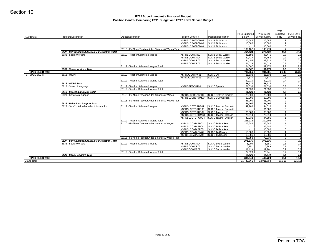|                         |                                                                               |                                                                            |                                       |                                                                  | FY11 Budgeted      | FY12 Level               | <b>FY11</b><br>Budgeted | FY12 Level     |
|-------------------------|-------------------------------------------------------------------------------|----------------------------------------------------------------------------|---------------------------------------|------------------------------------------------------------------|--------------------|--------------------------|-------------------------|----------------|
| Cost Center             | Program Description                                                           | <b>Object Description</b>                                                  | Position Control #<br>XSPDSLCBATAOM04 | Position Description<br><b>SLC B TA Ottoson</b>                  | Salary<br>15,586   | Service Salary<br>15,586 | <b>FTE</b><br>11        | Service FTE    |
|                         |                                                                               |                                                                            | XSPDSLCBATAOM06                       | SLC B TA Ottoson                                                 | 15,586             | 15,586                   | 1 <sup>1</sup>          |                |
|                         |                                                                               |                                                                            | XSPDSLCBATAOM09                       | SLC B TA Ottoson                                                 | $\sim$             | 15,586                   | 0                       |                |
|                         | 6827 - Self-Contained Academic Instruction Total                              | 81116 - Full/Time Teacher Aides Salaries & Wages Total                     |                                       |                                                                  | 109,102<br>408,084 | 140,274<br>574,692       | 71<br>13.4              | 17.4           |
|                         | 6833 - Social Workers                                                         | 81112 - Teacher Salaries & Wages                                           | XSPDSOCWKR03                          | <b>SLC B Social Worker</b><br><b>SLC B Social Worker</b>         | 46,193             | 48,476                   | 0.8                     | 0.8            |
|                         |                                                                               |                                                                            | XSPDSOCWKR04<br>XSPDSOCWKR05          | <b>SLC B Social Worker</b>                                       | 42,417<br>44,455   | 44,455<br>48,222         | 0.7<br>0.7              | 0.7<br>0.7     |
|                         |                                                                               |                                                                            | XSPDSOCWKR06                          | <b>SLC B Social Worker</b>                                       | 51,023             | 51,023                   | 0.7                     | 0.7            |
|                         | 6833 - Social Workers Total                                                   | 81112 - Teacher Salaries & Wages Total                                     |                                       |                                                                  | 184,087<br>184,087 | 192,176<br>192,176       | 2.9<br>2.9              | 2.9<br>2.9     |
| <b>SPED SLC B Total</b> |                                                                               |                                                                            |                                       |                                                                  | 735,656            | 911,681                  | 21.35                   | 25.35          |
| 87 SPED SLC C           | 6812 - OT/PT                                                                  | 81112 - Teacher Salaries & Wages                                           | XSPDOCCUTPY01<br>XSPDOCCUTPY03        | <b>SLC C OT</b><br><b>SLC C OT</b>                               | 21,533<br>7,677    | 21,533<br>7,677          | 0.3<br>0.1              | 0.3<br>0.1     |
|                         |                                                                               | 81112 - Teacher Salaries & Wages Total                                     |                                       |                                                                  | 29,210             | 29,210                   | 0.4                     | 0.4            |
|                         | 6812 - OT/PT Total                                                            |                                                                            |                                       |                                                                  | 29,210             | 29,210                   | 0.4                     | 0.4            |
|                         | 6818 - Speech/Language                                                        | 81112 - Teacher Salaries & Wages<br>81112 - Teacher Salaries & Wages Total | XSPDSPEECHT06                         | <b>SLC C Speech</b>                                              | 21,533<br>21,533   | 21,533<br>21,533         | 0.3<br>0.3              | 0.3<br>0.3     |
|                         | 6818 - Speech/Language Total                                                  |                                                                            |                                       |                                                                  | 21,533             | 21,533                   | 0.3                     | 0.3            |
|                         | 6821 - Behavioral Support                                                     | 81116 - Full/Time Teacher Aides Salaries & Wages                           | XSPDSLCCBSPBR01<br>XSPDSLCCBSPOM03    | SLC C BSP TA Brackett<br>SLC C BSP Ottoson                       | 23,000<br>23,000   | 23,000<br>23,000         | 1<br>1 <sup>1</sup>     |                |
|                         |                                                                               | 81116 - Full/Time Teacher Aides Salaries & Wages Total                     |                                       |                                                                  | 46,000             | 46,000                   | 2                       |                |
|                         | 6821 - Behavioral Support Total<br>6827 - Self-Contained Academic Instruction | 81112 - Teacher Salaries & Wages                                           | XSPDSLCCTCRBR01                       | <b>SLC C Teacher Brackett</b>                                    | 46,000<br>42,783   | 46,000<br>44,018         | 2 <br>1                 |                |
|                         |                                                                               |                                                                            | XSPDSLCCTCRBR05                       | <b>SLC C Teacher Brackett</b>                                    | $\sim$             | 61,000                   | 0                       |                |
|                         |                                                                               |                                                                            | XSPDSLCCTCRHS02<br>XSPDSLCCTCROM03    | <b>SLC C Teacher HS</b>                                          | 68,889             | 68,889                   | 1                       |                |
|                         |                                                                               |                                                                            |                                       | SLC C Teacher Ottoson<br>XSPDSLCCTCROM04   SLC C Teacher Ottoson | 73,314<br>43,332   | 73,314<br>44,885         | 1<br>1                  |                |
|                         |                                                                               | 81112 - Teacher Salaries & Wages Total                                     |                                       |                                                                  | 228,318            | 292,106                  | 4 <sup>1</sup>          |                |
|                         |                                                                               | 81116 - Full/Time Teacher Aides Salaries & Wages                           | XSPDSLCCATABR03<br>XSPDSLCCATABR04    | <b>SLC C TA Brackett</b><br><b>SLC C TA Brackett</b>             | 15,586<br>$\sim$   | 15,586<br>15,586         | 1<br> 0                 |                |
|                         |                                                                               |                                                                            | XSPDSLCCATABR05                       | <b>SLC C TA Brackett</b>                                         | $\sim$             | 15,586                   | 0                       |                |
|                         |                                                                               |                                                                            | XSPDSLCCATAOM01<br>XSPDSLCCATAOM02    | SLC C TA Ottoson<br>SLC C TA Ottoson                             | 15,586<br>15,586   | 15,586<br>15,586         | 1<br>1 <sup>1</sup>     |                |
|                         |                                                                               | 81116 - Full/Time Teacher Aides Salaries & Wages Total                     |                                       |                                                                  | 46,758             | 77,930                   | $\overline{3}$          |                |
|                         | 6827 - Self-Contained Academic Instruction Total<br>6833 - Social Workers     | 81112 - Teacher Salaries & Wages                                           | XSPDSOCWKR04                          | <b>SLC C Social Worker</b>                                       | 275,076<br>6,060   | 370,036<br>6,351         | 7<br>0.1                | 10<br>0.1      |
|                         |                                                                               |                                                                            | XSPDSOCWKR05                          | SLC C Social Worker                                              | 6,351              | 6,889                    | 0.1                     | 0.1            |
|                         |                                                                               |                                                                            | XSPDSOCWKR07                          | <b>SLC C Social Worker</b>                                       | 12,119             | 12,701                   | 0.2                     | 0.2            |
|                         | 6833 - Social Workers Total                                                   | 81112 - Teacher Salaries & Wages Total                                     |                                       |                                                                  | 24,529<br>24,529   | 25,941<br>25,941         | 0.4<br>0.4              | 0.4<br>0.4     |
| <b>SPED SLC C Total</b> |                                                                               |                                                                            |                                       |                                                                  | 396,349            | 492,720                  | 10.1<br>616.16          | 13.1<br>631.16 |
| <b>Grand Total</b>      |                                                                               |                                                                            |                                       |                                                                  | 31,442,861         | 32,911,763               |                         |                |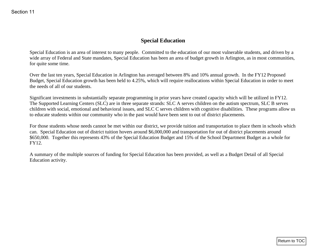# **Special Education**

Special Education is an area of interest to many people. Committed to the education of our most vulnerable students, and driven by a wide array of Federal and State mandates, Special Education has been an area of budget growth in Arlington, as in most communities, for quite some time.

Over the last ten years, Special Education in Arlington has averaged between 8% and 10% annual growth. In the FY12 Proposed Budget, Special Education growth has been held to 4.25%, which will require reallocations within Special Education in order to meet the needs of all of our students.

Significant investments in substantially separate programming in prior years have created capacity which will be utilized in FY12. The Supported Learning Centers (SLC) are in three separate strands: SLC A serves children on the autism spectrum, SLC B serves children with social, emotional and behavioral issues, and SLC C serves children with cognitive disabilities. These programs allow us to educate students within our community who in the past would have been sent to out of district placements.

For those students whose needs cannot be met within our district, we provide tuition and transportation to place them in schools which can. Special Education out of district tuition hovers around \$6,000,000 and transportation for out of district placements around \$650,000. Together this represents 43% of the Special Education Budget and 15% of the School Department Budget as a whole for FY12. Special Education<br>
Special Education<br>
Special Education<br>
Special Education<br>
Special Education<br>
State areas with each of Section matches, Special Education has been an area of bother provide a Arthological, as in most commu

A summary of the multiple sources of funding for Special Education has been provided, as well as a Budget Detail of all Special Education activity.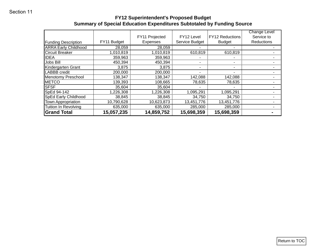# **FY12 Superintendent's Proposed Budget Summary of Special Education Expenditures Subtotaled by Funding Source**

| FY11 Budget<br>Expenses<br><b>Funding Description</b><br><b>ARRA Early Childhood</b><br>28,059<br>28,059<br>1,010,819<br>1,010,819<br>610,819<br>610,819<br>Circuit Breaker<br><b>IDEA</b><br>359,963<br>359,963<br>۰<br>Jobs Bill<br>450,394<br>450,394<br>$\blacksquare$<br>$\blacksquare$<br>Kindergarten Grant<br>3,875<br>3,875<br>$\blacksquare$<br>$\blacksquare$<br>LABBB credit<br>200,000<br>200,000<br>$\blacksquare$<br>$\blacksquare$<br>Menotomy Preschool<br>138,347<br>138,347<br>142,088<br>142,088<br><b>METCO</b><br>139,393<br>108,665<br>78,635<br>78,635<br><b>SFSF</b><br>35,604<br>35,604<br>SpEd 94-142<br>1,226,308<br>1,226,308<br>1,095,291<br>1,095,291<br>SpEd Early Childhood<br>38,845<br>38,845<br>34,750<br>34,750<br>10,790,628<br>10,623,873<br>13,451,776<br>13,451,776<br>Town Appropriation<br>Tuition In Revolving<br>635,000<br>635,000<br>285,000<br>285,000<br><b>Grand Total</b><br>15,057,235<br>14,859,752<br>15,698,359<br>15,698,359 |  |  | Service Budget | FY12 Reductions<br><b>Budget</b> | Service to<br>Reductions |
|--------------------------------------------------------------------------------------------------------------------------------------------------------------------------------------------------------------------------------------------------------------------------------------------------------------------------------------------------------------------------------------------------------------------------------------------------------------------------------------------------------------------------------------------------------------------------------------------------------------------------------------------------------------------------------------------------------------------------------------------------------------------------------------------------------------------------------------------------------------------------------------------------------------------------------------------------------------------------------------|--|--|----------------|----------------------------------|--------------------------|
|                                                                                                                                                                                                                                                                                                                                                                                                                                                                                                                                                                                                                                                                                                                                                                                                                                                                                                                                                                                      |  |  |                |                                  |                          |
|                                                                                                                                                                                                                                                                                                                                                                                                                                                                                                                                                                                                                                                                                                                                                                                                                                                                                                                                                                                      |  |  |                |                                  |                          |
|                                                                                                                                                                                                                                                                                                                                                                                                                                                                                                                                                                                                                                                                                                                                                                                                                                                                                                                                                                                      |  |  |                |                                  |                          |
|                                                                                                                                                                                                                                                                                                                                                                                                                                                                                                                                                                                                                                                                                                                                                                                                                                                                                                                                                                                      |  |  |                |                                  |                          |
|                                                                                                                                                                                                                                                                                                                                                                                                                                                                                                                                                                                                                                                                                                                                                                                                                                                                                                                                                                                      |  |  |                |                                  |                          |
|                                                                                                                                                                                                                                                                                                                                                                                                                                                                                                                                                                                                                                                                                                                                                                                                                                                                                                                                                                                      |  |  |                |                                  |                          |
|                                                                                                                                                                                                                                                                                                                                                                                                                                                                                                                                                                                                                                                                                                                                                                                                                                                                                                                                                                                      |  |  |                |                                  |                          |
| $\blacksquare$<br>$\blacksquare$<br>$\blacksquare$<br>$\blacksquare$                                                                                                                                                                                                                                                                                                                                                                                                                                                                                                                                                                                                                                                                                                                                                                                                                                                                                                                 |  |  |                |                                  |                          |
|                                                                                                                                                                                                                                                                                                                                                                                                                                                                                                                                                                                                                                                                                                                                                                                                                                                                                                                                                                                      |  |  |                |                                  |                          |
|                                                                                                                                                                                                                                                                                                                                                                                                                                                                                                                                                                                                                                                                                                                                                                                                                                                                                                                                                                                      |  |  |                |                                  |                          |
|                                                                                                                                                                                                                                                                                                                                                                                                                                                                                                                                                                                                                                                                                                                                                                                                                                                                                                                                                                                      |  |  |                |                                  |                          |
| $\blacksquare$<br>$\blacksquare$                                                                                                                                                                                                                                                                                                                                                                                                                                                                                                                                                                                                                                                                                                                                                                                                                                                                                                                                                     |  |  |                |                                  |                          |
|                                                                                                                                                                                                                                                                                                                                                                                                                                                                                                                                                                                                                                                                                                                                                                                                                                                                                                                                                                                      |  |  |                |                                  |                          |
|                                                                                                                                                                                                                                                                                                                                                                                                                                                                                                                                                                                                                                                                                                                                                                                                                                                                                                                                                                                      |  |  |                |                                  |                          |
|                                                                                                                                                                                                                                                                                                                                                                                                                                                                                                                                                                                                                                                                                                                                                                                                                                                                                                                                                                                      |  |  |                |                                  |                          |
|                                                                                                                                                                                                                                                                                                                                                                                                                                                                                                                                                                                                                                                                                                                                                                                                                                                                                                                                                                                      |  |  |                |                                  |                          |
|                                                                                                                                                                                                                                                                                                                                                                                                                                                                                                                                                                                                                                                                                                                                                                                                                                                                                                                                                                                      |  |  |                |                                  |                          |
|                                                                                                                                                                                                                                                                                                                                                                                                                                                                                                                                                                                                                                                                                                                                                                                                                                                                                                                                                                                      |  |  |                |                                  |                          |
|                                                                                                                                                                                                                                                                                                                                                                                                                                                                                                                                                                                                                                                                                                                                                                                                                                                                                                                                                                                      |  |  |                |                                  |                          |
|                                                                                                                                                                                                                                                                                                                                                                                                                                                                                                                                                                                                                                                                                                                                                                                                                                                                                                                                                                                      |  |  |                |                                  |                          |
|                                                                                                                                                                                                                                                                                                                                                                                                                                                                                                                                                                                                                                                                                                                                                                                                                                                                                                                                                                                      |  |  |                |                                  |                          |
|                                                                                                                                                                                                                                                                                                                                                                                                                                                                                                                                                                                                                                                                                                                                                                                                                                                                                                                                                                                      |  |  |                |                                  |                          |
|                                                                                                                                                                                                                                                                                                                                                                                                                                                                                                                                                                                                                                                                                                                                                                                                                                                                                                                                                                                      |  |  |                |                                  |                          |
|                                                                                                                                                                                                                                                                                                                                                                                                                                                                                                                                                                                                                                                                                                                                                                                                                                                                                                                                                                                      |  |  |                |                                  |                          |
|                                                                                                                                                                                                                                                                                                                                                                                                                                                                                                                                                                                                                                                                                                                                                                                                                                                                                                                                                                                      |  |  |                |                                  |                          |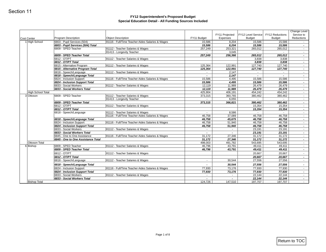| Cost Center                           | <b>Program Description</b>                                 | <b>Object Description</b>                                     | FY11 Budget                                                                                                                                                                                                                                                                                            | FY11 Projected<br>Expenses | <b>FY12 Level Service</b><br><b>Budget</b> | <b>FY12 Reductions</b><br><b>Budget</b> | Change Level<br>Service to<br>Reductions |
|---------------------------------------|------------------------------------------------------------|---------------------------------------------------------------|--------------------------------------------------------------------------------------------------------------------------------------------------------------------------------------------------------------------------------------------------------------------------------------------------------|----------------------------|--------------------------------------------|-----------------------------------------|------------------------------------------|
| 1 High School                         | 6803 - Pupil Services (504)                                | 81116 - Full/Time Teacher Aides Salaries & Wages              | 15,586                                                                                                                                                                                                                                                                                                 | 8,204                      | 15,586                                     | 15,586                                  | $\sim$                                   |
|                                       | 6803 - Pupil Services (504) Total                          |                                                               | 15,586                                                                                                                                                                                                                                                                                                 | 8,204                      | 15,586                                     | 15,586                                  | $\blacksquare$                           |
|                                       | 6809 - SPED Teacher                                        | 81112 - Teacher Salaries & Wages<br>81413 - Longevity Teacher | 257,249<br>$\sim$                                                                                                                                                                                                                                                                                      | 253,321<br>3,045           | 265,012<br>$\sim$                          | 265,012<br>$\sim$                       | $\sim$<br>$\sim$                         |
|                                       | 6809 - SPED Teacher Total                                  |                                                               | 257,249                                                                                                                                                                                                                                                                                                | 256,366                    | 265,012                                    | 265,012                                 | $\blacksquare$                           |
|                                       | 6812 - OT/PT                                               | 81112 - Teacher Salaries & Wages                              |                                                                                                                                                                                                                                                                                                        |                            | 3,838                                      | 3,838                                   |                                          |
|                                       | 6812 - OT/PT Total                                         |                                                               |                                                                                                                                                                                                                                                                                                        |                            | 3,838                                      | 3,838                                   | $\blacksquare$                           |
|                                       | 6815 - Alternative Program                                 | 81112 - Teacher Salaries & Wages                              | 125,364                                                                                                                                                                                                                                                                                                | 122,991                    | 127,740                                    | 127,740                                 | $\sim$                                   |
|                                       | 6815 - Alternative Program Total<br>6818 - Speech/Language | 81112 - Teacher Salaries & Wages                              | 125,364                                                                                                                                                                                                                                                                                                | 122,991<br>2,147           | 127,740                                    | 127,740                                 | $\blacksquare$                           |
|                                       | 6818 - Speech/Language Total                               |                                                               | $\blacksquare$                                                                                                                                                                                                                                                                                         | 2,147                      | $\sim$                                     | $\sim$                                  | $\sim$                                   |
|                                       | 6824 - Inclusion Support                                   | 81116 - Full/Time Teacher Aides Salaries & Wages              | 15,586                                                                                                                                                                                                                                                                                                 | 4,495                      | 15,586                                     | 15,586                                  | $\sim$                                   |
|                                       | 6824 - Inclusion Support Total                             |                                                               | 15,586                                                                                                                                                                                                                                                                                                 | 4,495                      | 15,586                                     | 15,586                                  | $\overline{\phantom{a}}$                 |
|                                       | 6833 - Social Workers                                      | 81112 - Teacher Salaries & Wages                              | 12,119                                                                                                                                                                                                                                                                                                 | 11,989                     | 26,479                                     | 26,479                                  | $\sim$                                   |
|                                       | 6833 - Social Workers Total                                |                                                               |                                                                                                                                                                                                                                                                                                        |                            | 26,479<br>454,242                          | 26,479                                  | $\sim$                                   |
| <b>High School Total</b><br>3 Ottoson | 6809 - SPED Teacher                                        |                                                               | 12,119<br>11,989<br>425,904<br>406,191<br>81112 - Teacher Salaries & Wages<br>373,315<br>360,765<br>6,055<br>373,315<br>366,821<br>81112 - Teacher Salaries & Wages<br>8,586<br>$\sim$<br>81116 - Full/Time Teacher Aides Salaries & Wages<br>46,758<br>37,089<br>46,758<br>45,675<br>51,940<br>46,758 | 380,462                    | 454,242<br>380,462                         | $\sim$<br>$\sim$                        |                                          |
|                                       |                                                            | 81413 - Longevity Teacher                                     |                                                                                                                                                                                                                                                                                                        |                            | $\sim$                                     |                                         | $\sim$                                   |
|                                       | 6809 - SPED Teacher Total                                  |                                                               |                                                                                                                                                                                                                                                                                                        |                            | 380,462                                    | 380,462                                 | $\overline{\phantom{a}}$                 |
|                                       | 6812 - OT/PT                                               | 81112 - Teacher Salaries & Wages                              |                                                                                                                                                                                                                                                                                                        |                            | 15,354                                     | 15,354                                  | $\sim$                                   |
|                                       | 6812 - OT/PT Total                                         |                                                               |                                                                                                                                                                                                                                                                                                        |                            | 15,354                                     | 15,354                                  |                                          |
|                                       | 6818 - Speech/Language                                     |                                                               |                                                                                                                                                                                                                                                                                                        |                            | $\sim$                                     | $\sim$                                  | $\sim$                                   |
|                                       | 6818 - Speech/Language Total                               |                                                               |                                                                                                                                                                                                                                                                                                        |                            | 46,758<br>46,758                           | 46,758<br>46,758                        | $\sim$                                   |
|                                       | 6824 - Inclusion Support                                   | 81116 - Full/Time Teacher Aides Salaries & Wages              |                                                                                                                                                                                                                                                                                                        |                            | 46,758                                     | 46,758                                  | $\overline{\phantom{a}}$<br>$\sim$       |
|                                       | 6824 - Inclusion Support Total                             |                                                               | 46,758                                                                                                                                                                                                                                                                                                 | 51,940                     | 46,758                                     | 46,758                                  | $\blacksquare$                           |
|                                       | 6833 - Social Workers                                      | 81112 - Teacher Salaries & Wages                              | $\sim$                                                                                                                                                                                                                                                                                                 |                            | 23,191                                     | 23,191                                  | $\sim$                                   |
|                                       | 6833 - Social Workers Total                                |                                                               |                                                                                                                                                                                                                                                                                                        |                            | 23,191                                     | 23,191                                  | $\blacksquare$                           |
|                                       | 6845 - One to One Assistance                               | 81116 - Full/Time Teacher Aides Salaries & Wages              | 31,172                                                                                                                                                                                                                                                                                                 | 27,346                     | 31,172                                     | 31,172                                  | $\sim$                                   |
| Ottoson Total                         | 6845 - One to One Assistance Total                         |                                                               | 31,172<br>498,003                                                                                                                                                                                                                                                                                      | 27,346<br>491,782          | 31,172<br>543,695                          | 31,172<br>543,695                       | $\blacksquare$<br>$\sim$                 |
| 6 Bishop                              | 6809 - SPED Teacher                                        | 81112 - Teacher Salaries & Wages                              | 46,796                                                                                                                                                                                                                                                                                                 | 43,791                     | 49,411                                     | 49,411                                  | $\sim$                                   |
|                                       | 6809 - SPED Teacher Total                                  |                                                               | 46,796                                                                                                                                                                                                                                                                                                 | 43,791                     | 49,411                                     | 49,411                                  | $\blacksquare$                           |
|                                       | 6812 - OT/PT                                               | 81112 - Teacher Salaries & Wages                              |                                                                                                                                                                                                                                                                                                        |                            | 20,667                                     | 20,667                                  | $\sim$                                   |
|                                       | 6812 - OT/PT Total                                         |                                                               |                                                                                                                                                                                                                                                                                                        |                            | 20,667                                     | 20,667                                  | $\sim$                                   |
|                                       | 6818 - Speech/Language                                     | 81112 - Teacher Salaries & Wages                              | $\sim$                                                                                                                                                                                                                                                                                                 | 30,544                     | 27,556                                     | 27,556                                  | $\bullet$                                |
|                                       | 6818 - Speech/Language Total                               |                                                               |                                                                                                                                                                                                                                                                                                        | 30,544                     | 27,556                                     | 27,556                                  |                                          |
|                                       | 6824 - Inclusion Support                                   | 81116 - Full/Time Teacher Aides Salaries & Wages              | 77,930                                                                                                                                                                                                                                                                                                 | 73,176                     | 77,930                                     | 77,930                                  | $\sim$                                   |
|                                       | 6824 - Inclusion Support Total                             |                                                               | 77,930                                                                                                                                                                                                                                                                                                 | 73,176                     | 77,930                                     | 77,930                                  | $\sim$                                   |
|                                       | 6833 - Social Workers<br>6833 - Social Workers Total       | 81112 - Teacher Salaries & Wages                              | $\sim$<br>$\blacksquare$                                                                                                                                                                                                                                                                               | $\sim$                     | 22,144<br>22,144                           | 22,144<br>22,144                        | $\sim$<br>$\overline{\phantom{a}}$       |
| <b>Bishop Total</b>                   |                                                            |                                                               | 124,726                                                                                                                                                                                                                                                                                                | 147,510                    | 197,707                                    | 197,707                                 | $\sim$                                   |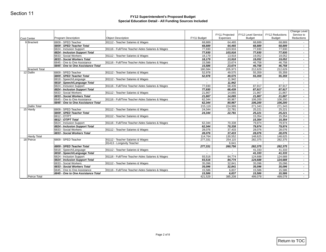| <b>Cost Center</b>    | <b>Program Description</b>                               | <b>Object Description</b>                        | FY11 Budget              | FY11 Projected<br>Expenses | FY12 Level Service<br><b>Budget</b> | FY12 Reductions<br><b>Budget</b>                                                                                                                                                                                                                                                                                                                                            | Change Level<br>Service to<br>Reductions |
|-----------------------|----------------------------------------------------------|--------------------------------------------------|--------------------------|----------------------------|-------------------------------------|-----------------------------------------------------------------------------------------------------------------------------------------------------------------------------------------------------------------------------------------------------------------------------------------------------------------------------------------------------------------------------|------------------------------------------|
| 9 Brackett            | 6809 - SPED Teacher                                      | 81112 - Teacher Salaries & Wages                 | 68,889                   | 64,465                     | 68,889                              |                                                                                                                                                                                                                                                                                                                                                                             |                                          |
|                       | 6809 - SPED Teacher Total                                |                                                  | 68,889                   | 64,465                     | 68,889                              | 68,889                                                                                                                                                                                                                                                                                                                                                                      | $\overline{\phantom{a}}$                 |
|                       | 6824 - Inclusion Support                                 | 81116 - Full/Time Teacher Aides Salaries & Wages | 77,930                   | 103,916                    | 77,930                              | 77,930                                                                                                                                                                                                                                                                                                                                                                      | $\sim$                                   |
|                       | 6824 - Inclusion Support Total                           |                                                  | 77,930                   | 103,916                    | 77,930                              |                                                                                                                                                                                                                                                                                                                                                                             | $\overline{\phantom{a}}$                 |
|                       | 6833 - Social Workers<br>6833 - Social Workers Total     | 81112 - Teacher Salaries & Wages                 | 18,179<br>18,179         | 13,918<br>13,918           | 19,052<br>19,052                    | 68,889<br>77,930<br>19,052<br>19,052<br>46,758<br>46,758<br>212,629<br>55,359<br>55,359<br>$\overline{\phantom{a}}$<br>87,917<br>87,917<br>21,867<br>21,867<br>106,200<br>106,200<br>271,343<br>25,221<br>25,221<br>15,354<br>15,354<br>79,974<br>79,974<br>28,076<br>28,076<br>148,625<br>282,375<br>282,375<br>41,333<br>41,333<br>124,688<br>124,688<br>35,096<br>35,096 | $\sim$                                   |
|                       | 6845 - One to One Assistance                             | 81116 - Full/Time Teacher Aides Salaries & Wages | 15,586                   | 23,674                     | 46,758                              |                                                                                                                                                                                                                                                                                                                                                                             | $\blacksquare$<br>$\sim$                 |
|                       | 6845 - One to One Assistance Total                       |                                                  | 15,586                   | 23,674                     | 46,758                              |                                                                                                                                                                                                                                                                                                                                                                             | $\sim$                                   |
| <b>Brackett Total</b> |                                                          |                                                  | 180,584                  | 205,973                    | 212,629                             |                                                                                                                                                                                                                                                                                                                                                                             | $\sim$                                   |
| 12 Dallin             | 6809 - SPED Teacher                                      | 81112 - Teacher Salaries & Wages                 | 52,978                   | 49,575                     | 55,359                              |                                                                                                                                                                                                                                                                                                                                                                             | $\sim$                                   |
|                       | 6809 - SPED Teacher Total                                |                                                  | 52,978                   | 49,575                     | 55,359                              |                                                                                                                                                                                                                                                                                                                                                                             | $\overline{\phantom{a}}$                 |
|                       | 6818 - Speech/Language                                   | 81112 - Teacher Salaries & Wages                 |                          | 11,942                     |                                     |                                                                                                                                                                                                                                                                                                                                                                             | $\sim$                                   |
|                       | 6818 - Speech/Language Total<br>6824 - Inclusion Support | 81116 - Full/Time Teacher Aides Salaries & Wages | $\blacksquare$<br>77,930 | 11,942<br>68,439           | 87,917                              |                                                                                                                                                                                                                                                                                                                                                                             | $\overline{\phantom{a}}$<br>$\sim$       |
|                       | 6824 - Inclusion Support Total                           |                                                  | 77,930                   | 68,439                     | 87,917                              |                                                                                                                                                                                                                                                                                                                                                                             | $\blacksquare$                           |
|                       | 6833 - Social Workers                                    | 81112 - Teacher Salaries & Wages                 | 21,867                   | 14,065                     | 21,867                              |                                                                                                                                                                                                                                                                                                                                                                             | $\sim$                                   |
|                       | 6833 - Social Workers Total                              |                                                  | 21,867                   | 14,065                     | 21,867                              |                                                                                                                                                                                                                                                                                                                                                                             | $\blacksquare$                           |
|                       | 6845 - One to One Assistance                             | 81116 - Full/Time Teacher Aides Salaries & Wages | 62,344                   | 80,967                     | 106,200                             |                                                                                                                                                                                                                                                                                                                                                                             | $\sim$                                   |
|                       | 6845 - One to One Assistance Total                       |                                                  | 62,344                   | 80,967                     | 106,200                             |                                                                                                                                                                                                                                                                                                                                                                             | $\overline{\phantom{a}}$                 |
| Dallin Total          |                                                          |                                                  | 215,119                  | 224,989                    | 271,343                             |                                                                                                                                                                                                                                                                                                                                                                             | $\blacksquare$                           |
| 15 Hardy              | 6809 - SPED Teacher<br>6809 - SPED Teacher Total         | 81112 - Teacher Salaries & Wages                 | 24,344<br>24,344         | 22,781<br>22,781           | 25,221                              |                                                                                                                                                                                                                                                                                                                                                                             | $\sim$<br>$\overline{\phantom{a}}$       |
|                       | 6812 - OT/PT                                             | 81112 - Teacher Salaries & Wages                 |                          |                            | 15,354                              |                                                                                                                                                                                                                                                                                                                                                                             |                                          |
|                       | 6812 - OT/PT Total                                       |                                                  |                          |                            | 15,354                              |                                                                                                                                                                                                                                                                                                                                                                             | $\overline{\phantom{a}}$                 |
|                       | 6824 - Inclusion Support                                 | 81116 - Full/Time Teacher Aides Salaries & Wages | 62,344                   | 70,338                     | 79,974                              |                                                                                                                                                                                                                                                                                                                                                                             | $\sim$                                   |
|                       | 6824 - Inclusion Support Total                           |                                                  | 62,344                   | 70,338                     | 79,974                              |                                                                                                                                                                                                                                                                                                                                                                             | $\overline{\phantom{a}}$                 |
|                       | 6833 - Social Workers                                    | 81112 - Teacher Salaries & Wages                 | 28,076                   | 37,433                     | 28,076                              |                                                                                                                                                                                                                                                                                                                                                                             | $\sim$                                   |
| <b>Hardy Total</b>    | 6833 - Social Workers Total                              |                                                  | 28,076<br>114,764        | 37,433<br>130,552          | 28,076                              |                                                                                                                                                                                                                                                                                                                                                                             | $\blacksquare$<br>$\sim$                 |
| 18 Peirce             | 6809 - SPED Teacher                                      | 81112 - Teacher Salaries & Wages                 | 277,331                  | 254,115                    | 282,375                             |                                                                                                                                                                                                                                                                                                                                                                             | $\sim$                                   |
|                       |                                                          | 81413 - Longevity Teacher                        |                          | 6,641                      |                                     |                                                                                                                                                                                                                                                                                                                                                                             | $\sim$                                   |
|                       | 6809 - SPED Teacher Total                                |                                                  | 277,331                  | 260,756                    | 282,375                             |                                                                                                                                                                                                                                                                                                                                                                             | $\sim$                                   |
|                       | 6818 - Speech/Language                                   | 81112 - Teacher Salaries & Wages                 | $\sim$                   | $\sim$                     | 41,333                              |                                                                                                                                                                                                                                                                                                                                                                             | $\sim$                                   |
|                       | 6818 - Speech/Language Total                             |                                                  | $\overline{\phantom{a}}$ | $\overline{a}$             | 41,333                              |                                                                                                                                                                                                                                                                                                                                                                             | $\overline{\phantom{a}}$                 |
|                       | 6824 - Inclusion Support                                 | 81116 - Full/Time Teacher Aides Salaries & Wages | 93,516                   | 84,774                     | 124,688                             |                                                                                                                                                                                                                                                                                                                                                                             | $\sim$                                   |
|                       | 6824 - Inclusion Support Total<br>6833 - Social Workers  | 81112 - Teacher Salaries & Wages                 | 93,516<br>35,096         | 84,774<br>32,841           | 124,688<br>35,096                   |                                                                                                                                                                                                                                                                                                                                                                             | $\blacksquare$<br>$\sim$                 |
|                       | 6833 - Social Workers Total                              |                                                  | 35,096                   | 32,841                     | 35,096                              |                                                                                                                                                                                                                                                                                                                                                                             | $\overline{\phantom{a}}$                 |
|                       | 6845 - One to One Assistance                             | 81116 - Full/Time Teacher Aides Salaries & Wages | 15,586                   | 6,837                      | 15,586                              | 15,586                                                                                                                                                                                                                                                                                                                                                                      | $\sim$                                   |
|                       | 6845 - One to One Assistance Total                       |                                                  | 15,586                   | 6,837                      | 15,586                              | $\overline{\phantom{a}}$<br>25,221<br>148,625<br>15,586                                                                                                                                                                                                                                                                                                                     | $\sim$                                   |
| Peirce Total          |                                                          |                                                  | 421,529                  | 385,208                    | 499,078                             | 499,078                                                                                                                                                                                                                                                                                                                                                                     |                                          |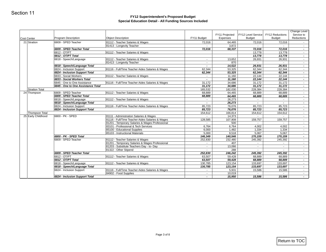| Cost Center           | <b>Program Description</b>                                 | <b>Object Description</b>                                     | FY11 Budget              | FY11 Projected<br>Expenses | FY12 Level Service<br><b>Budget</b> | FY12 Reductions<br><b>Budget</b>                          | Change Level<br>Service to<br>Reductions |
|-----------------------|------------------------------------------------------------|---------------------------------------------------------------|--------------------------|----------------------------|-------------------------------------|-----------------------------------------------------------|------------------------------------------|
| 21 Stratton           | 6809 - SPED Teacher                                        | 81112 - Teacher Salaries & Wages                              | 72,016                   | 64,465                     | 72,016                              | 72,016                                                    | $\sim$                                   |
|                       |                                                            | 81413 - Longevity Teacher                                     |                          | 3,872                      |                                     |                                                           | $\sim$                                   |
|                       | 6809 - SPED Teacher Total                                  |                                                               | 72,016                   | 68,337                     | 72,016                              | 72,016                                                    | $\overline{\phantom{a}}$                 |
|                       | 6812 - OT/PT                                               | 81112 - Teacher Salaries & Wages                              |                          |                            | 13,778                              | 13,778                                                    | $\sim$                                   |
|                       | 6812 - OT/PT Total                                         |                                                               |                          |                            | 13,778                              | 13,778                                                    | $\sim$                                   |
|                       | 6818 - Speech/Language                                     | 81112 - Teacher Salaries & Wages<br>81413 - Longevity Teacher | $\sim$<br>$\sim$         | 13,652<br>870              | 26,931<br>$\sim$                    | 26,931<br>$\sim$                                          | $\sim$<br>$\sim$                         |
|                       | 6818 - Speech/Language Total                               |                                                               | $\overline{\phantom{a}}$ | 14,522                     | 26.931                              | 26,931                                                    | $\blacksquare$                           |
|                       | 6824 - Inclusion Support                                   | 81116 - Full/Time Teacher Aides Salaries & Wages              | 62,344                   | 53,325                     | 62,344                              | 62,344                                                    | $\sim$                                   |
|                       | 6824 - Inclusion Support Total                             |                                                               | 62,344                   | 53,325                     | 62,344                              | 62,344                                                    | $\blacksquare$                           |
|                       | 6833 - Social Workers                                      | 81112 - Teacher Salaries & Wages                              | $\sim$                   | 11,160                     | 22,144                              | 22,144                                                    | $\sim$                                   |
|                       | 6833 - Social Workers Total                                |                                                               | $\sim$                   | 11,160                     | 22,144                              | 22,144                                                    | $\blacksquare$                           |
|                       | 6845 - One to One Assistance                               | 81116 - Full/Time Teacher Aides Salaries & Wages              | 31,172                   | 34,686                     | 31,172                              | 31,172                                                    | $\sim$                                   |
|                       | 6845 - One to One Assistance Total                         |                                                               | 31,172                   | 34,686                     | 31,172                              | 31,172                                                    | $\overline{\phantom{a}}$                 |
| <b>Stratton Total</b> |                                                            |                                                               | 165,532                  | 182,030                    | 228,384                             | 228,384                                                   | $\sim$                                   |
| 24 Thompson           | 6809 - SPED Teacher                                        | 81112 - Teacher Salaries & Wages                              | 68,889                   | 64,465                     | 68,889                              | 68,889                                                    | $\sim$                                   |
|                       | 6809 - SPED Teacher Total                                  |                                                               | 68,889                   | 64,465                     | 68,889                              | 68,889                                                    | $\overline{\phantom{a}}$                 |
|                       | 6818 - Speech/Language                                     | 81112 - Teacher Salaries & Wages                              | $\sim$                   | 26,273                     | $\sim$                              | $\sim$                                                    | $\sim$                                   |
|                       | 6818 - Speech/Language Total                               |                                                               | $\blacksquare$           | 26,273                     |                                     |                                                           | $\overline{\phantom{a}}$                 |
|                       | 6824 - Inclusion Support<br>6824 - Inclusion Support Total | 81116 - Full/Time Teacher Aides Salaries & Wages              | 85,723<br>85,723         | 76,076<br>76,076           | 85,723<br>85,723                    | $\sim$<br>$\sim$<br>85,723<br>85,723<br>154,612<br>$\sim$ | $\sim$<br>$\sim$                         |
| Thompson Total        |                                                            |                                                               | 154,612                  | 166,814                    | 154,612                             |                                                           | $\sim$                                   |
| 25 Early Childhood    | 6800 - PK - SPED                                           | 81111 - Administration Salaries & Wages                       | $\sim$                   | 14,373                     | $\sim$                              |                                                           | $\sim$                                   |
|                       |                                                            | 81116 - Full/Time Teacher Aides Salaries & Wages              | 128,585                  | 107,908                    | 159,757                             | 159,757                                                   | $\sim$                                   |
|                       |                                                            | 81201 - Temporary Salaries & Wages Professional               |                          | 500                        |                                     | $\sim$                                                    | $\sim$                                   |
|                       |                                                            | 83101 - Professional & Tech Services                          | 6,764                    | 6,764                      | 4,002                               | 4,002                                                     | $\sim$                                   |
|                       |                                                            | 85100 - Educational Supplies                                  | 6,000                    | 1,482                      | 1,334                               | 1,334                                                     | $\sim$                                   |
|                       |                                                            | 85103 - Instructional Materials                               | 5,000                    | 9,518                      | 5,067                               | 5,067                                                     | $\sim$                                   |
|                       | 6800 - PK - SPED Total                                     |                                                               | 146,349                  | 140,546                    | 170,159                             | 170,159                                                   | $\blacksquare$                           |
|                       | 6809 - SPED Teacher                                        | 81112 - Teacher Salaries & Wages                              | 252,830                  | 232,480                    | 245,392                             | 245,392                                                   | $\sim$                                   |
|                       |                                                            | 81201 - Temporary Salaries & Wages Professional               |                          | 407                        | $\sim$                              |                                                           | $\sim$                                   |
|                       |                                                            | 81203 - Substitute Teachers Day - to- Day                     | $\sim$                   | 13,066                     | $\sim$                              | $\sim$                                                    | $\sim$                                   |
|                       |                                                            | 81322 - Other Stipend                                         | $\sim$                   | 288                        | $\sim$                              | $\sim$                                                    | $\sim$                                   |
|                       | 6809 - SPED Teacher Total<br>6812 - OT/PT                  | 81112 - Teacher Salaries & Wages                              | 252,830<br>63,507        | 246,242<br>59,428          | 245,392<br>68,889                   | 245,392<br>68,889                                         | $\overline{\phantom{a}}$<br>$\sim$       |
|                       | 6812 - OT/PT Total                                         |                                                               | 63,507                   | 59,428                     | 68,889                              | 68,889                                                    | $\sim$                                   |
|                       | 6818 - Speech/Language                                     | 81112 - Teacher Salaries & Wages                              | 130,785                  | 123,154                    | 133,697                             | 133,697                                                   | $\sim$                                   |
|                       | 6818 - Speech/Language Total                               |                                                               | 130,785                  | 123, 154                   | 133,697                             | 133,697                                                   | $\sim$                                   |
|                       | 6824 - Inclusion Support                                   | 81116 - Full/Time Teacher Aides Salaries & Wages              | $\sim$                   | 5,931                      | 15,586                              | 15,586                                                    | $\bullet$                                |
|                       |                                                            | 84902 - Food Supplies                                         | $\sim$                   | 10,019                     | $\sim$                              | $\sim$                                                    | $\sim$                                   |
|                       | 6824 - Inclusion Support Total                             |                                                               | $\overline{\phantom{a}}$ | 15,950                     | 15,586                              | 15,586                                                    | $\blacksquare$                           |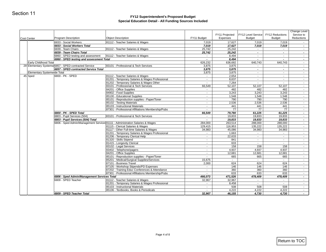| <b>Cost Center</b> |                                    | <b>Program Description</b>                           | <b>Object Description</b>                                                                   | FY11 Budget                         | FY11 Projected<br>Expenses | FY12 Level Service<br><b>Budget</b> | FY12 Reductions<br><b>Budget</b> | Change Level<br>Service to<br>Reductions |
|--------------------|------------------------------------|------------------------------------------------------|---------------------------------------------------------------------------------------------|-------------------------------------|----------------------------|-------------------------------------|----------------------------------|------------------------------------------|
|                    |                                    | 6833 - Social Workers                                | 81112 - Teacher Salaries & Wages                                                            | 7,019                               | 17,627                     | 7,019                               | 7,019                            |                                          |
|                    |                                    | 6833 - Social Workers Total                          |                                                                                             | 7,019                               | 17,627                     | 7,019                               | 7,019                            | $\sim$                                   |
|                    |                                    | 6839 - Team Chairs                                   | 81112 - Teacher Salaries & Wages                                                            | 25,742                              | 25,242                     | $\sim$                              | $\sim$                           | $\sim$                                   |
|                    |                                    | 6839 - Team Chairs Total                             |                                                                                             | 25,742                              | 25,242                     | $\sim$                              | $\blacksquare$                   | $\sim$                                   |
|                    |                                    | 6860 - SPED testing and assessment                   | 81112 - Teacher Salaries & Wages                                                            | $\sim$                              | 8,494                      | $\sim$                              | $\blacksquare$                   | $\sim$                                   |
|                    |                                    | 6860 - SPED testing and assessment Total             |                                                                                             | $\blacksquare$                      | 8,494                      | $\overline{\phantom{a}}$            | $\overline{\phantom{a}}$         | $\sim$                                   |
|                    | Early Childhood Total              |                                                      |                                                                                             | 626,232                             | 636,682                    | 640,743                             | 640,743                          | $\sim$                                   |
|                    |                                    | 29 Elementary Systemw 6857 - SPED contracted Service | 83101 - Professional & Tech Services                                                        | 3,875                               | 3,875                      | $\sim$                              | $\sim$                           | $\sim$                                   |
|                    |                                    | 6857 - SPED contracted Service Total                 |                                                                                             | 3,875                               | 3,875                      | $\overline{\phantom{0}}$            | $\overline{\phantom{0}}$         | $\sim$                                   |
|                    | <b>Elementary Systemwide Total</b> |                                                      |                                                                                             | 3,875                               | 3,875                      | $\sim$                              | $\sim$                           | $\sim$                                   |
|                    | 45 Sped                            | 6800 - PK - SPED                                     | 81112 - Teacher Salaries & Wages                                                            | $\sim$<br>$\mathbb{Z}^{\mathbb{Z}}$ | 2,654                      | $\sim$<br>$\sim$                    | $\sim$                           | $\sim$                                   |
|                    |                                    |                                                      | 81201 - Temporary Salaries & Wages Professional<br>81202 - Temporary Salaries & Wages Other | $\sim$                              | 8,637<br>7,264             | $\sim$                              | $\sim$<br>$\sim$                 | $\sim$<br>$\sim$                         |
|                    |                                    |                                                      | 83101 - Professional & Tech Services                                                        | 66,549                              | 52,107                     | 52,107                              | 52,107                           |                                          |
|                    |                                    |                                                      | 84201 - Office Supplies                                                                     | $\sim$                              | 482                        | 482                                 | 482                              | $\sim$<br>$\sim$                         |
|                    |                                    |                                                      | 84902 - Food Supplies                                                                       | $\mathcal{L}_{\mathcal{A}}$         | 3,243                      | 3,243                               | 3,243                            | $\mathcal{L}$                            |
|                    |                                    |                                                      | 85100 - Educational Supplies                                                                | $\blacksquare$                      | 1,548                      | 1,548                               | 1,548                            | $\sim$                                   |
|                    |                                    |                                                      | 85101 - Reproduction supplies - Paper/Toner                                                 | $\sim$                              | 790                        | 790                                 | 790                              | $\sim$                                   |
|                    |                                    |                                                      | 85102 - Testing Materials                                                                   | $\mathcal{L}_{\mathcal{A}}$         | 2,536                      | 2,536                               | 2,536                            | $\sim$                                   |
|                    |                                    |                                                      | 85103 - Instructional Materials                                                             | $\blacksquare$                      | 441                        | 441                                 | 441                              | $\sim$                                   |
|                    |                                    |                                                      | 87301 - Professional Affiliations Membership/Pubs                                           | $\sim$                              | 77                         | 77                                  | 77                               | $\sim$                                   |
|                    |                                    | 6800 - PK - SPED Total                               |                                                                                             | 66,549                              | 79,780                     | 61,225                              | 61,225                           | $\sim$                                   |
|                    |                                    | 6803 - Pupil Services (504)                          | 83101 - Professional & Tech Services                                                        |                                     | 19,833                     | 19,833                              | 19,833                           | $\mathcal{L}_{\mathcal{A}}$              |
|                    |                                    | 6803 - Pupil Services (504) Total                    |                                                                                             | $\overline{\phantom{0}}$            | 19,833                     | 19,833                              | 19,833                           | $\sim$                                   |
|                    |                                    |                                                      | 6806 - Sped Admin/Management Services 81111 - Administration Salaries & Wages               | 284,000                             | 263,514                    | 288,000                             | 288,000                          | $\sim$                                   |
|                    |                                    |                                                      | 81115 - Clerical Salaries & Wages                                                           | 129,415                             | 116,953                    | 135,222                             | 135,222                          | $\sim$                                   |
|                    |                                    |                                                      | 81117 - Other Full-time Salaries & Wages                                                    | 34,983                              | 45,086                     | 34,983                              | 34,983                           | $\sim$                                   |
|                    |                                    |                                                      | 81201 - Temporary Salaries & Wages Professional                                             | $\sim$                              | 1,663                      | $\sim$                              | $\sim$                           | $\sim$                                   |
|                    |                                    |                                                      | 81206 - Temporary Clerical Help                                                             | $\sim$                              | 22,633                     | $\sim$                              | $\sim$                           | $\sim$                                   |
|                    |                                    |                                                      | 81320 - Skills Stipend                                                                      | $\blacksquare$                      | 841                        | $\sim$                              | $\sim$                           | $\sim$                                   |
|                    |                                    |                                                      | 81415 - Longevity Clerical                                                                  | $\sim$                              | 633                        | $\sim$                              | $\sim$                           | $\sim$<br>$\sim$                         |
|                    |                                    |                                                      | 83102 - Legal Services                                                                      | $\sim$<br>$\sim$                    | 158                        | 158                                 | 158                              |                                          |
|                    |                                    |                                                      | 83402 - Telephone/pagers<br>84201 - Office Supplies                                         | $\blacksquare$                      | 4,937<br>12,681            | 4,937<br>12,681                     | 4,937<br>12,681                  | $\sim$<br>$\sim$                         |
|                    |                                    |                                                      | 85101 - Reproduction supplies - Paper/Toner                                                 | $\sim$                              | 665                        | 665                                 | 665                              | $\sim$                                   |
|                    |                                    |                                                      | 85201 - Medical/Surgical Supplies/Services                                                  | 15,675                              | $\sim$                     | $\sim$                              | $\sim$                           | $\sim$                                   |
|                    |                                    |                                                      | 87101 - Business Travel                                                                     | 2,000                               | 624                        | 624                                 | 624                              | $\omega$                                 |
|                    |                                    |                                                      | 87105 - Workshop Stipends/PD Expenses                                                       | $\sim$                              | 146                        | 146                                 | 146                              | $\sim$                                   |
|                    |                                    |                                                      | 87202 - Training Educ Conferences & Attendance                                              | $\sim$                              | 360                        | 360                                 | 360                              | $\sim$                                   |
|                    |                                    |                                                      | 87301 - Professional Affiliations Membership/Pubs                                           | $\sim$                              | 633                        | 633                                 | 633                              | $\sim$                                   |
|                    |                                    | 6806 - Sped Admin/Management Services Total          |                                                                                             | 466,073                             | 471,526                    | 478,409                             | 478,409                          | $\blacksquare$                           |
|                    |                                    | 6809 - SPED Teacher                                  | 81112 - Teacher Salaries & Wages                                                            | 32,967                              | 32,967                     | $\sim$                              | $\sim$                           | $\sim$                                   |
|                    |                                    |                                                      | 81201 - Temporary Salaries & Wages Professional                                             | $\sim$                              | 8,458                      | $\sim$                              | $\sim$                           | $\sim$                                   |
|                    |                                    |                                                      | 85103 - Instructional Materials                                                             | $\blacksquare$                      | 508                        | 508                                 | 508                              | $\sim$                                   |
|                    |                                    |                                                      | 85106 - Textbooks, Books & Periodicals                                                      | $\sim$                              | 4,222                      | 4,222                               | 4,222                            | $\sim$                                   |
|                    |                                    | 6809 - SPED Teacher Total                            |                                                                                             | 32,967                              | 46,155                     | 4,730                               | 4,730                            | $\sim$                                   |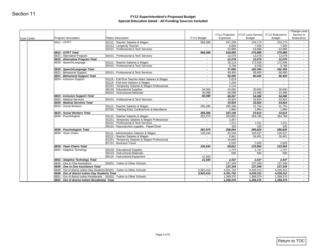| <b>Cost Center</b> | <b>Program Description</b>                                                                                                        | <b>Object Description</b>                                                   | FY11 Budget              | FY11 Projected<br>Expenses | <b>FY12 Level Service</b><br><b>Budget</b> | FY12 Reductions<br><b>Budget</b> | Change Level<br>Service to<br><b>Reductions</b> |
|--------------------|-----------------------------------------------------------------------------------------------------------------------------------|-----------------------------------------------------------------------------|--------------------------|----------------------------|--------------------------------------------|----------------------------------|-------------------------------------------------|
|                    | 6812 - OT/PT                                                                                                                      | 81112 - Teacher Salaries & Wages                                            | 566,386                  | 547,258                    | 204,173                                    | 204,173                          |                                                 |
|                    |                                                                                                                                   | 81413 - Longevity Teacher                                                   | $\sim$                   | 8,809                      | 7,928                                      | 7,928                            | $\sim$                                          |
|                    |                                                                                                                                   | 83101 - Professional & Tech Services                                        | $\sim$                   | 63,888                     | 63,888                                     | 63,888                           | $\sim$                                          |
|                    | 6812 - OT/PT Total                                                                                                                |                                                                             | 566,386                  | 619,955                    | 275,989                                    | 275,989                          | $\blacksquare$                                  |
|                    | 6815 - Alternative Program<br>6815 - Alternative Program Total                                                                    | 83101 - Professional & Tech Services                                        | $\sim$<br>$\blacksquare$ | 12,078                     | 12,078<br>12,078                           | 12,078                           | $\sim$<br>$\overline{\phantom{a}}$              |
|                    | 6818 - Speech/Language                                                                                                            | 81112 - Teacher Salaries & Wages                                            | $\sim$                   | 12,078<br>28,122           | 172,538                                    | 12,078<br>172,538                | $\blacksquare$                                  |
|                    |                                                                                                                                   | 83101 - Professional & Tech Services                                        | $\mathbb{Z}^{\times}$    | 9,768                      | 9,768                                      | 9,768                            | $\mathcal{L}_{\mathcal{A}}$                     |
|                    | 6818 - Speech/Language Total                                                                                                      |                                                                             | $\overline{\phantom{a}}$ | 37,890                     | 182,306                                    | 182,306                          | $\overline{\phantom{a}}$                        |
|                    | 6821 - Behavioral Support                                                                                                         | 83101 - Professional & Tech Services                                        | $\sim$                   | 90,400                     | 90,400                                     | 90,400                           | $\sim$                                          |
|                    | 6821 - Behavioral Support Total                                                                                                   |                                                                             | $\overline{\phantom{a}}$ | 90,400                     | 90,400                                     | 90,400                           | $\overline{\phantom{a}}$                        |
|                    | 6824 - Inclusion Support                                                                                                          | 81116 - Full/Time Teacher Aides Salaries & Wages                            | $\sim$                   | 2,619                      | $\sim$                                     | $\sim$                           | $\blacksquare$                                  |
|                    |                                                                                                                                   | 81118 - Part-time Salaries & Wages                                          | $\sim$                   | 1,206                      | $\sim$                                     | $\sim$                           | $\sim$                                          |
|                    |                                                                                                                                   | 81201 - Temporary Salaries & Wages Professional                             | $\sim$                   | 4,144                      |                                            |                                  | $\sim$                                          |
|                    |                                                                                                                                   | 85100 - Educational Supplies                                                | 34,000                   | 34,000                     | 30,600                                     | 30,600                           | $\mathbb{Z}^+$                                  |
|                    | 6824 - Inclusion Support Total                                                                                                    | 85103 - Instructional Materials                                             | 26,098                   | 26,098                     | 23,488                                     | 23,488                           | $\sim$<br>$\blacksquare$                        |
|                    | 6830 - Medical Services                                                                                                           | 83101 - Professional & Tech Services                                        | 60,098<br>$\sim$         | 68,067<br>33,924           | 54,088<br>33,924                           | 54,088<br>33,924                 | $\sim$                                          |
|                    | 6830 - Medical Services Total                                                                                                     |                                                                             | $\overline{\phantom{a}}$ | 33,924                     | 33,924                                     | 33,924                           | $\overline{\phantom{a}}$                        |
|                    | 6833 - Social Workers                                                                                                             | 81112 - Teacher Salaries & Wages                                            | 285,286                  | 285,286                    | 31,754                                     | 31,754                           | $\sim$                                          |
|                    |                                                                                                                                   | 87202 - Training Educ Conferences & Attendance                              |                          | 1,860                      | 1,860                                      | 1,860                            | $\sim$                                          |
|                    | 6833 - Social Workers Total                                                                                                       |                                                                             | 285,286                  | 287,146                    | 33,614                                     | 33,614                           | $\blacksquare$                                  |
|                    | 6836 - Psychologists                                                                                                              | 81112 - Teacher Salaries & Wages                                            | 281,970                  | 263,860                    | 284,788                                    | 284,788                          | $\blacksquare$                                  |
|                    |                                                                                                                                   | 81201 - Temporary Salaries & Wages Professional                             | $\sim$                   | 2,367                      | $\sim$                                     | $\sim$                           | $\sim$                                          |
|                    |                                                                                                                                   | 83101 - Professional & Tech Services                                        | $\sim$                   | 1,511                      | 1,511                                      | 1,511                            | $\blacksquare$                                  |
|                    |                                                                                                                                   | 85101 - Reproduction supplies - Paper/Toner                                 | $\sim$                   | 326                        | 326                                        | 326                              | $\sim$                                          |
|                    | 6836 - Psychologists Total                                                                                                        |                                                                             | 281,970                  | 268,064                    | 286,625                                    | 286,625                          | $\blacksquare$                                  |
|                    | 6839 - Team Chairs                                                                                                                | 81111 - Administration Salaries & Wages<br>81112 - Teacher Salaries & Wages | 100,244<br>$\sim$        | 33,549<br>8,942            | 104,537<br>26,401                          | 104,537<br>26,401                | $\sim$<br>$\blacksquare$                        |
|                    |                                                                                                                                   | 81201 - Temporary Salaries & Wages Professional                             | $\sim$                   | 24,695                     | $\sim$                                     | $\sim$                           | $\sim$                                          |
|                    |                                                                                                                                   | 87101 - Business Travel                                                     | $\sim$                   | 2,626                      | 2,626                                      | 2,626                            | $\sim$                                          |
|                    | 6839 - Team Chairs Total                                                                                                          |                                                                             | 100,244                  | 69,812                     | 133,564                                    | 133,564                          | $\overline{\phantom{a}}$                        |
|                    | 6842 - Adaptive Techology                                                                                                         | 85100 - Educational Supplies                                                | $\sim$                   | 1,747                      | 1,747                                      | 1,747                            | $\mathbb{Z}^{\mathbb{Z}}$                       |
|                    |                                                                                                                                   | 85103 - Instructional Materials                                             | $\sim$                   | 690                        | 690                                        | 690                              | $\sim$                                          |
|                    |                                                                                                                                   | 85110 - Instructional Equipment                                             | 21,500                   | $\sim$                     | $\sim$                                     | $\sim$                           | $\sim$                                          |
|                    | 6842 - Adaptive Techology Total                                                                                                   |                                                                             | 21,500                   | 2,437                      | 2,437                                      | 2,437                            | $\overline{\phantom{a}}$                        |
|                    | 6845 - One to One Assistance                                                                                                      | 83201 - Tuition to Other Schools                                            | $\sim$                   | 137,349                    | 137,349                                    | 137,349                          | $\sim$                                          |
|                    | 6845 - One to One Assistance Total                                                                                                |                                                                             | $\sim$                   | 137,349                    | 137,349                                    | 137,349                          | $\blacksquare$                                  |
|                    | 6848 - Out of district tuition Day Students 83201 - Tuition to Other Schools<br>6848 - Out of district tuition Day Students Total |                                                                             | 5,922,410<br>5,922,410   | 4,351,752<br>4,351,752     | 4,226,312<br>4,226,312                     | 4,226,312<br>4,226,312           | $\sim$<br>$\blacksquare$                        |
|                    | 6851 - Out of district tuition Residential 83201 - Tuition to Other Schools                                                       |                                                                             | $\sim$                   | 1,399,375                  | 1,399,375                                  | 1,399,375                        | $\sim$                                          |
|                    | 6851 - Out of district tuition Residential Total                                                                                  |                                                                             | $\overline{\phantom{a}}$ | 1,399,375                  | 1,399,375                                  | 1,399,375                        | $\overline{\phantom{a}}$                        |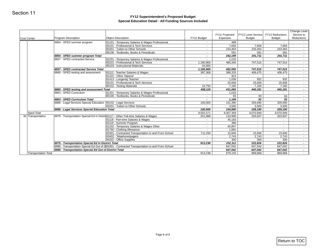#### **FY12 Superintendent's Proposed Budget Special Education Detail - All Funding Sources Included**

| 6854 - SPED summer program<br>6854 - SPED summer program Total<br>6857 - SPED contracted Service<br>6857 - SPED contracted Service Total<br>6860 - SPED testing and assessment | 81201 - Temporary Salaries & Wages Professional<br>83101 - Professional & Tech Services<br>83201 - Tuition to Other Schools<br>85106 - Textbooks, Books & Periodicals<br>81201 - Temporary Salaries & Wages Professional<br>83101 - Professional & Tech Services<br>85103 - Instructional Materials<br>81112 - Teacher Salaries & Wages<br>81322 - Other Stipend<br>81413 - Longevity Teacher | $\sim$<br>$\sim$<br>$\mathbb{Z}^{\mathbb{Z}}$<br>$\sim$<br>$\blacksquare$<br>÷.<br>1,180,969<br>10,000<br>1,190,969<br>397,369                                                                                                                                                                                                                                                                                                                                                                                                                                                                                                                                                                 | 488<br>7,656<br>233,464<br>591<br>242,199<br>2,210<br>480,340<br>$\sim$<br>482,550                                      | $\sim$<br>7,656<br>233,464<br>591<br>241,711<br>747,515                                        | $\sim$<br>7,656<br>233,464<br>591<br>241,711                                                                      | $\sim$<br>$\sim$<br>$\mathcal{L}_{\mathcal{A}}$<br>$\sim$                                          |
|--------------------------------------------------------------------------------------------------------------------------------------------------------------------------------|-----------------------------------------------------------------------------------------------------------------------------------------------------------------------------------------------------------------------------------------------------------------------------------------------------------------------------------------------------------------------------------------------|------------------------------------------------------------------------------------------------------------------------------------------------------------------------------------------------------------------------------------------------------------------------------------------------------------------------------------------------------------------------------------------------------------------------------------------------------------------------------------------------------------------------------------------------------------------------------------------------------------------------------------------------------------------------------------------------|-------------------------------------------------------------------------------------------------------------------------|------------------------------------------------------------------------------------------------|-------------------------------------------------------------------------------------------------------------------|----------------------------------------------------------------------------------------------------|
|                                                                                                                                                                                |                                                                                                                                                                                                                                                                                                                                                                                               |                                                                                                                                                                                                                                                                                                                                                                                                                                                                                                                                                                                                                                                                                                |                                                                                                                         |                                                                                                |                                                                                                                   |                                                                                                    |
|                                                                                                                                                                                |                                                                                                                                                                                                                                                                                                                                                                                               |                                                                                                                                                                                                                                                                                                                                                                                                                                                                                                                                                                                                                                                                                                |                                                                                                                         |                                                                                                |                                                                                                                   |                                                                                                    |
|                                                                                                                                                                                |                                                                                                                                                                                                                                                                                                                                                                                               |                                                                                                                                                                                                                                                                                                                                                                                                                                                                                                                                                                                                                                                                                                |                                                                                                                         |                                                                                                |                                                                                                                   |                                                                                                    |
|                                                                                                                                                                                |                                                                                                                                                                                                                                                                                                                                                                                               |                                                                                                                                                                                                                                                                                                                                                                                                                                                                                                                                                                                                                                                                                                |                                                                                                                         |                                                                                                |                                                                                                                   | $\blacksquare$                                                                                     |
|                                                                                                                                                                                |                                                                                                                                                                                                                                                                                                                                                                                               |                                                                                                                                                                                                                                                                                                                                                                                                                                                                                                                                                                                                                                                                                                |                                                                                                                         |                                                                                                |                                                                                                                   | $\sim$                                                                                             |
|                                                                                                                                                                                |                                                                                                                                                                                                                                                                                                                                                                                               |                                                                                                                                                                                                                                                                                                                                                                                                                                                                                                                                                                                                                                                                                                |                                                                                                                         |                                                                                                | 747,515                                                                                                           | $\sim$                                                                                             |
|                                                                                                                                                                                |                                                                                                                                                                                                                                                                                                                                                                                               |                                                                                                                                                                                                                                                                                                                                                                                                                                                                                                                                                                                                                                                                                                |                                                                                                                         | $\sim$                                                                                         | $\sim$                                                                                                            | $\blacksquare$                                                                                     |
|                                                                                                                                                                                |                                                                                                                                                                                                                                                                                                                                                                                               |                                                                                                                                                                                                                                                                                                                                                                                                                                                                                                                                                                                                                                                                                                |                                                                                                                         | 747,515                                                                                        | 747,515                                                                                                           | $\overline{\phantom{a}}$                                                                           |
|                                                                                                                                                                                |                                                                                                                                                                                                                                                                                                                                                                                               |                                                                                                                                                                                                                                                                                                                                                                                                                                                                                                                                                                                                                                                                                                | 396,333                                                                                                                 | 406,475                                                                                        | 406,475                                                                                                           | $\mathcal{L}_{\mathcal{A}}$                                                                        |
|                                                                                                                                                                                |                                                                                                                                                                                                                                                                                                                                                                                               | $\sim$<br>$\sim$                                                                                                                                                                                                                                                                                                                                                                                                                                                                                                                                                                                                                                                                               | 923<br>1,036                                                                                                            | $\sim$<br>932                                                                                  | $\sim$<br>932                                                                                                     | $\sim$<br>$\omega$                                                                                 |
|                                                                                                                                                                                | 83101 - Professional & Tech Services                                                                                                                                                                                                                                                                                                                                                          |                                                                                                                                                                                                                                                                                                                                                                                                                                                                                                                                                                                                                                                                                                | 25,608                                                                                                                  | 25,608                                                                                         | 25,608                                                                                                            | $\sim$                                                                                             |
|                                                                                                                                                                                | 85102 - Testing Materials                                                                                                                                                                                                                                                                                                                                                                     | 10,750                                                                                                                                                                                                                                                                                                                                                                                                                                                                                                                                                                                                                                                                                         | 7,165                                                                                                                   | 7,165                                                                                          | 7,165                                                                                                             | $\sim$                                                                                             |
| 6860 - SPED testing and assessment Total                                                                                                                                       |                                                                                                                                                                                                                                                                                                                                                                                               | 408,119                                                                                                                                                                                                                                                                                                                                                                                                                                                                                                                                                                                                                                                                                        | 431,065                                                                                                                 | 440,181                                                                                        | 440,181                                                                                                           | $\blacksquare$                                                                                     |
| 6863 - SPED Curriculum                                                                                                                                                         | 81201 - Temporary Salaries & Wages Professional                                                                                                                                                                                                                                                                                                                                               | $\sim$                                                                                                                                                                                                                                                                                                                                                                                                                                                                                                                                                                                                                                                                                         | 1,016                                                                                                                   |                                                                                                | $\sim$                                                                                                            | $\sim$                                                                                             |
|                                                                                                                                                                                |                                                                                                                                                                                                                                                                                                                                                                                               | $\mathbb{Z}^{\times}$                                                                                                                                                                                                                                                                                                                                                                                                                                                                                                                                                                                                                                                                          | 93                                                                                                                      |                                                                                                |                                                                                                                   | $\mathcal{L}_{\mathcal{A}}$                                                                        |
|                                                                                                                                                                                |                                                                                                                                                                                                                                                                                                                                                                                               |                                                                                                                                                                                                                                                                                                                                                                                                                                                                                                                                                                                                                                                                                                |                                                                                                                         |                                                                                                |                                                                                                                   | $\sim$                                                                                             |
|                                                                                                                                                                                |                                                                                                                                                                                                                                                                                                                                                                                               |                                                                                                                                                                                                                                                                                                                                                                                                                                                                                                                                                                                                                                                                                                |                                                                                                                         |                                                                                                |                                                                                                                   | $\sim$<br>$\sim$                                                                                   |
|                                                                                                                                                                                |                                                                                                                                                                                                                                                                                                                                                                                               |                                                                                                                                                                                                                                                                                                                                                                                                                                                                                                                                                                                                                                                                                                |                                                                                                                         |                                                                                                |                                                                                                                   | $\overline{\phantom{a}}$                                                                           |
|                                                                                                                                                                                |                                                                                                                                                                                                                                                                                                                                                                                               |                                                                                                                                                                                                                                                                                                                                                                                                                                                                                                                                                                                                                                                                                                |                                                                                                                         |                                                                                                |                                                                                                                   | $\sim$                                                                                             |
| 81 Transportation                                                                                                                                                              |                                                                                                                                                                                                                                                                                                                                                                                               | 201,988                                                                                                                                                                                                                                                                                                                                                                                                                                                                                                                                                                                                                                                                                        | 124,906                                                                                                                 | 203,937                                                                                        | 203,937                                                                                                           | $\sim$                                                                                             |
|                                                                                                                                                                                | 81118 - Part-time Salaries & Wages                                                                                                                                                                                                                                                                                                                                                            | $\blacksquare$                                                                                                                                                                                                                                                                                                                                                                                                                                                                                                                                                                                                                                                                                 | 45,183                                                                                                                  |                                                                                                |                                                                                                                   | $\sim$                                                                                             |
|                                                                                                                                                                                | 81119 - Summer Program                                                                                                                                                                                                                                                                                                                                                                        | $\sim$                                                                                                                                                                                                                                                                                                                                                                                                                                                                                                                                                                                                                                                                                         | 396                                                                                                                     | $\sim$                                                                                         | $\sim$                                                                                                            | $\sim$                                                                                             |
|                                                                                                                                                                                |                                                                                                                                                                                                                                                                                                                                                                                               |                                                                                                                                                                                                                                                                                                                                                                                                                                                                                                                                                                                                                                                                                                |                                                                                                                         |                                                                                                |                                                                                                                   | $\sim$                                                                                             |
|                                                                                                                                                                                |                                                                                                                                                                                                                                                                                                                                                                                               |                                                                                                                                                                                                                                                                                                                                                                                                                                                                                                                                                                                                                                                                                                |                                                                                                                         |                                                                                                |                                                                                                                   | $\sim$<br>$\blacksquare$                                                                           |
|                                                                                                                                                                                |                                                                                                                                                                                                                                                                                                                                                                                               |                                                                                                                                                                                                                                                                                                                                                                                                                                                                                                                                                                                                                                                                                                |                                                                                                                         |                                                                                                |                                                                                                                   | $\sim$                                                                                             |
|                                                                                                                                                                                |                                                                                                                                                                                                                                                                                                                                                                                               | $\sim$                                                                                                                                                                                                                                                                                                                                                                                                                                                                                                                                                                                                                                                                                         |                                                                                                                         |                                                                                                |                                                                                                                   | $\sim$                                                                                             |
|                                                                                                                                                                                |                                                                                                                                                                                                                                                                                                                                                                                               |                                                                                                                                                                                                                                                                                                                                                                                                                                                                                                                                                                                                                                                                                                | 232,112                                                                                                                 | 222,826                                                                                        | 222,826                                                                                                           | $\overline{\phantom{a}}$                                                                           |
|                                                                                                                                                                                |                                                                                                                                                                                                                                                                                                                                                                                               |                                                                                                                                                                                                                                                                                                                                                                                                                                                                                                                                                                                                                                                                                                | 647,042                                                                                                                 | 647,042                                                                                        | 647,042                                                                                                           | $\sim$                                                                                             |
|                                                                                                                                                                                |                                                                                                                                                                                                                                                                                                                                                                                               | $\overline{\phantom{a}}$                                                                                                                                                                                                                                                                                                                                                                                                                                                                                                                                                                                                                                                                       |                                                                                                                         | 647,042                                                                                        | 647,042                                                                                                           |                                                                                                    |
|                                                                                                                                                                                |                                                                                                                                                                                                                                                                                                                                                                                               | 913,238                                                                                                                                                                                                                                                                                                                                                                                                                                                                                                                                                                                                                                                                                        | 879,155                                                                                                                 | 869,868                                                                                        | 869,868                                                                                                           | $\sim$<br>$\sim$                                                                                   |
|                                                                                                                                                                                | 6863 - SPED Curriculum Total<br><b>Transportation Total</b>                                                                                                                                                                                                                                                                                                                                   | 85106 - Textbooks, Books & Periodicals<br>6866 - Legal Services Special Education 83102 - Legal Services<br>83201 - Tuition to Other Schools<br>6866 - Legal Services Special Education Total<br>6975 - Transportation Special Ed In Distric81117 - Other Full-time Salaries & Wages<br>81202 - Temporary Salaries & Wages Other<br>81760 - Clothing Allowance<br>83301 - Contracted Transportation to and From School<br>83402 - Telephone/pagers<br>84201 - Office Supplies<br>6975 - Transportation Special Ed In District Total<br>6980 - Transportation Special Ed Out of D83301 - Contracted Transportation to and From School<br>6980 - Transportation Special Ed Out of District Total | $\overline{\phantom{a}}$<br>100,000<br>100,000<br>9,502,571<br>$\sim$<br>$\blacksquare$<br>711,250<br>$\sim$<br>913,238 | 1,109<br>151,390<br>3,500<br>9,307,359<br>40,857<br>1,881<br>15,846<br>2,743<br>300<br>647,042 | 93<br>93<br>205,690<br>3,500<br>154,890<br>209.190<br>9,070,949<br>$\sim$ $-$<br>$\sim$<br>15,846<br>2,743<br>300 | 93<br>93<br>205,690<br>3,500<br>209,190<br>9,070,949<br>$\sim$<br>$\sim$<br>15,846<br>2,743<br>300 |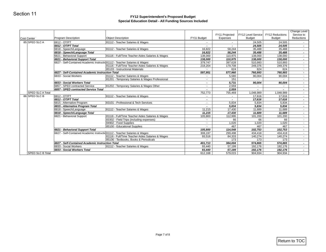#### **FY12 Superintendent's Proposed Budget Special Education Detail - All Funding Sources Included**

| Cost Center             | <b>Program Description</b>                                     | <b>Object Description</b>                                                           | FY11 Budget                        | FY11 Projected<br>Expenses | FY12 Level Service<br><b>Budget</b> | FY12 Reductions<br><b>Budget</b> | Change Level<br>Service to<br>Reductions |
|-------------------------|----------------------------------------------------------------|-------------------------------------------------------------------------------------|------------------------------------|----------------------------|-------------------------------------|----------------------------------|------------------------------------------|
| 85 SPED SLC A           | 6812 - OT/PT                                                   | 81112 - Teacher Salaries & Wages                                                    | $\sim$                             | $\sim$                     | 24,505                              | 24,505                           |                                          |
|                         | 6812 - OT/PT Total                                             |                                                                                     | $\sim$                             | $\overline{\phantom{a}}$   | 24,505                              | 24,505                           | $\sim$                                   |
|                         | 6818 - Speech/Language                                         | 81112 - Teacher Salaries & Wages                                                    | 16,822                             | 58,244                     | 35,488                              | 35,488                           | $\sim$                                   |
|                         | 6818 - Speech/Language Total                                   |                                                                                     | 16,822                             | 58,244                     | 35,488                              | 35,488                           | $\overline{\phantom{a}}$<br>$\sim$       |
|                         | 6821 - Behavioral Support<br>6821 - Behavioral Support Total   | 81116 - Full/Time Teacher Aides Salaries & Wages                                    | 138,000<br>138,000                 | 110,975<br>110,975         | 138,000<br>138,000                  | 138,000<br>138,000               | $\overline{\phantom{a}}$                 |
|                         |                                                                | 6827 - Self-Contained Academic Instructiq 81112 - Teacher Salaries & Wages          | 379,747                            | 397,628                    | 510,993                             | 510,993                          | $\sim$                                   |
|                         |                                                                | 81116 - Full/Time Teacher Aides Salaries & Wages                                    | 218,204                            | 179,708                    | 249,376                             | 249,376                          | $\sim$                                   |
|                         |                                                                | 85103 - Instructional Materials                                                     |                                    | 624                        | 624                                 | 624                              | $\sim$                                   |
|                         | 6827 - Self-Contained Academic Instruction Total               |                                                                                     | 597,951                            | 577,960                    | 760,993                             | 760,993                          | $\sim$                                   |
|                         | 6833 - Social Workers                                          | 81112 - Teacher Salaries & Wages<br>81201 - Temporary Salaries & Wages Professional | $\sim$                             | 5,580                      | 90,004                              | 90,004                           | $\bullet$                                |
|                         | 6833 - Social Workers Total                                    |                                                                                     | $\sim$                             | 151<br>5,731               | 90,004                              | 90,004                           | $\sim$<br>$\sim$                         |
|                         | 6857 - SPED contracted Service                                 | 81202 - Temporary Salaries & Wages Other                                            | $\sim$                             | 2,559                      |                                     | $\sim$                           | $\sim$                                   |
|                         | 6857 - SPED contracted Service Total                           |                                                                                     | $\overline{\phantom{0}}$           | 2,559                      | $\overline{\phantom{0}}$            | $\blacksquare$                   | $\blacksquare$                           |
| <b>SPED SLC A Total</b> |                                                                |                                                                                     | 752,773                            | 755,469                    | 1,048,989                           | 1,048,989                        | $\sim$                                   |
| 86 SPED SLC B           | 6812 - OT/PT                                                   | 81112 - Teacher Salaries & Wages                                                    | $\sim$                             | $\sim$                     | 17,616                              | 17,616                           | $\sim$                                   |
|                         | 6812 - OT/PT Total                                             |                                                                                     | $\overline{\phantom{a}}$           | $\blacksquare$             | 17,616                              | 17,616                           | $\overline{\phantom{a}}$                 |
|                         | 6815 - Alternative Program<br>6815 - Alternative Program Total | 83101 - Professional & Tech Services                                                | $\sim$                             | 5,834                      | 5,834                               | 5,834                            | $\sim$                                   |
|                         | 6818 - Speech/Language                                         | 81112 - Teacher Salaries & Wages                                                    | $\overline{\phantom{a}}$<br>11,215 | 5,834<br>17,430            | 5,834<br>11,689                     | 5,834<br>11,689                  | $\overline{\phantom{a}}$<br>$\sim$       |
|                         | 6818 - Speech/Language Total                                   |                                                                                     | 11,215                             | 17,430                     | 11,689                              | 11,689                           | $\blacksquare$                           |
|                         | 6821 - Behavioral Support                                      | 81116 - Full/Time Teacher Aides Salaries & Wages                                    | 105,800                            | 112,995                    | 101,200                             | 101,200                          | $\sim$                                   |
|                         |                                                                | 83302 - Field Trips (including expenses)                                            | $\sim$                             | 66                         | 66                                  | 66                               | $\sim$                                   |
|                         |                                                                | 84902 - Food Supplies                                                               | $\sim$                             | 1,020                      | 1,020                               | 1,020                            | $\sim$                                   |
|                         |                                                                | 85100 - Educational Supplies                                                        | $\sim$                             | 467                        | 467                                 | 467                              | $\sim$                                   |
|                         | 6821 - Behavioral Support Total                                | 6827 - Self-Contained Academic Instructic 81112 - Teacher Salaries & Wages          | 105,800                            | 114,548                    | 102,753                             | 102,753                          | $\overline{\phantom{a}}$<br>$\sim$       |
|                         |                                                                | 81116 - Full/Time Teacher Aides Salaries & Wages                                    | 308,197<br>93,516                  | 299,498<br>84,333          | 434,418<br>140,274                  | 434,418<br>140,274               | $\sim$                                   |
|                         |                                                                | 85106 - Textbooks, Books & Periodicals                                              | $\sim$                             | 173                        | 173                                 | 173                              | $\sim$                                   |
|                         | 6827 - Self-Contained Academic Instruction Total               |                                                                                     | 401,713                            | 384,004                    | 574,865                             | 574,865                          | $\blacksquare$                           |
|                         | 6833 - Social Workers                                          | 81112 - Teacher Salaries & Wages                                                    | 93,440                             | 57,199                     | 192,176                             | 192,176                          | $\sim$                                   |
| <b>SPED SLC B Total</b> | 6833 - Social Workers Total                                    |                                                                                     | 93,440                             | 57,199                     | 192,176                             | 192,176                          | $\overline{\phantom{a}}$<br>$\sim$       |
|                         |                                                                |                                                                                     | 612,168                            | 579,015                    | 904,934                             | 904,934                          |                                          |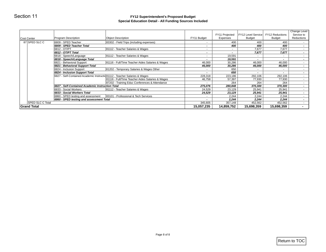#### **FY12 Superintendent's Proposed Budget Special Education Detail - All Funding Sources Included**

| Section 11         |                                                  | FY12 Superintendent's Proposed Budget<br><b>Special Education Detail - All Funding Sources Included</b> |                |                            |                                     |                                  |                                          |
|--------------------|--------------------------------------------------|---------------------------------------------------------------------------------------------------------|----------------|----------------------------|-------------------------------------|----------------------------------|------------------------------------------|
| Cost Center        | Program Description                              | <b>Object Description</b>                                                                               | FY11 Budget    | FY11 Projected<br>Expenses | FY12 Level Service<br><b>Budget</b> | FY12 Reductions<br><b>Budget</b> | Change Level<br>Service to<br>Reductions |
| 87 SPED SLC C      | 6809 - SPED Teacher                              | 83302 - Field Trips (including expenses)                                                                | $\sim$         | 400                        | 400                                 | 400                              | $\sim$                                   |
|                    | 6809 - SPED Teacher Total                        |                                                                                                         | $\sim$         | 400                        | 400                                 | 400                              | $\blacksquare$                           |
|                    | 6812 - OT/PT                                     | 81112 - Teacher Salaries & Wages                                                                        | $\sim$         | $\sim$                     | 7,677                               | 7,677                            | $\sim$                                   |
|                    | 6812 - OT/PT Total                               |                                                                                                         | $\blacksquare$ | $\blacksquare$             | 7,677                               | 7,677                            | $\overline{\phantom{a}}$                 |
|                    | 6818 - Speech/Language                           | 81112 - Teacher Salaries & Wages                                                                        | $\sim$         | 19,591                     | $\sim$                              | $\sim$                           | $\sim$                                   |
|                    | 6818 - Speech/Language Total                     |                                                                                                         | $\blacksquare$ | 19,591                     | $\sim$                              | $\blacksquare$                   | $\overline{\phantom{a}}$                 |
|                    | 6821 - Behavioral Support                        | 81116 - Full/Time Teacher Aides Salaries & Wages                                                        | 46,000         | 30,286                     | 46,000                              | 46,000                           | $\bullet$                                |
|                    | 6821 - Behavioral Support Total                  |                                                                                                         | 46,000         | 30,286                     | 46,000                              | 46,000                           | $\blacksquare$                           |
|                    | 6824 - Inclusion Support                         | 81202 - Temporary Salaries & Wages Other                                                                | $\sim$         | 650                        | $\sim$                              | $\sim$                           | $\sim$                                   |
|                    | 6824 - Inclusion Support Total                   |                                                                                                         | $\sim$         | 650                        | $\sim$                              | $\sim$                           | $\overline{\phantom{a}}$                 |
|                    |                                                  | 6827 - Self-Contained Academic Instructic 81112 - Teacher Salaries & Wages                              | 228,318        | 223,186                    | 292,106                             | 292,106                          | $\blacksquare$                           |
|                    |                                                  | 81116 - Full/Time Teacher Aides Salaries & Wages                                                        | 46,758         | 57,397                     | 77,930                              | 77,930                           | $\bullet$                                |
|                    |                                                  | 87202 - Training Educ Conferences & Attendance                                                          | $\sim$         | 264                        | 264                                 | 264                              | $\sim$                                   |
|                    | 6827 - Self-Contained Academic Instruction Total |                                                                                                         | 275,076        | 280,848                    | 370,300                             | 370,300                          | $\overline{\phantom{a}}$                 |
|                    | 6833 - Social Workers                            | 81112 - Teacher Salaries & Wages                                                                        | 24,529         | 23,129                     | 25,941                              | 25,941                           | $\sim$                                   |
|                    | 6833 - Social Workers Total                      |                                                                                                         | 24,529         | 23,129                     | 25,941                              | 25,941                           | $\sim$                                   |
|                    | 6860 - SPED testing and assessment               | 83101 - Professional & Tech Services                                                                    | $\sim$         | 2,244                      | 2,244                               | 2,244                            | $\sim$                                   |
|                    | 6860 - SPED testing and assessment Total         |                                                                                                         |                | 2,244                      | 2,244                               | 2,244                            | $\overline{\phantom{a}}$                 |
| SPED SLC C Total   |                                                  |                                                                                                         | 345,605        | 357,148                    | 452,562                             | 452,562                          | $\sim$                                   |
| <b>Grand Total</b> |                                                  |                                                                                                         | 15,057,235     | 14,859,752                 | 15,698,359                          | 15,698,359                       | $\blacksquare$                           |
|                    |                                                  |                                                                                                         |                |                            |                                     |                                  |                                          |
|                    |                                                  |                                                                                                         |                |                            |                                     |                                  |                                          |
|                    |                                                  |                                                                                                         |                |                            |                                     |                                  |                                          |
|                    |                                                  |                                                                                                         |                |                            |                                     |                                  |                                          |
|                    |                                                  |                                                                                                         |                |                            |                                     |                                  |                                          |
|                    |                                                  |                                                                                                         |                |                            |                                     |                                  |                                          |
|                    |                                                  |                                                                                                         |                |                            |                                     |                                  |                                          |
|                    |                                                  |                                                                                                         |                |                            |                                     |                                  |                                          |
|                    |                                                  |                                                                                                         |                |                            |                                     |                                  |                                          |
|                    |                                                  |                                                                                                         |                |                            |                                     |                                  |                                          |
|                    |                                                  | Page 8 of 8                                                                                             |                |                            |                                     |                                  |                                          |
|                    |                                                  |                                                                                                         |                |                            |                                     |                                  | Return to TOC                            |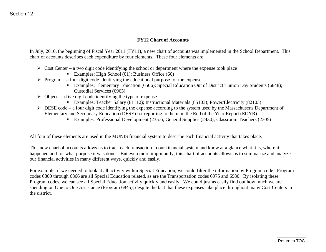### **FY12 Chart of Accounts**

In July, 2010, the beginning of Fiscal Year 2011 (FY11), a new chart of accounts was implemented in the School Department. This chart of accounts describes each expenditure by four elements. These four elements are:

- $\triangleright$  Cost Center a two digit code identifying the school or department where the expense took place
	- Examples: High School (01); Business Office (66)
- $\triangleright$  Program a four digit code identifying the educational purpose for the expense
	- Examples: Elementary Education (6506); Special Education Out of District Tuition Day Students (6848); Custodial Services (6965)
- $\triangleright$  Object a five digit code identifying the type of expense
	- Examples: Teacher Salary (81112); Instructional Materials (85103); Power/Electricity (82103)
- $\triangleright$  DESE code a four digit code identifying the expense according to the system used by the Massachusetts Department of Elementary and Secondary Education (DESE) for reporting to them on the End of the Year Report (EOYR)
	- Examples: Professional Development (2357); General Supplies (2430); Classroom Teachers (2305)

All four of these elements are used in the MUNIS financial system to describe each financial activity that takes place.

This new chart of accounts allows us to track each transaction in our financial system and know at a glance what it is, where it happened and for what purpose it was done. But even more importantly, this chart of accounts allows us to summarize and analyze our financial activities in many different ways, quickly and easily.

For example, if we needed to look at all activity within Special Education, we could filter the information by Program code. Program codes 6800 through 6866 are all Special Education related, as are the Transportation codes 6975 and 6980. By isolating these Program codes, we can see all Special Education activity quickly and easily. We could just as easily find out how much we are spending on One to One Assistance (Program 6845), despite the fact that these expenses take place throughout many Cost Centers in the district. **EVI2 Chart of Accounts**<br>
FYI2 Chart of Accounts<br>
Le July, 2010, the hogitating of Fisual Your 2011 (PYI1), a new chart of accounts was implemented in the School Department. This<br>
chart of accounts describe read expenditu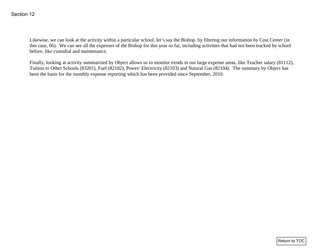Likewise, we can look at the activity within a particular school, let's say the Bishop, by filtering our information by Cost Center (in this case, 06). We can see all the expenses of the Bishop for this year so far, including activities that had not been tracked by school before, like custodial and maintenance.

Finally, looking at activity summarized by Object allows us to monitor trends in our large expense areas, like Teacher salary (81112), Tuition to Other Schools (83201), Fuel (82102), Power/ Electricity (82103) and Natural Gas (82104). The summary by Object has been the basis for the monthly expense reporting which has been provided since September, 2010. Section 12<br>
Likewise, we can look at the serivity within a particular school, let's say the Bishop, by filtering our information by Cost Center (in this case, too. We can see all the expenses of the Bishop for this year s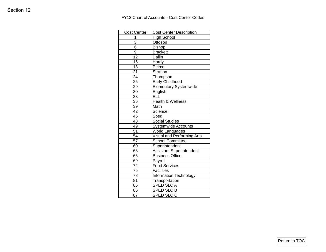### FY12 Chart of Accounts - Cost Center Codes

| <b>Cost Center</b> | <b>Cost Center Description</b>  |
|--------------------|---------------------------------|
| $\mathbf{1}$       | High School                     |
| $\overline{3}$     | Ottoson                         |
| 6                  | Bishop                          |
| $9\,$              | Brackett                        |
| $\overline{12}$    | Dallin                          |
| 15                 | Hardy                           |
| 18                 | Peirce                          |
| 21                 | Stratton                        |
| $\overline{24}$    | Thompson                        |
| 25                 | <b>Early Childhood</b>          |
| 29                 | <b>Elementary Systemwide</b>    |
| 30                 | English                         |
| 33                 | ELL                             |
| 36                 | Health & Wellness               |
| 39                 | Math                            |
| 42                 | Science                         |
| 45                 | Sped                            |
| 48                 | Social Studies                  |
| 49                 | <b>Systemwide Accounts</b>      |
| $\overline{51}$    | World Languages                 |
| 54                 | Visual and Performing Arts      |
| 57                 | <b>School Committee</b>         |
| 60                 | Superintendent                  |
| 63                 | <b>Assistant Superintendent</b> |
| 66                 | <b>Business Office</b>          |
| 69                 | Payroll                         |
| $\overline{72}$    | <b>Food Services</b>            |
| $\overline{75}$    | Facilities                      |
| $\overline{78}$    | Information Technology          |
| 81                 | Transportation                  |
| 85                 | <b>SPED SLCA</b>                |
| 86                 | <b>SPED SLC B</b>               |
| 87                 | SPED SLC C                      |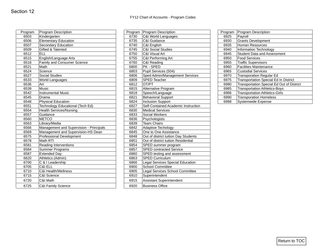#### FY12 Chart of Accounts - Program Codes

|                 | <b>Program Description</b>              |      | Program Program Description          |      | Program   Program Description             |
|-----------------|-----------------------------------------|------|--------------------------------------|------|-------------------------------------------|
| Program<br>6503 | Kindergarten                            | 6730 | C&I World Languages                  | 6925 | Payroll                                   |
| 6506            | <b>Elementary Education</b>             | 6735 | C&I Guidance                         | 6930 | <b>Grants Development</b>                 |
| 6507            | Secondary Education                     | 6740 | C&I English                          | 6935 | <b>Human Resources</b>                    |
| 6509            | <b>Gifted &amp; Talented</b>            | 6745 | <b>C&amp;I Social Studies</b>        | 6940 | Information Technology                    |
| 6512            | <b>ELL</b>                              | 6750 | C&I Visual Art                       | 6945 | Student Data and Assessment               |
| 6515            | English/Language Arts                   | 6755 | C&I Performing Art                   | 6950 | <b>Food Services</b>                      |
| 6518            | Family and Consumer Science             | 6760 | C&I Reading                          | 6955 | <b>Traffic Supervisors</b>                |
| 6521            | Math                                    | 6800 | PK - SPED                            | 6960 | <b>Facilities Maintenance</b>             |
| 6524            | Science                                 | 6803 | Pupil Services (504)                 | 6965 | <b>Custodial Services</b>                 |
| 6527            | <b>Social Studies</b>                   | 6806 | Sped Admin/Management Services       | 6970 | <b>Transporation Regular Ed</b>           |
| 6533            | <b>World Languages</b>                  | 6809 | <b>SPED Teacher</b>                  | 6975 | Transportation Special Ed In District     |
| 6536            | Art                                     | 6812 | OT/PT                                | 6980 | Transportation Special Ed Out of District |
| 6539            | Music                                   | 6815 | Alternative Program                  | 6985 | <b>Transportation Athletics-Boys</b>      |
| 6542            | <b>Instrumental Music</b>               | 6818 | Speech/Language                      | 6986 | <b>Transportation Athletics-Girls</b>     |
| 6545            | Drama                                   | 6821 | <b>Behavioral Support</b>            | 6990 | <b>Transporation Homeless</b>             |
| 6548            | <b>Physical Education</b>               | 6824 | Inclusion Support                    | 6998 | Systemwide Expense                        |
| 6551            | Technology Educational (Tech Ed)        | 6827 | Self-Contained Academic Instruction  |      |                                           |
| 6554            | Health Services/Nursing                 | 6830 | <b>Medical Services</b>              |      |                                           |
| 6557            | Guidance                                | 6833 | Social Workers                       |      |                                           |
| 6560            | <b>METCO</b>                            | 6836 | Psychologists                        |      |                                           |
| 6563            | Library/Media                           | 6839 | <b>Team Chairs</b>                   |      |                                           |
| 6566            | Management and Supervision - Principals | 6842 | Adaptive Techology                   |      |                                           |
| 6569            | Management and Supervision-HS Dean      | 6845 | One to One Assistance                |      |                                           |
| 6575            | Professional Development                | 6848 | Out of district tuition Day Students |      |                                           |
| 6578            | Math RTI                                | 6851 | Out of district tuition Residential  |      |                                           |
| 6581            | <b>Reading Interventions</b>            | 6854 | SPED summer program                  |      |                                           |
| 6584            | <b>Summer Programs</b>                  | 6857 | <b>SPED</b> contracted Service       |      |                                           |
| 6587            | <b>Extended Day</b>                     | 6860 | SPED testing and assessment          |      |                                           |
| 6620            | Athletics (Admin)                       | 6863 | <b>SPED Curriculum</b>               |      |                                           |
| 6700            | C & I Leadership                        | 6866 | Legal Services Special Education     |      |                                           |
| 6705            | C&I ELL                                 | 6900 | <b>School Committee</b>              |      |                                           |
| 6710            | <b>C&amp;I Health/Wellness</b>          | 6905 | Legal Services School Committee      |      |                                           |
| 6715            | C&I Science                             | 6910 | Superintendent                       |      |                                           |
| 6720            | C&I Math                                | 6915 | Assistant Superintendent             |      |                                           |
| 6725            | <b>C&amp;I Family Science</b>           | 6920 | <b>Business Office</b>               |      |                                           |

| Program | Program Description                  |
|---------|--------------------------------------|
| 6730    | C&I World Languages                  |
| 6735    | C&I Guidance                         |
| 6740    | C&I English                          |
| 6745    | <b>C&amp;I Social Studies</b>        |
| 6750    | C&I Visual Art                       |
| 6755    | C&I Performing Art                   |
| 6760    | C&I Reading                          |
| 6800    | PK - SPED                            |
| 6803    | Pupil Services (504)                 |
| 6806    | Sped Admin/Management Services       |
| 6809    | <b>SPED Teacher</b>                  |
| 6812    | OT/PT                                |
| 6815    | Alternative Program                  |
| 6818    | Speech/Language                      |
| 6821    | <b>Behavioral Support</b>            |
| 6824    | <b>Inclusion Support</b>             |
| 6827    | Self-Contained Academic Instruction  |
| 6830    | <b>Medical Services</b>              |
| 6833    | <b>Social Workers</b>                |
| 6836    | Psychologists                        |
| 6839    | <b>Team Chairs</b>                   |
| 6842    | Adaptive Techology                   |
| 6845    | One to One Assistance                |
| 6848    | Out of district tuition Day Students |
| 6851    | Out of district tuition Residential  |
| 6854    | SPED summer program                  |
| 6857    | <b>SPED contracted Service</b>       |
| 6860    | SPED testing and assessment          |
| 6863    | <b>SPED Curriculum</b>               |
| 6866    | Legal Services Special Education     |
| 6900    | School Committee                     |
| 6905    | Legal Services School Committee      |
| 6910    | Superintendent                       |
| 6915    | <b>Assistant Superintendent</b>      |
| 6920    | <b>Business Office</b>               |

| <b>Program Description</b>                   |
|----------------------------------------------|
| Payroll                                      |
| <b>Grants Development</b>                    |
| <b>Human Resources</b>                       |
| <b>Information Technology</b>                |
| <b>Student Data and Assessment</b>           |
| <b>Food Services</b>                         |
| <b>Traffic Supervisors</b>                   |
| <b>Facilities Maintenance</b>                |
| <b>Custodial Services</b>                    |
| <b>Transporation Regular Ed</b>              |
| <b>Transportation Special Ed In District</b> |
| Transportation Special Ed Out of District    |
| <b>Transportation Athletics-Boys</b>         |
| <b>Transportation Athletics-Girls</b>        |
| <b>Transporation Homeless</b>                |
| Systemwide Expense                           |
|                                              |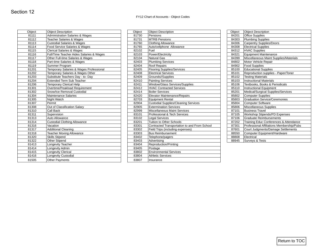| Object         | <b>Object Description</b>                  | Object         | <b>Object Description</b>                                                        | Object         | <b>Object Description</b>                                                           |
|----------------|--------------------------------------------|----------------|----------------------------------------------------------------------------------|----------------|-------------------------------------------------------------------------------------|
| 81111          | <b>Administration Salaries &amp; Wages</b> | 81730          | Pensions                                                                         | 84201          | <b>Office Supplies</b>                                                              |
| 81112          | <b>Teacher Salaries &amp; Wages</b>        | 81731          | <b>MTRB Pensions</b>                                                             | 84303          | <b>Plumbing Supplies</b>                                                            |
| 81113          | <b>Custodial Salaries &amp; Wages</b>      | 81760          | <b>Clothing Allowance</b>                                                        | 84306          | <b>Carpentry Supplies/Doors</b>                                                     |
| 81114          | Food Service Salaries & Wages              | 81765          | Auto/cellphone Allowance                                                         | 84308          | <b>Electrical Supplies</b>                                                          |
| 81115          | <b>Clerical Salaries &amp; Wages</b>       | 82102          | Fuel                                                                             | 84312          | <b>HVAC Supplies</b>                                                                |
| 81116          | Full/Time Teacher Aides Salaries & Wages   | 82103          | Power/Electricity                                                                | 84321          | <b>Equipment Maintenance</b>                                                        |
| 81117          | Other Full-time Salaries & Wages           | 82104          | <b>Natural Gas</b>                                                               | 84399          | Miscellaneous Maint Supplies/Materials                                              |
| 81118          | Part-time Salaries & Wages                 | 82403          | <b>Plumbing Services</b>                                                         | 84802          | Motor Vehicle Repair                                                                |
| 81119          | Summer Program                             | 82404          | <b>Roof Repairs</b>                                                              | 84902          | <b>Food Supplies</b>                                                                |
| 81201          | Temporary Salaries & Wages Professional    | 82405          | Flooring Supplies/Services                                                       | 85100          | <b>Educational Supplies</b>                                                         |
| 81202          | Temporary Salaries & Wages Other           | 82408          | <b>Electrical Services</b>                                                       | 85101          | Reproduction supplies - Paper/Toner                                                 |
| 81203          | Substitute Teachers Day - to- Day          | 82409          | Grounds//Supplies                                                                | 85102          | <b>Testing Materials</b>                                                            |
| 81204          | <b>Extended Term Sub Teacher</b>           | 82410          | <b>Painting Services</b>                                                         | 85103          | <b>Instructional Materials</b>                                                      |
| 81206          | <b>Temporary Clerical Help</b>             | 82411          | Window/Glass Services/Supplies                                                   | 85106          | Textbooks, Books & Periodicals                                                      |
| 81301          | Overtime/Peakload Requirement              | 82412          | <b>HVAC Contracted Services</b>                                                  | 85110          | <b>Instructional Equipment</b>                                                      |
| 81302          | Snow/Ice Removal Custodial                 | 82414          | <b>Boiler Services</b>                                                           | 85201          | Medical/Surgical Supplies/Services                                                  |
| 81304          | Maintenance Salaries                       | 82420          | Elevator Maintenance/Repairs                                                     | 85802          | <b>Computer Supplies</b>                                                            |
| 81305          | Night Watch                                | 82703          | <b>Equipment Rental</b>                                                          | 85803          | <b>Graduation Service/Ceremonies</b>                                                |
| 81307          | Permit                                     | 82904          | <b>Custodial Supplies/Cleaning Services</b>                                      | 85804          | <b>Computer Software</b>                                                            |
| 81308          | Out of Classification Salary               | 82905          | <b>Extermination Services</b>                                                    | 85806          | Miscellaneous Supplies                                                              |
| 81310          | Call Back                                  | 82999          | <b>Miscellaneous Maint Services</b>                                              | 87101          | <b>Business Travel</b>                                                              |
| 81311          | Supervision                                | 83101          | Professional & Tech Services                                                     | 87105          | Workshop Stipends/PD Expenses                                                       |
| 81313          | Auto Allowance                             | 83102          | <b>Legal Services</b><br>Tuition to Other Schools                                | 87106          | <b>Graduate Reimbursements</b>                                                      |
| 81314<br>81316 | <b>Custodial Clothing Allowance</b>        | 83201          |                                                                                  | 87202          | Training Educ Conferences & Attendance<br>Professional Affiliations Membership/Pubs |
| 81317          | Vacation<br><b>Additional Cleaning</b>     | 83301<br>83302 | Contracted Transportation to and From School<br>Field Trips (including expenses) | 87301<br>87601 | Court Judgments/Damage Settlements                                                  |
| 81318          | <b>Teacher Moving Allowance</b>            | 83303          | <b>Bus Reimbursement</b>                                                         | 88550          | Computer Equipment/Hardware                                                         |
| 81320          | <b>Skills Stipend</b>                      | 83402          | Telephone/pagers                                                                 | 88808          | Electrical                                                                          |
| 81322          | Other Stipend                              | 83403          | Advertising                                                                      | 88945          | Surveys & Tests                                                                     |
| 81413          | Longevity Teacher                          | 83404          | Reproduction/Printing                                                            |                |                                                                                     |
| 81414          | Longevity Admin                            | 83405          | Postage                                                                          |                |                                                                                     |
| 81415          | Longevity Clerical                         | 83802          | <b>Environmental Services</b>                                                    |                |                                                                                     |
| 81416          | Longevity Custodial                        | 83804          | Athletic Services                                                                |                |                                                                                     |
| 81505          | Other Payments                             | 83807          | Insurance                                                                        |                |                                                                                     |
|                |                                            |                |                                                                                  |                |                                                                                     |

| Object | <b>Object Description</b>                  | Object | <b>Object Description</b>                    | Object | <b>Object Description</b>                 |
|--------|--------------------------------------------|--------|----------------------------------------------|--------|-------------------------------------------|
| 81111  | <b>Administration Salaries &amp; Wages</b> | 81730  | Pensions                                     | 84201  | <b>Office Supplies</b>                    |
| 81112  | <b>Teacher Salaries &amp; Wages</b>        | 81731  | <b>MTRB Pensions</b>                         | 84303  | <b>Plumbing Supplies</b>                  |
| 81113  | <b>Custodial Salaries &amp; Wages</b>      | 81760  | <b>Clothing Allowance</b>                    | 84306  | <b>Carpentry Supplies/Doors</b>           |
| 81114  | Food Service Salaries & Wages              | 81765  | Auto/cellphone Allowance                     | 84308  | <b>Electrical Supplies</b>                |
| 81115  | <b>Clerical Salaries &amp; Wages</b>       | 82102  | Fuel                                         | 84312  | <b>HVAC Supplies</b>                      |
| 81116  | Full/Time Teacher Aides Salaries & Wages   | 82103  | Power/Electricity                            | 84321  | Equipment Maintenance                     |
| 81117  | Other Full-time Salaries & Wages           | 82104  | <b>Natural Gas</b>                           | 84399  | Miscellaneous Maint Supplies/Materials    |
| 81118  | Part-time Salaries & Wages                 | 82403  | <b>Plumbing Services</b>                     | 84802  | Motor Vehicle Repair                      |
| 81119  | Summer Program                             | 82404  | <b>Roof Repairs</b>                          | 84902  | <b>Food Supplies</b>                      |
| 81201  | Temporary Salaries & Wages Professional    | 82405  | <b>Flooring Supplies/Services</b>            | 85100  | <b>Educational Supplies</b>               |
| 81202  | Temporary Salaries & Wages Other           | 82408  | <b>Electrical Services</b>                   | 85101  | Reproduction supplies - Paper/Toner       |
| 81203  | Substitute Teachers Day - to- Day          | 82409  | Grounds//Supplies                            | 85102  | <b>Testing Materials</b>                  |
| 81204  | Extended Term Sub Teacher                  | 82410  | <b>Painting Services</b>                     | 85103  | <b>Instructional Materials</b>            |
| 81206  | <b>Temporary Clerical Help</b>             | 82411  | Window/Glass Services/Supplies               | 85106  | Textbooks, Books & Periodicals            |
| 81301  | Overtime/Peakload Requirement              | 82412  | <b>HVAC Contracted Services</b>              | 85110  | <b>Instructional Equipment</b>            |
| 81302  | Snow/Ice Removal Custodial                 | 82414  | <b>Boiler Services</b>                       | 85201  | Medical/Surgical Supplies/Services        |
| 81304  | Maintenance Salaries                       | 82420  | Elevator Maintenance/Repairs                 | 85802  | Computer Supplies                         |
| 81305  | <b>Night Watch</b>                         | 82703  | <b>Equipment Rental</b>                      | 85803  | <b>Graduation Service/Ceremonies</b>      |
| 81307  | Permit                                     | 82904  | <b>Custodial Supplies/Cleaning Services</b>  | 85804  | <b>Computer Software</b>                  |
| 81308  | Out of Classification Salary               | 82905  | <b>Extermination Services</b>                | 85806  | Miscellaneous Supplies                    |
| 81310  | <b>Call Back</b>                           | 82999  | <b>Miscellaneous Maint Services</b>          | 87101  | <b>Business Travel</b>                    |
| 81311  | Supervision                                | 83101  | Professional & Tech Services                 | 87105  | Workshop Stipends/PD Expenses             |
| 81313  | Auto Allowance                             | 83102  | <b>Legal Services</b>                        | 87106  | <b>Graduate Reimbursements</b>            |
| 81314  | <b>Custodial Clothing Allowance</b>        | 83201  | <b>Tuition to Other Schools</b>              | 87202  | Training Educ Conferences & Attendance    |
| 81316  | Vacation                                   | 83301  | Contracted Transportation to and From School | 87301  | Professional Affiliations Membership/Pubs |
| 81317  | <b>Additional Cleaning</b>                 | 83302  | Field Trips (including expenses)             | 87601  | Court Judgments/Damage Settlements        |
| 81318  | <b>Teacher Moving Allowance</b>            | 83303  | <b>Bus Reimbursement</b>                     | 88550  | Computer Equipment/Hardware               |
| 81320  | <b>Skills Stipend</b>                      | 83402  | Telephone/pagers                             | 88808  | Electrical                                |
| 81322  | <b>Other Stipend</b>                       | 83403  | Advertisina                                  | 88945  | <b>Surveys &amp; Tests</b>                |
| 81413  | Longevity Teacher                          | 83404  | Reproduction/Printing                        |        |                                           |
| 81414  | Longevity Admin                            | 83405  | Postage                                      |        |                                           |
| 81415  | Longevity Clerical                         | 83802  | <b>Environmental Services</b>                |        |                                           |
| 81416  | Longevity Custodial                        | 83804  | <b>Athletic Services</b>                     |        |                                           |
| 81505  | <b>Other Payments</b>                      | 83807  | Insurance                                    |        |                                           |
|        |                                            |        |                                              |        |                                           |

| Object | <b>Object Description</b>                 |
|--------|-------------------------------------------|
| 84201  | <b>Office Supplies</b>                    |
| 84303  | <b>Plumbing Supplies</b>                  |
| 84306  | <b>Carpentry Supplies/Doors</b>           |
| 84308  | <b>Electrical Supplies</b>                |
| 84312  | <b>HVAC Supplies</b>                      |
| 84321  | <b>Equipment Maintenance</b>              |
| 84399  | Miscellaneous Maint Supplies/Materials    |
| 84802  | Motor Vehicle Repair                      |
| 84902  | <b>Food Supplies</b>                      |
| 85100  | <b>Educational Supplies</b>               |
| 85101  | Reproduction supplies - Paper/Toner       |
| 85102  | <b>Testing Materials</b>                  |
| 85103  | <b>Instructional Materials</b>            |
| 85106  | Textbooks, Books & Periodicals            |
| 85110  | Instructional Equipment                   |
| 85201  | Medical/Surgical Supplies/Services        |
| 85802  | <b>Computer Supplies</b>                  |
| 85803  | <b>Graduation Service/Ceremonies</b>      |
| 85804  | <b>Computer Software</b>                  |
| 85806  | Miscellaneous Supplies                    |
| 87101  | <b>Business Travel</b>                    |
| 87105  | Workshop Stipends/PD Expenses             |
| 87106  | <b>Graduate Reimbursements</b>            |
| 87202  | Training Educ Conferences & Attendance    |
| 87301  | Professional Affiliations Membership/Pubs |
| 87601  | Court Judgments/Damage Settlements        |
| 88550  | Computer Equipment/Hardware               |
| 88808  | Electrical                                |
| 88945  | <b>Surveys &amp; Tests</b>                |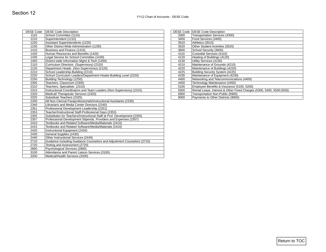| DESE Code   DESE Code Description<br>Transportation Services (3300)<br>Food Services (3400)<br>Athletics (3510)<br>Other Student Activities (3520)<br>School Security (3600)<br>Custodial Services (4110) |  |                                                                         | <b>DESE Code Description</b>                                                                                                                                                             | <b>DESE Code</b>                     |
|-----------------------------------------------------------------------------------------------------------------------------------------------------------------------------------------------------------|--|-------------------------------------------------------------------------|------------------------------------------------------------------------------------------------------------------------------------------------------------------------------------------|--------------------------------------|
|                                                                                                                                                                                                           |  |                                                                         | School Committee (1110)                                                                                                                                                                  | 1110                                 |
|                                                                                                                                                                                                           |  |                                                                         | Superintendent (1210)                                                                                                                                                                    | 1210                                 |
|                                                                                                                                                                                                           |  |                                                                         | Assistant Superintendents (1220)                                                                                                                                                         | 1220                                 |
|                                                                                                                                                                                                           |  |                                                                         | Other District-Wide Administration (1230)                                                                                                                                                | 1230                                 |
|                                                                                                                                                                                                           |  |                                                                         | Business and Finance (1410)                                                                                                                                                              | 1410                                 |
|                                                                                                                                                                                                           |  |                                                                         | Human Resources and Benefits (1420)                                                                                                                                                      | 1420                                 |
| Heating of Buildings (4120)                                                                                                                                                                               |  |                                                                         | Legal Service for School Committee (1430)                                                                                                                                                | 1430                                 |
| Utility Services (4130)                                                                                                                                                                                   |  |                                                                         | District-wide Information Mgmt & Tech (1450)                                                                                                                                             | 1450                                 |
| Maintenance of Grounds (4210)                                                                                                                                                                             |  |                                                                         | Curriculum Directors (Supervisory) (2110)                                                                                                                                                | 2110                                 |
| Maintenance of Buildings (4220)                                                                                                                                                                           |  |                                                                         | Department Heads (Non-Supervisory) (2120)                                                                                                                                                | 2120                                 |
| Building Security System (4225)                                                                                                                                                                           |  |                                                                         | School Leadership-Building (2210)                                                                                                                                                        | 2210                                 |
| Maintenance of Equipment (4230)                                                                                                                                                                           |  |                                                                         | School Curriculum Leaders/Department Heads-Building Level (2220)                                                                                                                         | 2220                                 |
| Networking and Telecommunications (4400)                                                                                                                                                                  |  |                                                                         | Building Technology (2250)                                                                                                                                                               | 2250                                 |
| Technology Maintenance (4450)                                                                                                                                                                             |  |                                                                         | Teachers, Classroom (2305)                                                                                                                                                               | 2305                                 |
| Employee Benefits & Insurance (5100, 5200)                                                                                                                                                                |  |                                                                         | Teachers, Specialists (2310)                                                                                                                                                             | 2310                                 |
| Rental Lease, Interest & Other Fixed Charges (5300, 5400, 5500, 5500)<br>Transportation Non-Public (6900)                                                                                                 |  |                                                                         | Instructional Coordinators and Team Leaders (Non-Supervisory) (2315)<br>Medical/Therapeutic Services (2320)                                                                              | 2315<br>2320                         |
| Payments to Other Districts (9000)                                                                                                                                                                        |  |                                                                         | Substitute Teachers (2325)                                                                                                                                                               | 2325                                 |
|                                                                                                                                                                                                           |  |                                                                         | All Non-Clerical Paraprofessionals/Instructional Assistants (2330)                                                                                                                       | 2330                                 |
|                                                                                                                                                                                                           |  |                                                                         | Librarians and Media Center Directors (2340)                                                                                                                                             | 2340                                 |
|                                                                                                                                                                                                           |  |                                                                         | Professional Development Leadership (2351)                                                                                                                                               | 2351                                 |
|                                                                                                                                                                                                           |  |                                                                         | Teacher/Instructional Staff-Professional Days (2353)                                                                                                                                     | 2353                                 |
|                                                                                                                                                                                                           |  |                                                                         | Substitutes for Teachers/Instructional Staff at Prof. Development (2355)                                                                                                                 | 2355                                 |
|                                                                                                                                                                                                           |  |                                                                         | Professional Development Stipends, Providers and Expenses (2357)                                                                                                                         | 2357                                 |
|                                                                                                                                                                                                           |  |                                                                         | Textbooks and Related Software/Media/Materials (2410)                                                                                                                                    | 2410                                 |
|                                                                                                                                                                                                           |  |                                                                         | Textbooks and Related Software/Media/Materials (2410)                                                                                                                                    | 2415                                 |
|                                                                                                                                                                                                           |  |                                                                         | Instructional Equipment (2420)                                                                                                                                                           | 2420                                 |
|                                                                                                                                                                                                           |  |                                                                         | General Supplies (2430)                                                                                                                                                                  | 2430                                 |
|                                                                                                                                                                                                           |  |                                                                         |                                                                                                                                                                                          | 2440                                 |
|                                                                                                                                                                                                           |  |                                                                         |                                                                                                                                                                                          |                                      |
|                                                                                                                                                                                                           |  |                                                                         |                                                                                                                                                                                          |                                      |
|                                                                                                                                                                                                           |  |                                                                         |                                                                                                                                                                                          |                                      |
|                                                                                                                                                                                                           |  |                                                                         |                                                                                                                                                                                          |                                      |
|                                                                                                                                                                                                           |  |                                                                         |                                                                                                                                                                                          |                                      |
|                                                                                                                                                                                                           |  | Guidance Including Guidance Counselors and Adjustment Counselors (2710) | Other Instructional Services (2440)<br>Testing and Assessment (2720)<br>Psychological Services (2800)<br>Attendance and Parent Liaison Services (3100)<br>Medical/Health Services (3200) | 2710<br>2720<br>2800<br>3100<br>3200 |

|      | DESE Code DESE Code Description                                       |
|------|-----------------------------------------------------------------------|
|      |                                                                       |
| 3300 | Transportation Services (3300)                                        |
| 3400 | Food Services (3400)                                                  |
| 3510 | Athletics (3510)                                                      |
| 3520 | Other Student Activities (3520)                                       |
| 3600 | School Security (3600)                                                |
| 4110 | Custodial Services (4110)                                             |
| 4120 | Heating of Buildings (4120)                                           |
| 4130 | Utility Services (4130)                                               |
| 4210 | Maintenance of Grounds (4210)                                         |
| 4220 | Maintenance of Buildings (4220)                                       |
| 4225 | Building Security System (4225)                                       |
| 4230 | Maintenance of Equipment (4230)                                       |
| 4400 | Networking and Telecommunications (4400)                              |
| 4450 | Technology Maintenance (4450)                                         |
| 5100 | Employee Benefits & Insurance (5100, 5200)                            |
| 5500 | Rental Lease, Interest & Other Fixed Charges (5300, 5400, 5500, 5550) |
| 6900 | Transportation Non-Public (6900)                                      |
| 9000 | Payments to Other Districts (9000)                                    |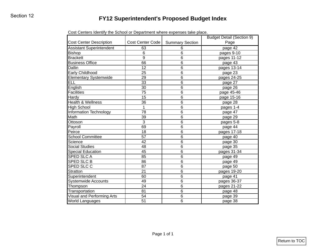| <b>Cost Center Description</b>  | Cost Center Code | <b>Summary Section</b> | Page        |
|---------------------------------|------------------|------------------------|-------------|
| <b>Assistant Superintendent</b> | 63               | 6                      | page 42     |
| <b>Bishop</b>                   | 6                | $\,6$                  | pages 9-10  |
| <b>Brackett</b>                 | 9                | $\,6$                  | pages 11-12 |
| <b>Business Office</b>          | 66               | $\,6$                  | page 43     |
| <b>Dallin</b>                   | 12               | $\,6$                  | pages 13-14 |
| Early Childhood                 | 25               | $\,6$                  | page 23     |
| <b>Elementary Systemwide</b>    | 29               | $\,6$                  | pages 24-25 |
| ELL                             | 33               | $\,6$                  | page 27     |
| English                         | 30               | $\,6$                  | page 26     |
| Facilities                      | 75               | $\,6$                  | page 45-46  |
| Hardy                           | 15               | $\,6$                  | page 15-16  |
| <b>Health &amp; Wellness</b>    | 36               | $\,6$                  | page 28     |
| <b>High School</b>              | $\mathbf{1}$     | $\,6$                  | pages 1-4   |
| <b>Information Technology</b>   | 78               | $\,6$                  | page 47     |
| Math                            | 39               | $\,6$                  | page 29     |
| Ottoson                         | 3                | $\,6$                  | pages 5-8   |
| Payroll                         | 69               | $\,6$                  | page 44     |
| Peirce                          | 18               | $\,6$                  | pages 17-18 |
| <b>School Committee</b>         | 57               | $\,6$                  | page 40     |
| Science                         | 42               | $\,6$                  | page 30     |
| <b>Social Studies</b>           | 48               | $\,6$                  | page 35     |
| <b>Special Education</b>        | 45               | $\,6$                  | pages 31-34 |
| SPED SLC A                      | 85               | $\,6$                  | page 49     |
| SPED SLC B                      | 86               | $\,6$                  | page 49     |
| SPED SLC C                      | 87               | $\,6$                  | page 50     |
| <b>Stratton</b>                 | 21               | $\,6$                  | pages 19-20 |
| Superintendent                  | 60               | $\,6$                  | page 41     |
| <b>Systemwide Accounts</b>      | 49               | $\,6$                  | pages 36-37 |
| Thompson                        | 24               | $\,6$                  | pages 21-22 |
| Transportation                  | 81               | $\,6$                  | page 48     |
| Visual and Performing Arts      | 54               | 6                      | page 39     |
| <b>World Languages</b>          | 51               | 6                      | page 38     |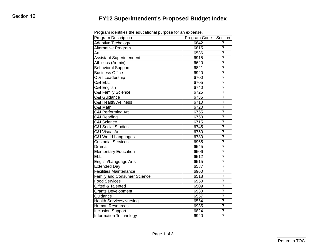| <b>Program Description</b>         | Program Code | Section        |
|------------------------------------|--------------|----------------|
| <b>Adaptive Techology</b>          | 6842         | 7              |
| Alternative Program                | 6815         | 7              |
| Art                                | 6536         | $\overline{7}$ |
| <b>Assistant Superintendent</b>    | 6915         | $\overline{7}$ |
| Athletics (Admin)                  | 6620         | $\overline{7}$ |
| <b>Behavioral Support</b>          | 6821         | $\overline{7}$ |
| <b>Business Office</b>             | 6920         | $\overline{7}$ |
| C & I Leadership                   | 6700         | $\overline{7}$ |
| C&I ELL                            | 6705         | $\overline{7}$ |
| C&I English                        | 6740         | $\overline{7}$ |
| <b>C&amp;I Family Science</b>      | 6725         | $\overline{7}$ |
| C&I Guidance                       | 6735         | $\overline{7}$ |
| C&I Health/Wellness                | 6710         | $\overline{7}$ |
| C&I Math                           | 6720         | $\overline{7}$ |
| C&I Performing Art                 | 6755         | $\overline{7}$ |
| <b>C&amp;I Reading</b>             | 6760         | $\overline{7}$ |
| C&I Science                        | 6715         | $\overline{7}$ |
| <b>C&amp;I Social Studies</b>      | 6745         | $\overline{7}$ |
| C&I Visual Art                     | 6750         | $\overline{7}$ |
| C&I World Languages                | 6730         | $\overline{7}$ |
| <b>Custodial Services</b>          | 6965         | $\overline{7}$ |
| Drama                              | 6545         | $\overline{7}$ |
| <b>Elementary Education</b>        | 6506         | $\overline{7}$ |
| <b>ELL</b>                         | 6512         | $\overline{7}$ |
| English/Language Arts              | 6515         | $\overline{7}$ |
| <b>Extended Day</b>                | 6587         | $\overline{7}$ |
| <b>Facilities Maintenance</b>      | 6960         | $\overline{7}$ |
| <b>Family and Consumer Science</b> | 6518         | $\overline{7}$ |
| <b>Food Services</b>               | 6950         | 7              |
| <b>Gifted &amp; Talented</b>       | 6509         | $\overline{7}$ |
| <b>Grants Development</b>          | 6930         | 7              |
| Guidance                           | 6557         | $\overline{7}$ |
| <b>Health Services/Nursing</b>     | 6554         | 7              |
| Human Resources                    | 6935         | $\overline{7}$ |
| <b>Inclusion Support</b>           | 6824         | 7              |
| <b>Information Technology</b>      | 6940         | $\overline{7}$ |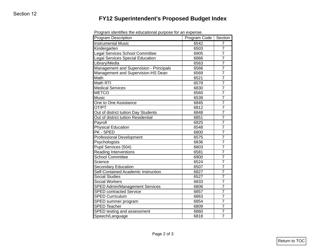| <b>Program Description</b>              | Program Code | Section        |
|-----------------------------------------|--------------|----------------|
| <b>Instrumental Music</b>               | 6542         | 7              |
| Kindergarten                            | 6503         | $\overline{7}$ |
| Legal Services School Committee         | 6905         | $\overline{7}$ |
| Legal Services Special Education        | 6866         | $\overline{7}$ |
| Library/Media                           | 6563         | $\overline{7}$ |
| Management and Supervision - Principals | 6566         | $\overline{7}$ |
| Management and Supervision-HS Dean      | 6569         | $\overline{7}$ |
| Math                                    | 6521         | $\overline{7}$ |
| Math RTI                                | 6578         | $\overline{7}$ |
| <b>Medical Services</b>                 | 6830         | 7              |
| <b>METCO</b>                            | 6560         | $\overline{7}$ |
| Music                                   | 6539         | $\overline{7}$ |
| One to One Assistance                   | 6845         | $\overline{7}$ |
| OT/PT                                   | 6812         | $\overline{7}$ |
| Out of district tuition Day Students    | 6848         | $\overline{7}$ |
| Out of district tuition Residential     | 6851         | $\overline{7}$ |
| Payroll                                 | 6925         | $\overline{7}$ |
| <b>Physical Education</b>               | 6548         | $\overline{7}$ |
| PK - SPED                               | 6800         | $\overline{7}$ |
| <b>Professional Development</b>         | 6575         | $\overline{7}$ |
| Psychologists                           | 6836         | $\overline{7}$ |
| Pupil Services (504)                    | 6803         | $\overline{7}$ |
| Reading Interventions                   | 6581         | $\overline{7}$ |
| <b>School Committee</b>                 | 6900         | $\overline{7}$ |
| Science                                 | 6524         | $\overline{7}$ |
| Secondary Education                     | 6507         | $\overline{7}$ |
| Self-Contained Academic Instruction     | 6827         | $\overline{7}$ |
| <b>Social Studies</b>                   | 6527         | $\overline{7}$ |
| Social Workers                          | 6833         | $\overline{7}$ |
| <b>SPED Admin/Management Services</b>   | 6806         | $\overline{7}$ |
| <b>SPED contracted Service</b>          | 6857         | $\overline{7}$ |
| <b>SPED Curriculum</b>                  | 6863         | 7              |
| SPED summer program                     | 6854         | $\overline{7}$ |
| <b>SPED Teacher</b>                     | 6809         | 7              |
| SPED testing and assessment             | 6860         | $\overline{7}$ |
| Speech/Language                         | 6818         | $\overline{7}$ |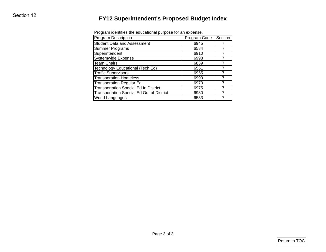| <b>Program Description</b>                       | Program identifies the educational purpose for an expense.<br>Program Code | Section        |
|--------------------------------------------------|----------------------------------------------------------------------------|----------------|
| <b>Student Data and Assessment</b>               | 6945                                                                       | 7              |
| <b>Summer Programs</b>                           | 6584                                                                       | $\overline{7}$ |
| Superintendent                                   | 6910                                                                       | $\overline{7}$ |
| Systemwide Expense                               | 6998                                                                       | $\overline{7}$ |
| <b>Team Chairs</b>                               | 6839                                                                       | $\overline{7}$ |
| Technology Educational (Tech Ed)                 | 6551                                                                       | $\overline{7}$ |
| <b>Traffic Supervisors</b>                       | 6955                                                                       | $\overline{7}$ |
| <b>Transporation Homeless</b>                    | 6990                                                                       | $\overline{7}$ |
| <b>Transporation Regular Ed</b>                  | 6970                                                                       | $\overline{7}$ |
| <b>Transportation Special Ed In District</b>     | 6975                                                                       | $\overline{7}$ |
| <b>Transportation Special Ed Out of District</b> | 6980                                                                       | $\overline{7}$ |
| World Languages                                  | 6533                                                                       | $\overline{7}$ |
|                                                  |                                                                            |                |
|                                                  |                                                                            |                |
|                                                  |                                                                            |                |

Program identifies the educational purpose for an expense.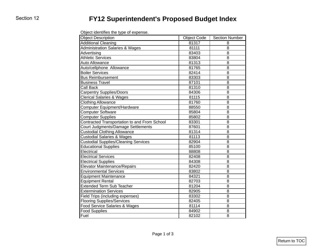| Object identifies the type of expense. |  |
|----------------------------------------|--|
|----------------------------------------|--|

| <b>Object Description</b>                    | <b>Object Code</b> | <b>Section Number</b> |
|----------------------------------------------|--------------------|-----------------------|
| <b>Additional Cleaning</b>                   | 81317              | 8                     |
| <b>Administration Salaries &amp; Wages</b>   | 81111              | 8                     |
| Advertising                                  | 83403              | 8                     |
| <b>Athletic Services</b>                     | 83804              | 8                     |
| Auto Allowance                               | 81313              | 8                     |
| Auto/cellphone Allowance                     | 81765              | 8                     |
| <b>Boiler Services</b>                       | 82414              | 8                     |
| <b>Bus Reimbursement</b>                     | 83303              | 8                     |
| <b>Business Travel</b>                       | 87101              | 8                     |
| Call Back                                    | 81310              | 8                     |
| <b>Carpentry Supplies/Doors</b>              | 84306              | 8                     |
| <b>Clerical Salaries &amp; Wages</b>         | 81115              | 8                     |
| <b>Clothing Allowance</b>                    | 81760              | 8                     |
| Computer Equipment/Hardware                  | 88550              | 8                     |
| <b>Computer Software</b>                     | 85804              | 8                     |
| <b>Computer Supplies</b>                     | 85802              | 8                     |
| Contracted Transportation to and From School | 83301              | 8                     |
| Court Judgments/Damage Settlements           | 87601              | 8                     |
| <b>Custodial Clothing Allowance</b>          | 81314              | 8                     |
| <b>Custodial Salaries &amp; Wages</b>        | 81113              | 8                     |
| <b>Custodial Supplies/Cleaning Services</b>  | 82904              | 8                     |
| <b>Educational Supplies</b>                  | 85100              | 8                     |
| Electrical                                   | 88808              | 8                     |
| <b>Electrical Services</b>                   | 82408              | 8                     |
| <b>Electrical Supplies</b>                   | 84308              | 8                     |
| <b>Elevator Maintenance/Repairs</b>          | 82420              | 8                     |
| <b>Environmental Services</b>                | 83802              | 8                     |
| <b>Equipment Maintenance</b>                 | 84321              | 8                     |
| <b>Equipment Rental</b>                      | 82703              | 8                     |
| <b>Extended Term Sub Teacher</b>             | 81204              | 8                     |
| <b>Extermination Services</b>                | 82905              | 8                     |
| Field Trips (including expenses)             | 83302              | 8                     |
| <b>Flooring Supplies/Services</b>            | 82405              | 8                     |
| Food Service Salaries & Wages                | 81114              | 8                     |
| Food Supplies                                | 84902              | 8                     |
| Fuel                                         | 82102              | 8                     |
|                                              |                    |                       |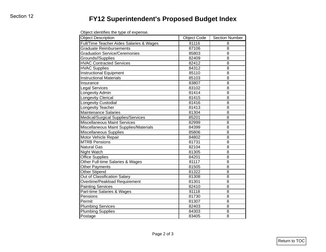| Object identifies the type of expense. |  |  |
|----------------------------------------|--|--|
|----------------------------------------|--|--|

| 81116<br>87106<br>85803<br>82409<br>82412<br>84312<br>85110<br>85103<br>83807<br>83102<br>81414<br>81415 | 8<br>8<br>8<br>8<br>8<br>8<br>8<br>8<br>8<br>8                                                                                                                                            |
|----------------------------------------------------------------------------------------------------------|-------------------------------------------------------------------------------------------------------------------------------------------------------------------------------------------|
|                                                                                                          |                                                                                                                                                                                           |
|                                                                                                          |                                                                                                                                                                                           |
|                                                                                                          |                                                                                                                                                                                           |
|                                                                                                          |                                                                                                                                                                                           |
|                                                                                                          |                                                                                                                                                                                           |
|                                                                                                          |                                                                                                                                                                                           |
|                                                                                                          |                                                                                                                                                                                           |
|                                                                                                          |                                                                                                                                                                                           |
|                                                                                                          |                                                                                                                                                                                           |
|                                                                                                          |                                                                                                                                                                                           |
|                                                                                                          | 8                                                                                                                                                                                         |
|                                                                                                          | 8                                                                                                                                                                                         |
| 81416                                                                                                    | 8                                                                                                                                                                                         |
| 81413                                                                                                    | 8                                                                                                                                                                                         |
| 81304                                                                                                    | 8                                                                                                                                                                                         |
|                                                                                                          | 8                                                                                                                                                                                         |
|                                                                                                          | 8                                                                                                                                                                                         |
|                                                                                                          | 8                                                                                                                                                                                         |
|                                                                                                          | 8                                                                                                                                                                                         |
|                                                                                                          | 8                                                                                                                                                                                         |
|                                                                                                          | 8                                                                                                                                                                                         |
|                                                                                                          | 8                                                                                                                                                                                         |
|                                                                                                          | 8                                                                                                                                                                                         |
|                                                                                                          | 8                                                                                                                                                                                         |
|                                                                                                          | 8                                                                                                                                                                                         |
|                                                                                                          | 8                                                                                                                                                                                         |
|                                                                                                          | 8                                                                                                                                                                                         |
|                                                                                                          | 8                                                                                                                                                                                         |
|                                                                                                          | 8                                                                                                                                                                                         |
|                                                                                                          | 8                                                                                                                                                                                         |
|                                                                                                          | 8                                                                                                                                                                                         |
|                                                                                                          | 8                                                                                                                                                                                         |
|                                                                                                          | 8                                                                                                                                                                                         |
|                                                                                                          | 8                                                                                                                                                                                         |
|                                                                                                          | 8                                                                                                                                                                                         |
|                                                                                                          | 8                                                                                                                                                                                         |
|                                                                                                          | 85201<br>82999<br>84399<br>85806<br>84802<br>81731<br>82104<br>81305<br>84201<br>81117<br>81505<br>81322<br>81308<br>81301<br>82410<br>81118<br>81730<br>81307<br>82403<br>84303<br>83405 |